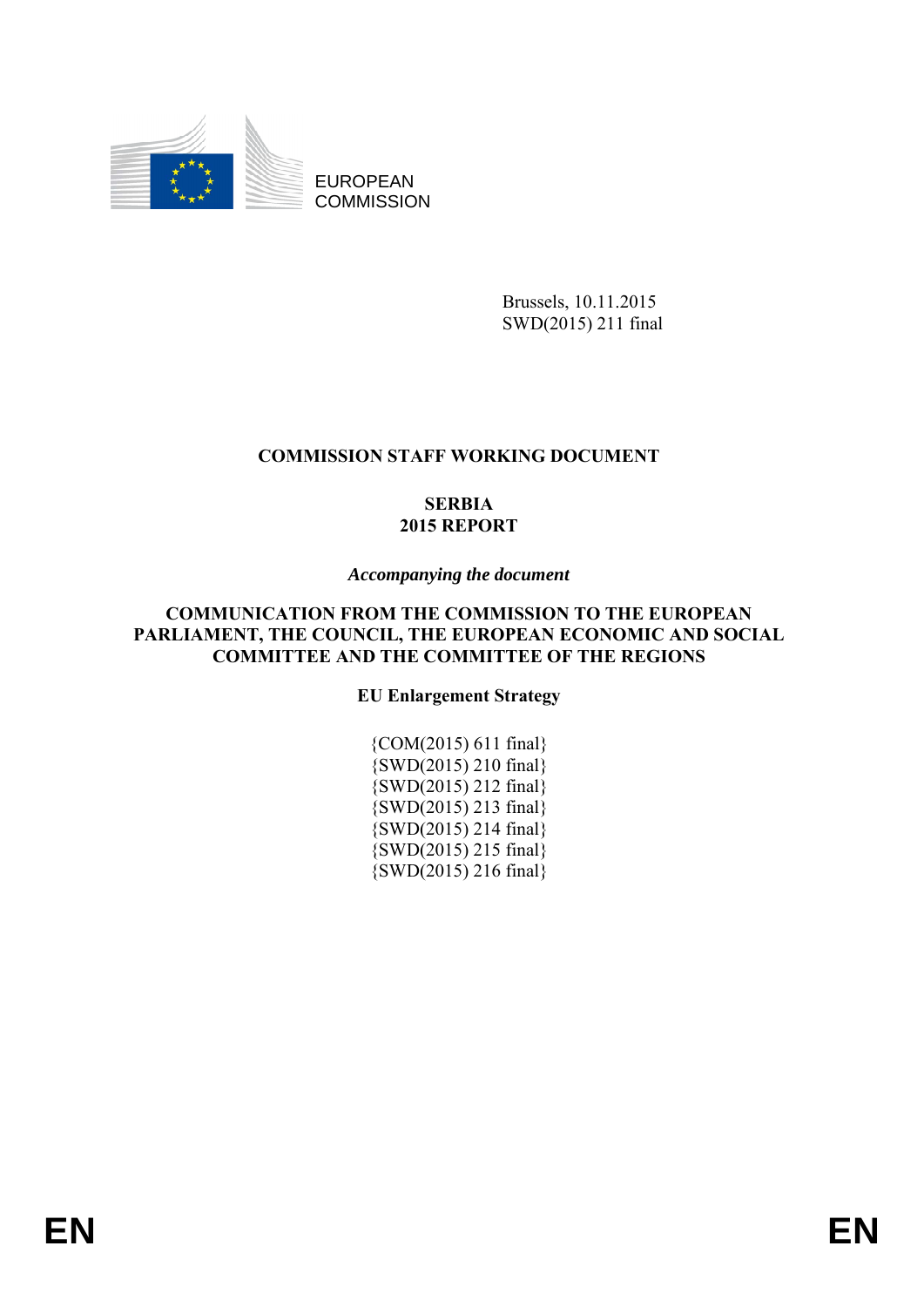

EUROPEAN **COMMISSION** 

> Brussels, 10.11.2015 SWD(2015) 211 final

# **COMMISSION STAFF WORKING DOCUMENT**

# **SERBIA 2015 REPORT**

# *Accompanying the document*

# **COMMUNICATION FROM THE COMMISSION TO THE EUROPEAN PARLIAMENT, THE COUNCIL, THE EUROPEAN ECONOMIC AND SOCIAL COMMITTEE AND THE COMMITTEE OF THE REGIONS**

# **EU Enlargement Strategy**

{COM(2015) 611 final} {SWD(2015) 210 final} {SWD(2015) 212 final} {SWD(2015) 213 final} {SWD(2015) 214 final} {SWD(2015) 215 final} {SWD(2015) 216 final}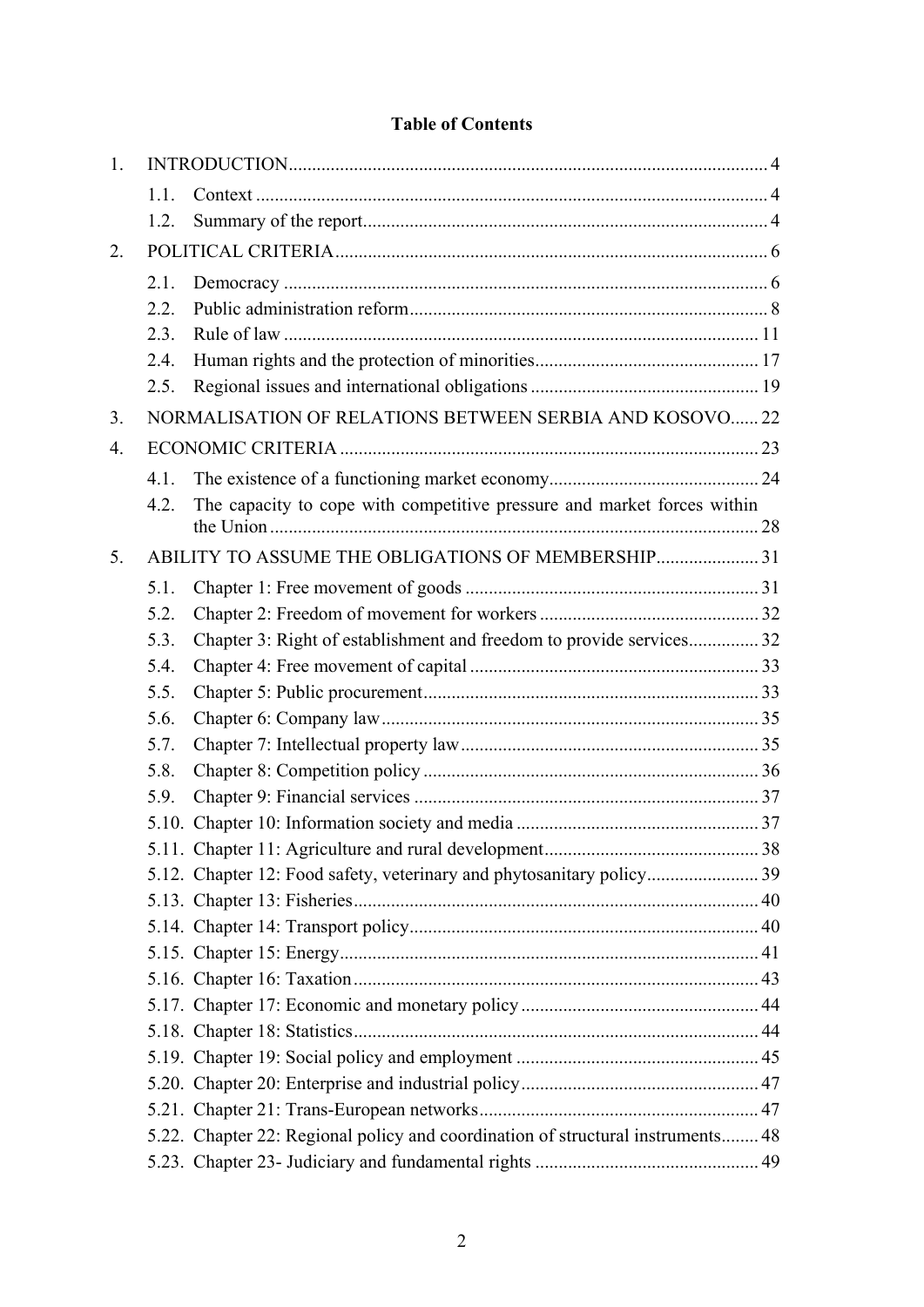# **Table of Contents**

| 1.               |                                                   |                                                                                 |  |  |
|------------------|---------------------------------------------------|---------------------------------------------------------------------------------|--|--|
|                  | 1.1.                                              |                                                                                 |  |  |
|                  | 12                                                |                                                                                 |  |  |
| 2.               |                                                   |                                                                                 |  |  |
|                  | 2.1.                                              |                                                                                 |  |  |
|                  | 2.2.                                              |                                                                                 |  |  |
|                  | 2.3.                                              |                                                                                 |  |  |
|                  | 2.4.                                              |                                                                                 |  |  |
|                  | 2.5.                                              |                                                                                 |  |  |
| 3.               |                                                   | NORMALISATION OF RELATIONS BETWEEN SERBIA AND KOSOVO 22                         |  |  |
| $\overline{4}$ . |                                                   |                                                                                 |  |  |
|                  | 4.1.                                              |                                                                                 |  |  |
|                  | 4.2.                                              | The capacity to cope with competitive pressure and market forces within         |  |  |
| 5 <sub>1</sub>   | ABILITY TO ASSUME THE OBLIGATIONS OF MEMBERSHIP31 |                                                                                 |  |  |
|                  | 5.1.                                              |                                                                                 |  |  |
|                  | 5.2.                                              |                                                                                 |  |  |
|                  | 5.3.                                              | Chapter 3: Right of establishment and freedom to provide services 32            |  |  |
|                  | 5.4.                                              |                                                                                 |  |  |
|                  | 5.5.                                              |                                                                                 |  |  |
|                  | 5.6.                                              |                                                                                 |  |  |
|                  | 5.7.                                              |                                                                                 |  |  |
|                  | 5.8.                                              |                                                                                 |  |  |
|                  | 5.9.                                              |                                                                                 |  |  |
|                  |                                                   |                                                                                 |  |  |
|                  |                                                   |                                                                                 |  |  |
|                  |                                                   |                                                                                 |  |  |
|                  |                                                   |                                                                                 |  |  |
|                  |                                                   |                                                                                 |  |  |
|                  |                                                   |                                                                                 |  |  |
|                  |                                                   |                                                                                 |  |  |
|                  |                                                   |                                                                                 |  |  |
|                  |                                                   |                                                                                 |  |  |
|                  |                                                   |                                                                                 |  |  |
|                  |                                                   |                                                                                 |  |  |
|                  |                                                   |                                                                                 |  |  |
|                  |                                                   | 5.22. Chapter 22: Regional policy and coordination of structural instruments 48 |  |  |
|                  |                                                   |                                                                                 |  |  |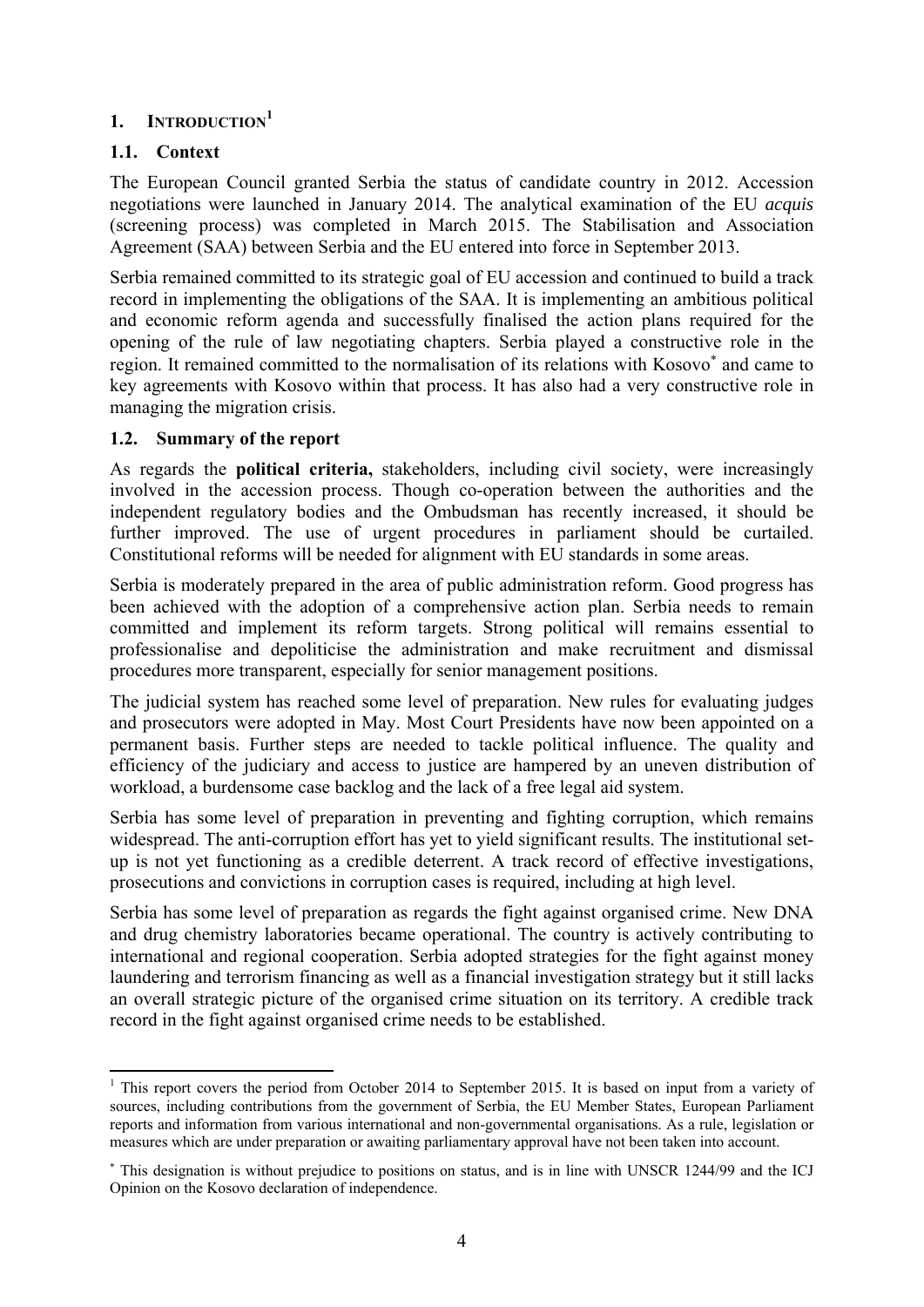# <span id="page-3-0"></span>**1. INTRODUCTION<sup>1</sup>**

# <span id="page-3-1"></span>**1.1. Context**

1

The European Council granted Serbia the status of candidate country in 2012. Accession negotiations were launched in January 2014. The analytical examination of the EU *acquis*  (screening process) was completed in March 2015. The Stabilisation and Association Agreement (SAA) between Serbia and the EU entered into force in September 2013.

Serbia remained committed to its strategic goal of EU accession and continued to build a track record in implementing the obligations of the SAA. It is implementing an ambitious political and economic reform agenda and successfully finalised the action plans required for the opening of the rule of law negotiating chapters. Serbia played a constructive role in the region. It remained committed to the normalisation of its relations with Kosovo<sup>∗</sup> and came to key agreements with Kosovo within that process. It has also had a very constructive role in managing the migration crisis.

# <span id="page-3-2"></span>**1.2. Summary of the report**

As regards the **political criteria,** stakeholders, including civil society, were increasingly involved in the accession process. Though co-operation between the authorities and the independent regulatory bodies and the Ombudsman has recently increased, it should be further improved. The use of urgent procedures in parliament should be curtailed. Constitutional reforms will be needed for alignment with EU standards in some areas.

Serbia is moderately prepared in the area of public administration reform. Good progress has been achieved with the adoption of a comprehensive action plan. Serbia needs to remain committed and implement its reform targets. Strong political will remains essential to professionalise and depoliticise the administration and make recruitment and dismissal procedures more transparent, especially for senior management positions.

The judicial system has reached some level of preparation. New rules for evaluating judges and prosecutors were adopted in May. Most Court Presidents have now been appointed on a permanent basis. Further steps are needed to tackle political influence. The quality and efficiency of the judiciary and access to justice are hampered by an uneven distribution of workload, a burdensome case backlog and the lack of a free legal aid system.

Serbia has some level of preparation in preventing and fighting corruption, which remains widespread. The anti-corruption effort has yet to yield significant results. The institutional setup is not yet functioning as a credible deterrent. A track record of effective investigations, prosecutions and convictions in corruption cases is required, including at high level.

Serbia has some level of preparation as regards the fight against organised crime. New DNA and drug chemistry laboratories became operational. The country is actively contributing to international and regional cooperation. Serbia adopted strategies for the fight against money laundering and terrorism financing as well as a financial investigation strategy but it still lacks an overall strategic picture of the organised crime situation on its territory. A credible track record in the fight against organised crime needs to be established.

<sup>&</sup>lt;sup>1</sup> This report covers the period from October 2014 to September 2015. It is based on input from a variety of sources, including contributions from the government of Serbia, the EU Member States, European Parliament reports and information from various international and non-governmental organisations. As a rule, legislation or measures which are under preparation or awaiting parliamentary approval have not been taken into account.

<sup>∗</sup> This designation is without prejudice to positions on status, and is in line with UNSCR 1244/99 and the ICJ Opinion on the Kosovo declaration of independence.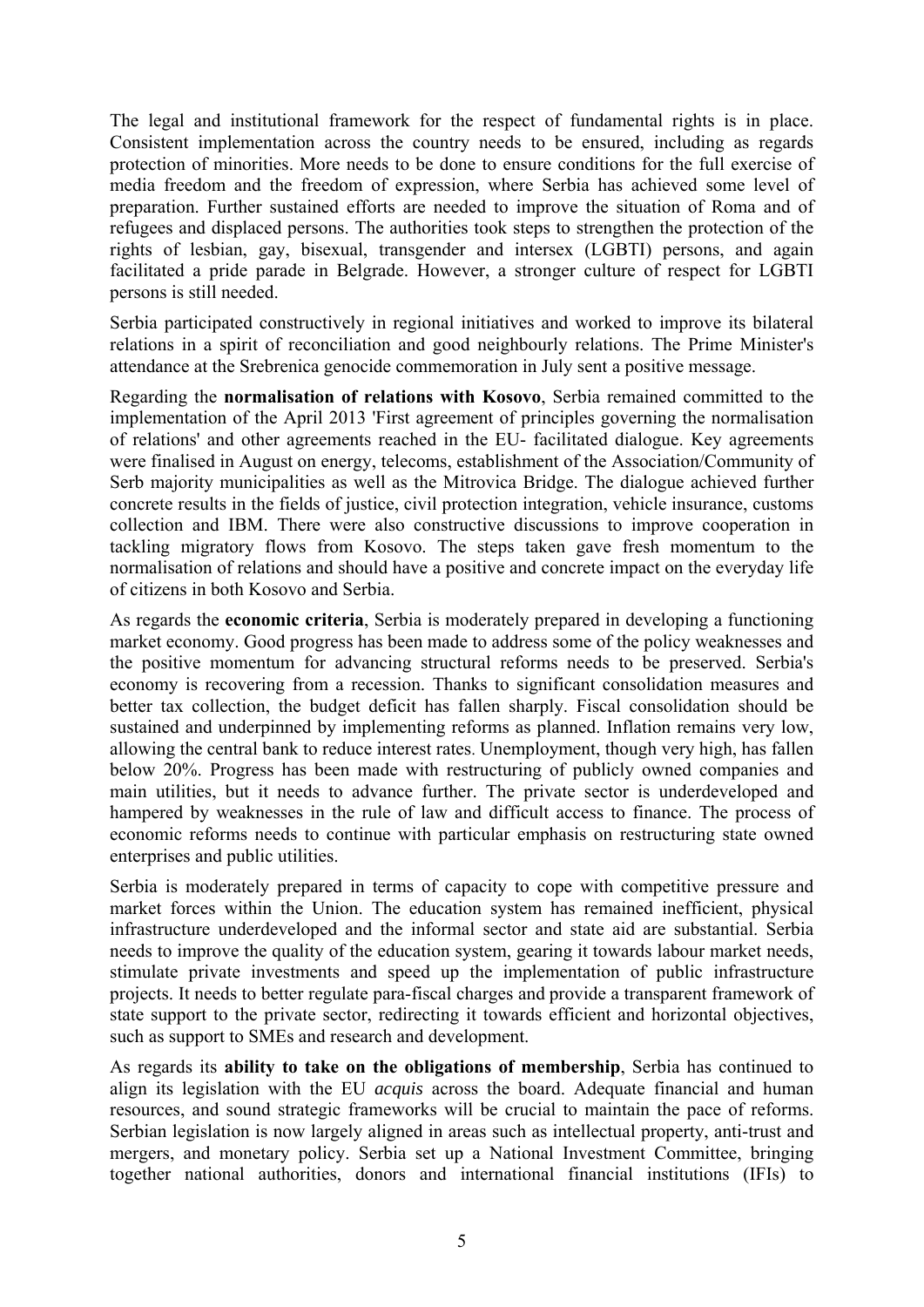The legal and institutional framework for the respect of fundamental rights is in place. Consistent implementation across the country needs to be ensured, including as regards protection of minorities. More needs to be done to ensure conditions for the full exercise of media freedom and the freedom of expression, where Serbia has achieved some level of preparation. Further sustained efforts are needed to improve the situation of Roma and of refugees and displaced persons. The authorities took steps to strengthen the protection of the rights of lesbian, gay, bisexual, transgender and intersex (LGBTI) persons, and again facilitated a pride parade in Belgrade. However, a stronger culture of respect for LGBTI persons is still needed.

Serbia participated constructively in regional initiatives and worked to improve its bilateral relations in a spirit of reconciliation and good neighbourly relations. The Prime Minister's attendance at the Srebrenica genocide commemoration in July sent a positive message.

Regarding the **normalisation of relations with Kosovo**, Serbia remained committed to the implementation of the April 2013 'First agreement of principles governing the normalisation of relations' and other agreements reached in the EU- facilitated dialogue. Key agreements were finalised in August on energy, telecoms, establishment of the Association/Community of Serb majority municipalities as well as the Mitrovica Bridge. The dialogue achieved further concrete results in the fields of justice, civil protection integration, vehicle insurance, customs collection and IBM. There were also constructive discussions to improve cooperation in tackling migratory flows from Kosovo. The steps taken gave fresh momentum to the normalisation of relations and should have a positive and concrete impact on the everyday life of citizens in both Kosovo and Serbia.

As regards the **economic criteria**, Serbia is moderately prepared in developing a functioning market economy. Good progress has been made to address some of the policy weaknesses and the positive momentum for advancing structural reforms needs to be preserved. Serbia's economy is recovering from a recession. Thanks to significant consolidation measures and better tax collection, the budget deficit has fallen sharply. Fiscal consolidation should be sustained and underpinned by implementing reforms as planned. Inflation remains very low, allowing the central bank to reduce interest rates. Unemployment, though very high, has fallen below 20%. Progress has been made with restructuring of publicly owned companies and main utilities, but it needs to advance further. The private sector is underdeveloped and hampered by weaknesses in the rule of law and difficult access to finance. The process of economic reforms needs to continue with particular emphasis on restructuring state owned enterprises and public utilities.

Serbia is moderately prepared in terms of capacity to cope with competitive pressure and market forces within the Union. The education system has remained inefficient, physical infrastructure underdeveloped and the informal sector and state aid are substantial. Serbia needs to improve the quality of the education system, gearing it towards labour market needs, stimulate private investments and speed up the implementation of public infrastructure projects. It needs to better regulate para-fiscal charges and provide a transparent framework of state support to the private sector, redirecting it towards efficient and horizontal objectives, such as support to SMEs and research and development.

As regards its **ability to take on the obligations of membership**, Serbia has continued to align its legislation with the EU *acquis* across the board. Adequate financial and human resources, and sound strategic frameworks will be crucial to maintain the pace of reforms. Serbian legislation is now largely aligned in areas such as intellectual property, anti-trust and mergers, and monetary policy. Serbia set up a National Investment Committee, bringing together national authorities, donors and international financial institutions (IFIs) to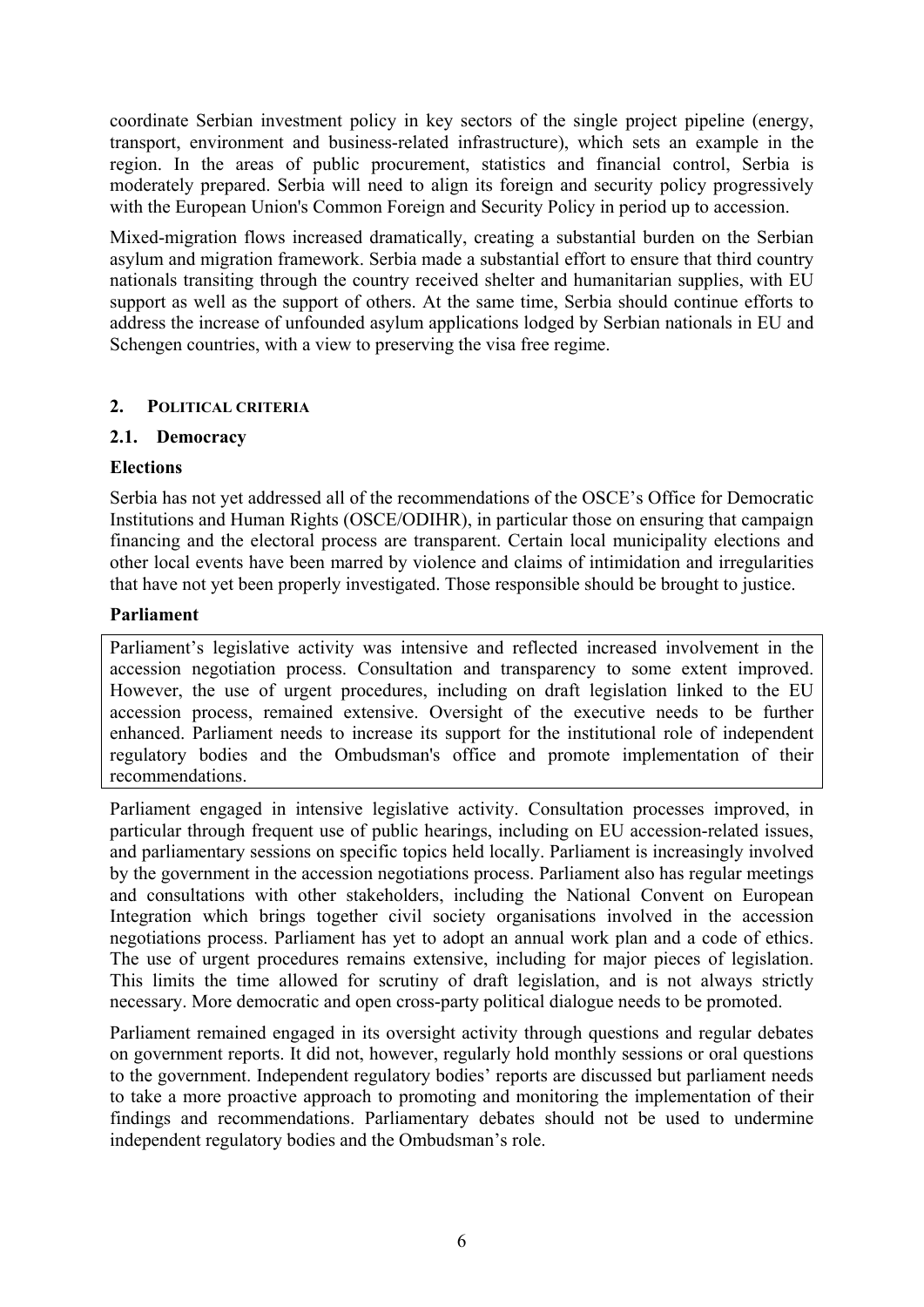coordinate Serbian investment policy in key sectors of the single project pipeline (energy, transport, environment and business-related infrastructure), which sets an example in the region. In the areas of public procurement, statistics and financial control, Serbia is moderately prepared. Serbia will need to align its foreign and security policy progressively with the European Union's Common Foreign and Security Policy in period up to accession.

Mixed-migration flows increased dramatically, creating a substantial burden on the Serbian asylum and migration framework. Serbia made a substantial effort to ensure that third country nationals transiting through the country received shelter and humanitarian supplies, with EU support as well as the support of others. At the same time, Serbia should continue efforts to address the increase of unfounded asylum applications lodged by Serbian nationals in EU and Schengen countries, with a view to preserving the visa free regime.

# <span id="page-5-0"></span>**2. POLITICAL CRITERIA**

### <span id="page-5-1"></span>**2.1. Democracy**

### **Elections**

Serbia has not yet addressed all of the recommendations of the OSCE's Office for Democratic Institutions and Human Rights (OSCE/ODIHR), in particular those on ensuring that campaign financing and the electoral process are transparent. Certain local municipality elections and other local events have been marred by violence and claims of intimidation and irregularities that have not yet been properly investigated. Those responsible should be brought to justice.

### **Parliament**

Parliament's legislative activity was intensive and reflected increased involvement in the accession negotiation process. Consultation and transparency to some extent improved. However, the use of urgent procedures, including on draft legislation linked to the EU accession process, remained extensive. Oversight of the executive needs to be further enhanced. Parliament needs to increase its support for the institutional role of independent regulatory bodies and the Ombudsman's office and promote implementation of their recommendations.

Parliament engaged in intensive legislative activity. Consultation processes improved, in particular through frequent use of public hearings, including on EU accession-related issues, and parliamentary sessions on specific topics held locally. Parliament is increasingly involved by the government in the accession negotiations process. Parliament also has regular meetings and consultations with other stakeholders, including the National Convent on European Integration which brings together civil society organisations involved in the accession negotiations process. Parliament has yet to adopt an annual work plan and a code of ethics. The use of urgent procedures remains extensive, including for major pieces of legislation. This limits the time allowed for scrutiny of draft legislation, and is not always strictly necessary. More democratic and open cross-party political dialogue needs to be promoted.

Parliament remained engaged in its oversight activity through questions and regular debates on government reports. It did not, however, regularly hold monthly sessions or oral questions to the government. Independent regulatory bodies' reports are discussed but parliament needs to take a more proactive approach to promoting and monitoring the implementation of their findings and recommendations. Parliamentary debates should not be used to undermine independent regulatory bodies and the Ombudsman's role.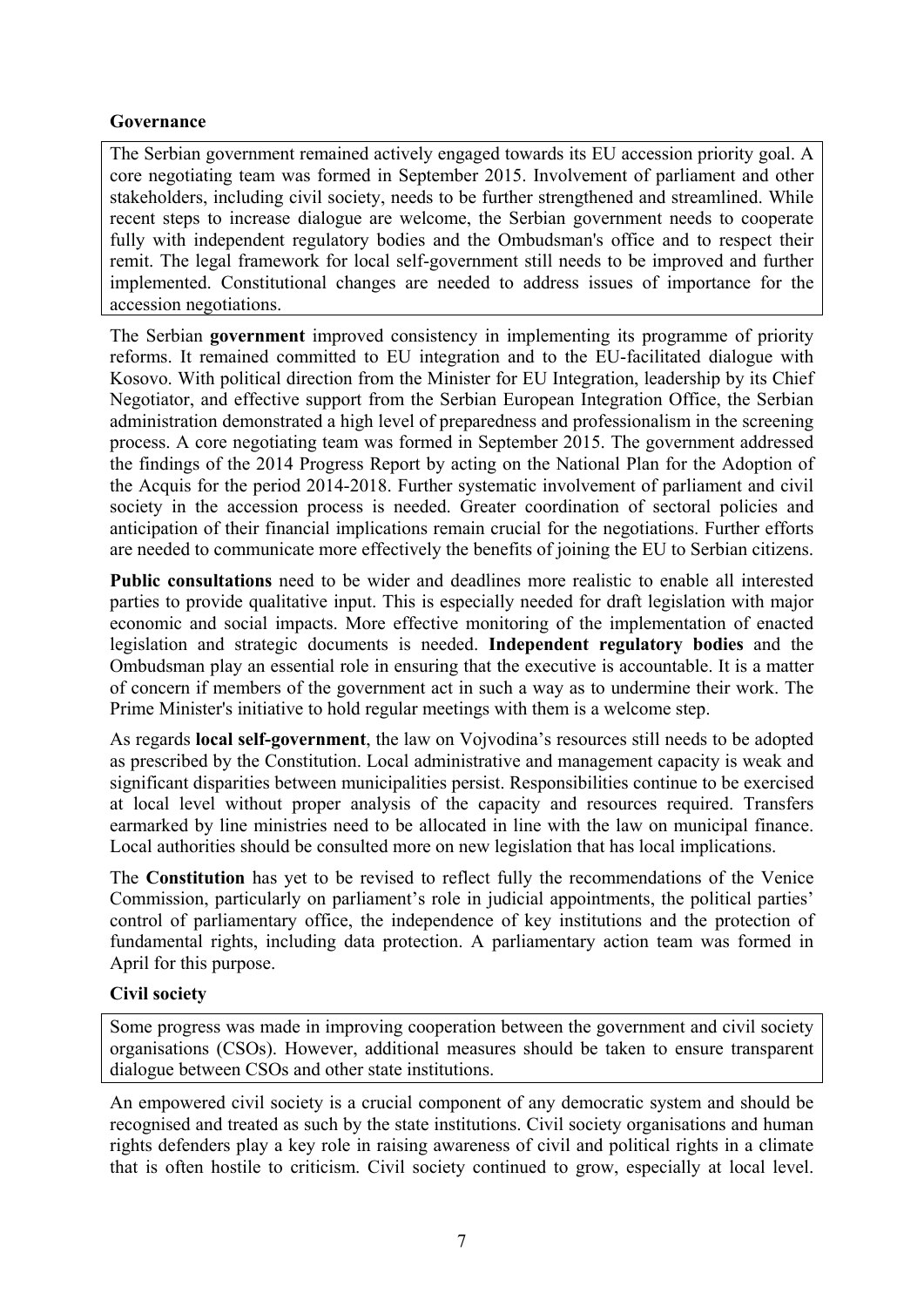# **Governance**

The Serbian government remained actively engaged towards its EU accession priority goal. A core negotiating team was formed in September 2015. Involvement of parliament and other stakeholders, including civil society, needs to be further strengthened and streamlined. While recent steps to increase dialogue are welcome, the Serbian government needs to cooperate fully with independent regulatory bodies and the Ombudsman's office and to respect their remit. The legal framework for local self-government still needs to be improved and further implemented. Constitutional changes are needed to address issues of importance for the accession negotiations.

The Serbian **government** improved consistency in implementing its programme of priority reforms. It remained committed to EU integration and to the EU-facilitated dialogue with Kosovo. With political direction from the Minister for EU Integration, leadership by its Chief Negotiator, and effective support from the Serbian European Integration Office, the Serbian administration demonstrated a high level of preparedness and professionalism in the screening process. A core negotiating team was formed in September 2015. The government addressed the findings of the 2014 Progress Report by acting on the National Plan for the Adoption of the Acquis for the period 2014-2018. Further systematic involvement of parliament and civil society in the accession process is needed. Greater coordination of sectoral policies and anticipation of their financial implications remain crucial for the negotiations. Further efforts are needed to communicate more effectively the benefits of joining the EU to Serbian citizens.

**Public consultations** need to be wider and deadlines more realistic to enable all interested parties to provide qualitative input. This is especially needed for draft legislation with major economic and social impacts. More effective monitoring of the implementation of enacted legislation and strategic documents is needed. **Independent regulatory bodies** and the Ombudsman play an essential role in ensuring that the executive is accountable. It is a matter of concern if members of the government act in such a way as to undermine their work. The Prime Minister's initiative to hold regular meetings with them is a welcome step.

As regards **local self-government**, the law on Vojvodina's resources still needs to be adopted as prescribed by the Constitution. Local administrative and management capacity is weak and significant disparities between municipalities persist. Responsibilities continue to be exercised at local level without proper analysis of the capacity and resources required. Transfers earmarked by line ministries need to be allocated in line with the law on municipal finance. Local authorities should be consulted more on new legislation that has local implications.

The **Constitution** has yet to be revised to reflect fully the recommendations of the Venice Commission, particularly on parliament's role in judicial appointments, the political parties' control of parliamentary office, the independence of key institutions and the protection of fundamental rights, including data protection. A parliamentary action team was formed in April for this purpose.

# **Civil society**

Some progress was made in improving cooperation between the government and civil society organisations (CSOs). However, additional measures should be taken to ensure transparent dialogue between CSOs and other state institutions.

An empowered civil society is a crucial component of any democratic system and should be recognised and treated as such by the state institutions. Civil society organisations and human rights defenders play a key role in raising awareness of civil and political rights in a climate that is often hostile to criticism. Civil society continued to grow, especially at local level.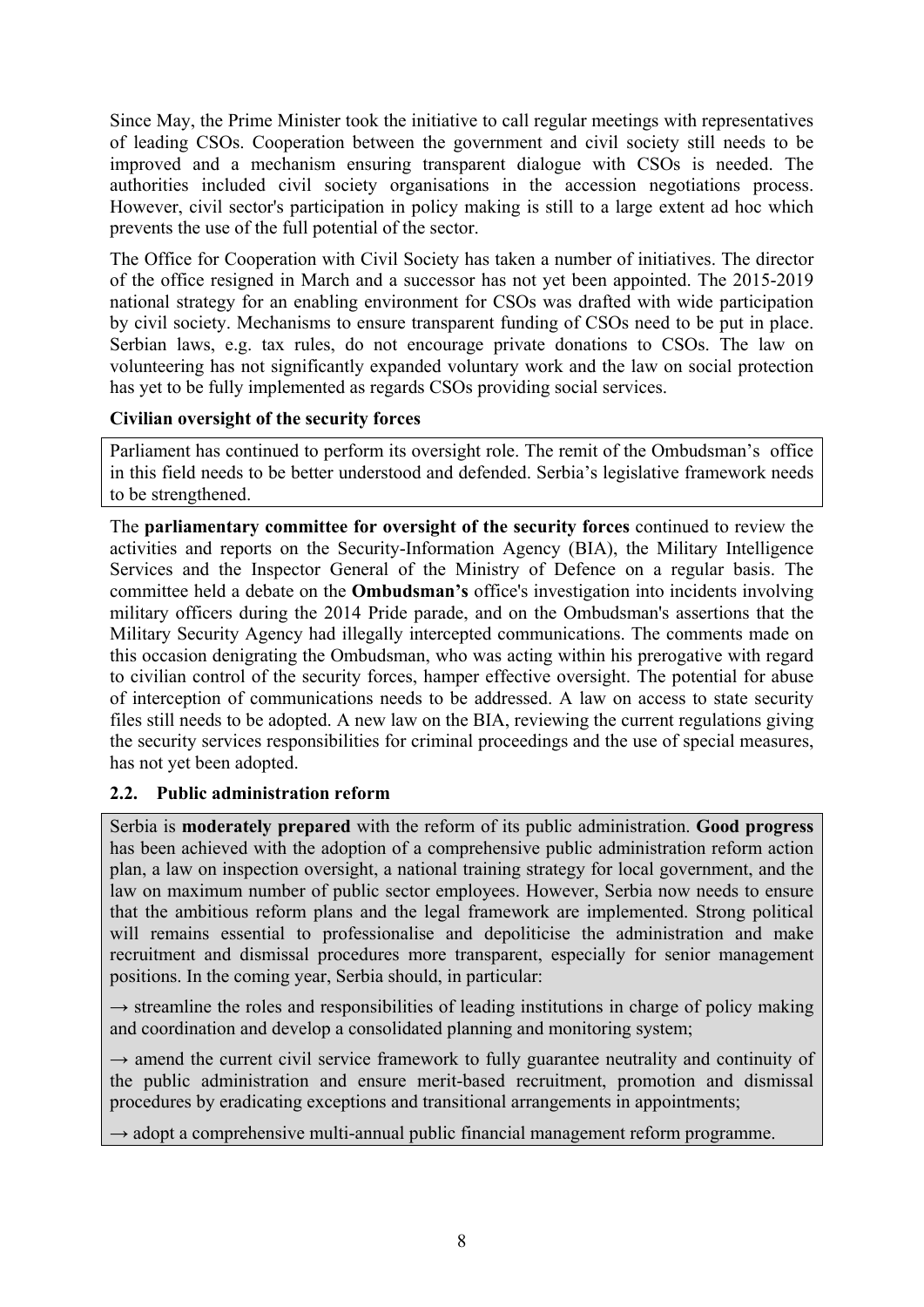Since May, the Prime Minister took the initiative to call regular meetings with representatives of leading CSOs. Cooperation between the government and civil society still needs to be improved and a mechanism ensuring transparent dialogue with CSOs is needed. The authorities included civil society organisations in the accession negotiations process. However, civil sector's participation in policy making is still to a large extent ad hoc which prevents the use of the full potential of the sector.

The Office for Cooperation with Civil Society has taken a number of initiatives. The director of the office resigned in March and a successor has not yet been appointed. The 2015-2019 national strategy for an enabling environment for CSOs was drafted with wide participation by civil society. Mechanisms to ensure transparent funding of CSOs need to be put in place. Serbian laws, e.g. tax rules, do not encourage private donations to CSOs. The law on volunteering has not significantly expanded voluntary work and the law on social protection has yet to be fully implemented as regards CSOs providing social services.

# **Civilian oversight of the security forces**

Parliament has continued to perform its oversight role. The remit of the Ombudsman's office in this field needs to be better understood and defended. Serbia's legislative framework needs to be strengthened.

The **parliamentary committee for oversight of the security forces** continued to review the activities and reports on the Security-Information Agency (BIA), the Military Intelligence Services and the Inspector General of the Ministry of Defence on a regular basis. The committee held a debate on the **Ombudsman's** office's investigation into incidents involving military officers during the 2014 Pride parade, and on the Ombudsman's assertions that the Military Security Agency had illegally intercepted communications. The comments made on this occasion denigrating the Ombudsman, who was acting within his prerogative with regard to civilian control of the security forces, hamper effective oversight. The potential for abuse of interception of communications needs to be addressed. A law on access to state security files still needs to be adopted. A new law on the BIA, reviewing the current regulations giving the security services responsibilities for criminal proceedings and the use of special measures, has not yet been adopted.

# <span id="page-7-0"></span>**2.2. Public administration reform**

Serbia is **moderately prepared** with the reform of its public administration. **Good progress** has been achieved with the adoption of a comprehensive public administration reform action plan, a law on inspection oversight, a national training strategy for local government, and the law on maximum number of public sector employees. However, Serbia now needs to ensure that the ambitious reform plans and the legal framework are implemented. Strong political will remains essential to professionalise and depoliticise the administration and make recruitment and dismissal procedures more transparent, especially for senior management positions. In the coming year, Serbia should, in particular:

 $\rightarrow$  streamline the roles and responsibilities of leading institutions in charge of policy making and coordination and develop a consolidated planning and monitoring system;

 $\rightarrow$  amend the current civil service framework to fully guarantee neutrality and continuity of the public administration and ensure merit-based recruitment, promotion and dismissal procedures by eradicating exceptions and transitional arrangements in appointments;

 $\rightarrow$  adopt a comprehensive multi-annual public financial management reform programme.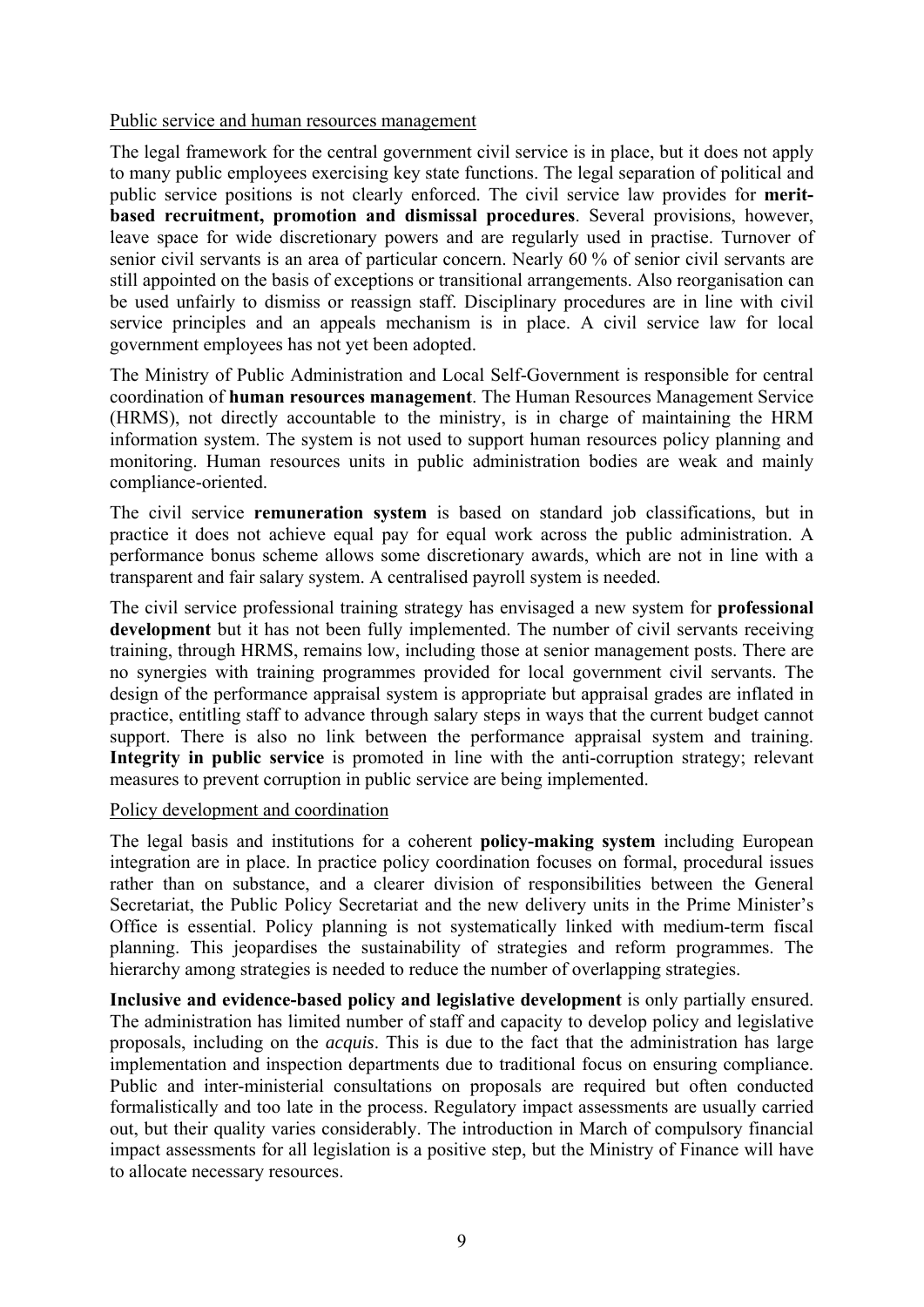#### Public service and human resources management

The legal framework for the central government civil service is in place, but it does not apply to many public employees exercising key state functions. The legal separation of political and public service positions is not clearly enforced. The civil service law provides for **meritbased recruitment, promotion and dismissal procedures**. Several provisions, however, leave space for wide discretionary powers and are regularly used in practise. Turnover of senior civil servants is an area of particular concern. Nearly 60 % of senior civil servants are still appointed on the basis of exceptions or transitional arrangements. Also reorganisation can be used unfairly to dismiss or reassign staff. Disciplinary procedures are in line with civil service principles and an appeals mechanism is in place. A civil service law for local government employees has not yet been adopted.

The Ministry of Public Administration and Local Self-Government is responsible for central coordination of **human resources management**. The Human Resources Management Service (HRMS), not directly accountable to the ministry, is in charge of maintaining the HRM information system. The system is not used to support human resources policy planning and monitoring. Human resources units in public administration bodies are weak and mainly compliance-oriented.

The civil service **remuneration system** is based on standard job classifications, but in practice it does not achieve equal pay for equal work across the public administration. A performance bonus scheme allows some discretionary awards, which are not in line with a transparent and fair salary system. A centralised payroll system is needed.

The civil service professional training strategy has envisaged a new system for **professional development** but it has not been fully implemented. The number of civil servants receiving training, through HRMS, remains low, including those at senior management posts. There are no synergies with training programmes provided for local government civil servants. The design of the performance appraisal system is appropriate but appraisal grades are inflated in practice, entitling staff to advance through salary steps in ways that the current budget cannot support. There is also no link between the performance appraisal system and training. **Integrity in public service** is promoted in line with the anti-corruption strategy; relevant measures to prevent corruption in public service are being implemented.

### Policy development and coordination

The legal basis and institutions for a coherent **policy-making system** including European integration are in place. In practice policy coordination focuses on formal, procedural issues rather than on substance, and a clearer division of responsibilities between the General Secretariat, the Public Policy Secretariat and the new delivery units in the Prime Minister's Office is essential. Policy planning is not systematically linked with medium-term fiscal planning. This jeopardises the sustainability of strategies and reform programmes. The hierarchy among strategies is needed to reduce the number of overlapping strategies.

**Inclusive and evidence-based policy and legislative development** is only partially ensured. The administration has limited number of staff and capacity to develop policy and legislative proposals, including on the *acquis*. This is due to the fact that the administration has large implementation and inspection departments due to traditional focus on ensuring compliance. Public and inter-ministerial consultations on proposals are required but often conducted formalistically and too late in the process. Regulatory impact assessments are usually carried out, but their quality varies considerably. The introduction in March of compulsory financial impact assessments for all legislation is a positive step, but the Ministry of Finance will have to allocate necessary resources.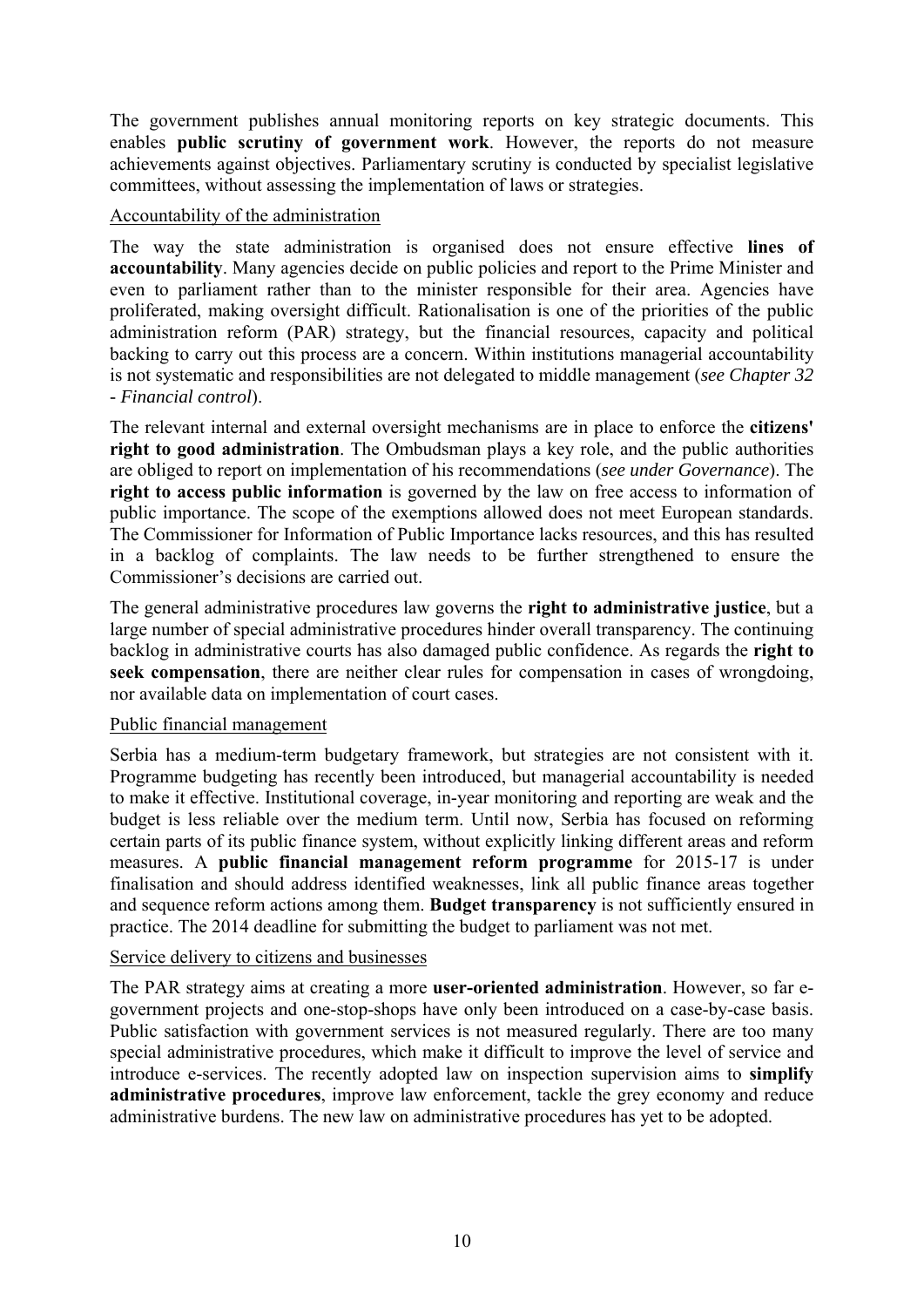The government publishes annual monitoring reports on key strategic documents. This enables **public scrutiny of government work**. However, the reports do not measure achievements against objectives. Parliamentary scrutiny is conducted by specialist legislative committees, without assessing the implementation of laws or strategies.

### Accountability of the administration

The way the state administration is organised does not ensure effective **lines of accountability**. Many agencies decide on public policies and report to the Prime Minister and even to parliament rather than to the minister responsible for their area. Agencies have proliferated, making oversight difficult. Rationalisation is one of the priorities of the public administration reform (PAR) strategy, but the financial resources, capacity and political backing to carry out this process are a concern. Within institutions managerial accountability is not systematic and responsibilities are not delegated to middle management (*see Chapter 32 - Financial control*).

The relevant internal and external oversight mechanisms are in place to enforce the **citizens' right to good administration**. The Ombudsman plays a key role, and the public authorities are obliged to report on implementation of his recommendations (*see under Governance*). The **right to access public information** is governed by the law on free access to information of public importance. The scope of the exemptions allowed does not meet European standards. The Commissioner for Information of Public Importance lacks resources, and this has resulted in a backlog of complaints. The law needs to be further strengthened to ensure the Commissioner's decisions are carried out.

The general administrative procedures law governs the **right to administrative justice**, but a large number of special administrative procedures hinder overall transparency. The continuing backlog in administrative courts has also damaged public confidence. As regards the **right to seek compensation**, there are neither clear rules for compensation in cases of wrongdoing, nor available data on implementation of court cases.

### Public financial management

Serbia has a medium-term budgetary framework, but strategies are not consistent with it. Programme budgeting has recently been introduced, but managerial accountability is needed to make it effective. Institutional coverage, in-year monitoring and reporting are weak and the budget is less reliable over the medium term. Until now, Serbia has focused on reforming certain parts of its public finance system, without explicitly linking different areas and reform measures. A **public financial management reform programme** for 2015-17 is under finalisation and should address identified weaknesses, link all public finance areas together and sequence reform actions among them. **Budget transparency** is not sufficiently ensured in practice. The 2014 deadline for submitting the budget to parliament was not met.

### Service delivery to citizens and businesses

The PAR strategy aims at creating a more **user-oriented administration**. However, so far egovernment projects and one-stop-shops have only been introduced on a case-by-case basis. Public satisfaction with government services is not measured regularly. There are too many special administrative procedures, which make it difficult to improve the level of service and introduce e-services. The recently adopted law on inspection supervision aims to **simplify administrative procedures**, improve law enforcement, tackle the grey economy and reduce administrative burdens. The new law on administrative procedures has yet to be adopted.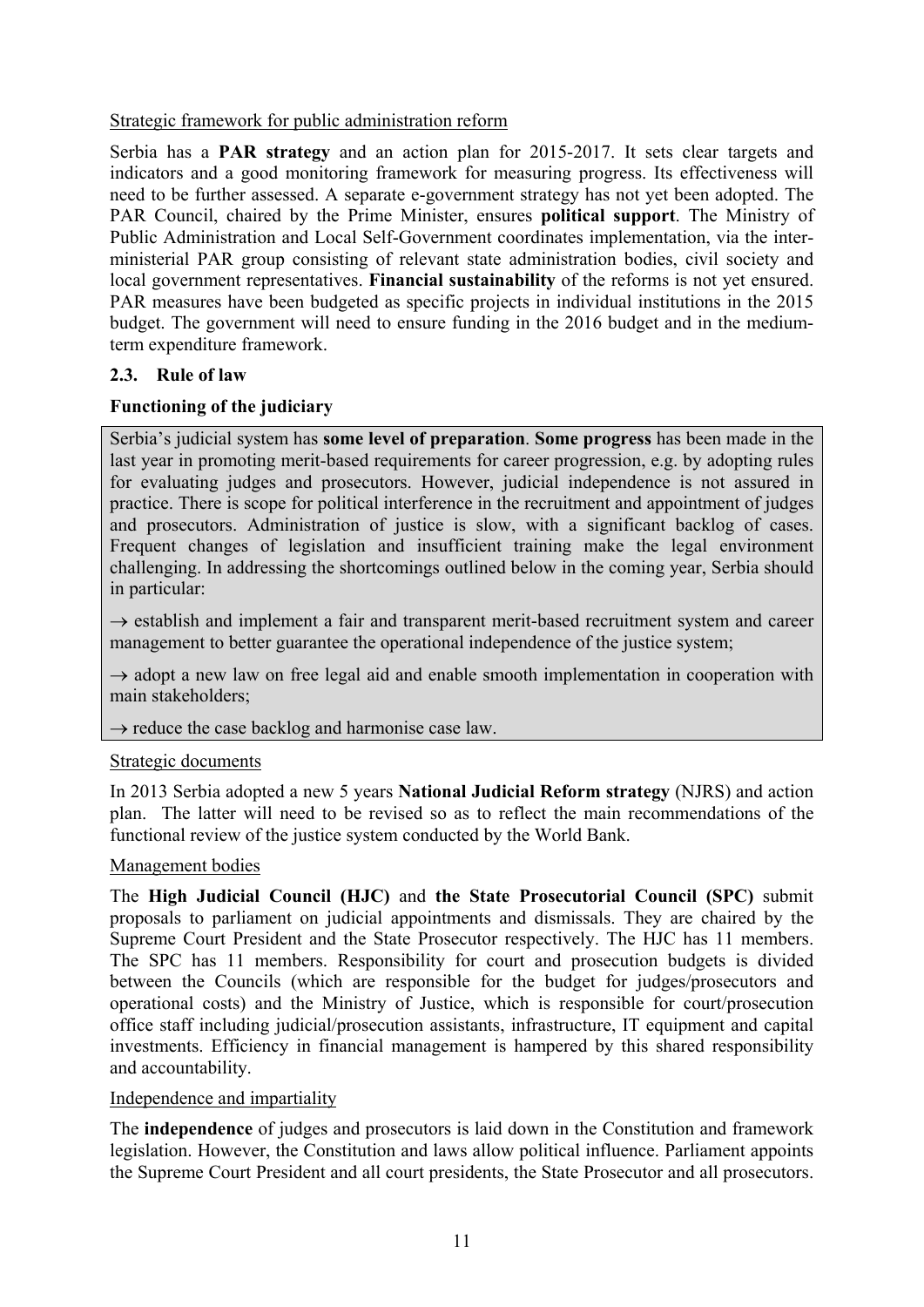# Strategic framework for public administration reform

Serbia has a **PAR strategy** and an action plan for 2015-2017. It sets clear targets and indicators and a good monitoring framework for measuring progress. Its effectiveness will need to be further assessed. A separate e-government strategy has not yet been adopted. The PAR Council, chaired by the Prime Minister, ensures **political support**. The Ministry of Public Administration and Local Self-Government coordinates implementation, via the interministerial PAR group consisting of relevant state administration bodies, civil society and local government representatives. **Financial sustainability** of the reforms is not yet ensured. PAR measures have been budgeted as specific projects in individual institutions in the 2015 budget. The government will need to ensure funding in the 2016 budget and in the mediumterm expenditure framework.

# <span id="page-10-0"></span>**2.3. Rule of law**

# **Functioning of the judiciary**

Serbia's judicial system has **some level of preparation**. **Some progress** has been made in the last year in promoting merit-based requirements for career progression, e.g. by adopting rules for evaluating judges and prosecutors. However, judicial independence is not assured in practice. There is scope for political interference in the recruitment and appointment of judges and prosecutors. Administration of justice is slow, with a significant backlog of cases. Frequent changes of legislation and insufficient training make the legal environment challenging. In addressing the shortcomings outlined below in the coming year, Serbia should in particular:

 $\rightarrow$  establish and implement a fair and transparent merit-based recruitment system and career management to better guarantee the operational independence of the justice system;

 $\rightarrow$  adopt a new law on free legal aid and enable smooth implementation in cooperation with main stakeholders;

### $\rightarrow$  reduce the case backlog and harmonise case law.

### Strategic documents

In 2013 Serbia adopted a new 5 years **National Judicial Reform strategy** (NJRS) and action plan. The latter will need to be revised so as to reflect the main recommendations of the functional review of the justice system conducted by the World Bank.

### Management bodies

The **High Judicial Council (HJC)** and **the State Prosecutorial Council (SPC)** submit proposals to parliament on judicial appointments and dismissals. They are chaired by the Supreme Court President and the State Prosecutor respectively. The HJC has 11 members. The SPC has 11 members. Responsibility for court and prosecution budgets is divided between the Councils (which are responsible for the budget for judges/prosecutors and operational costs) and the Ministry of Justice, which is responsible for court/prosecution office staff including judicial/prosecution assistants, infrastructure, IT equipment and capital investments. Efficiency in financial management is hampered by this shared responsibility and accountability.

### Independence and impartiality

The **independence** of judges and prosecutors is laid down in the Constitution and framework legislation. However, the Constitution and laws allow political influence. Parliament appoints the Supreme Court President and all court presidents, the State Prosecutor and all prosecutors.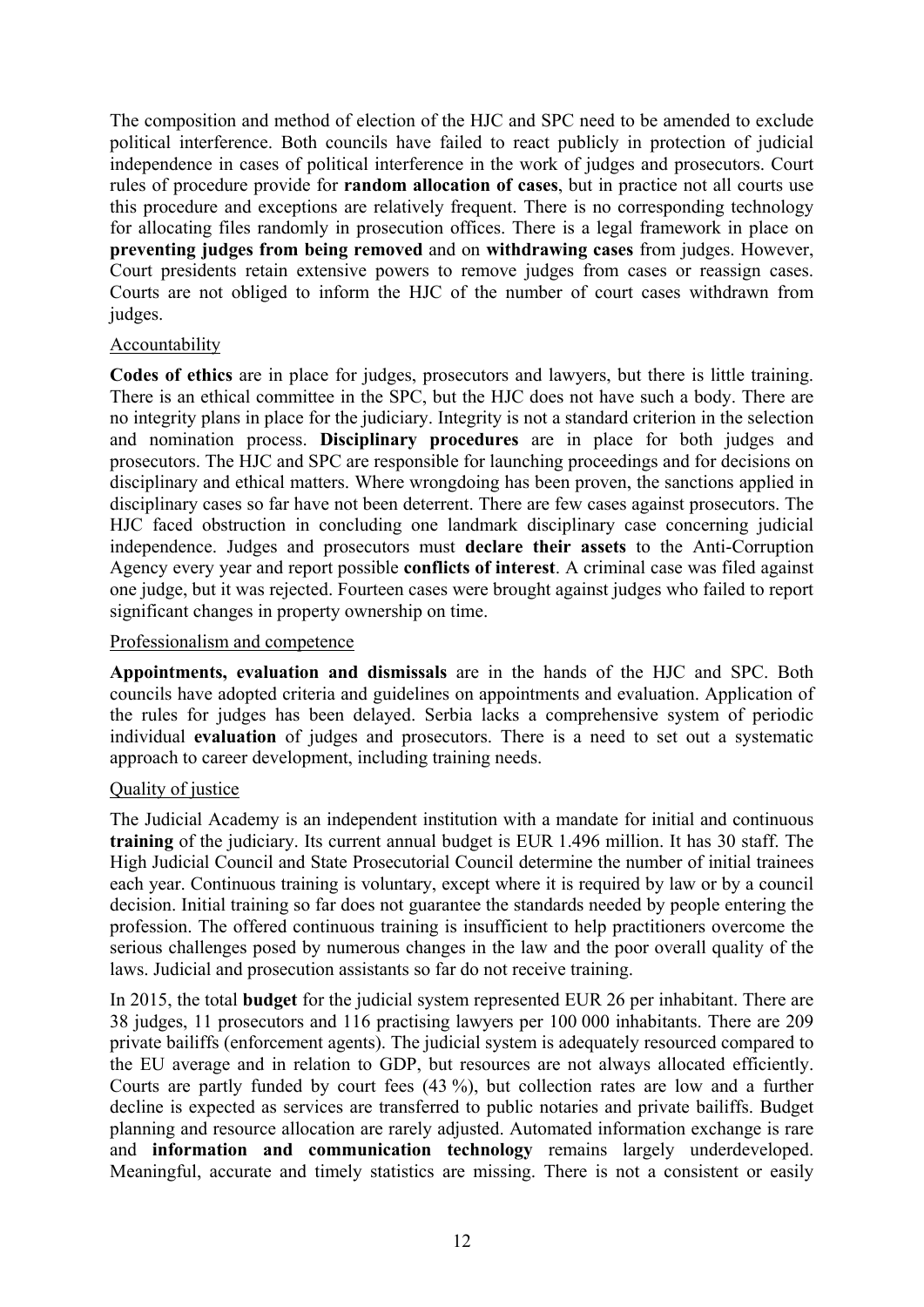The composition and method of election of the HJC and SPC need to be amended to exclude political interference. Both councils have failed to react publicly in protection of judicial independence in cases of political interference in the work of judges and prosecutors. Court rules of procedure provide for **random allocation of cases**, but in practice not all courts use this procedure and exceptions are relatively frequent. There is no corresponding technology for allocating files randomly in prosecution offices. There is a legal framework in place on **preventing judges from being removed** and on **withdrawing cases** from judges. However, Court presidents retain extensive powers to remove judges from cases or reassign cases. Courts are not obliged to inform the HJC of the number of court cases withdrawn from judges.

### Accountability

**Codes of ethics** are in place for judges, prosecutors and lawyers, but there is little training. There is an ethical committee in the SPC, but the HJC does not have such a body. There are no integrity plans in place for the judiciary. Integrity is not a standard criterion in the selection and nomination process. **Disciplinary procedures** are in place for both judges and prosecutors. The HJC and SPC are responsible for launching proceedings and for decisions on disciplinary and ethical matters. Where wrongdoing has been proven, the sanctions applied in disciplinary cases so far have not been deterrent. There are few cases against prosecutors. The HJC faced obstruction in concluding one landmark disciplinary case concerning judicial independence. Judges and prosecutors must **declare their assets** to the Anti-Corruption Agency every year and report possible **conflicts of interest**. A criminal case was filed against one judge, but it was rejected. Fourteen cases were brought against judges who failed to report significant changes in property ownership on time.

#### Professionalism and competence

**Appointments, evaluation and dismissals** are in the hands of the HJC and SPC. Both councils have adopted criteria and guidelines on appointments and evaluation. Application of the rules for judges has been delayed. Serbia lacks a comprehensive system of periodic individual **evaluation** of judges and prosecutors. There is a need to set out a systematic approach to career development, including training needs.

# Quality of justice

The Judicial Academy is an independent institution with a mandate for initial and continuous **training** of the judiciary. Its current annual budget is EUR 1.496 million. It has 30 staff. The High Judicial Council and State Prosecutorial Council determine the number of initial trainees each year. Continuous training is voluntary, except where it is required by law or by a council decision. Initial training so far does not guarantee the standards needed by people entering the profession. The offered continuous training is insufficient to help practitioners overcome the serious challenges posed by numerous changes in the law and the poor overall quality of the laws. Judicial and prosecution assistants so far do not receive training.

In 2015, the total **budget** for the judicial system represented EUR 26 per inhabitant. There are 38 judges, 11 prosecutors and 116 practising lawyers per 100 000 inhabitants. There are 209 private bailiffs (enforcement agents). The judicial system is adequately resourced compared to the EU average and in relation to GDP, but resources are not always allocated efficiently. Courts are partly funded by court fees (43 %), but collection rates are low and a further decline is expected as services are transferred to public notaries and private bailiffs. Budget planning and resource allocation are rarely adjusted. Automated information exchange is rare and **information and communication technology** remains largely underdeveloped. Meaningful, accurate and timely statistics are missing. There is not a consistent or easily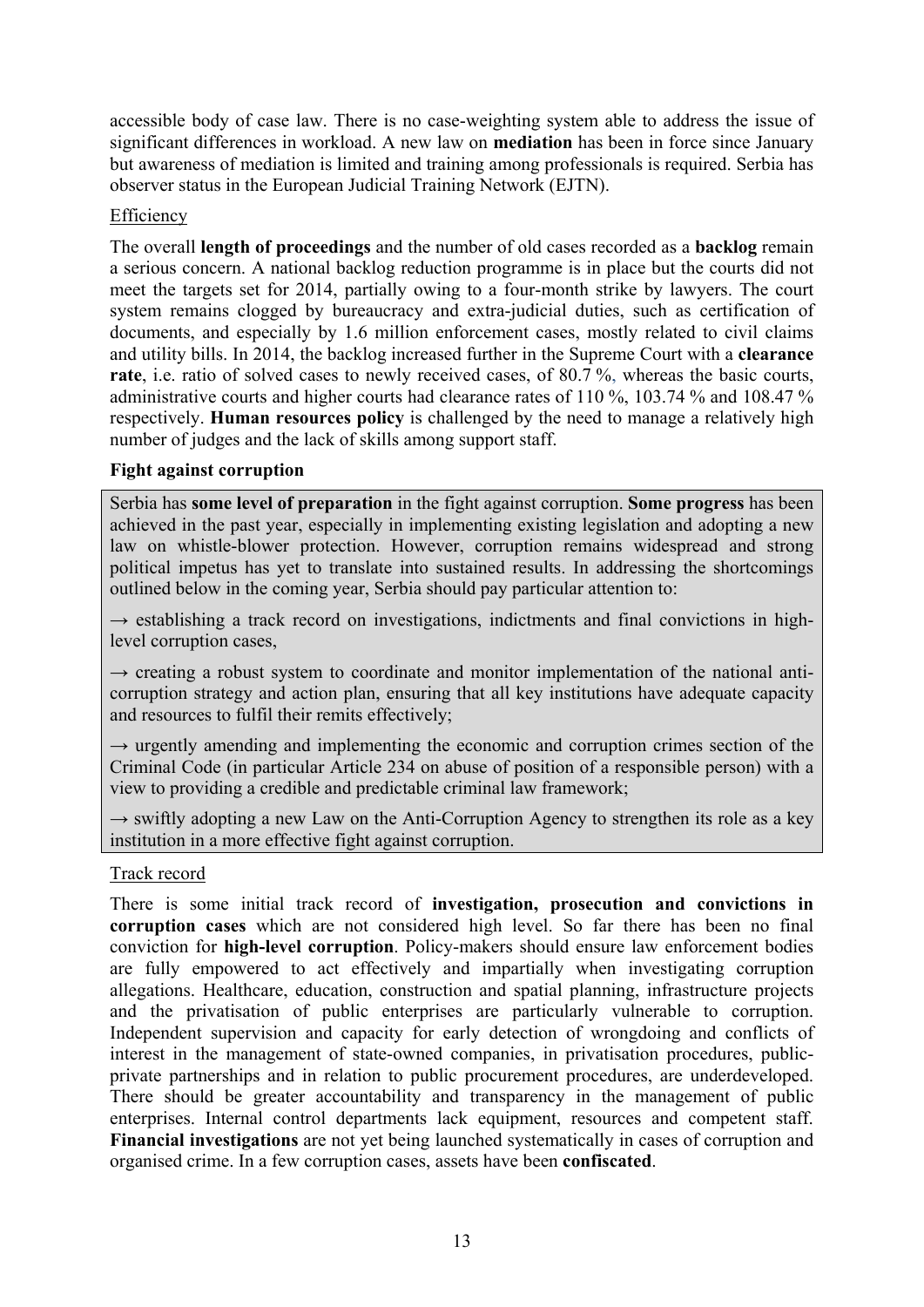accessible body of case law. There is no case-weighting system able to address the issue of significant differences in workload. A new law on **mediation** has been in force since January but awareness of mediation is limited and training among professionals is required. Serbia has observer status in the European Judicial Training Network (EJTN).

# Efficiency

The overall **length of proceedings** and the number of old cases recorded as a **backlog** remain a serious concern. A national backlog reduction programme is in place but the courts did not meet the targets set for 2014, partially owing to a four-month strike by lawyers. The court system remains clogged by bureaucracy and extra-judicial duties, such as certification of documents, and especially by 1.6 million enforcement cases, mostly related to civil claims and utility bills. In 2014, the backlog increased further in the Supreme Court with a **clearance rate**, i.e. ratio of solved cases to newly received cases, of 80.7 %, whereas the basic courts, administrative courts and higher courts had clearance rates of 110 %, 103.74 % and 108.47 % respectively. **Human resources policy** is challenged by the need to manage a relatively high number of judges and the lack of skills among support staff.

### **Fight against corruption**

Serbia has **some level of preparation** in the fight against corruption. **Some progress** has been achieved in the past year, especially in implementing existing legislation and adopting a new law on whistle-blower protection. However, corruption remains widespread and strong political impetus has yet to translate into sustained results. In addressing the shortcomings outlined below in the coming year, Serbia should pay particular attention to:

 $\rightarrow$  establishing a track record on investigations, indictments and final convictions in highlevel corruption cases,

 $\rightarrow$  creating a robust system to coordinate and monitor implementation of the national anticorruption strategy and action plan, ensuring that all key institutions have adequate capacity and resources to fulfil their remits effectively;

 $\rightarrow$  urgently amending and implementing the economic and corruption crimes section of the Criminal Code (in particular Article 234 on abuse of position of a responsible person) with a view to providing a credible and predictable criminal law framework;

 $\rightarrow$  swiftly adopting a new Law on the Anti-Corruption Agency to strengthen its role as a key institution in a more effective fight against corruption.

### Track record

There is some initial track record of **investigation, prosecution and convictions in corruption cases** which are not considered high level. So far there has been no final conviction for **high-level corruption**. Policy-makers should ensure law enforcement bodies are fully empowered to act effectively and impartially when investigating corruption allegations. Healthcare, education, construction and spatial planning, infrastructure projects and the privatisation of public enterprises are particularly vulnerable to corruption. Independent supervision and capacity for early detection of wrongdoing and conflicts of interest in the management of state-owned companies, in privatisation procedures, publicprivate partnerships and in relation to public procurement procedures, are underdeveloped. There should be greater accountability and transparency in the management of public enterprises. Internal control departments lack equipment, resources and competent staff. **Financial investigations** are not yet being launched systematically in cases of corruption and organised crime. In a few corruption cases, assets have been **confiscated**.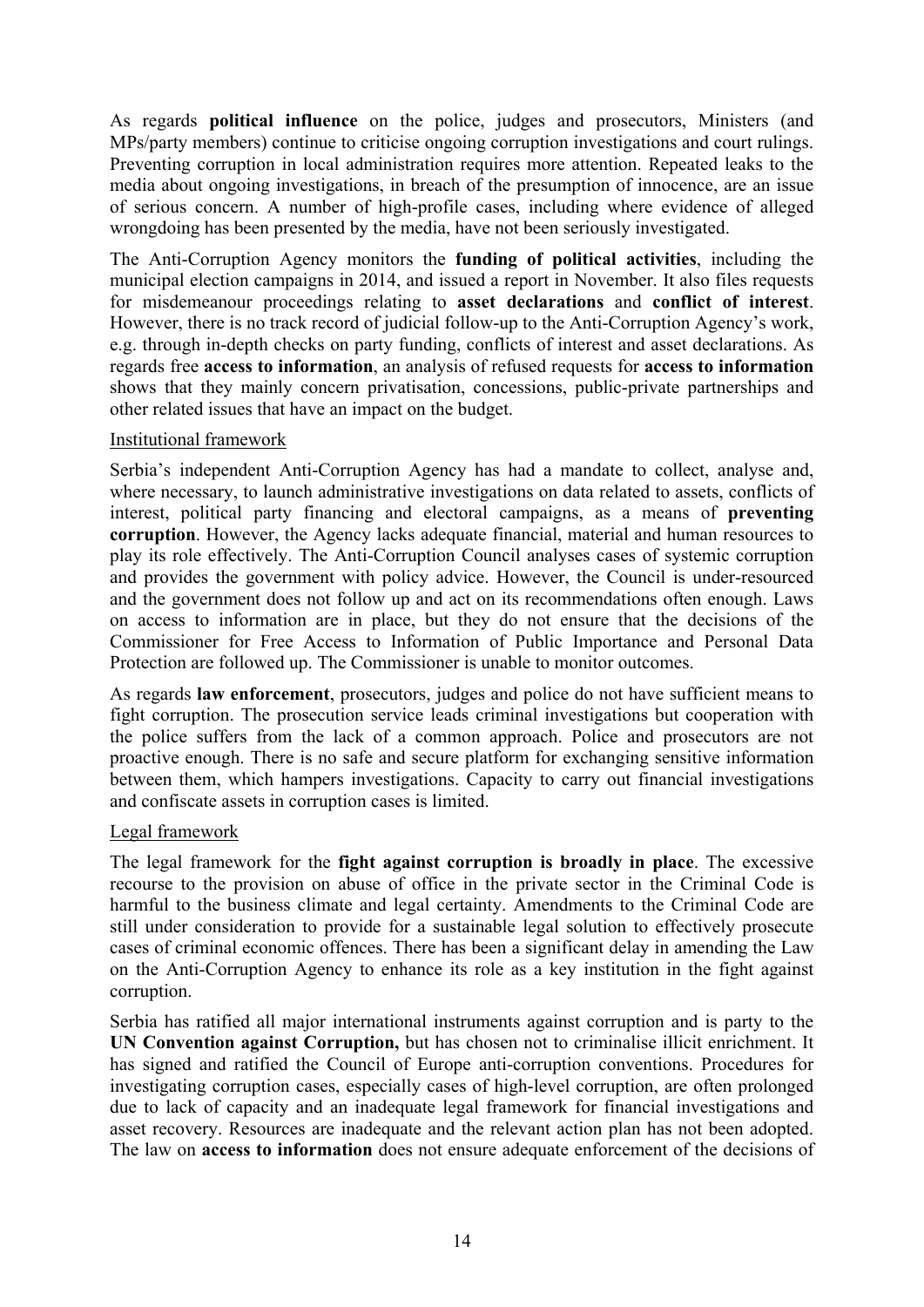As regards **political influence** on the police, judges and prosecutors, Ministers (and MPs/party members) continue to criticise ongoing corruption investigations and court rulings. Preventing corruption in local administration requires more attention. Repeated leaks to the media about ongoing investigations, in breach of the presumption of innocence, are an issue of serious concern. A number of high-profile cases, including where evidence of alleged wrongdoing has been presented by the media, have not been seriously investigated.

The Anti-Corruption Agency monitors the **funding of political activities**, including the municipal election campaigns in 2014, and issued a report in November. It also files requests for misdemeanour proceedings relating to **asset declarations** and **conflict of interest**. However, there is no track record of judicial follow-up to the Anti-Corruption Agency's work, e.g. through in-depth checks on party funding, conflicts of interest and asset declarations. As regards free **access to information**, an analysis of refused requests for **access to information** shows that they mainly concern privatisation, concessions, public-private partnerships and other related issues that have an impact on the budget.

### Institutional framework

Serbia's independent Anti-Corruption Agency has had a mandate to collect, analyse and, where necessary, to launch administrative investigations on data related to assets, conflicts of interest, political party financing and electoral campaigns, as a means of **preventing corruption**. However, the Agency lacks adequate financial, material and human resources to play its role effectively. The Anti-Corruption Council analyses cases of systemic corruption and provides the government with policy advice. However, the Council is under-resourced and the government does not follow up and act on its recommendations often enough. Laws on access to information are in place, but they do not ensure that the decisions of the Commissioner for Free Access to Information of Public Importance and Personal Data Protection are followed up. The Commissioner is unable to monitor outcomes.

As regards **law enforcement**, prosecutors, judges and police do not have sufficient means to fight corruption. The prosecution service leads criminal investigations but cooperation with the police suffers from the lack of a common approach. Police and prosecutors are not proactive enough. There is no safe and secure platform for exchanging sensitive information between them, which hampers investigations. Capacity to carry out financial investigations and confiscate assets in corruption cases is limited.

### Legal framework

The legal framework for the **fight against corruption is broadly in place**. The excessive recourse to the provision on abuse of office in the private sector in the Criminal Code is harmful to the business climate and legal certainty. Amendments to the Criminal Code are still under consideration to provide for a sustainable legal solution to effectively prosecute cases of criminal economic offences. There has been a significant delay in amending the Law on the Anti-Corruption Agency to enhance its role as a key institution in the fight against corruption.

Serbia has ratified all major international instruments against corruption and is party to the **UN Convention against Corruption,** but has chosen not to criminalise illicit enrichment. It has signed and ratified the Council of Europe anti-corruption conventions. Procedures for investigating corruption cases, especially cases of high-level corruption, are often prolonged due to lack of capacity and an inadequate legal framework for financial investigations and asset recovery. Resources are inadequate and the relevant action plan has not been adopted. The law on **access to information** does not ensure adequate enforcement of the decisions of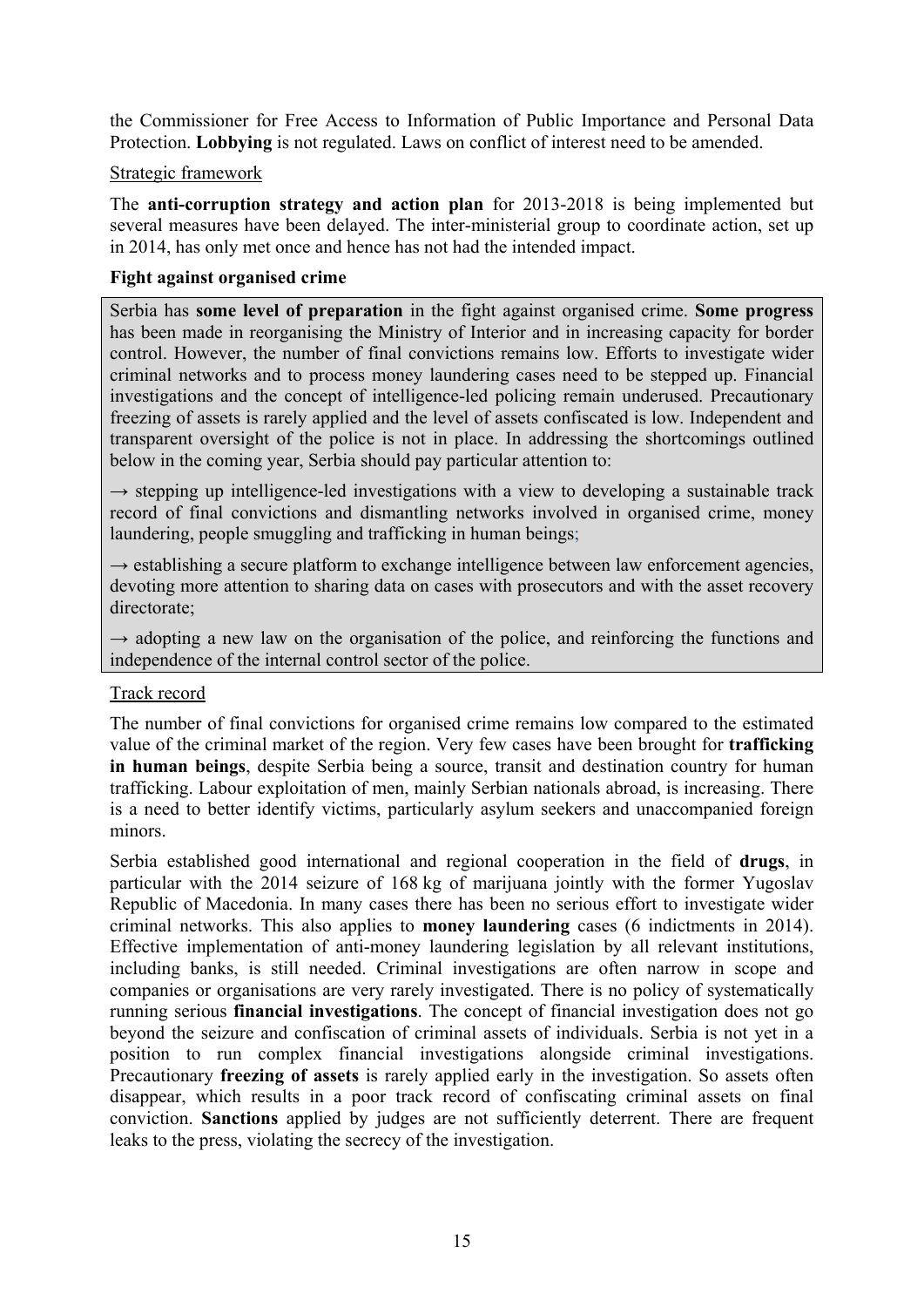the Commissioner for Free Access to Information of Public Importance and Personal Data Protection. **Lobbying** is not regulated. Laws on conflict of interest need to be amended.

### Strategic framework

The **anti-corruption strategy and action plan** for 2013-2018 is being implemented but several measures have been delayed. The inter-ministerial group to coordinate action, set up in 2014, has only met once and hence has not had the intended impact.

### **Fight against organised crime**

Serbia has **some level of preparation** in the fight against organised crime. **Some progress** has been made in reorganising the Ministry of Interior and in increasing capacity for border control. However, the number of final convictions remains low. Efforts to investigate wider criminal networks and to process money laundering cases need to be stepped up. Financial investigations and the concept of intelligence-led policing remain underused. Precautionary freezing of assets is rarely applied and the level of assets confiscated is low. Independent and transparent oversight of the police is not in place. In addressing the shortcomings outlined below in the coming year, Serbia should pay particular attention to:

 $\rightarrow$  stepping up intelligence-led investigations with a view to developing a sustainable track record of final convictions and dismantling networks involved in organised crime, money laundering, people smuggling and trafficking in human beings;

 $\rightarrow$  establishing a secure platform to exchange intelligence between law enforcement agencies, devoting more attention to sharing data on cases with prosecutors and with the asset recovery directorate;

 $\rightarrow$  adopting a new law on the organisation of the police, and reinforcing the functions and independence of the internal control sector of the police.

### Track record

The number of final convictions for organised crime remains low compared to the estimated value of the criminal market of the region. Very few cases have been brought for **trafficking in human beings**, despite Serbia being a source, transit and destination country for human trafficking. Labour exploitation of men, mainly Serbian nationals abroad, is increasing. There is a need to better identify victims, particularly asylum seekers and unaccompanied foreign minors.

Serbia established good international and regional cooperation in the field of **drugs**, in particular with the 2014 seizure of 168 kg of marijuana jointly with the former Yugoslav Republic of Macedonia. In many cases there has been no serious effort to investigate wider criminal networks. This also applies to **money laundering** cases (6 indictments in 2014). Effective implementation of anti-money laundering legislation by all relevant institutions, including banks, is still needed. Criminal investigations are often narrow in scope and companies or organisations are very rarely investigated. There is no policy of systematically running serious **financial investigations**. The concept of financial investigation does not go beyond the seizure and confiscation of criminal assets of individuals. Serbia is not yet in a position to run complex financial investigations alongside criminal investigations. Precautionary **freezing of assets** is rarely applied early in the investigation. So assets often disappear, which results in a poor track record of confiscating criminal assets on final conviction. **Sanctions** applied by judges are not sufficiently deterrent. There are frequent leaks to the press, violating the secrecy of the investigation.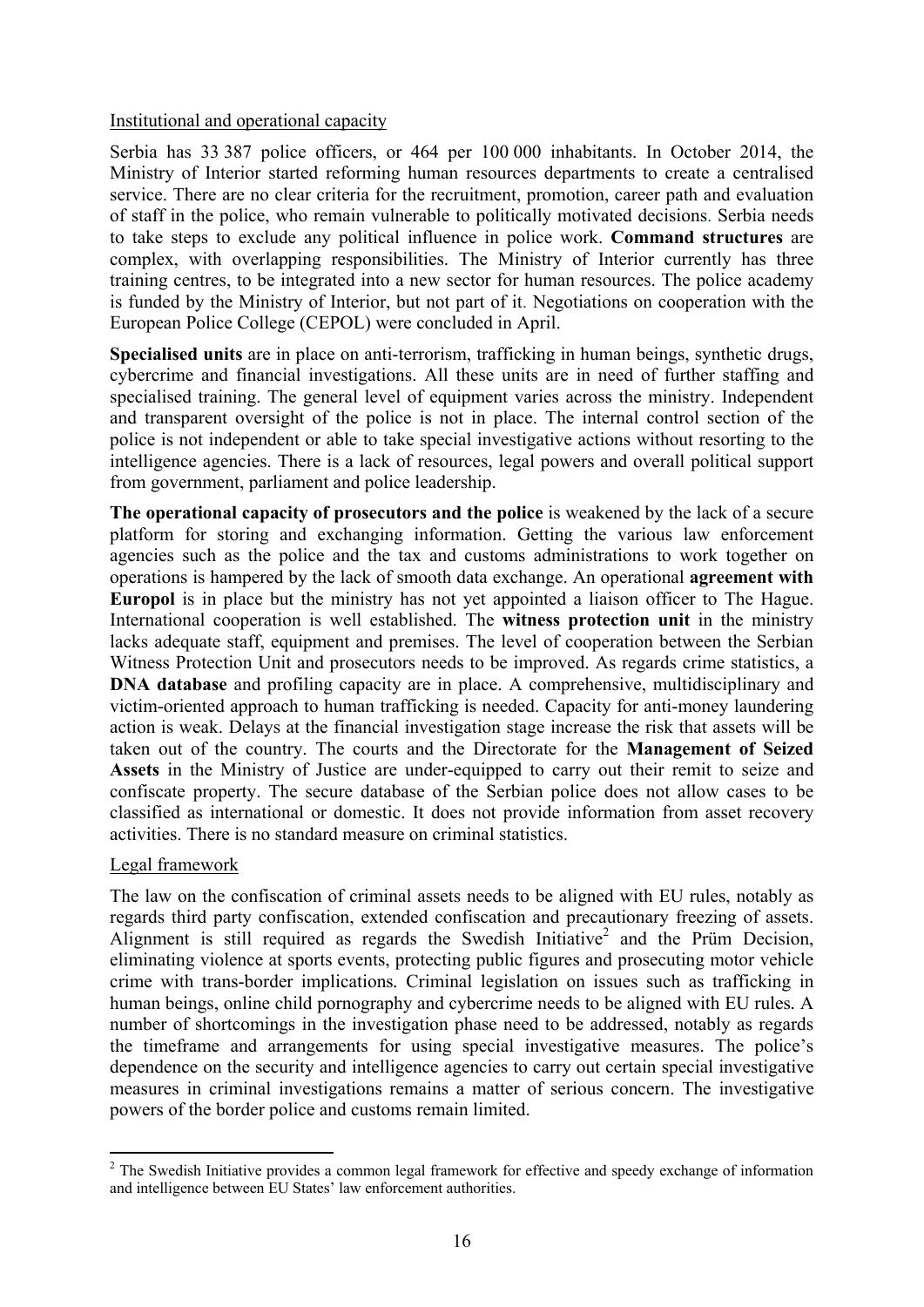### Institutional and operational capacity

Serbia has 33 387 police officers, or 464 per 100 000 inhabitants. In October 2014, the Ministry of Interior started reforming human resources departments to create a centralised service. There are no clear criteria for the recruitment, promotion, career path and evaluation of staff in the police, who remain vulnerable to politically motivated decisions. Serbia needs to take steps to exclude any political influence in police work. **Command structures** are complex, with overlapping responsibilities. The Ministry of Interior currently has three training centres, to be integrated into a new sector for human resources. The police academy is funded by the Ministry of Interior, but not part of it. Negotiations on cooperation with the European Police College (CEPOL) were concluded in April.

**Specialised units** are in place on anti-terrorism, trafficking in human beings, synthetic drugs, cybercrime and financial investigations. All these units are in need of further staffing and specialised training. The general level of equipment varies across the ministry. Independent and transparent oversight of the police is not in place. The internal control section of the police is not independent or able to take special investigative actions without resorting to the intelligence agencies. There is a lack of resources, legal powers and overall political support from government, parliament and police leadership.

**The operational capacity of prosecutors and the police** is weakened by the lack of a secure platform for storing and exchanging information. Getting the various law enforcement agencies such as the police and the tax and customs administrations to work together on operations is hampered by the lack of smooth data exchange. An operational **agreement with Europol** is in place but the ministry has not yet appointed a liaison officer to The Hague. International cooperation is well established. The **witness protection unit** in the ministry lacks adequate staff, equipment and premises. The level of cooperation between the Serbian Witness Protection Unit and prosecutors needs to be improved. As regards crime statistics, a **DNA database** and profiling capacity are in place. A comprehensive, multidisciplinary and victim-oriented approach to human trafficking is needed. Capacity for anti-money laundering action is weak. Delays at the financial investigation stage increase the risk that assets will be taken out of the country. The courts and the Directorate for the **Management of Seized Assets** in the Ministry of Justice are under-equipped to carry out their remit to seize and confiscate property. The secure database of the Serbian police does not allow cases to be classified as international or domestic. It does not provide information from asset recovery activities. There is no standard measure on criminal statistics.

# Legal framework

**.** 

The law on the confiscation of criminal assets needs to be aligned with EU rules, notably as regards third party confiscation, extended confiscation and precautionary freezing of assets. Alignment is still required as regards the Swedish Initiative<sup>2</sup> and the Prüm Decision, eliminating violence at sports events, protecting public figures and prosecuting motor vehicle crime with trans-border implications*.* Criminal legislation on issues such as trafficking in human beings, online child pornography and cybercrime needs to be aligned with EU rules*.* A number of shortcomings in the investigation phase need to be addressed, notably as regards the timeframe and arrangements for using special investigative measures. The police's dependence on the security and intelligence agencies to carry out certain special investigative measures in criminal investigations remains a matter of serious concern. The investigative powers of the border police and customs remain limited.

<sup>&</sup>lt;sup>2</sup> The Swedish Initiative provides a common legal framework for effective and speedy exchange of information and intelligence between EU States' law enforcement authorities.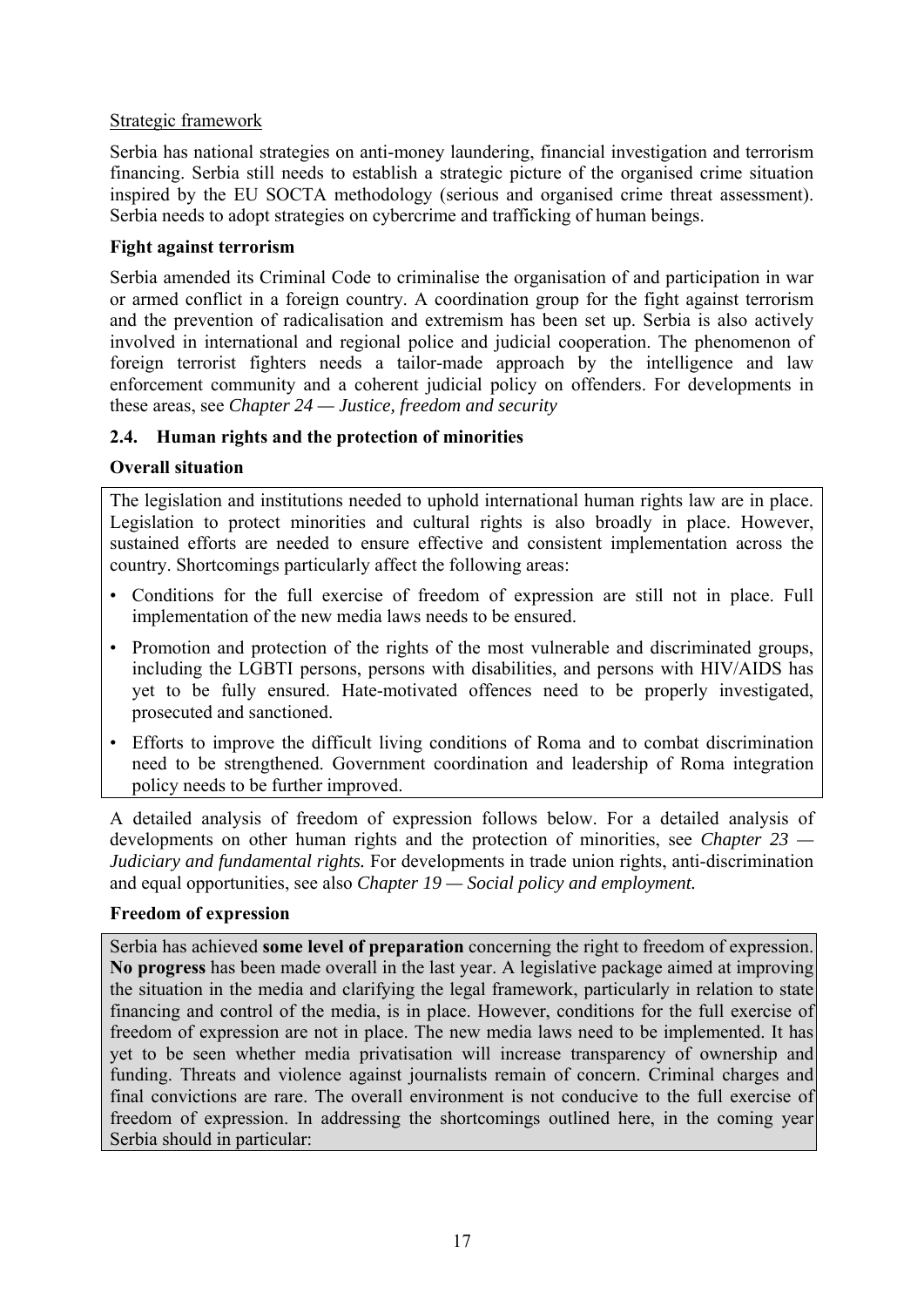# Strategic framework

Serbia has national strategies on anti-money laundering, financial investigation and terrorism financing. Serbia still needs to establish a strategic picture of the organised crime situation inspired by the EU SOCTA methodology (serious and organised crime threat assessment). Serbia needs to adopt strategies on cybercrime and trafficking of human beings.

# **Fight against terrorism**

Serbia amended its Criminal Code to criminalise the organisation of and participation in war or armed conflict in a foreign country. A coordination group for the fight against terrorism and the prevention of radicalisation and extremism has been set up. Serbia is also actively involved in international and regional police and judicial cooperation. The phenomenon of foreign terrorist fighters needs a tailor-made approach by the intelligence and law enforcement community and a coherent judicial policy on offenders. For developments in these areas, see *Chapter 24 — Justice, freedom and security*

# <span id="page-16-0"></span>**2.4. Human rights and the protection of minorities**

# **Overall situation**

The legislation and institutions needed to uphold international human rights law are in place. Legislation to protect minorities and cultural rights is also broadly in place. However, sustained efforts are needed to ensure effective and consistent implementation across the country. Shortcomings particularly affect the following areas:

- Conditions for the full exercise of freedom of expression are still not in place. Full implementation of the new media laws needs to be ensured.
- Promotion and protection of the rights of the most vulnerable and discriminated groups, including the LGBTI persons, persons with disabilities, and persons with HIV/AIDS has yet to be fully ensured. Hate-motivated offences need to be properly investigated, prosecuted and sanctioned.
- Efforts to improve the difficult living conditions of Roma and to combat discrimination need to be strengthened. Government coordination and leadership of Roma integration policy needs to be further improved.

A detailed analysis of freedom of expression follows below. For a detailed analysis of developments on other human rights and the protection of minorities, see *Chapter 23 — Judiciary and fundamental rights.* For developments in trade union rights, anti-discrimination and equal opportunities, see also *Chapter 19 — Social policy and employment.*

# **Freedom of expression**

Serbia has achieved **some level of preparation** concerning the right to freedom of expression. **No progress** has been made overall in the last year. A legislative package aimed at improving the situation in the media and clarifying the legal framework, particularly in relation to state financing and control of the media, is in place. However, conditions for the full exercise of freedom of expression are not in place. The new media laws need to be implemented. It has yet to be seen whether media privatisation will increase transparency of ownership and funding. Threats and violence against journalists remain of concern. Criminal charges and final convictions are rare. The overall environment is not conducive to the full exercise of freedom of expression. In addressing the shortcomings outlined here, in the coming year Serbia should in particular: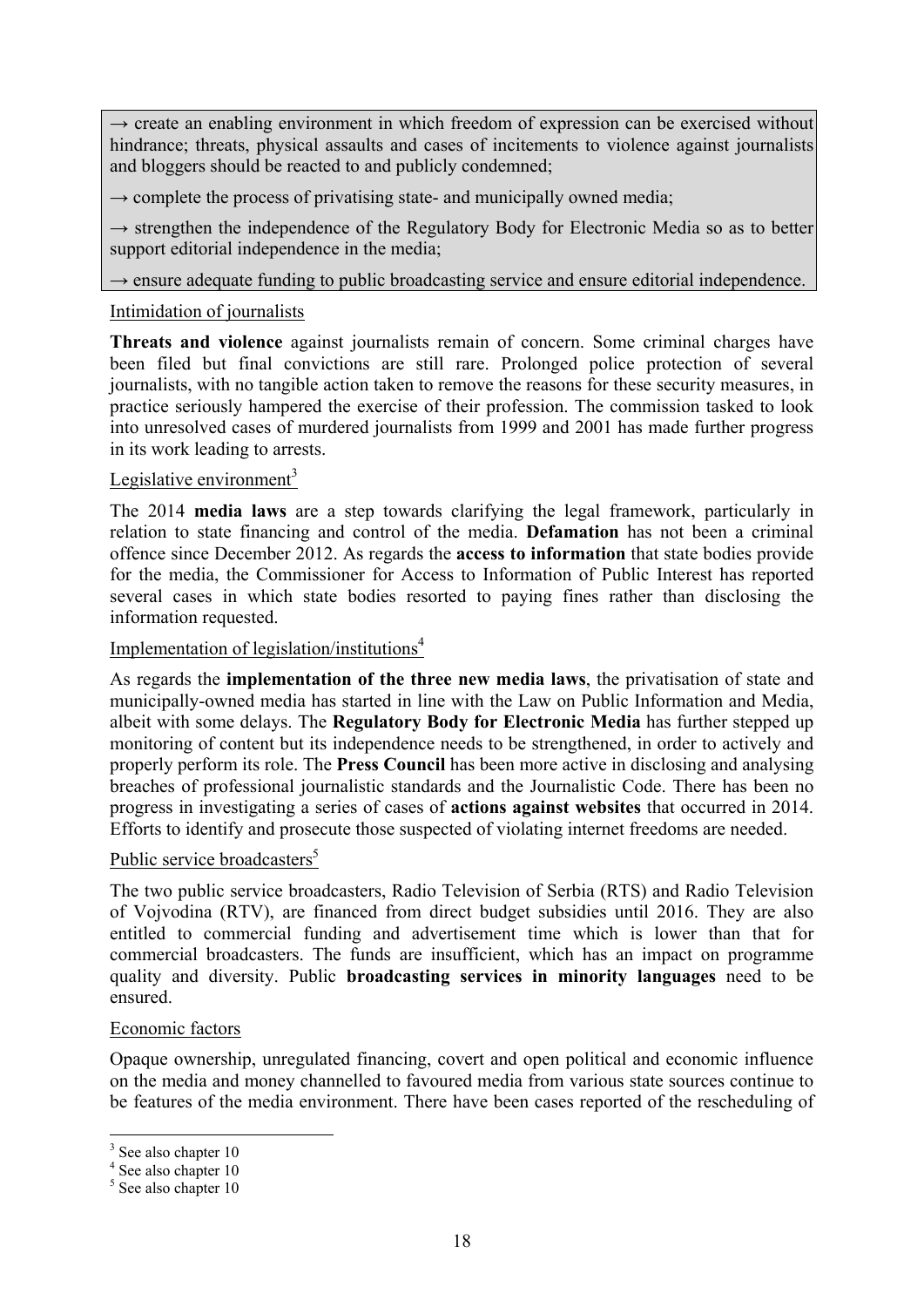$\rightarrow$  create an enabling environment in which freedom of expression can be exercised without hindrance; threats, physical assaults and cases of incitements to violence against journalists and bloggers should be reacted to and publicly condemned;

 $\rightarrow$  complete the process of privatising state- and municipally owned media:

→ strengthen the independence of the Regulatory Body for Electronic Media so as to better support editorial independence in the media;

→ ensure adequate funding to public broadcasting service and ensure editorial independence.

# Intimidation of journalists

**Threats and violence** against journalists remain of concern. Some criminal charges have been filed but final convictions are still rare. Prolonged police protection of several journalists, with no tangible action taken to remove the reasons for these security measures, in practice seriously hampered the exercise of their profession. The commission tasked to look into unresolved cases of murdered journalists from 1999 and 2001 has made further progress in its work leading to arrests.

# Legislative environment $3$

The 2014 **media laws** are a step towards clarifying the legal framework, particularly in relation to state financing and control of the media. **Defamation** has not been a criminal offence since December 2012. As regards the **access to information** that state bodies provide for the media, the Commissioner for Access to Information of Public Interest has reported several cases in which state bodies resorted to paying fines rather than disclosing the information requested.

# Implementation of legislation/institutions $4$

As regards the **implementation of the three new media laws**, the privatisation of state and municipally-owned media has started in line with the Law on Public Information and Media, albeit with some delays. The **Regulatory Body for Electronic Media** has further stepped up monitoring of content but its independence needs to be strengthened, in order to actively and properly perform its role. The **Press Council** has been more active in disclosing and analysing breaches of professional journalistic standards and the Journalistic Code. There has been no progress in investigating a series of cases of **actions against websites** that occurred in 2014. Efforts to identify and prosecute those suspected of violating internet freedoms are needed.

# Public service broadcasters<sup>5</sup>

The two public service broadcasters, Radio Television of Serbia (RTS) and Radio Television of Vojvodina (RTV), are financed from direct budget subsidies until 2016. They are also entitled to commercial funding and advertisement time which is lower than that for commercial broadcasters. The funds are insufficient, which has an impact on programme quality and diversity. Public **broadcasting services in minority languages** need to be ensured.

### Economic factors

Opaque ownership, unregulated financing, covert and open political and economic influence on the media and money channelled to favoured media from various state sources continue to be features of the media environment. There have been cases reported of the rescheduling of

1

<sup>&</sup>lt;sup>3</sup> See also chapter 10

<sup>4</sup> See also chapter 10

<sup>&</sup>lt;sup>5</sup> See also chapter 10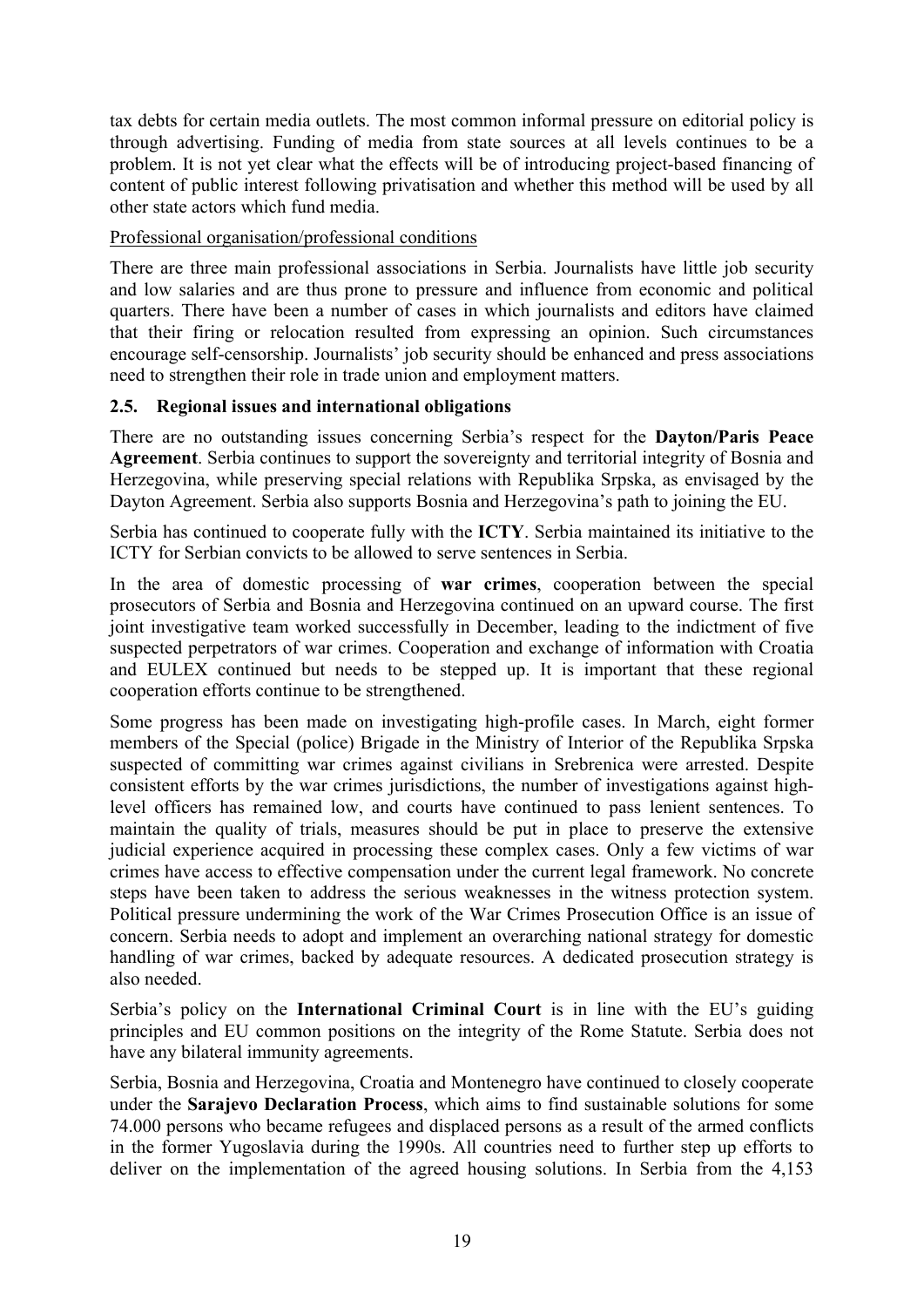tax debts for certain media outlets. The most common informal pressure on editorial policy is through advertising. Funding of media from state sources at all levels continues to be a problem. It is not yet clear what the effects will be of introducing project-based financing of content of public interest following privatisation and whether this method will be used by all other state actors which fund media.

# Professional organisation/professional conditions

There are three main professional associations in Serbia. Journalists have little job security and low salaries and are thus prone to pressure and influence from economic and political quarters. There have been a number of cases in which journalists and editors have claimed that their firing or relocation resulted from expressing an opinion. Such circumstances encourage self-censorship. Journalists' job security should be enhanced and press associations need to strengthen their role in trade union and employment matters.

### <span id="page-18-0"></span>**2.5. Regional issues and international obligations**

There are no outstanding issues concerning Serbia's respect for the **Dayton/Paris Peace Agreement**. Serbia continues to support the sovereignty and territorial integrity of Bosnia and Herzegovina, while preserving special relations with Republika Srpska, as envisaged by the Dayton Agreement. Serbia also supports Bosnia and Herzegovina's path to joining the EU.

Serbia has continued to cooperate fully with the **ICTY**. Serbia maintained its initiative to the ICTY for Serbian convicts to be allowed to serve sentences in Serbia.

In the area of domestic processing of **war crimes**, cooperation between the special prosecutors of Serbia and Bosnia and Herzegovina continued on an upward course. The first joint investigative team worked successfully in December, leading to the indictment of five suspected perpetrators of war crimes. Cooperation and exchange of information with Croatia and EULEX continued but needs to be stepped up. It is important that these regional cooperation efforts continue to be strengthened.

Some progress has been made on investigating high-profile cases. In March, eight former members of the Special (police) Brigade in the Ministry of Interior of the Republika Srpska suspected of committing war crimes against civilians in Srebrenica were arrested. Despite consistent efforts by the war crimes jurisdictions, the number of investigations against highlevel officers has remained low, and courts have continued to pass lenient sentences. To maintain the quality of trials, measures should be put in place to preserve the extensive judicial experience acquired in processing these complex cases. Only a few victims of war crimes have access to effective compensation under the current legal framework. No concrete steps have been taken to address the serious weaknesses in the witness protection system. Political pressure undermining the work of the War Crimes Prosecution Office is an issue of concern. Serbia needs to adopt and implement an overarching national strategy for domestic handling of war crimes, backed by adequate resources. A dedicated prosecution strategy is also needed.

Serbia's policy on the **International Criminal Court** is in line with the EU's guiding principles and EU common positions on the integrity of the Rome Statute. Serbia does not have any bilateral immunity agreements.

Serbia, Bosnia and Herzegovina, Croatia and Montenegro have continued to closely cooperate under the **Sarajevo Declaration Process**, which aims to find sustainable solutions for some 74.000 persons who became refugees and displaced persons as a result of the armed conflicts in the former Yugoslavia during the 1990s. All countries need to further step up efforts to deliver on the implementation of the agreed housing solutions. In Serbia from the 4,153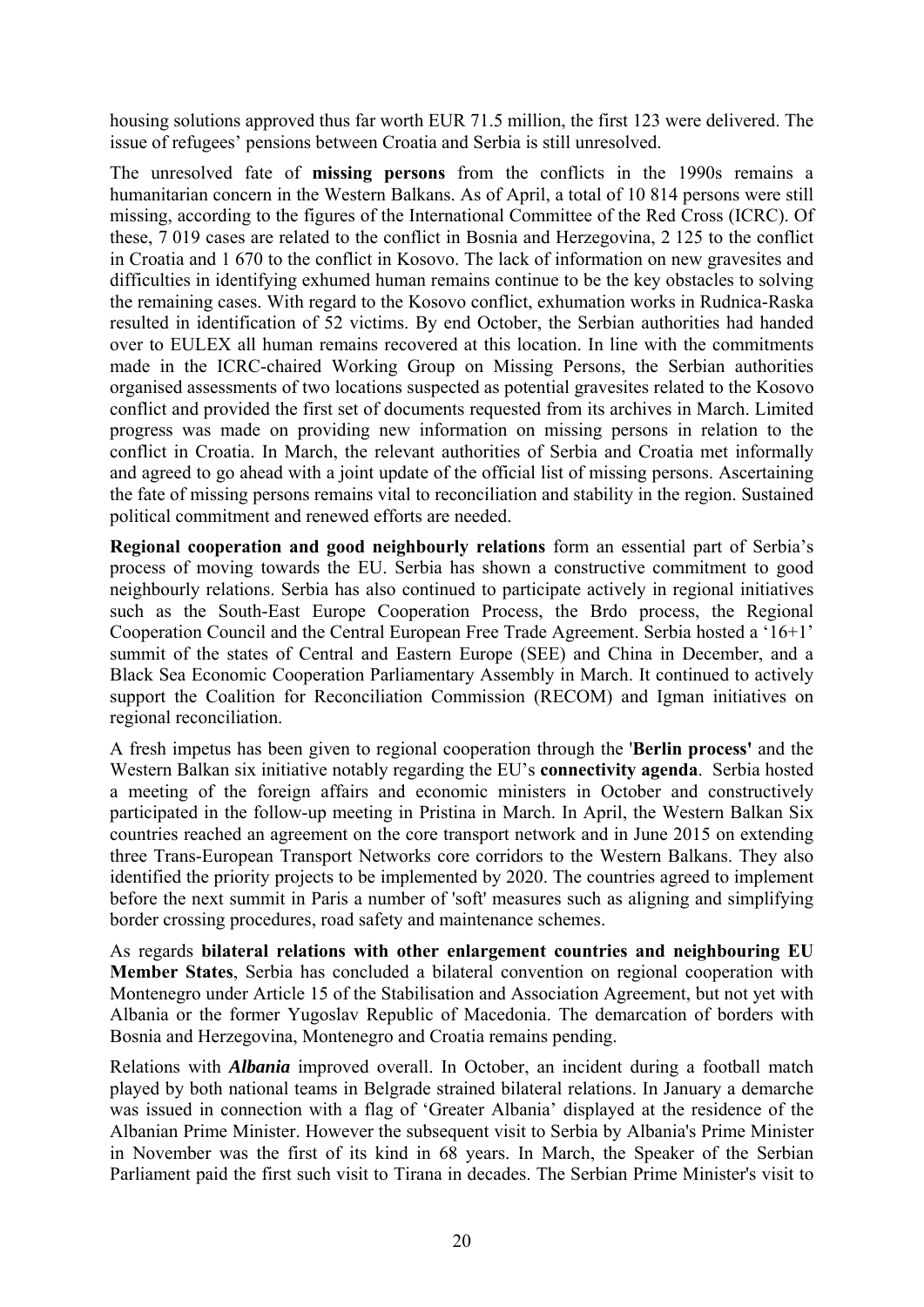housing solutions approved thus far worth EUR 71.5 million, the first 123 were delivered. The issue of refugees' pensions between Croatia and Serbia is still unresolved.

The unresolved fate of **missing persons** from the conflicts in the 1990s remains a humanitarian concern in the Western Balkans. As of April, a total of 10 814 persons were still missing, according to the figures of the International Committee of the Red Cross (ICRC). Of these, 7 019 cases are related to the conflict in Bosnia and Herzegovina, 2 125 to the conflict in Croatia and 1 670 to the conflict in Kosovo. The lack of information on new gravesites and difficulties in identifying exhumed human remains continue to be the key obstacles to solving the remaining cases. With regard to the Kosovo conflict, exhumation works in Rudnica-Raska resulted in identification of 52 victims. By end October, the Serbian authorities had handed over to EULEX all human remains recovered at this location. In line with the commitments made in the ICRC-chaired Working Group on Missing Persons, the Serbian authorities organised assessments of two locations suspected as potential gravesites related to the Kosovo conflict and provided the first set of documents requested from its archives in March. Limited progress was made on providing new information on missing persons in relation to the conflict in Croatia. In March, the relevant authorities of Serbia and Croatia met informally and agreed to go ahead with a joint update of the official list of missing persons. Ascertaining the fate of missing persons remains vital to reconciliation and stability in the region. Sustained political commitment and renewed efforts are needed.

**Regional cooperation and good neighbourly relations** form an essential part of Serbia's process of moving towards the EU. Serbia has shown a constructive commitment to good neighbourly relations. Serbia has also continued to participate actively in regional initiatives such as the South-East Europe Cooperation Process, the Brdo process, the Regional Cooperation Council and the Central European Free Trade Agreement. Serbia hosted a '16+1' summit of the states of Central and Eastern Europe (SEE) and China in December, and a Black Sea Economic Cooperation Parliamentary Assembly in March. It continued to actively support the Coalition for Reconciliation Commission (RECOM) and Igman initiatives on regional reconciliation.

A fresh impetus has been given to regional cooperation through the '**Berlin process'** and the Western Balkan six initiative notably regarding the EU's **connectivity agenda**. Serbia hosted a meeting of the foreign affairs and economic ministers in October and constructively participated in the follow-up meeting in Pristina in March. In April, the Western Balkan Six countries reached an agreement on the core transport network and in June 2015 on extending three Trans-European Transport Networks core corridors to the Western Balkans. They also identified the priority projects to be implemented by 2020. The countries agreed to implement before the next summit in Paris a number of 'soft' measures such as aligning and simplifying border crossing procedures, road safety and maintenance schemes.

As regards **bilateral relations with other enlargement countries and neighbouring EU Member States**, Serbia has concluded a bilateral convention on regional cooperation with Montenegro under Article 15 of the Stabilisation and Association Agreement, but not yet with Albania or the former Yugoslav Republic of Macedonia. The demarcation of borders with Bosnia and Herzegovina, Montenegro and Croatia remains pending.

Relations with *Albania* improved overall. In October, an incident during a football match played by both national teams in Belgrade strained bilateral relations. In January a demarche was issued in connection with a flag of 'Greater Albania' displayed at the residence of the Albanian Prime Minister. However the subsequent visit to Serbia by Albania's Prime Minister in November was the first of its kind in 68 years. In March, the Speaker of the Serbian Parliament paid the first such visit to Tirana in decades. The Serbian Prime Minister's visit to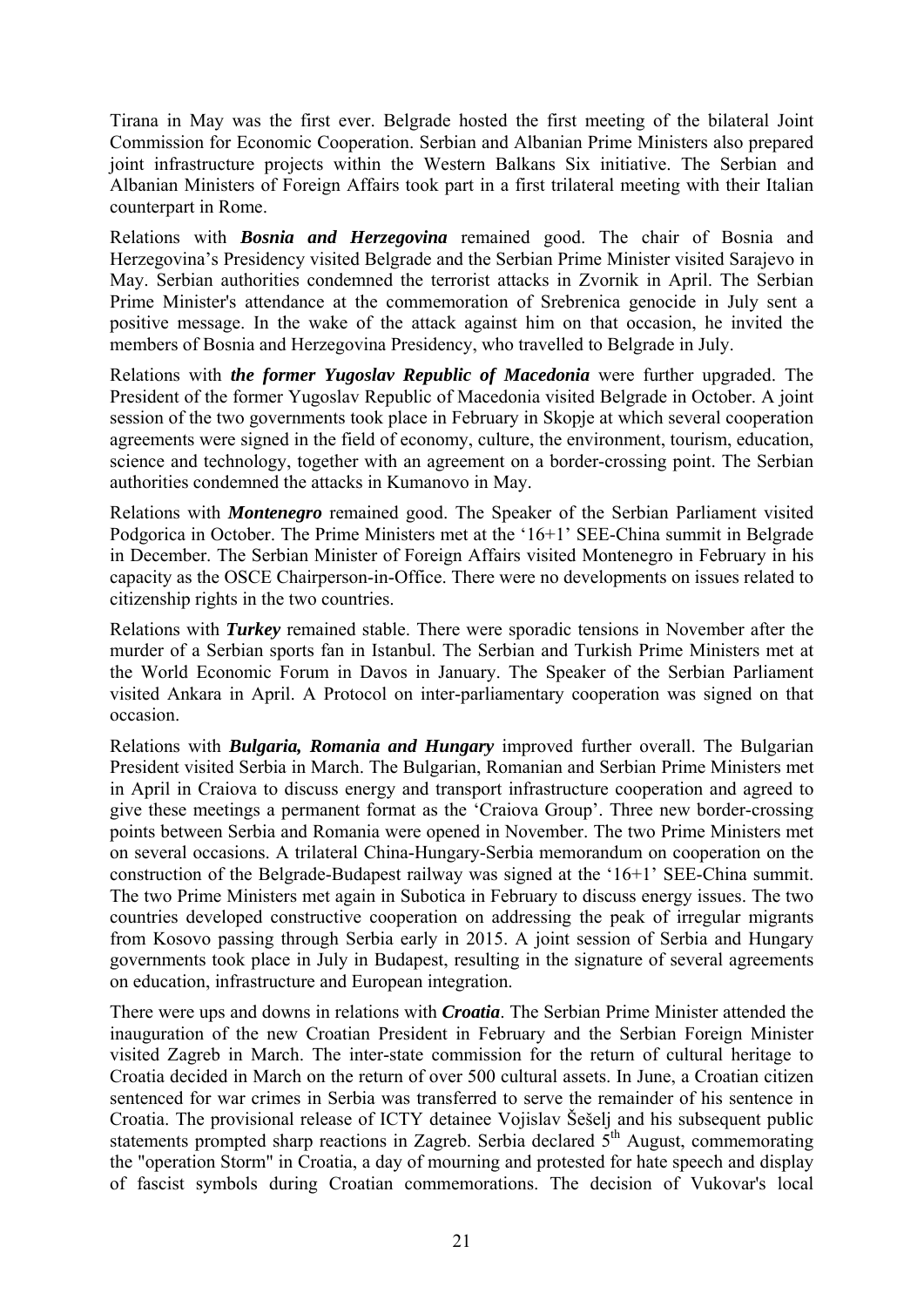Tirana in May was the first ever. Belgrade hosted the first meeting of the bilateral Joint Commission for Economic Cooperation. Serbian and Albanian Prime Ministers also prepared joint infrastructure projects within the Western Balkans Six initiative. The Serbian and Albanian Ministers of Foreign Affairs took part in a first trilateral meeting with their Italian counterpart in Rome.

Relations with *Bosnia and Herzegovina* remained good. The chair of Bosnia and Herzegovina's Presidency visited Belgrade and the Serbian Prime Minister visited Sarajevo in May. Serbian authorities condemned the terrorist attacks in Zvornik in April. The Serbian Prime Minister's attendance at the commemoration of Srebrenica genocide in July sent a positive message. In the wake of the attack against him on that occasion, he invited the members of Bosnia and Herzegovina Presidency, who travelled to Belgrade in July.

Relations with *the former Yugoslav Republic of Macedonia* were further upgraded. The President of the former Yugoslav Republic of Macedonia visited Belgrade in October. A joint session of the two governments took place in February in Skopje at which several cooperation agreements were signed in the field of economy, culture, the environment, tourism, education, science and technology, together with an agreement on a border-crossing point. The Serbian authorities condemned the attacks in Kumanovo in May.

Relations with *Montenegro* remained good. The Speaker of the Serbian Parliament visited Podgorica in October. The Prime Ministers met at the '16+1' SEE-China summit in Belgrade in December. The Serbian Minister of Foreign Affairs visited Montenegro in February in his capacity as the OSCE Chairperson-in-Office. There were no developments on issues related to citizenship rights in the two countries.

Relations with *Turkey* remained stable. There were sporadic tensions in November after the murder of a Serbian sports fan in Istanbul. The Serbian and Turkish Prime Ministers met at the World Economic Forum in Davos in January. The Speaker of the Serbian Parliament visited Ankara in April. A Protocol on inter-parliamentary cooperation was signed on that occasion.

Relations with *Bulgaria, Romania and Hungary* improved further overall. The Bulgarian President visited Serbia in March. The Bulgarian, Romanian and Serbian Prime Ministers met in April in Craiova to discuss energy and transport infrastructure cooperation and agreed to give these meetings a permanent format as the 'Craiova Group'. Three new border-crossing points between Serbia and Romania were opened in November. The two Prime Ministers met on several occasions. A trilateral China-Hungary-Serbia memorandum on cooperation on the construction of the Belgrade-Budapest railway was signed at the '16+1' SEE-China summit. The two Prime Ministers met again in Subotica in February to discuss energy issues. The two countries developed constructive cooperation on addressing the peak of irregular migrants from Kosovo passing through Serbia early in 2015. A joint session of Serbia and Hungary governments took place in July in Budapest, resulting in the signature of several agreements on education, infrastructure and European integration.

There were ups and downs in relations with *Croatia*. The Serbian Prime Minister attended the inauguration of the new Croatian President in February and the Serbian Foreign Minister visited Zagreb in March. The inter-state commission for the return of cultural heritage to Croatia decided in March on the return of over 500 cultural assets. In June, a Croatian citizen sentenced for war crimes in Serbia was transferred to serve the remainder of his sentence in Croatia. The provisional release of ICTY detainee Vojislav Šešelj and his subsequent public statements prompted sharp reactions in Zagreb. Serbia declared  $5<sup>th</sup>$  August, commemorating the "operation Storm" in Croatia, a day of mourning and protested for hate speech and display of fascist symbols during Croatian commemorations. The decision of Vukovar's local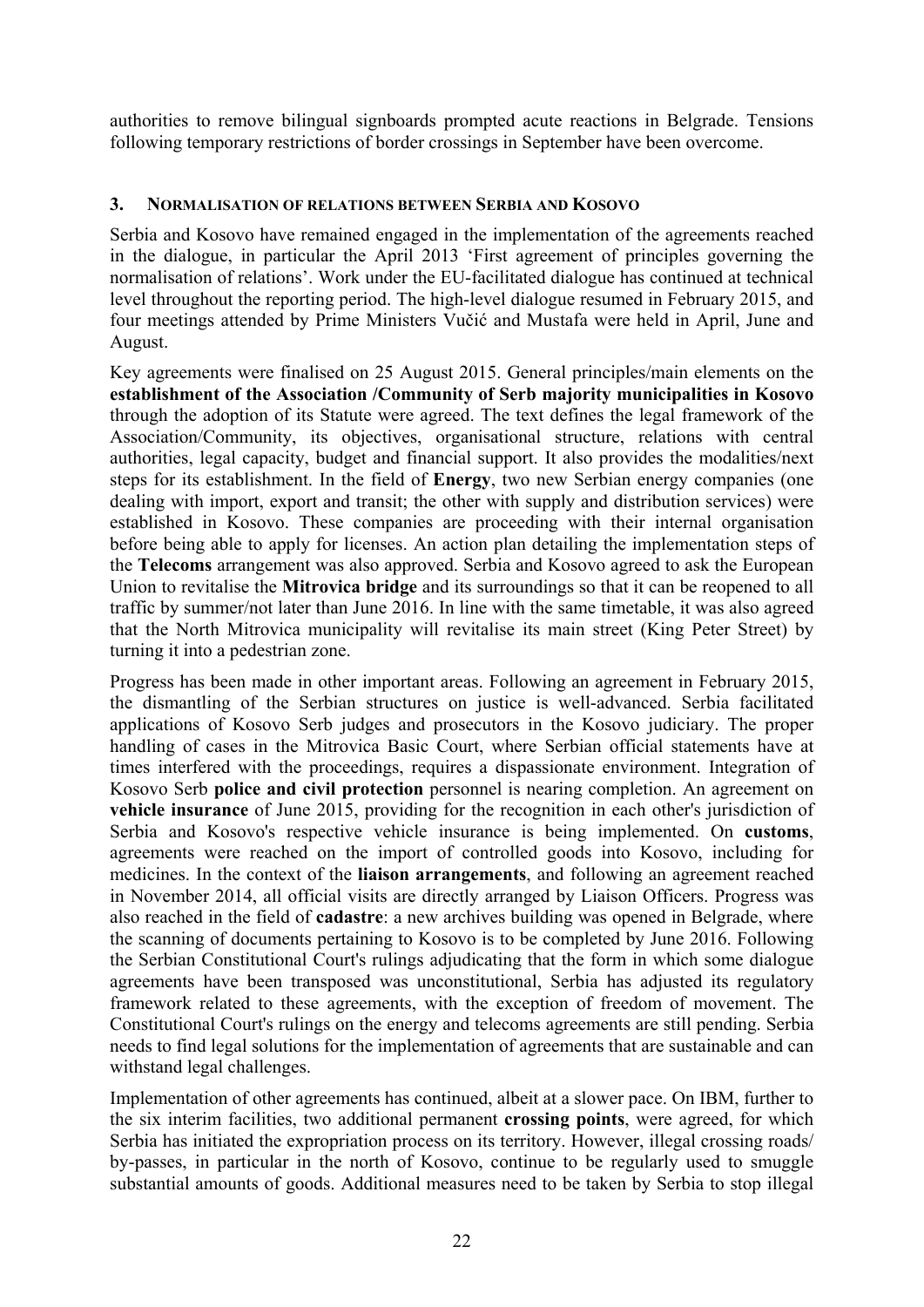authorities to remove bilingual signboards prompted acute reactions in Belgrade. Tensions following temporary restrictions of border crossings in September have been overcome.

### <span id="page-21-0"></span>**3. NORMALISATION OF RELATIONS BETWEEN SERBIA AND KOSOVO**

Serbia and Kosovo have remained engaged in the implementation of the agreements reached in the dialogue, in particular the April 2013 'First agreement of principles governing the normalisation of relations'. Work under the EU-facilitated dialogue has continued at technical level throughout the reporting period. The high-level dialogue resumed in February 2015, and four meetings attended by Prime Ministers Vučić and Mustafa were held in April, June and August.

Key agreements were finalised on 25 August 2015. General principles/main elements on the **establishment of the Association /Community of Serb majority municipalities in Kosovo** through the adoption of its Statute were agreed. The text defines the legal framework of the Association/Community, its objectives, organisational structure, relations with central authorities, legal capacity, budget and financial support. It also provides the modalities/next steps for its establishment. In the field of **Energy**, two new Serbian energy companies (one dealing with import, export and transit; the other with supply and distribution services) were established in Kosovo. These companies are proceeding with their internal organisation before being able to apply for licenses. An action plan detailing the implementation steps of the **Telecoms** arrangement was also approved. Serbia and Kosovo agreed to ask the European Union to revitalise the **Mitrovica bridge** and its surroundings so that it can be reopened to all traffic by summer/not later than June 2016. In line with the same timetable, it was also agreed that the North Mitrovica municipality will revitalise its main street (King Peter Street) by turning it into a pedestrian zone.

Progress has been made in other important areas. Following an agreement in February 2015, the dismantling of the Serbian structures on justice is well-advanced. Serbia facilitated applications of Kosovo Serb judges and prosecutors in the Kosovo judiciary. The proper handling of cases in the Mitrovica Basic Court, where Serbian official statements have at times interfered with the proceedings, requires a dispassionate environment. Integration of Kosovo Serb **police and civil protection** personnel is nearing completion. An agreement on **vehicle insurance** of June 2015, providing for the recognition in each other's jurisdiction of Serbia and Kosovo's respective vehicle insurance is being implemented. On **customs**, agreements were reached on the import of controlled goods into Kosovo, including for medicines. In the context of the **liaison arrangements**, and following an agreement reached in November 2014, all official visits are directly arranged by Liaison Officers. Progress was also reached in the field of **cadastre**: a new archives building was opened in Belgrade, where the scanning of documents pertaining to Kosovo is to be completed by June 2016. Following the Serbian Constitutional Court's rulings adjudicating that the form in which some dialogue agreements have been transposed was unconstitutional, Serbia has adjusted its regulatory framework related to these agreements, with the exception of freedom of movement. The Constitutional Court's rulings on the energy and telecoms agreements are still pending. Serbia needs to find legal solutions for the implementation of agreements that are sustainable and can withstand legal challenges.

Implementation of other agreements has continued, albeit at a slower pace. On IBM, further to the six interim facilities, two additional permanent **crossing points**, were agreed, for which Serbia has initiated the expropriation process on its territory. However, illegal crossing roads/ by-passes, in particular in the north of Kosovo, continue to be regularly used to smuggle substantial amounts of goods. Additional measures need to be taken by Serbia to stop illegal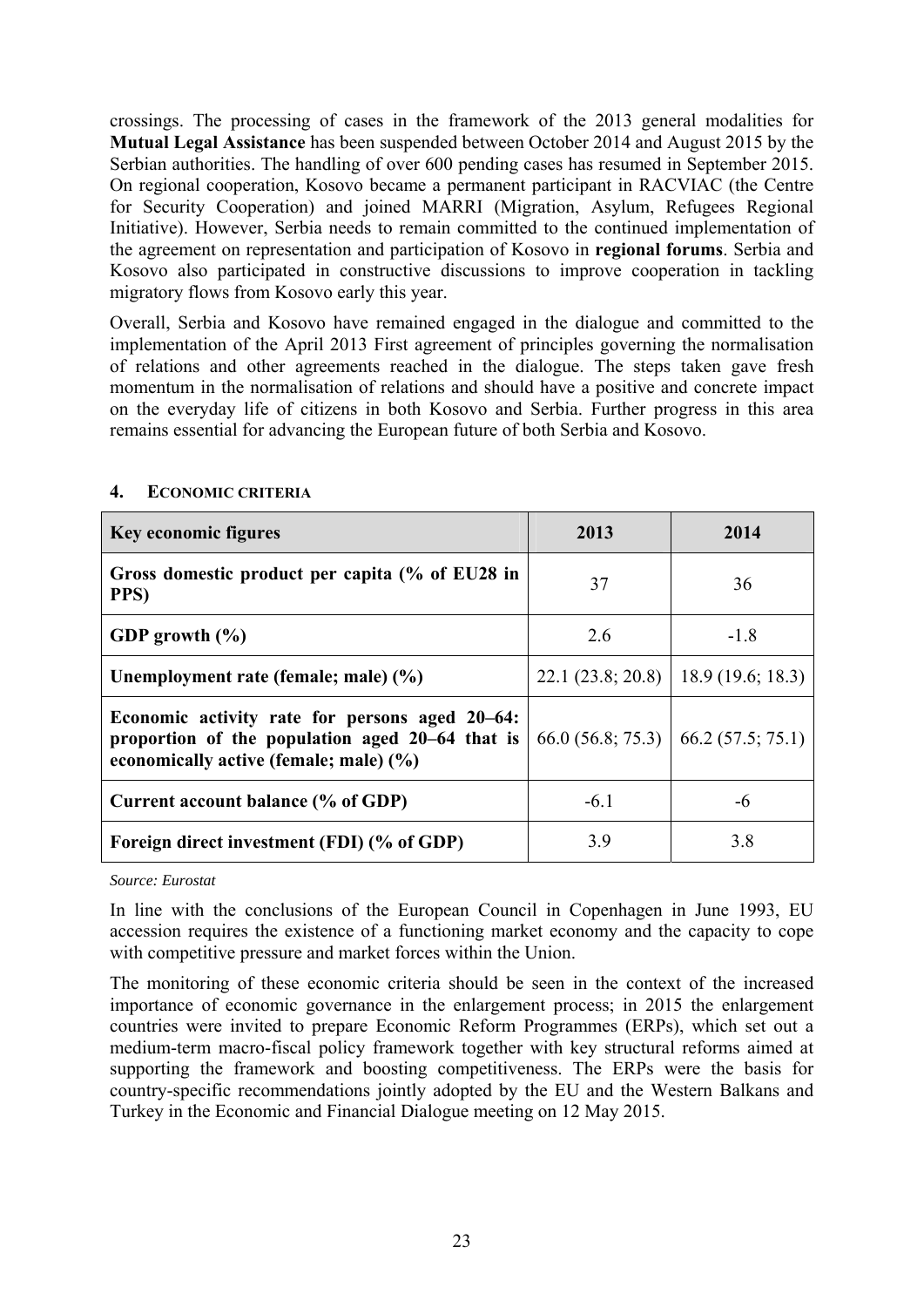crossings. The processing of cases in the framework of the 2013 general modalities for **Mutual Legal Assistance** has been suspended between October 2014 and August 2015 by the Serbian authorities. The handling of over 600 pending cases has resumed in September 2015. On regional cooperation, Kosovo became a permanent participant in RACVIAC (the Centre for Security Cooperation) and joined MARRI (Migration, Asylum, Refugees Regional Initiative). However, Serbia needs to remain committed to the continued implementation of the agreement on representation and participation of Kosovo in **regional forums**. Serbia and Kosovo also participated in constructive discussions to improve cooperation in tackling migratory flows from Kosovo early this year.

Overall, Serbia and Kosovo have remained engaged in the dialogue and committed to the implementation of the April 2013 First agreement of principles governing the normalisation of relations and other agreements reached in the dialogue. The steps taken gave fresh momentum in the normalisation of relations and should have a positive and concrete impact on the everyday life of citizens in both Kosovo and Serbia. Further progress in this area remains essential for advancing the European future of both Serbia and Kosovo.

| <b>Key economic figures</b>                                                                                                                 | 2013                                 | 2014             |
|---------------------------------------------------------------------------------------------------------------------------------------------|--------------------------------------|------------------|
| Gross domestic product per capita (% of EU28 in<br>PPS)                                                                                     | 37                                   | 36               |
| GDP growth $(\% )$                                                                                                                          | 2.6                                  | $-1.8$           |
| Unemployment rate (female; male) (%)                                                                                                        | 22.1(23.8; 20.8)                     | 18.9(19.6; 18.3) |
| Economic activity rate for persons aged 20–64:<br>proportion of the population aged 20–64 that is<br>economically active (female; male) (%) | $66.0(56.8; 75.3)$ 66.2 (57.5; 75.1) |                  |
| Current account balance (% of GDP)                                                                                                          | $-6.1$                               | -6               |
| Foreign direct investment (FDI) (% of GDP)                                                                                                  | 3.9                                  | 3.8              |

# <span id="page-22-0"></span>**4. ECONOMIC CRITERIA**

#### *Source: Eurostat*

In line with the conclusions of the European Council in Copenhagen in June 1993, EU accession requires the existence of a functioning market economy and the capacity to cope with competitive pressure and market forces within the Union.

The monitoring of these economic criteria should be seen in the context of the increased importance of economic governance in the enlargement process; in 2015 the enlargement countries were invited to prepare Economic Reform Programmes (ERPs), which set out a medium-term macro-fiscal policy framework together with key structural reforms aimed at supporting the framework and boosting competitiveness. The ERPs were the basis for country-specific recommendations jointly adopted by the EU and the Western Balkans and Turkey in the Economic and Financial Dialogue meeting on 12 May 2015.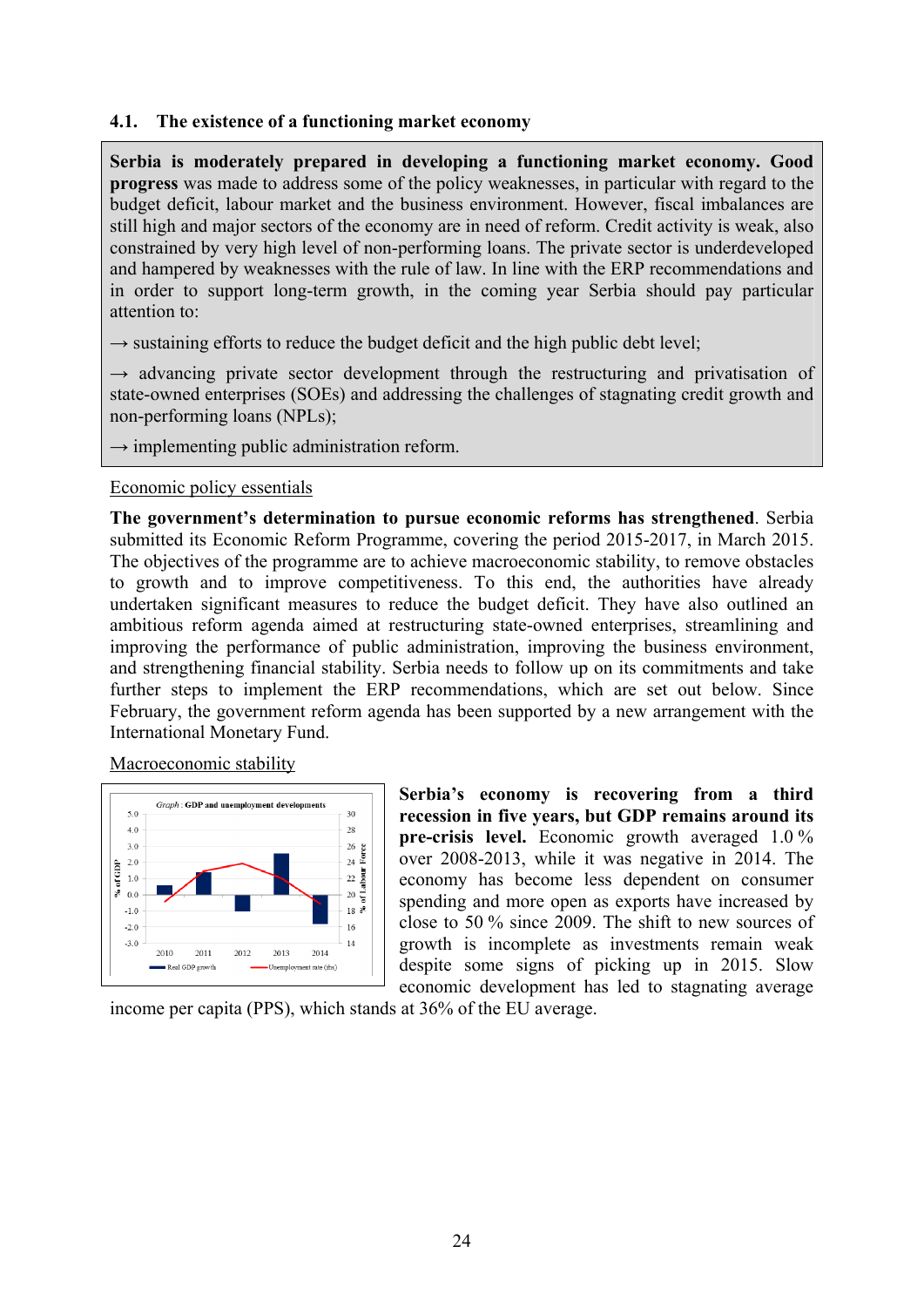### <span id="page-23-0"></span>**4.1. The existence of a functioning market economy**

**Serbia is moderately prepared in developing a functioning market economy. Good progress** was made to address some of the policy weaknesses, in particular with regard to the budget deficit, labour market and the business environment. However, fiscal imbalances are still high and major sectors of the economy are in need of reform. Credit activity is weak, also constrained by very high level of non-performing loans. The private sector is underdeveloped and hampered by weaknesses with the rule of law. In line with the ERP recommendations and in order to support long-term growth, in the coming year Serbia should pay particular attention to:

 $\rightarrow$  sustaining efforts to reduce the budget deficit and the high public debt level;

 $\rightarrow$  advancing private sector development through the restructuring and privatisation of state-owned enterprises (SOEs) and addressing the challenges of stagnating credit growth and non-performing loans (NPLs);

 $\rightarrow$  implementing public administration reform.

Economic policy essentials

**The government's determination to pursue economic reforms has strengthened**. Serbia submitted its Economic Reform Programme, covering the period 2015-2017, in March 2015. The objectives of the programme are to achieve macroeconomic stability, to remove obstacles to growth and to improve competitiveness. To this end, the authorities have already undertaken significant measures to reduce the budget deficit. They have also outlined an ambitious reform agenda aimed at restructuring state-owned enterprises, streamlining and improving the performance of public administration, improving the business environment, and strengthening financial stability. Serbia needs to follow up on its commitments and take further steps to implement the ERP recommendations, which are set out below. Since February, the government reform agenda has been supported by a new arrangement with the International Monetary Fund.

Macroeconomic stability



**Serbia's economy is recovering from a third recession in five years, but GDP remains around its pre-crisis level.** Economic growth averaged 1.0 % over 2008-2013, while it was negative in 2014. The economy has become less dependent on consumer spending and more open as exports have increased by close to 50 % since 2009. The shift to new sources of growth is incomplete as investments remain weak despite some signs of picking up in 2015. Slow economic development has led to stagnating average

income per capita (PPS), which stands at 36% of the EU average.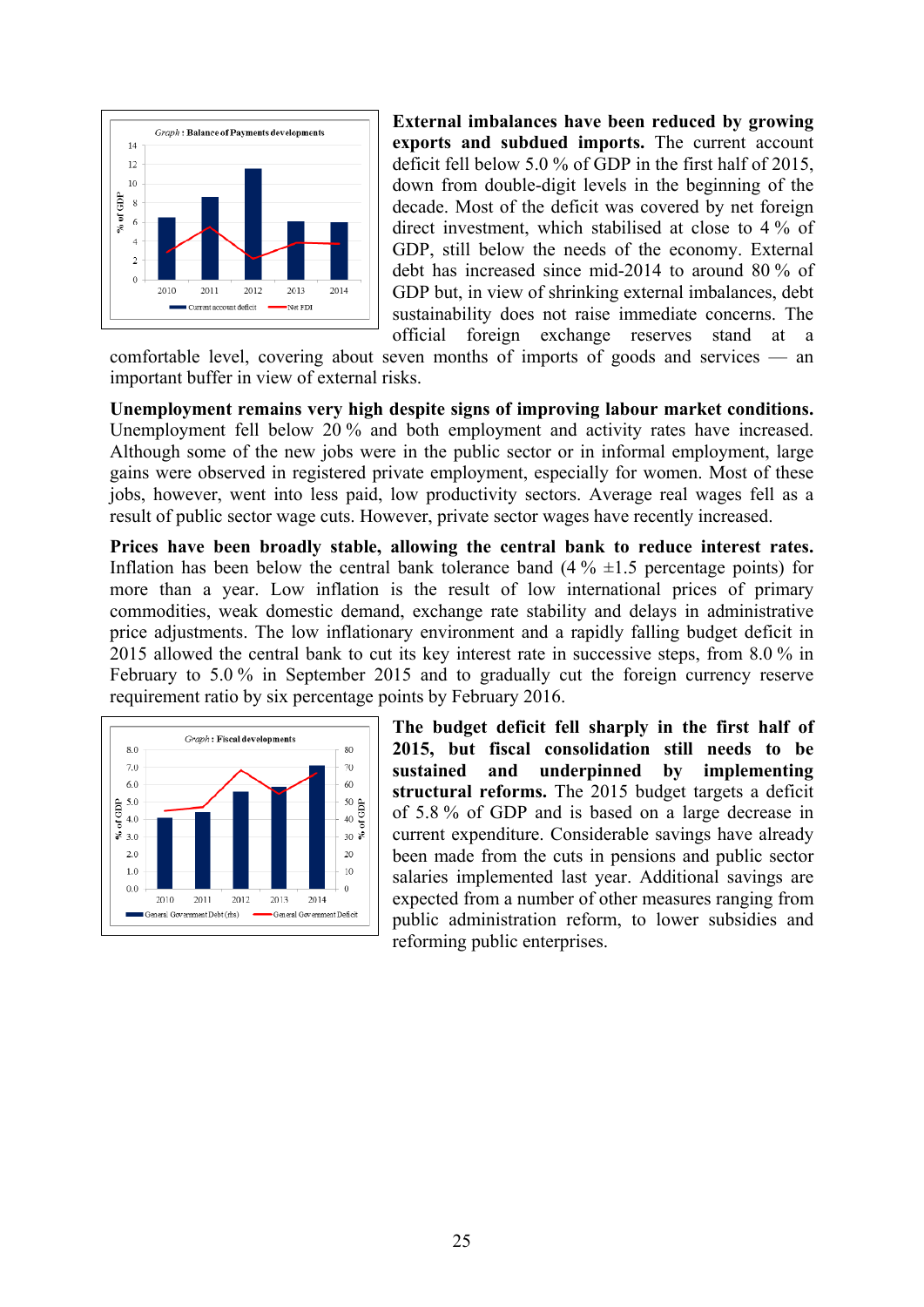

**External imbalances have been reduced by growing exports and subdued imports.** The current account deficit fell below 5.0 % of GDP in the first half of 2015, down from double-digit levels in the beginning of the decade. Most of the deficit was covered by net foreign direct investment, which stabilised at close to 4 % of GDP, still below the needs of the economy. External debt has increased since mid-2014 to around 80 % of GDP but, in view of shrinking external imbalances, debt sustainability does not raise immediate concerns. The official foreign exchange reserves stand at

comfortable level, covering about seven months of imports of goods and services — an important buffer in view of external risks.

**Unemployment remains very high despite signs of improving labour market conditions.** Unemployment fell below 20 % and both employment and activity rates have increased. Although some of the new jobs were in the public sector or in informal employment, large gains were observed in registered private employment, especially for women. Most of these jobs, however, went into less paid, low productivity sectors. Average real wages fell as a result of public sector wage cuts. However, private sector wages have recently increased.

**Prices have been broadly stable, allowing the central bank to reduce interest rates.**  Inflation has been below the central bank tolerance band  $(4\% \pm 1.5)$  percentage points) for more than a year. Low inflation is the result of low international prices of primary commodities, weak domestic demand, exchange rate stability and delays in administrative price adjustments. The low inflationary environment and a rapidly falling budget deficit in 2015 allowed the central bank to cut its key interest rate in successive steps, from 8.0 % in February to 5.0 % in September 2015 and to gradually cut the foreign currency reserve requirement ratio by six percentage points by February 2016.



**The budget deficit fell sharply in the first half of 2015, but fiscal consolidation still needs to be sustained and underpinned by implementing structural reforms.** The 2015 budget targets a deficit of 5.8 % of GDP and is based on a large decrease in current expenditure. Considerable savings have already been made from the cuts in pensions and public sector salaries implemented last year. Additional savings are expected from a number of other measures ranging from public administration reform, to lower subsidies and reforming public enterprises.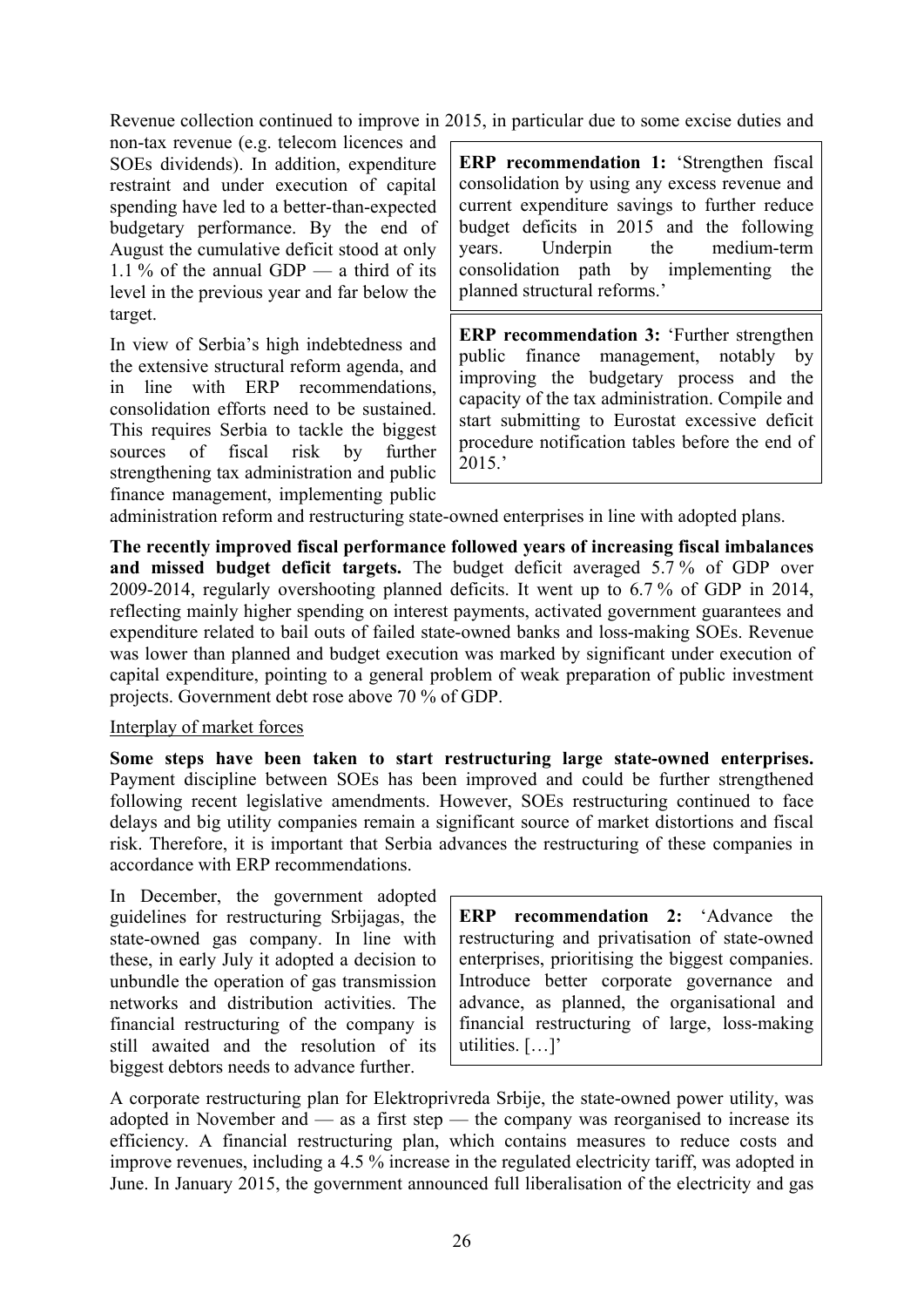Revenue collection continued to improve in 2015, in particular due to some excise duties and

non-tax revenue (e.g. telecom licences and SOEs dividends). In addition, expenditure restraint and under execution of capital spending have led to a better-than-expected budgetary performance. By the end of August the cumulative deficit stood at only 1.1 % of the annual GDP — a third of its level in the previous year and far below the target.

In view of Serbia's high indebtedness and the extensive structural reform agenda, and in line with ERP recommendations, consolidation efforts need to be sustained. This requires Serbia to tackle the biggest sources of fiscal risk by further strengthening tax administration and public finance management, implementing public **ERP recommendation 1:** 'Strengthen fiscal consolidation by using any excess revenue and current expenditure savings to further reduce budget deficits in 2015 and the following years. Underpin the medium-term consolidation path by implementing the planned structural reforms.'

**ERP recommendation 3:** 'Further strengthen public finance management, notably by improving the budgetary process and the capacity of the tax administration. Compile and start submitting to Eurostat excessive deficit procedure notification tables before the end of 2015.'

administration reform and restructuring state-owned enterprises in line with adopted plans.

**The recently improved fiscal performance followed years of increasing fiscal imbalances and missed budget deficit targets.** The budget deficit averaged 5.7 % of GDP over 2009-2014, regularly overshooting planned deficits. It went up to 6.7 % of GDP in 2014, reflecting mainly higher spending on interest payments, activated government guarantees and expenditure related to bail outs of failed state-owned banks and loss-making SOEs. Revenue was lower than planned and budget execution was marked by significant under execution of capital expenditure, pointing to a general problem of weak preparation of public investment projects. Government debt rose above 70 % of GDP.

### Interplay of market forces

**Some steps have been taken to start restructuring large state-owned enterprises.** Payment discipline between SOEs has been improved and could be further strengthened following recent legislative amendments. However, SOEs restructuring continued to face delays and big utility companies remain a significant source of market distortions and fiscal risk. Therefore, it is important that Serbia advances the restructuring of these companies in accordance with ERP recommendations.

In December, the government adopted guidelines for restructuring Srbijagas, the state-owned gas company. In line with these, in early July it adopted a decision to unbundle the operation of gas transmission networks and distribution activities. The financial restructuring of the company is still awaited and the resolution of its biggest debtors needs to advance further.

**ERP recommendation 2:** 'Advance the restructuring and privatisation of state-owned enterprises, prioritising the biggest companies. Introduce better corporate governance and advance, as planned, the organisational and financial restructuring of large, loss-making utilities. […]'

A corporate restructuring plan for Elektroprivreda Srbije, the state-owned power utility, was adopted in November and — as a first step — the company was reorganised to increase its efficiency. A financial restructuring plan, which contains measures to reduce costs and improve revenues, including a 4.5 % increase in the regulated electricity tariff, was adopted in June. In January 2015, the government announced full liberalisation of the electricity and gas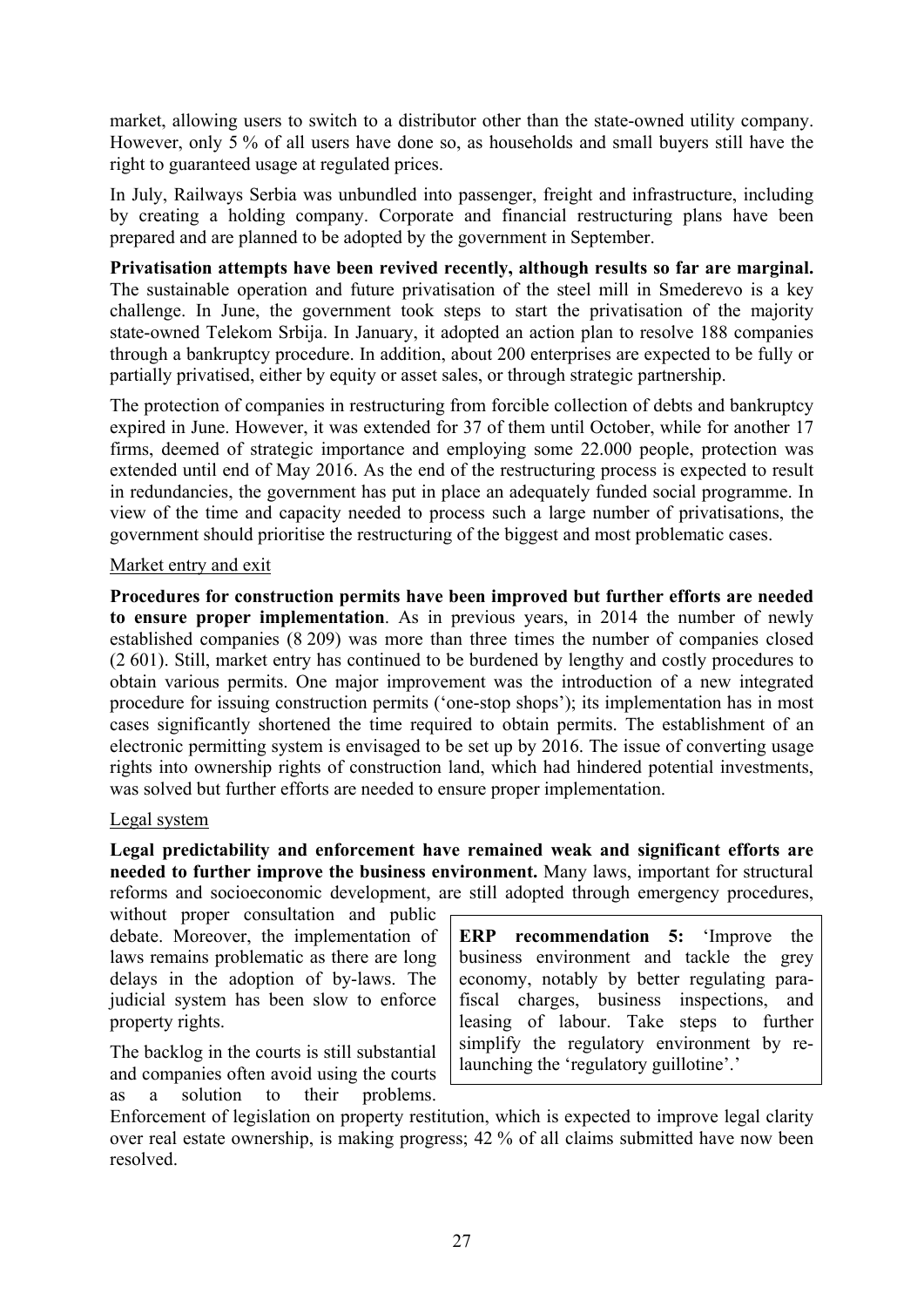market, allowing users to switch to a distributor other than the state-owned utility company. However, only 5 % of all users have done so, as households and small buyers still have the right to guaranteed usage at regulated prices.

In July, Railways Serbia was unbundled into passenger, freight and infrastructure, including by creating a holding company. Corporate and financial restructuring plans have been prepared and are planned to be adopted by the government in September.

**Privatisation attempts have been revived recently, although results so far are marginal.** The sustainable operation and future privatisation of the steel mill in Smederevo is a key challenge. In June, the government took steps to start the privatisation of the majority state-owned Telekom Srbija. In January, it adopted an action plan to resolve 188 companies through a bankruptcy procedure. In addition, about 200 enterprises are expected to be fully or partially privatised, either by equity or asset sales, or through strategic partnership.

The protection of companies in restructuring from forcible collection of debts and bankruptcy expired in June. However, it was extended for 37 of them until October, while for another 17 firms, deemed of strategic importance and employing some 22.000 people, protection was extended until end of May 2016. As the end of the restructuring process is expected to result in redundancies, the government has put in place an adequately funded social programme. In view of the time and capacity needed to process such a large number of privatisations, the government should prioritise the restructuring of the biggest and most problematic cases.

### Market entry and exit

**Procedures for construction permits have been improved but further efforts are needed to ensure proper implementation**. As in previous years, in 2014 the number of newly established companies (8 209) was more than three times the number of companies closed (2 601). Still, market entry has continued to be burdened by lengthy and costly procedures to obtain various permits. One major improvement was the introduction of a new integrated procedure for issuing construction permits ('one-stop shops'); its implementation has in most cases significantly shortened the time required to obtain permits. The establishment of an electronic permitting system is envisaged to be set up by 2016. The issue of converting usage rights into ownership rights of construction land, which had hindered potential investments, was solved but further efforts are needed to ensure proper implementation.

### Legal system

**Legal predictability and enforcement have remained weak and significant efforts are needed to further improve the business environment.** Many laws, important for structural reforms and socioeconomic development, are still adopted through emergency procedures,

without proper consultation and public debate. Moreover, the implementation of laws remains problematic as there are long delays in the adoption of by-laws. The judicial system has been slow to enforce property rights.

The backlog in the courts is still substantial and companies often avoid using the courts as a solution to their problems.

**ERP recommendation 5:** 'Improve the business environment and tackle the grey economy, notably by better regulating parafiscal charges, business inspections, and leasing of labour. Take steps to further simplify the regulatory environment by relaunching the 'regulatory guillotine'.'

Enforcement of legislation on property restitution, which is expected to improve legal clarity over real estate ownership, is making progress; 42 % of all claims submitted have now been resolved.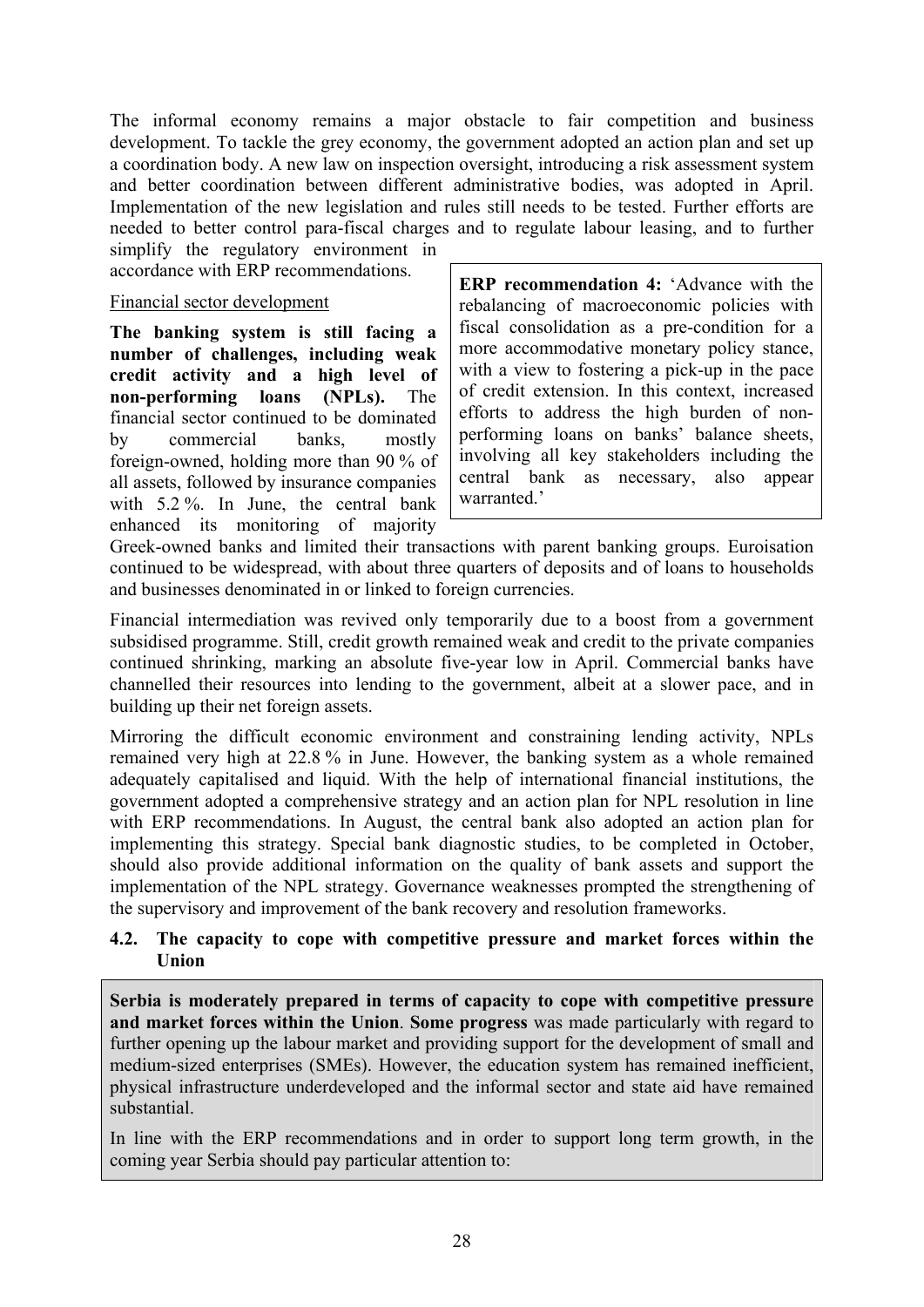The informal economy remains a major obstacle to fair competition and business development. To tackle the grey economy, the government adopted an action plan and set up a coordination body. A new law on inspection oversight, introducing a risk assessment system and better coordination between different administrative bodies, was adopted in April. Implementation of the new legislation and rules still needs to be tested. Further efforts are needed to better control para-fiscal charges and to regulate labour leasing, and to further

simplify the regulatory environment in accordance with ERP recommendations.

### Financial sector development

**The banking system is still facing a number of challenges, including weak credit activity and a high level of non-performing loans (NPLs).** The financial sector continued to be dominated by commercial banks, mostly foreign-owned, holding more than 90 % of all assets, followed by insurance companies with 5.2 %. In June, the central bank enhanced its monitoring of majority

**ERP recommendation 4:** 'Advance with the rebalancing of macroeconomic policies with fiscal consolidation as a pre-condition for a more accommodative monetary policy stance, with a view to fostering a pick-up in the pace of credit extension. In this context, increased efforts to address the high burden of nonperforming loans on banks' balance sheets, involving all key stakeholders including the central bank as necessary, also appear warranted<sup>,</sup>

Greek-owned banks and limited their transactions with parent banking groups. Euroisation continued to be widespread, with about three quarters of deposits and of loans to households and businesses denominated in or linked to foreign currencies.

Financial intermediation was revived only temporarily due to a boost from a government subsidised programme. Still, credit growth remained weak and credit to the private companies continued shrinking, marking an absolute five-year low in April. Commercial banks have channelled their resources into lending to the government, albeit at a slower pace, and in building up their net foreign assets.

Mirroring the difficult economic environment and constraining lending activity, NPLs remained very high at 22.8 % in June. However, the banking system as a whole remained adequately capitalised and liquid. With the help of international financial institutions, the government adopted a comprehensive strategy and an action plan for NPL resolution in line with ERP recommendations. In August, the central bank also adopted an action plan for implementing this strategy. Special bank diagnostic studies, to be completed in October, should also provide additional information on the quality of bank assets and support the implementation of the NPL strategy. Governance weaknesses prompted the strengthening of the supervisory and improvement of the bank recovery and resolution frameworks.

### <span id="page-27-0"></span>**4.2. The capacity to cope with competitive pressure and market forces within the Union**

**Serbia is moderately prepared in terms of capacity to cope with competitive pressure and market forces within the Union**. **Some progress** was made particularly with regard to further opening up the labour market and providing support for the development of small and medium-sized enterprises (SMEs). However, the education system has remained inefficient, physical infrastructure underdeveloped and the informal sector and state aid have remained substantial.

In line with the ERP recommendations and in order to support long term growth, in the coming year Serbia should pay particular attention to: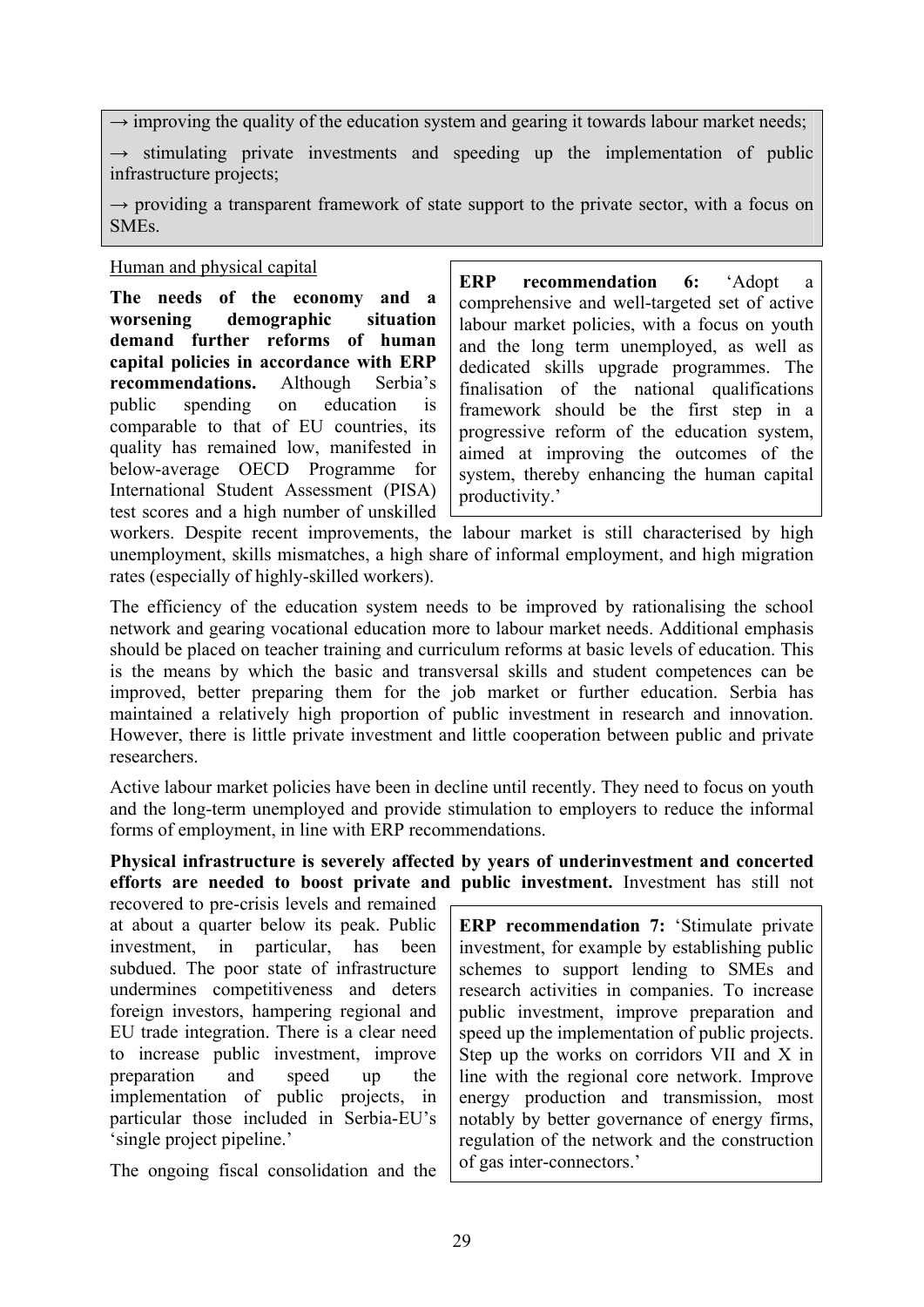$\rightarrow$  improving the quality of the education system and gearing it towards labour market needs;

 $\rightarrow$  stimulating private investments and speeding up the implementation of public infrastructure projects;

 $\rightarrow$  providing a transparent framework of state support to the private sector, with a focus on SMEs.

### Human and physical capital

**The needs of the economy and a worsening demographic situation demand further reforms of human capital policies in accordance with ERP recommendations.** Although Serbia's public spending on education is comparable to that of EU countries, its quality has remained low, manifested in below-average OECD Programme for International Student Assessment (PISA) test scores and a high number of unskilled **ERP recommendation 6:** 'Adopt a comprehensive and well-targeted set of active labour market policies, with a focus on youth and the long term unemployed, as well as dedicated skills upgrade programmes. The finalisation of the national qualifications framework should be the first step in a progressive reform of the education system, aimed at improving the outcomes of the system, thereby enhancing the human capital productivity.'

workers. Despite recent improvements, the labour market is still characterised by high unemployment, skills mismatches, a high share of informal employment, and high migration rates (especially of highly-skilled workers).

The efficiency of the education system needs to be improved by rationalising the school network and gearing vocational education more to labour market needs. Additional emphasis should be placed on teacher training and curriculum reforms at basic levels of education. This is the means by which the basic and transversal skills and student competences can be improved, better preparing them for the job market or further education. Serbia has maintained a relatively high proportion of public investment in research and innovation. However, there is little private investment and little cooperation between public and private researchers.

Active labour market policies have been in decline until recently. They need to focus on youth and the long-term unemployed and provide stimulation to employers to reduce the informal forms of employment, in line with ERP recommendations.

**Physical infrastructure is severely affected by years of underinvestment and concerted efforts are needed to boost private and public investment.** Investment has still not

recovered to pre-crisis levels and remained at about a quarter below its peak. Public investment, in particular, has been subdued. The poor state of infrastructure undermines competitiveness and deters foreign investors, hampering regional and EU trade integration. There is a clear need to increase public investment, improve preparation and speed up the implementation of public projects, in particular those included in Serbia-EU's 'single project pipeline.'

The ongoing fiscal consolidation and the

**ERP recommendation 7:** 'Stimulate private investment, for example by establishing public schemes to support lending to SMEs and research activities in companies. To increase public investment, improve preparation and speed up the implementation of public projects. Step up the works on corridors VII and X in line with the regional core network. Improve energy production and transmission, most notably by better governance of energy firms, regulation of the network and the construction of gas inter-connectors.'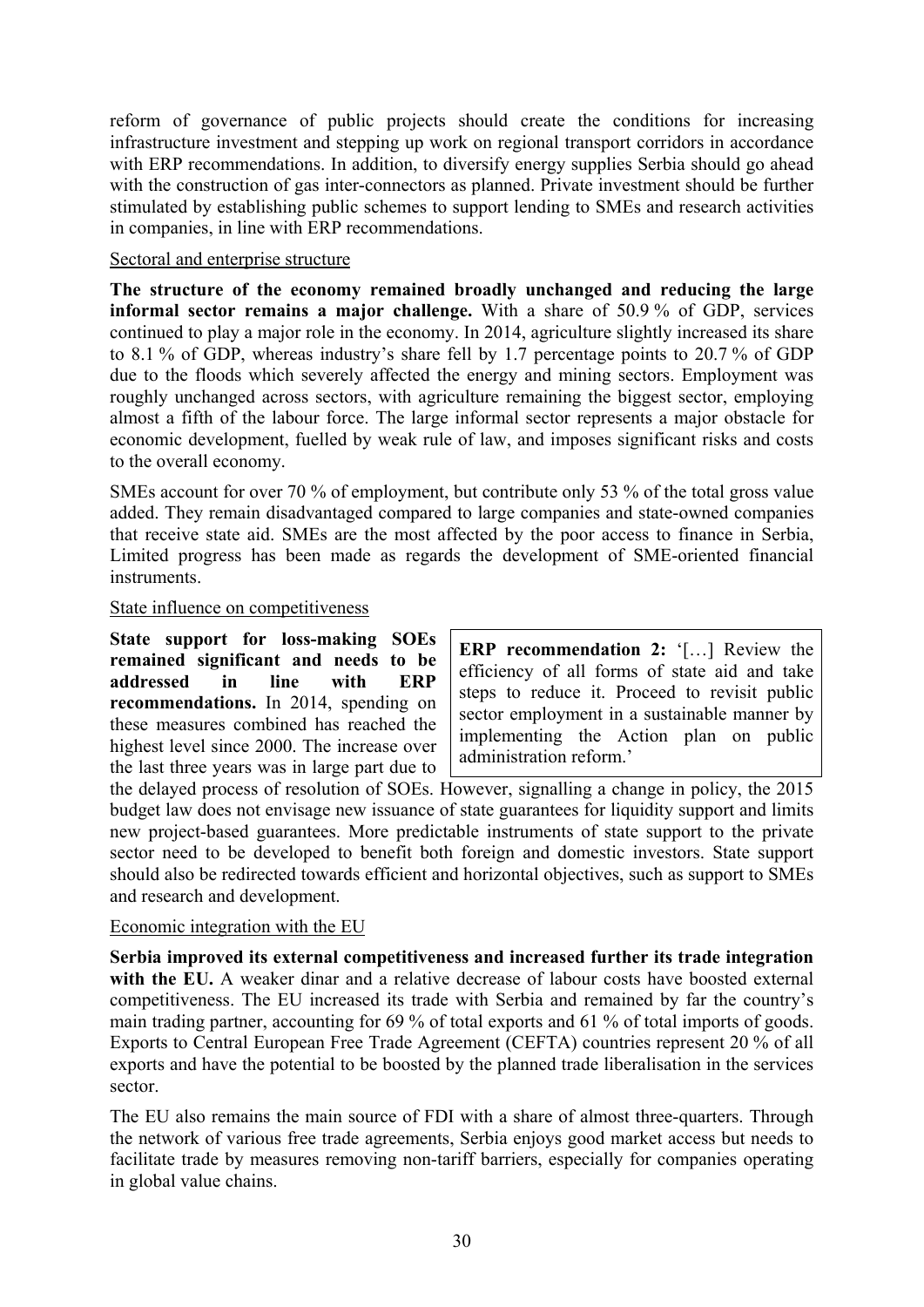reform of governance of public projects should create the conditions for increasing infrastructure investment and stepping up work on regional transport corridors in accordance with ERP recommendations. In addition, to diversify energy supplies Serbia should go ahead with the construction of gas inter-connectors as planned. Private investment should be further stimulated by establishing public schemes to support lending to SMEs and research activities in companies, in line with ERP recommendations.

### Sectoral and enterprise structure

**The structure of the economy remained broadly unchanged and reducing the large informal sector remains a major challenge.** With a share of 50.9 % of GDP, services continued to play a major role in the economy. In 2014, agriculture slightly increased its share to 8.1 % of GDP, whereas industry's share fell by 1.7 percentage points to 20.7 % of GDP due to the floods which severely affected the energy and mining sectors. Employment was roughly unchanged across sectors, with agriculture remaining the biggest sector, employing almost a fifth of the labour force. The large informal sector represents a major obstacle for economic development, fuelled by weak rule of law, and imposes significant risks and costs to the overall economy.

SMEs account for over 70 % of employment, but contribute only 53 % of the total gross value added. They remain disadvantaged compared to large companies and state-owned companies that receive state aid. SMEs are the most affected by the poor access to finance in Serbia, Limited progress has been made as regards the development of SME-oriented financial instruments.

### State influence on competitiveness

**State support for loss-making SOEs remained significant and needs to be addressed in line with ERP recommendations.** In 2014, spending on these measures combined has reached the highest level since 2000. The increase over the last three years was in large part due to

**ERP recommendation 2:** '[…] Review the efficiency of all forms of state aid and take steps to reduce it. Proceed to revisit public sector employment in a sustainable manner by implementing the Action plan on public administration reform.'

the delayed process of resolution of SOEs. However, signalling a change in policy, the 2015 budget law does not envisage new issuance of state guarantees for liquidity support and limits new project-based guarantees. More predictable instruments of state support to the private sector need to be developed to benefit both foreign and domestic investors. State support should also be redirected towards efficient and horizontal objectives, such as support to SMEs and research and development.

# Economic integration with the EU

**Serbia improved its external competitiveness and increased further its trade integration with the EU.** A weaker dinar and a relative decrease of labour costs have boosted external competitiveness. The EU increased its trade with Serbia and remained by far the country's main trading partner, accounting for 69 % of total exports and 61 % of total imports of goods. Exports to Central European Free Trade Agreement (CEFTA) countries represent 20 % of all exports and have the potential to be boosted by the planned trade liberalisation in the services sector.

The EU also remains the main source of FDI with a share of almost three-quarters. Through the network of various free trade agreements, Serbia enjoys good market access but needs to facilitate trade by measures removing non-tariff barriers, especially for companies operating in global value chains.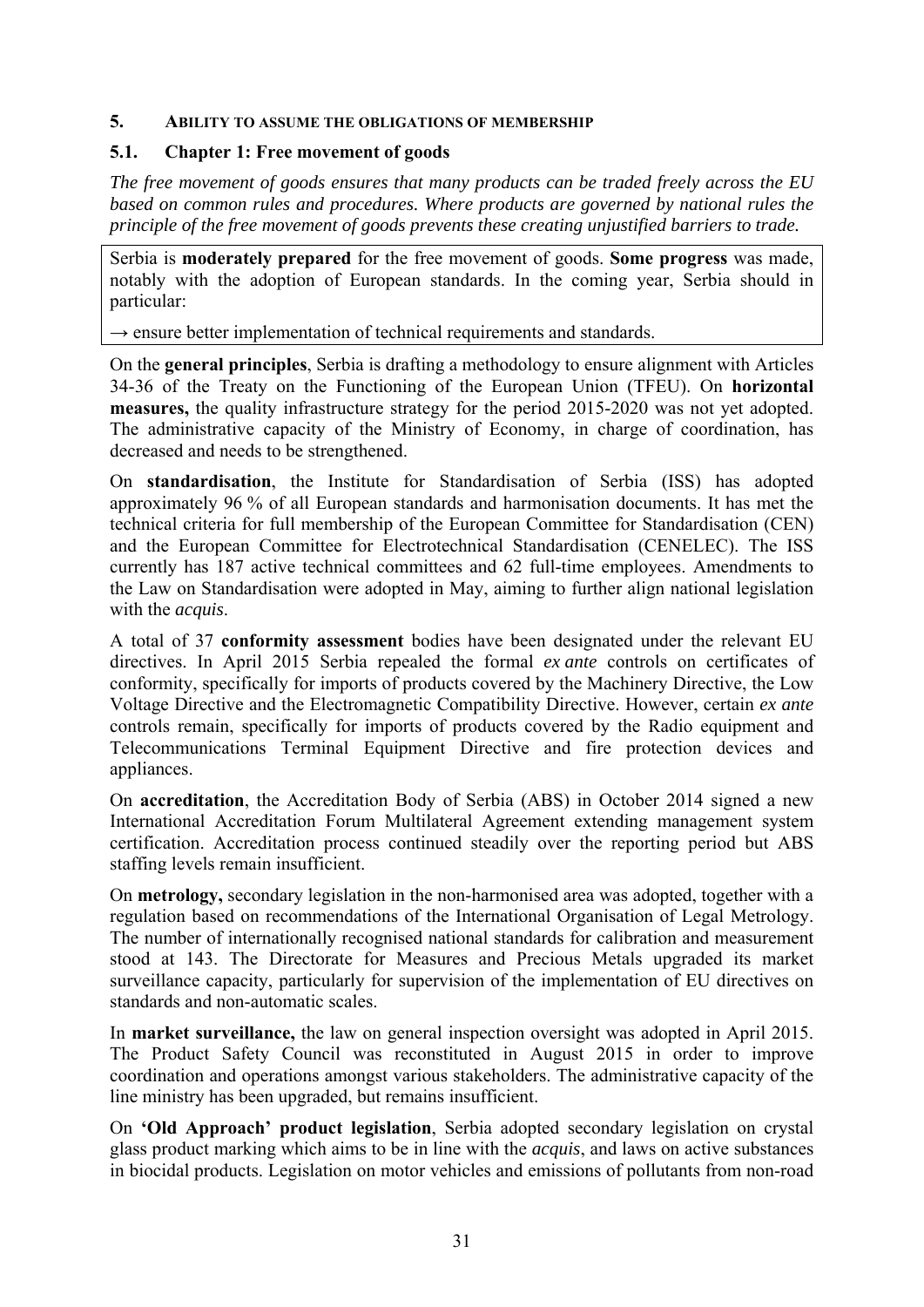### <span id="page-30-0"></span>**5. ABILITY TO ASSUME THE OBLIGATIONS OF MEMBERSHIP**

### <span id="page-30-1"></span>**5.1. Chapter 1: Free movement of goods**

*The free movement of goods ensures that many products can be traded freely across the EU based on common rules and procedures. Where products are governed by national rules the principle of the free movement of goods prevents these creating unjustified barriers to trade.* 

Serbia is **moderately prepared** for the free movement of goods. **Some progress** was made, notably with the adoption of European standards. In the coming year, Serbia should in particular:

 $\rightarrow$  ensure better implementation of technical requirements and standards.

On the **general principles**, Serbia is drafting a methodology to ensure alignment with Articles 34-36 of the Treaty on the Functioning of the European Union (TFEU). On **horizontal measures,** the quality infrastructure strategy for the period 2015-2020 was not yet adopted. The administrative capacity of the Ministry of Economy, in charge of coordination, has decreased and needs to be strengthened.

On **standardisation**, the Institute for Standardisation of Serbia (ISS) has adopted approximately 96 % of all European standards and harmonisation documents. It has met the technical criteria for full membership of the European Committee for Standardisation (CEN) and the European Committee for Electrotechnical Standardisation (CENELEC). The ISS currently has 187 active technical committees and 62 full-time employees. Amendments to the Law on Standardisation were adopted in May, aiming to further align national legislation with the *acquis*.

A total of 37 **conformity assessment** bodies have been designated under the relevant EU directives. In April 2015 Serbia repealed the formal *ex ante* controls on certificates of conformity, specifically for imports of products covered by the Machinery Directive, the Low Voltage Directive and the Electromagnetic Compatibility Directive. However, certain *ex ante* controls remain, specifically for imports of products covered by the Radio equipment and Telecommunications Terminal Equipment Directive and fire protection devices and appliances.

On **accreditation**, the Accreditation Body of Serbia (ABS) in October 2014 signed a new International Accreditation Forum Multilateral Agreement extending management system certification. Accreditation process continued steadily over the reporting period but ABS staffing levels remain insufficient.

On **metrology,** secondary legislation in the non-harmonised area was adopted, together with a regulation based on recommendations of the International Organisation of Legal Metrology. The number of internationally recognised national standards for calibration and measurement stood at 143. The Directorate for Measures and Precious Metals upgraded its market surveillance capacity, particularly for supervision of the implementation of EU directives on standards and non-automatic scales.

In **market surveillance,** the law on general inspection oversight was adopted in April 2015. The Product Safety Council was reconstituted in August 2015 in order to improve coordination and operations amongst various stakeholders. The administrative capacity of the line ministry has been upgraded, but remains insufficient.

On **'Old Approach' product legislation**, Serbia adopted secondary legislation on crystal glass product marking which aims to be in line with the *acquis*, and laws on active substances in biocidal products. Legislation on motor vehicles and emissions of pollutants from non-road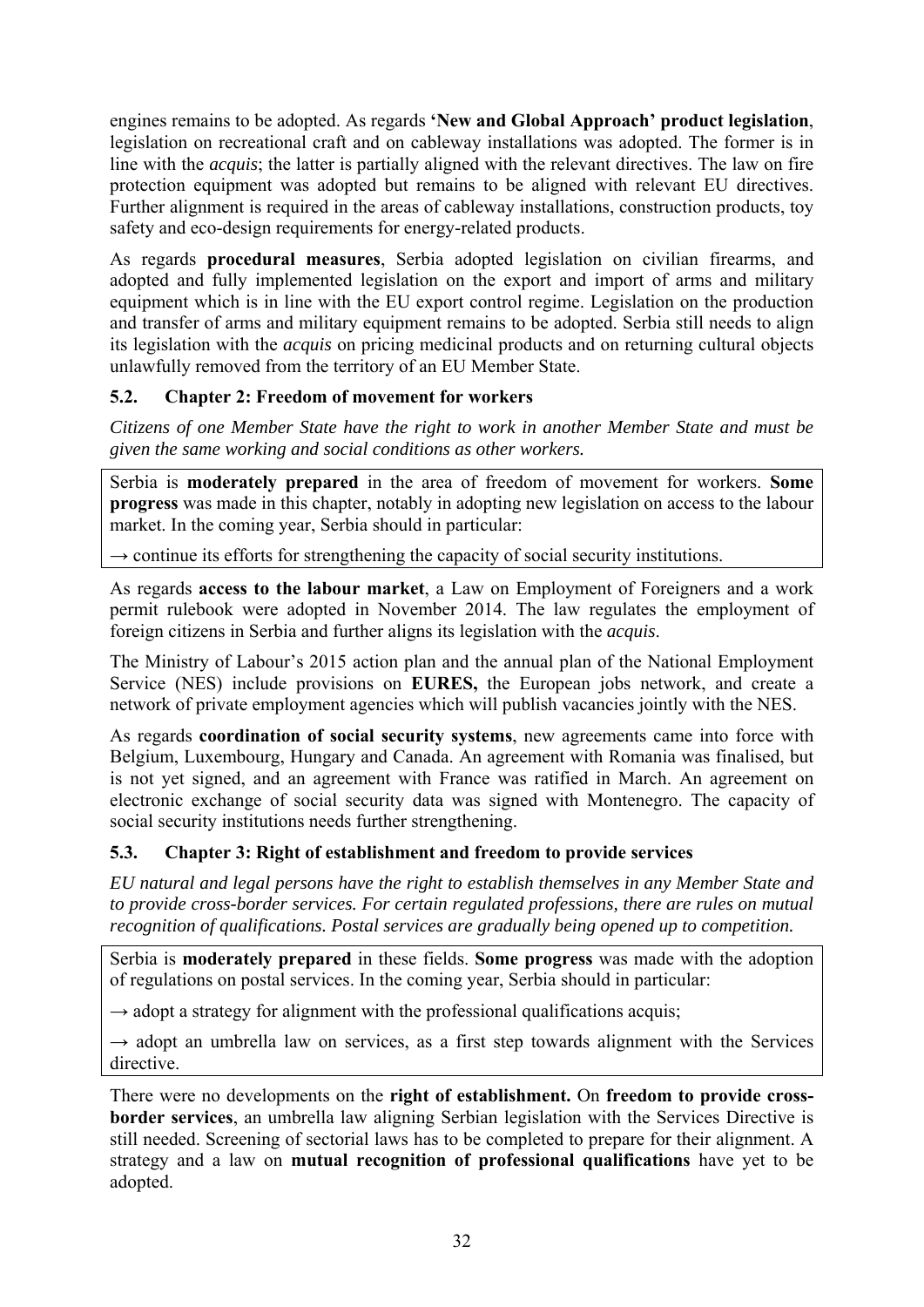engines remains to be adopted. As regards **'New and Global Approach' product legislation**, legislation on recreational craft and on cableway installations was adopted. The former is in line with the *acquis*; the latter is partially aligned with the relevant directives. The law on fire protection equipment was adopted but remains to be aligned with relevant EU directives. Further alignment is required in the areas of cableway installations, construction products, toy safety and eco-design requirements for energy-related products.

As regards **procedural measures**, Serbia adopted legislation on civilian firearms, and adopted and fully implemented legislation on the export and import of arms and military equipment which is in line with the EU export control regime. Legislation on the production and transfer of arms and military equipment remains to be adopted. Serbia still needs to align its legislation with the *acquis* on pricing medicinal products and on returning cultural objects unlawfully removed from the territory of an EU Member State.

# <span id="page-31-0"></span>**5.2. Chapter 2: Freedom of movement for workers**

*Citizens of one Member State have the right to work in another Member State and must be given the same working and social conditions as other workers.* 

Serbia is **moderately prepared** in the area of freedom of movement for workers. **Some progress** was made in this chapter, notably in adopting new legislation on access to the labour market. In the coming year, Serbia should in particular:

 $\rightarrow$  continue its efforts for strengthening the capacity of social security institutions.

As regards **access to the labour market**, a Law on Employment of Foreigners and a work permit rulebook were adopted in November 2014. The law regulates the employment of foreign citizens in Serbia and further aligns its legislation with the *acquis*.

The Ministry of Labour's 2015 action plan and the annual plan of the National Employment Service (NES) include provisions on **EURES,** the European jobs network, and create a network of private employment agencies which will publish vacancies jointly with the NES.

As regards **coordination of social security systems**, new agreements came into force with Belgium, Luxembourg, Hungary and Canada. An agreement with Romania was finalised, but is not yet signed, and an agreement with France was ratified in March. An agreement on electronic exchange of social security data was signed with Montenegro. The capacity of social security institutions needs further strengthening.

# <span id="page-31-1"></span>**5.3. Chapter 3: Right of establishment and freedom to provide services**

*EU natural and legal persons have the right to establish themselves in any Member State and to provide cross-border services. For certain regulated professions, there are rules on mutual recognition of qualifications. Postal services are gradually being opened up to competition.* 

Serbia is **moderately prepared** in these fields. **Some progress** was made with the adoption of regulations on postal services. In the coming year, Serbia should in particular:

 $\rightarrow$  adopt a strategy for alignment with the professional qualifications acquis;

 $\rightarrow$  adopt an umbrella law on services, as a first step towards alignment with the Services directive.

There were no developments on the **right of establishment.** On **freedom to provide crossborder services**, an umbrella law aligning Serbian legislation with the Services Directive is still needed. Screening of sectorial laws has to be completed to prepare for their alignment. A strategy and a law on **mutual recognition of professional qualifications** have yet to be adopted.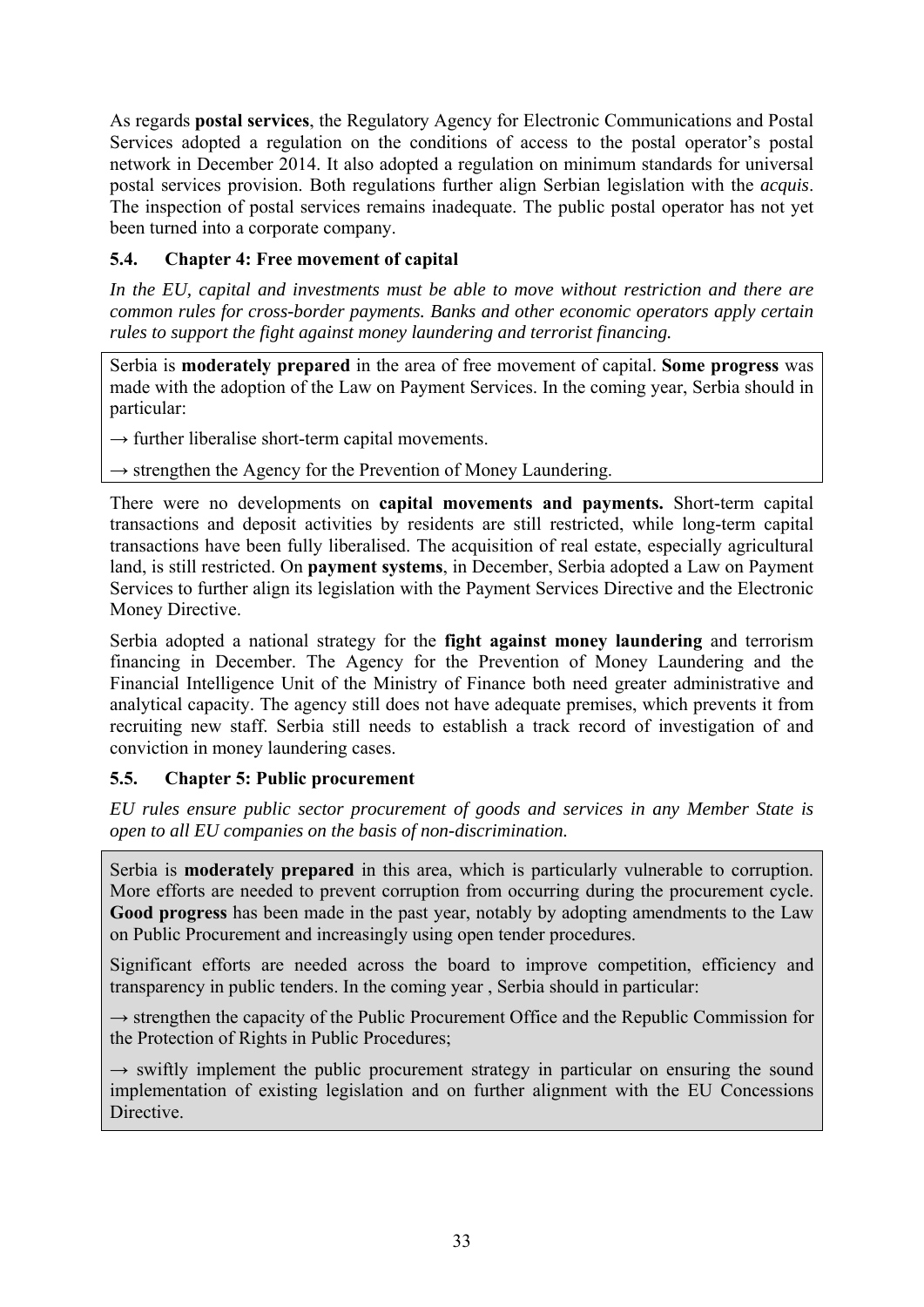As regards **postal services**, the Regulatory Agency for Electronic Communications and Postal Services adopted a regulation on the conditions of access to the postal operator's postal network in December 2014. It also adopted a regulation on minimum standards for universal postal services provision. Both regulations further align Serbian legislation with the *acquis*. The inspection of postal services remains inadequate. The public postal operator has not yet been turned into a corporate company.

# <span id="page-32-0"></span>**5.4. Chapter 4: Free movement of capital**

*In the EU, capital and investments must be able to move without restriction and there are common rules for cross-border payments. Banks and other economic operators apply certain rules to support the fight against money laundering and terrorist financing.* 

Serbia is **moderately prepared** in the area of free movement of capital. **Some progress** was made with the adoption of the Law on Payment Services. In the coming year, Serbia should in particular:

 $\rightarrow$  further liberalise short-term capital movements.

 $\rightarrow$  strengthen the Agency for the Prevention of Money Laundering.

There were no developments on **capital movements and payments.** Short-term capital transactions and deposit activities by residents are still restricted, while long-term capital transactions have been fully liberalised. The acquisition of real estate, especially agricultural land, is still restricted. On **payment systems**, in December, Serbia adopted a Law on Payment Services to further align its legislation with the Payment Services Directive and the Electronic Money Directive.

Serbia adopted a national strategy for the **fight against money laundering** and terrorism financing in December. The Agency for the Prevention of Money Laundering and the Financial Intelligence Unit of the Ministry of Finance both need greater administrative and analytical capacity. The agency still does not have adequate premises, which prevents it from recruiting new staff. Serbia still needs to establish a track record of investigation of and conviction in money laundering cases.

# <span id="page-32-1"></span>**5.5. Chapter 5: Public procurement**

*EU rules ensure public sector procurement of goods and services in any Member State is open to all EU companies on the basis of non-discrimination.* 

Serbia is **moderately prepared** in this area, which is particularly vulnerable to corruption. More efforts are needed to prevent corruption from occurring during the procurement cycle. **Good progress** has been made in the past year, notably by adopting amendments to the Law on Public Procurement and increasingly using open tender procedures.

Significant efforts are needed across the board to improve competition, efficiency and transparency in public tenders. In the coming year , Serbia should in particular:

→ strengthen the capacity of the Public Procurement Office and the Republic Commission for the Protection of Rights in Public Procedures;

 $\rightarrow$  swiftly implement the public procurement strategy in particular on ensuring the sound implementation of existing legislation and on further alignment with the EU Concessions Directive.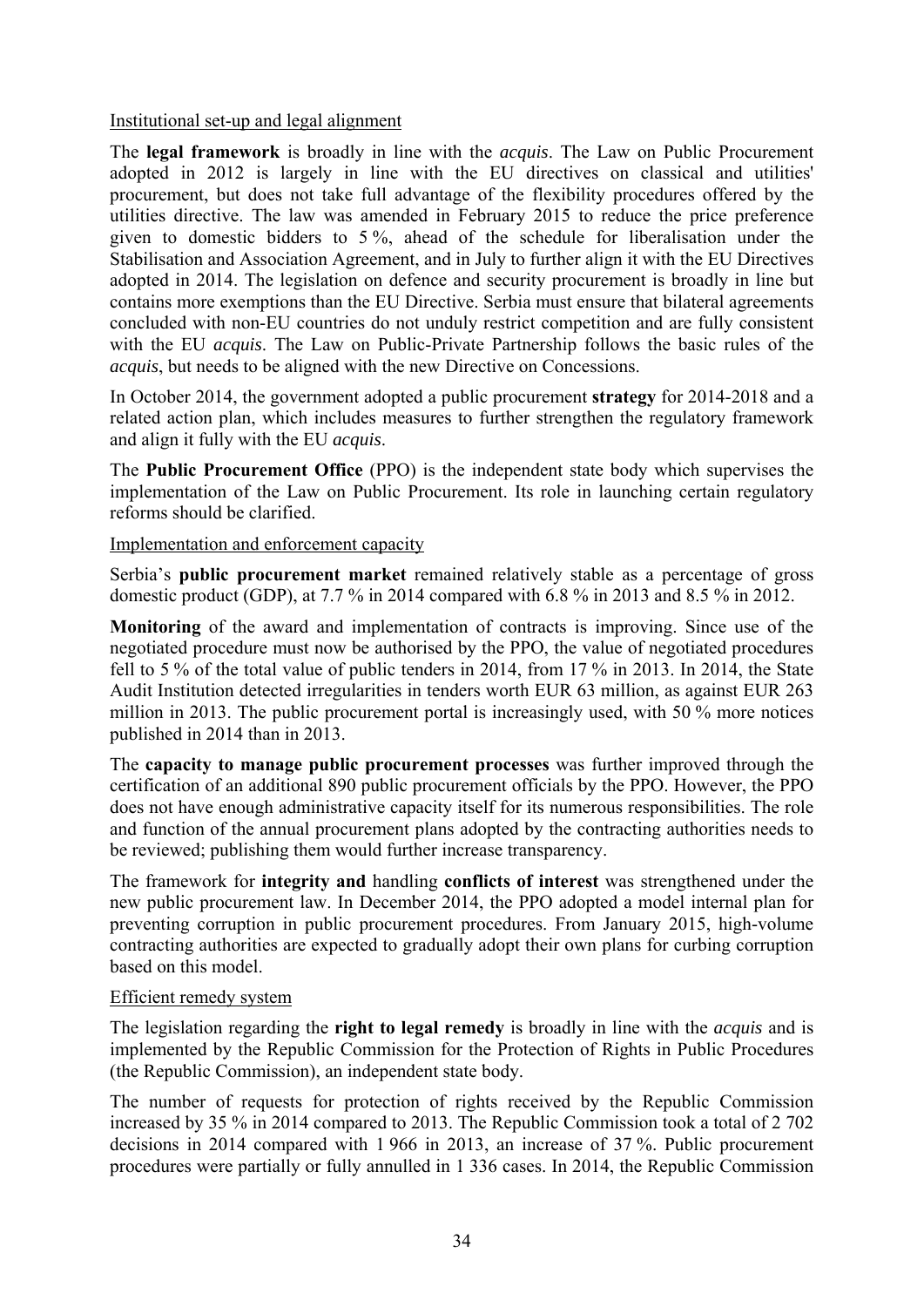### Institutional set-up and legal alignment

The **legal framework** is broadly in line with the *acquis*. The Law on Public Procurement adopted in 2012 is largely in line with the EU directives on classical and utilities' procurement, but does not take full advantage of the flexibility procedures offered by the utilities directive. The law was amended in February 2015 to reduce the price preference given to domestic bidders to 5 %, ahead of the schedule for liberalisation under the Stabilisation and Association Agreement, and in July to further align it with the EU Directives adopted in 2014. The legislation on defence and security procurement is broadly in line but contains more exemptions than the EU Directive. Serbia must ensure that bilateral agreements concluded with non-EU countries do not unduly restrict competition and are fully consistent with the EU *acquis*. The Law on Public-Private Partnership follows the basic rules of the *acquis*, but needs to be aligned with the new Directive on Concessions.

In October 2014, the government adopted a public procurement **strategy** for 2014-2018 and a related action plan, which includes measures to further strengthen the regulatory framework and align it fully with the EU *acquis*.

The **Public Procurement Office** (PPO) is the independent state body which supervises the implementation of the Law on Public Procurement. Its role in launching certain regulatory reforms should be clarified.

### Implementation and enforcement capacity

Serbia's **public procurement market** remained relatively stable as a percentage of gross domestic product (GDP), at 7.7 % in 2014 compared with 6.8 % in 2013 and 8.5 % in 2012.

**Monitoring** of the award and implementation of contracts is improving. Since use of the negotiated procedure must now be authorised by the PPO, the value of negotiated procedures fell to 5 % of the total value of public tenders in 2014, from 17 % in 2013. In 2014, the State Audit Institution detected irregularities in tenders worth EUR 63 million, as against EUR 263 million in 2013. The public procurement portal is increasingly used, with 50 % more notices published in 2014 than in 2013.

The **capacity to manage public procurement processes** was further improved through the certification of an additional 890 public procurement officials by the PPO. However, the PPO does not have enough administrative capacity itself for its numerous responsibilities. The role and function of the annual procurement plans adopted by the contracting authorities needs to be reviewed; publishing them would further increase transparency.

The framework for **integrity and** handling **conflicts of interest** was strengthened under the new public procurement law. In December 2014, the PPO adopted a model internal plan for preventing corruption in public procurement procedures. From January 2015, high-volume contracting authorities are expected to gradually adopt their own plans for curbing corruption based on this model.

### Efficient remedy system

The legislation regarding the **right to legal remedy** is broadly in line with the *acquis* and is implemented by the Republic Commission for the Protection of Rights in Public Procedures (the Republic Commission), an independent state body.

The number of requests for protection of rights received by the Republic Commission increased by 35 % in 2014 compared to 2013. The Republic Commission took a total of 2 702 decisions in 2014 compared with 1 966 in 2013, an increase of 37 %. Public procurement procedures were partially or fully annulled in 1 336 cases. In 2014, the Republic Commission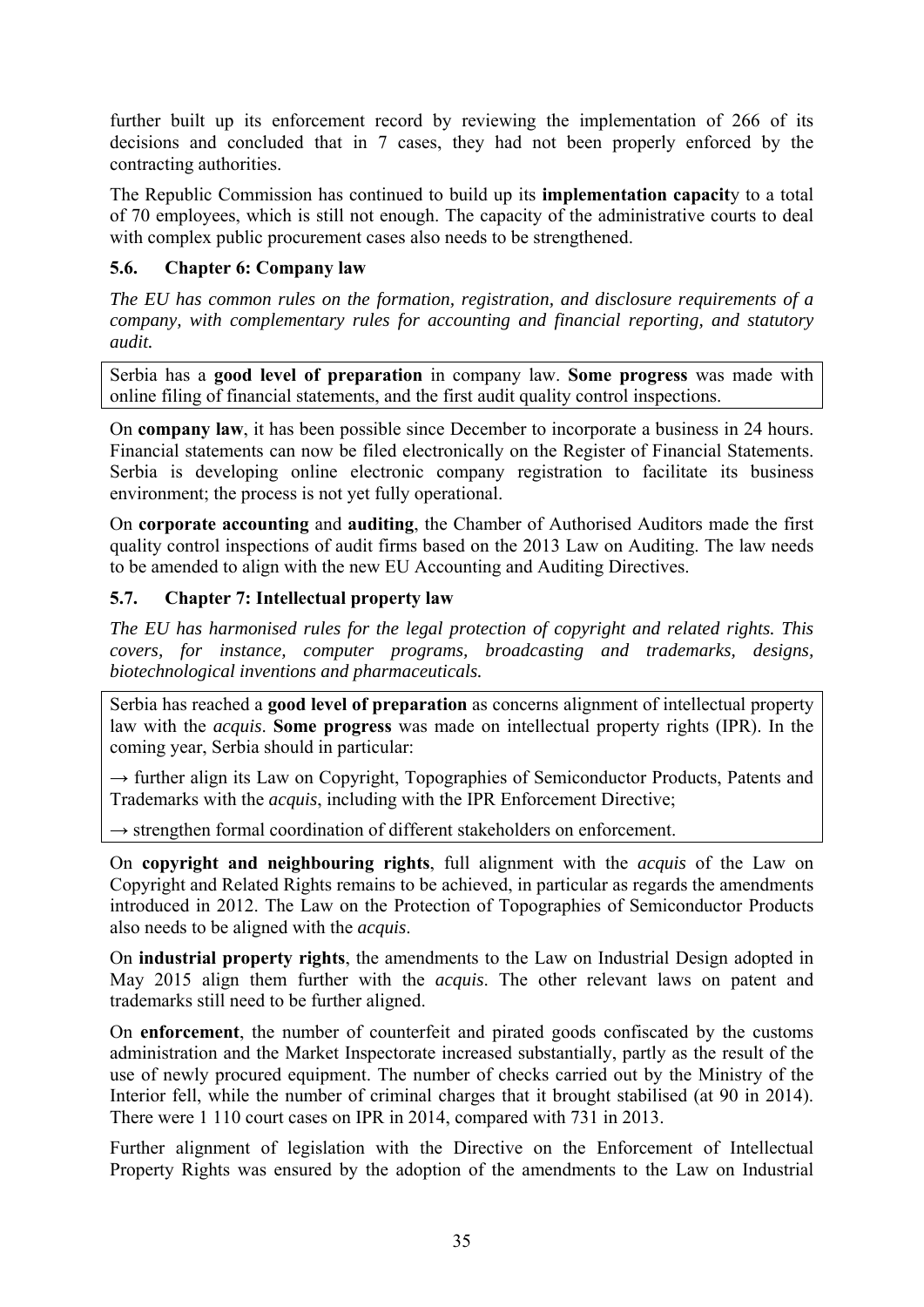further built up its enforcement record by reviewing the implementation of 266 of its decisions and concluded that in 7 cases, they had not been properly enforced by the contracting authorities.

The Republic Commission has continued to build up its **implementation capacit**y to a total of 70 employees, which is still not enough. The capacity of the administrative courts to deal with complex public procurement cases also needs to be strengthened.

# <span id="page-34-0"></span>**5.6. Chapter 6: Company law**

*The EU has common rules on the formation, registration, and disclosure requirements of a company, with complementary rules for accounting and financial reporting, and statutory audit.* 

Serbia has a **good level of preparation** in company law. **Some progress** was made with online filing of financial statements, and the first audit quality control inspections.

On **company law**, it has been possible since December to incorporate a business in 24 hours. Financial statements can now be filed electronically on the Register of Financial Statements. Serbia is developing online electronic company registration to facilitate its business environment; the process is not yet fully operational.

On **corporate accounting** and **auditing**, the Chamber of Authorised Auditors made the first quality control inspections of audit firms based on the 2013 Law on Auditing. The law needs to be amended to align with the new EU Accounting and Auditing Directives.

# <span id="page-34-1"></span>**5.7. Chapter 7: Intellectual property law**

*The EU has harmonised rules for the legal protection of copyright and related rights. This covers, for instance, computer programs, broadcasting and trademarks, designs, biotechnological inventions and pharmaceuticals.* 

Serbia has reached a **good level of preparation** as concerns alignment of intellectual property law with the *acquis*. **Some progress** was made on intellectual property rights (IPR). In the coming year, Serbia should in particular:

 $\rightarrow$  further align its Law on Copyright, Topographies of Semiconductor Products, Patents and Trademarks with the *acquis*, including with the IPR Enforcement Directive;

 $\rightarrow$  strengthen formal coordination of different stakeholders on enforcement.

On **copyright and neighbouring rights**, full alignment with the *acquis* of the Law on Copyright and Related Rights remains to be achieved, in particular as regards the amendments introduced in 2012. The Law on the Protection of Topographies of Semiconductor Products also needs to be aligned with the *acquis*.

On **industrial property rights**, the amendments to the Law on Industrial Design adopted in May 2015 align them further with the *acquis*. The other relevant laws on patent and trademarks still need to be further aligned.

On **enforcement**, the number of counterfeit and pirated goods confiscated by the customs administration and the Market Inspectorate increased substantially, partly as the result of the use of newly procured equipment. The number of checks carried out by the Ministry of the Interior fell, while the number of criminal charges that it brought stabilised (at 90 in 2014). There were 1 110 court cases on IPR in 2014, compared with 731 in 2013.

Further alignment of legislation with the Directive on the Enforcement of Intellectual Property Rights was ensured by the adoption of the amendments to the Law on Industrial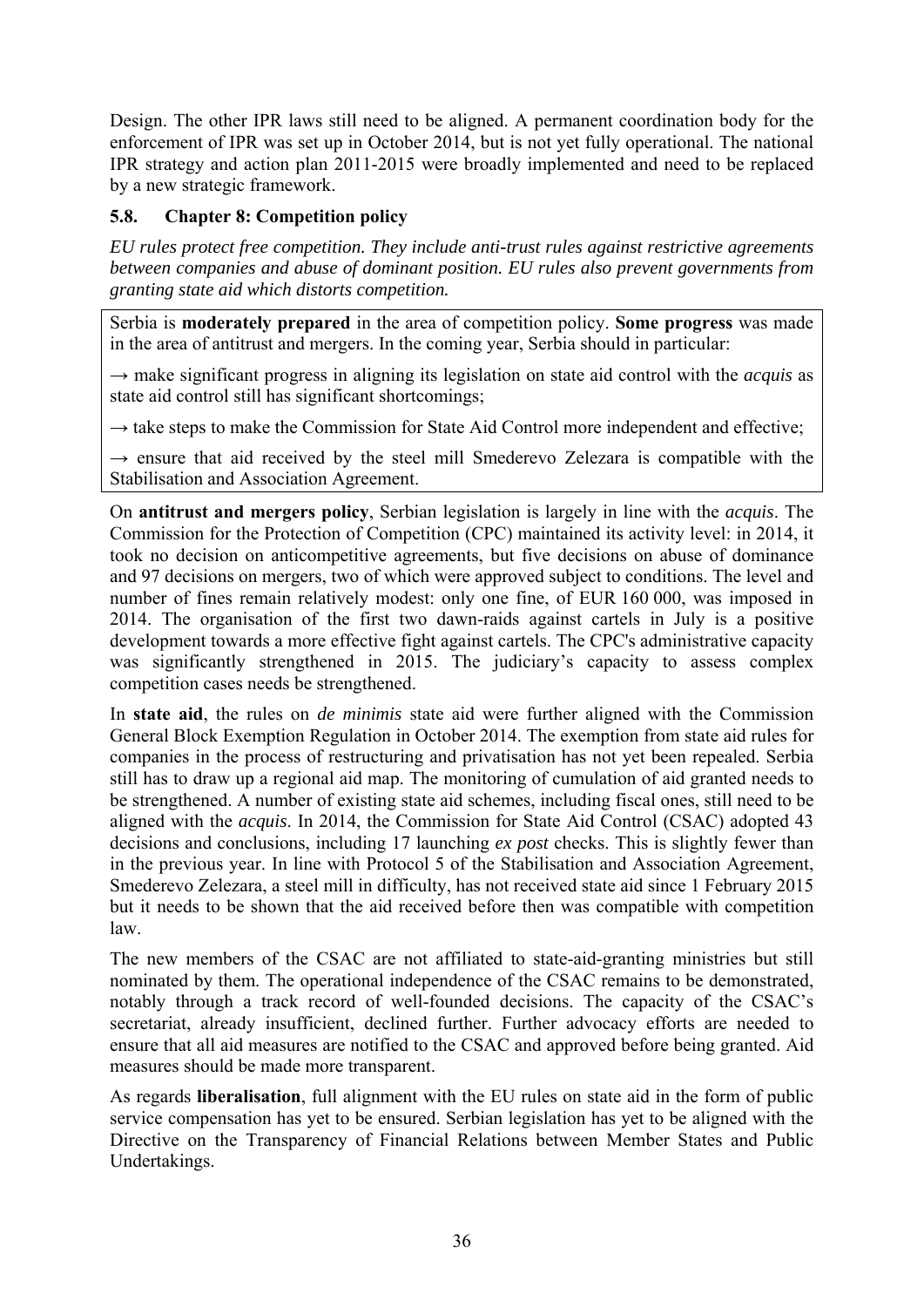Design. The other IPR laws still need to be aligned. A permanent coordination body for the enforcement of IPR was set up in October 2014, but is not yet fully operational. The national IPR strategy and action plan 2011-2015 were broadly implemented and need to be replaced by a new strategic framework.

# <span id="page-35-0"></span>**5.8. Chapter 8: Competition policy**

*EU rules protect free competition. They include anti-trust rules against restrictive agreements between companies and abuse of dominant position. EU rules also prevent governments from granting state aid which distorts competition.* 

Serbia is **moderately prepared** in the area of competition policy. **Some progress** was made in the area of antitrust and mergers. In the coming year, Serbia should in particular:

**→** make significant progress in aligning its legislation on state aid control with the *acquis* as state aid control still has significant shortcomings;

→ take steps to make the Commission for State Aid Control more independent and effective;

**→** ensure that aid received by the steel mill Smederevo Zelezara is compatible with the Stabilisation and Association Agreement.

On **antitrust and mergers policy**, Serbian legislation is largely in line with the *acquis*. The Commission for the Protection of Competition (CPC) maintained its activity level: in 2014, it took no decision on anticompetitive agreements, but five decisions on abuse of dominance and 97 decisions on mergers, two of which were approved subject to conditions. The level and number of fines remain relatively modest: only one fine, of EUR 160 000, was imposed in 2014. The organisation of the first two dawn-raids against cartels in July is a positive development towards a more effective fight against cartels. The CPC's administrative capacity was significantly strengthened in 2015. The judiciary's capacity to assess complex competition cases needs be strengthened.

In **state aid**, the rules on *de minimis* state aid were further aligned with the Commission General Block Exemption Regulation in October 2014. The exemption from state aid rules for companies in the process of restructuring and privatisation has not yet been repealed. Serbia still has to draw up a regional aid map. The monitoring of cumulation of aid granted needs to be strengthened. A number of existing state aid schemes, including fiscal ones, still need to be aligned with the *acquis*. In 2014, the Commission for State Aid Control (CSAC) adopted 43 decisions and conclusions, including 17 launching *ex post* checks. This is slightly fewer than in the previous year. In line with Protocol 5 of the Stabilisation and Association Agreement, Smederevo Zelezara, a steel mill in difficulty, has not received state aid since 1 February 2015 but it needs to be shown that the aid received before then was compatible with competition law.

The new members of the CSAC are not affiliated to state-aid-granting ministries but still nominated by them. The operational independence of the CSAC remains to be demonstrated, notably through a track record of well-founded decisions. The capacity of the CSAC's secretariat, already insufficient, declined further. Further advocacy efforts are needed to ensure that all aid measures are notified to the CSAC and approved before being granted. Aid measures should be made more transparent.

As regards **liberalisation**, full alignment with the EU rules on state aid in the form of public service compensation has yet to be ensured. Serbian legislation has yet to be aligned with the Directive on the Transparency of Financial Relations between Member States and Public Undertakings.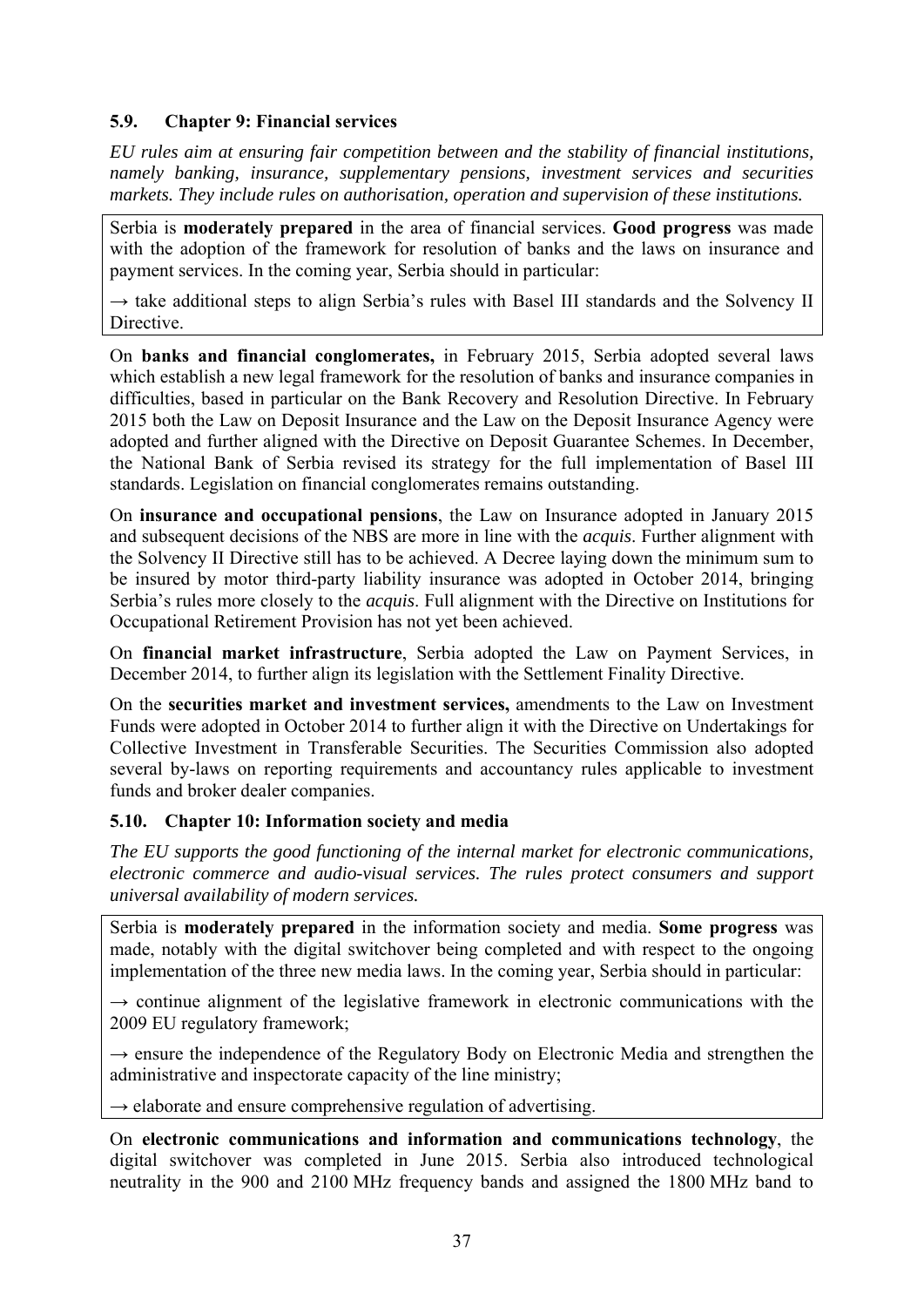## **5.9. Chapter 9: Financial services**

*EU rules aim at ensuring fair competition between and the stability of financial institutions, namely banking, insurance, supplementary pensions, investment services and securities markets. They include rules on authorisation, operation and supervision of these institutions.* 

Serbia is **moderately prepared** in the area of financial services. **Good progress** was made with the adoption of the framework for resolution of banks and the laws on insurance and payment services. In the coming year, Serbia should in particular:

→ take additional steps to align Serbia's rules with Basel III standards and the Solvency II Directive.

On **banks and financial conglomerates,** in February 2015, Serbia adopted several laws which establish a new legal framework for the resolution of banks and insurance companies in difficulties, based in particular on the Bank Recovery and Resolution Directive. In February 2015 both the Law on Deposit Insurance and the Law on the Deposit Insurance Agency were adopted and further aligned with the Directive on Deposit Guarantee Schemes. In December, the National Bank of Serbia revised its strategy for the full implementation of Basel III standards. Legislation on financial conglomerates remains outstanding.

On **insurance and occupational pensions**, the Law on Insurance adopted in January 2015 and subsequent decisions of the NBS are more in line with the *acquis*. Further alignment with the Solvency II Directive still has to be achieved. A Decree laying down the minimum sum to be insured by motor third-party liability insurance was adopted in October 2014, bringing Serbia's rules more closely to the *acquis*. Full alignment with the Directive on Institutions for Occupational Retirement Provision has not yet been achieved.

On **financial market infrastructure**, Serbia adopted the Law on Payment Services, in December 2014, to further align its legislation with the Settlement Finality Directive.

On the **securities market and investment services,** amendments to the Law on Investment Funds were adopted in October 2014 to further align it with the Directive on Undertakings for Collective Investment in Transferable Securities. The Securities Commission also adopted several by-laws on reporting requirements and accountancy rules applicable to investment funds and broker dealer companies.

## **5.10. Chapter 10: Information society and media**

*The EU supports the good functioning of the internal market for electronic communications, electronic commerce and audio-visual services. The rules protect consumers and support universal availability of modern services.* 

Serbia is **moderately prepared** in the information society and media. **Some progress** was made, notably with the digital switchover being completed and with respect to the ongoing implementation of the three new media laws. In the coming year, Serbia should in particular:

 $\rightarrow$  continue alignment of the legislative framework in electronic communications with the 2009 EU regulatory framework;

→ ensure the independence of the Regulatory Body on Electronic Media and strengthen the administrative and inspectorate capacity of the line ministry;

**→** elaborate and ensure comprehensive regulation of advertising.

On **electronic communications and information and communications technology**, the digital switchover was completed in June 2015. Serbia also introduced technological neutrality in the 900 and 2100 MHz frequency bands and assigned the 1800 MHz band to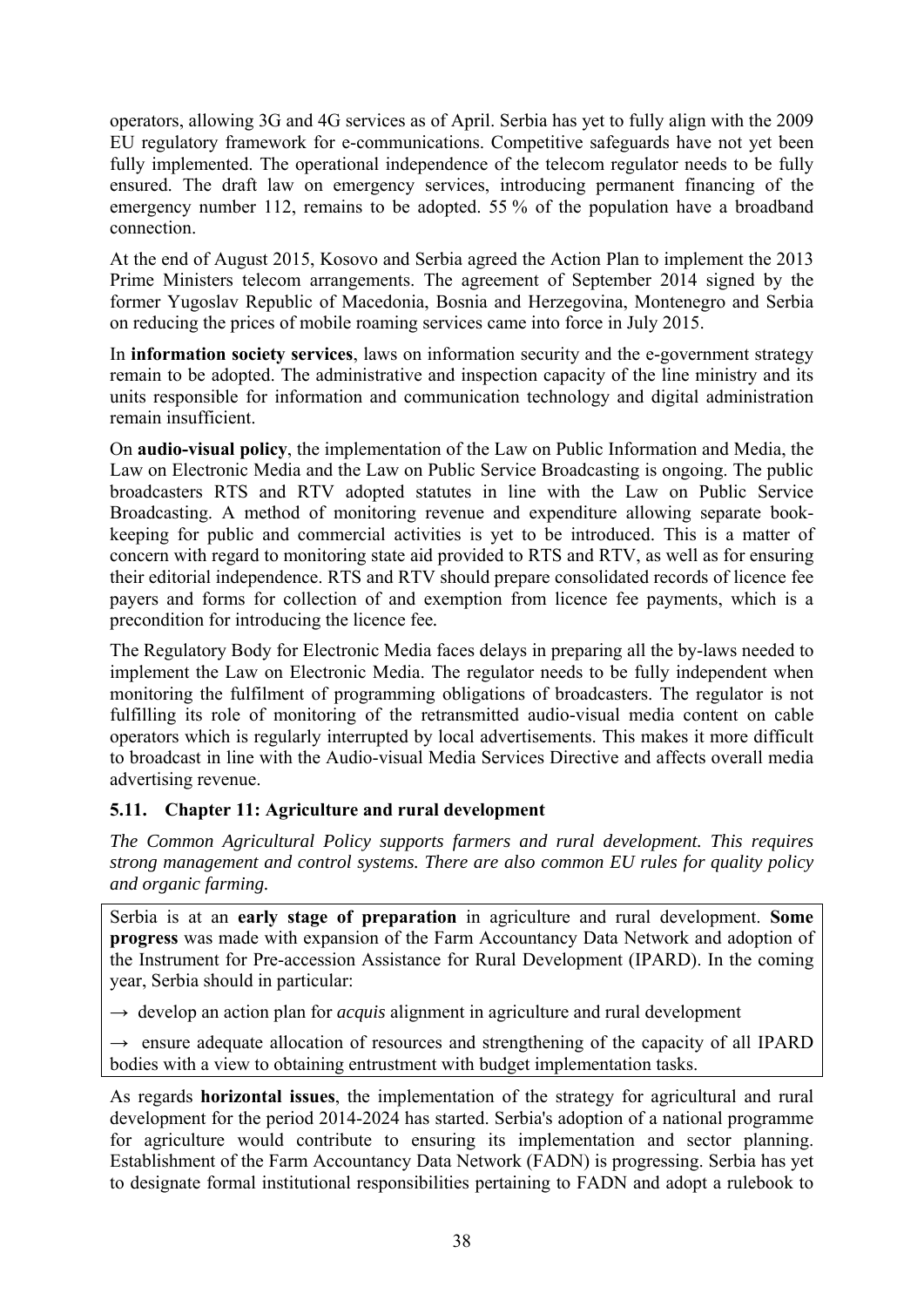operators, allowing 3G and 4G services as of April. Serbia has yet to fully align with the 2009 EU regulatory framework for e-communications. Competitive safeguards have not yet been fully implemented. The operational independence of the telecom regulator needs to be fully ensured. The draft law on emergency services, introducing permanent financing of the emergency number 112, remains to be adopted. 55 % of the population have a broadband connection.

At the end of August 2015, Kosovo and Serbia agreed the Action Plan to implement the 2013 Prime Ministers telecom arrangements. The agreement of September 2014 signed by the former Yugoslav Republic of Macedonia, Bosnia and Herzegovina, Montenegro and Serbia on reducing the prices of mobile roaming services came into force in July 2015.

In **information society services**, laws on information security and the e-government strategy remain to be adopted. The administrative and inspection capacity of the line ministry and its units responsible for information and communication technology and digital administration remain insufficient.

On **audio-visual policy**, the implementation of the Law on Public Information and Media, the Law on Electronic Media and the Law on Public Service Broadcasting is ongoing. The public broadcasters RTS and RTV adopted statutes in line with the Law on Public Service Broadcasting. A method of monitoring revenue and expenditure allowing separate bookkeeping for public and commercial activities is yet to be introduced. This is a matter of concern with regard to monitoring state aid provided to RTS and RTV, as well as for ensuring their editorial independence. RTS and RTV should prepare consolidated records of licence fee payers and forms for collection of and exemption from licence fee payments, which is a precondition for introducing the licence fee*.*

The Regulatory Body for Electronic Media faces delays in preparing all the by-laws needed to implement the Law on Electronic Media. The regulator needs to be fully independent when monitoring the fulfilment of programming obligations of broadcasters. The regulator is not fulfilling its role of monitoring of the retransmitted audio-visual media content on cable operators which is regularly interrupted by local advertisements. This makes it more difficult to broadcast in line with the Audio-visual Media Services Directive and affects overall media advertising revenue.

# **5.11. Chapter 11: Agriculture and rural development**

*The Common Agricultural Policy supports farmers and rural development. This requires strong management and control systems. There are also common EU rules for quality policy and organic farming.* 

Serbia is at an **early stage of preparation** in agriculture and rural development. **Some progress** was made with expansion of the Farm Accountancy Data Network and adoption of the Instrument for Pre-accession Assistance for Rural Development (IPARD). In the coming year, Serbia should in particular:

 $\rightarrow$  develop an action plan for *acquis* alignment in agriculture and rural development

 $\rightarrow$  ensure adequate allocation of resources and strengthening of the capacity of all IPARD bodies with a view to obtaining entrustment with budget implementation tasks.

As regards **horizontal issues**, the implementation of the strategy for agricultural and rural development for the period 2014-2024 has started. Serbia's adoption of a national programme for agriculture would contribute to ensuring its implementation and sector planning. Establishment of the Farm Accountancy Data Network (FADN) is progressing. Serbia has yet to designate formal institutional responsibilities pertaining to FADN and adopt a rulebook to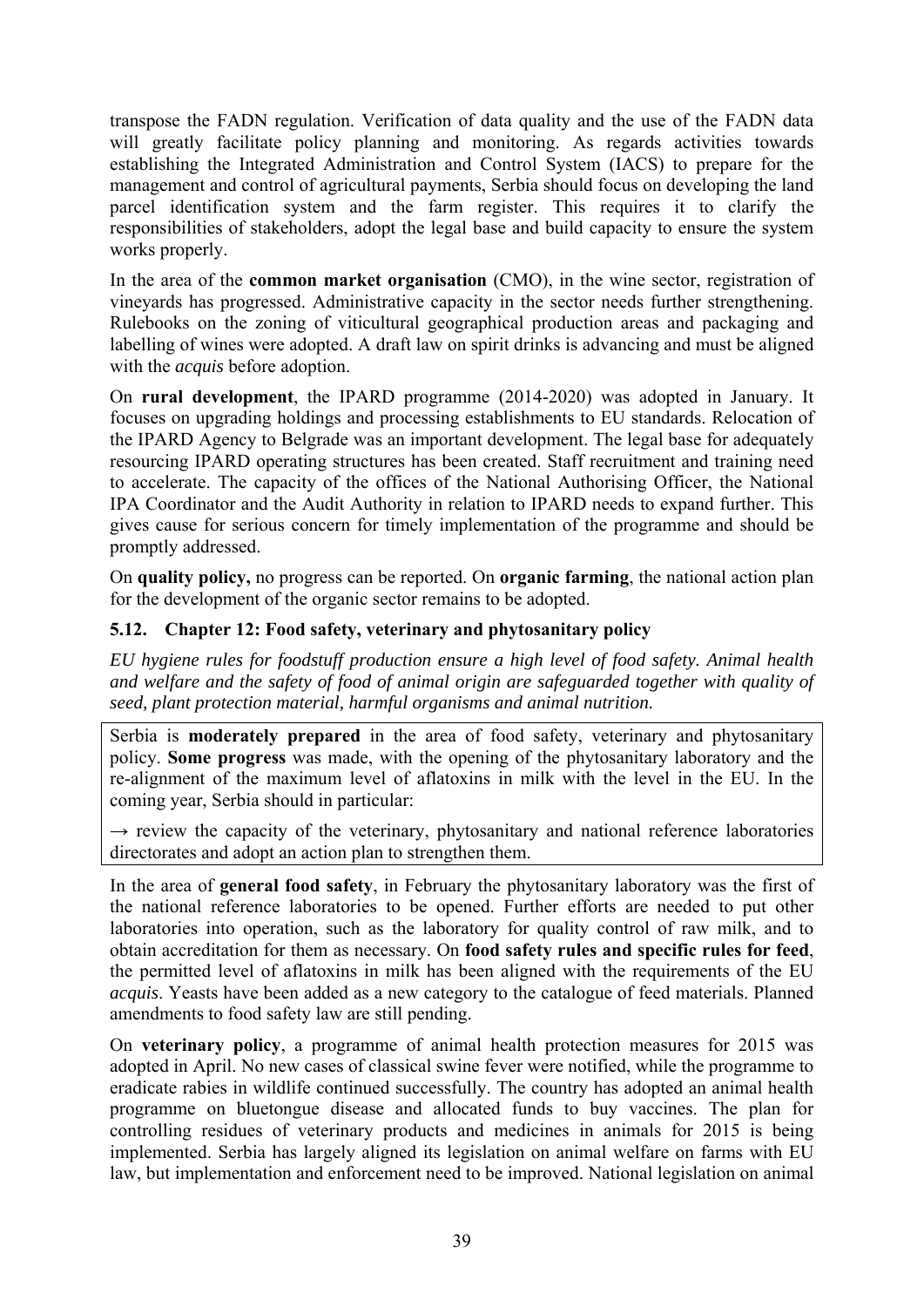transpose the FADN regulation. Verification of data quality and the use of the FADN data will greatly facilitate policy planning and monitoring. As regards activities towards establishing the Integrated Administration and Control System (IACS) to prepare for the management and control of agricultural payments, Serbia should focus on developing the land parcel identification system and the farm register. This requires it to clarify the responsibilities of stakeholders, adopt the legal base and build capacity to ensure the system works properly.

In the area of the **common market organisation** (CMO), in the wine sector, registration of vineyards has progressed. Administrative capacity in the sector needs further strengthening. Rulebooks on the zoning of viticultural geographical production areas and packaging and labelling of wines were adopted. A draft law on spirit drinks is advancing and must be aligned with the *acquis* before adoption.

On **rural development**, the IPARD programme (2014-2020) was adopted in January. It focuses on upgrading holdings and processing establishments to EU standards. Relocation of the IPARD Agency to Belgrade was an important development. The legal base for adequately resourcing IPARD operating structures has been created. Staff recruitment and training need to accelerate. The capacity of the offices of the National Authorising Officer, the National IPA Coordinator and the Audit Authority in relation to IPARD needs to expand further. This gives cause for serious concern for timely implementation of the programme and should be promptly addressed.

On **quality policy,** no progress can be reported. On **organic farming**, the national action plan for the development of the organic sector remains to be adopted.

# **5.12. Chapter 12: Food safety, veterinary and phytosanitary policy**

*EU hygiene rules for foodstuff production ensure a high level of food safety. Animal health and welfare and the safety of food of animal origin are safeguarded together with quality of seed, plant protection material, harmful organisms and animal nutrition.* 

Serbia is **moderately prepared** in the area of food safety, veterinary and phytosanitary policy. **Some progress** was made, with the opening of the phytosanitary laboratory and the re-alignment of the maximum level of aflatoxins in milk with the level in the EU. In the coming year, Serbia should in particular:

 $\rightarrow$  review the capacity of the veterinary, phytosanitary and national reference laboratories directorates and adopt an action plan to strengthen them.

In the area of **general food safety**, in February the phytosanitary laboratory was the first of the national reference laboratories to be opened. Further efforts are needed to put other laboratories into operation, such as the laboratory for quality control of raw milk, and to obtain accreditation for them as necessary. On **food safety rules and specific rules for feed**, the permitted level of aflatoxins in milk has been aligned with the requirements of the EU *acquis*. Yeasts have been added as a new category to the catalogue of feed materials. Planned amendments to food safety law are still pending.

On **veterinary policy**, a programme of animal health protection measures for 2015 was adopted in April. No new cases of classical swine fever were notified, while the programme to eradicate rabies in wildlife continued successfully. The country has adopted an animal health programme on bluetongue disease and allocated funds to buy vaccines. The plan for controlling residues of veterinary products and medicines in animals for 2015 is being implemented. Serbia has largely aligned its legislation on animal welfare on farms with EU law, but implementation and enforcement need to be improved. National legislation on animal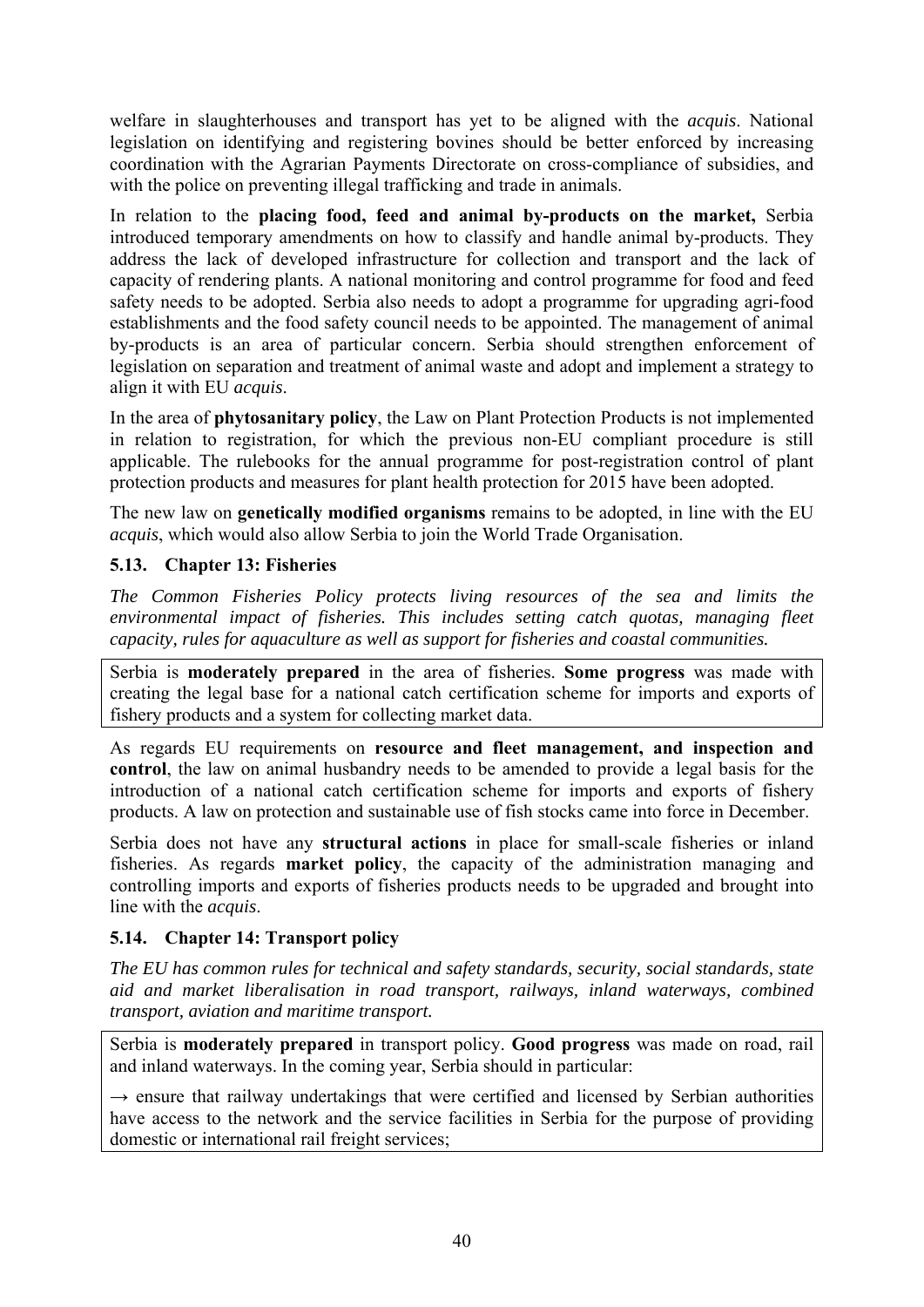welfare in slaughterhouses and transport has yet to be aligned with the *acquis*. National legislation on identifying and registering bovines should be better enforced by increasing coordination with the Agrarian Payments Directorate on cross-compliance of subsidies, and with the police on preventing illegal trafficking and trade in animals.

In relation to the **placing food, feed and animal by-products on the market,** Serbia introduced temporary amendments on how to classify and handle animal by-products. They address the lack of developed infrastructure for collection and transport and the lack of capacity of rendering plants. A national monitoring and control programme for food and feed safety needs to be adopted. Serbia also needs to adopt a programme for upgrading agri-food establishments and the food safety council needs to be appointed. The management of animal by-products is an area of particular concern. Serbia should strengthen enforcement of legislation on separation and treatment of animal waste and adopt and implement a strategy to align it with EU *acquis*.

In the area of **phytosanitary policy**, the Law on Plant Protection Products is not implemented in relation to registration, for which the previous non-EU compliant procedure is still applicable. The rulebooks for the annual programme for post-registration control of plant protection products and measures for plant health protection for 2015 have been adopted.

The new law on **genetically modified organisms** remains to be adopted, in line with the EU *acquis*, which would also allow Serbia to join the World Trade Organisation.

## **5.13. Chapter 13: Fisheries**

*The Common Fisheries Policy protects living resources of the sea and limits the environmental impact of fisheries. This includes setting catch quotas, managing fleet capacity, rules for aquaculture as well as support for fisheries and coastal communities.* 

Serbia is **moderately prepared** in the area of fisheries. **Some progress** was made with creating the legal base for a national catch certification scheme for imports and exports of fishery products and a system for collecting market data.

As regards EU requirements on **resource and fleet management, and inspection and control**, the law on animal husbandry needs to be amended to provide a legal basis for the introduction of a national catch certification scheme for imports and exports of fishery products. A law on protection and sustainable use of fish stocks came into force in December.

Serbia does not have any **structural actions** in place for small-scale fisheries or inland fisheries. As regards **market policy**, the capacity of the administration managing and controlling imports and exports of fisheries products needs to be upgraded and brought into line with the *acquis*.

# **5.14. Chapter 14: Transport policy**

*The EU has common rules for technical and safety standards, security, social standards, state aid and market liberalisation in road transport, railways, inland waterways, combined transport, aviation and maritime transport.* 

Serbia is **moderately prepared** in transport policy. **Good progress** was made on road, rail and inland waterways. In the coming year, Serbia should in particular:

 $\rightarrow$  ensure that railway undertakings that were certified and licensed by Serbian authorities have access to the network and the service facilities in Serbia for the purpose of providing domestic or international rail freight services;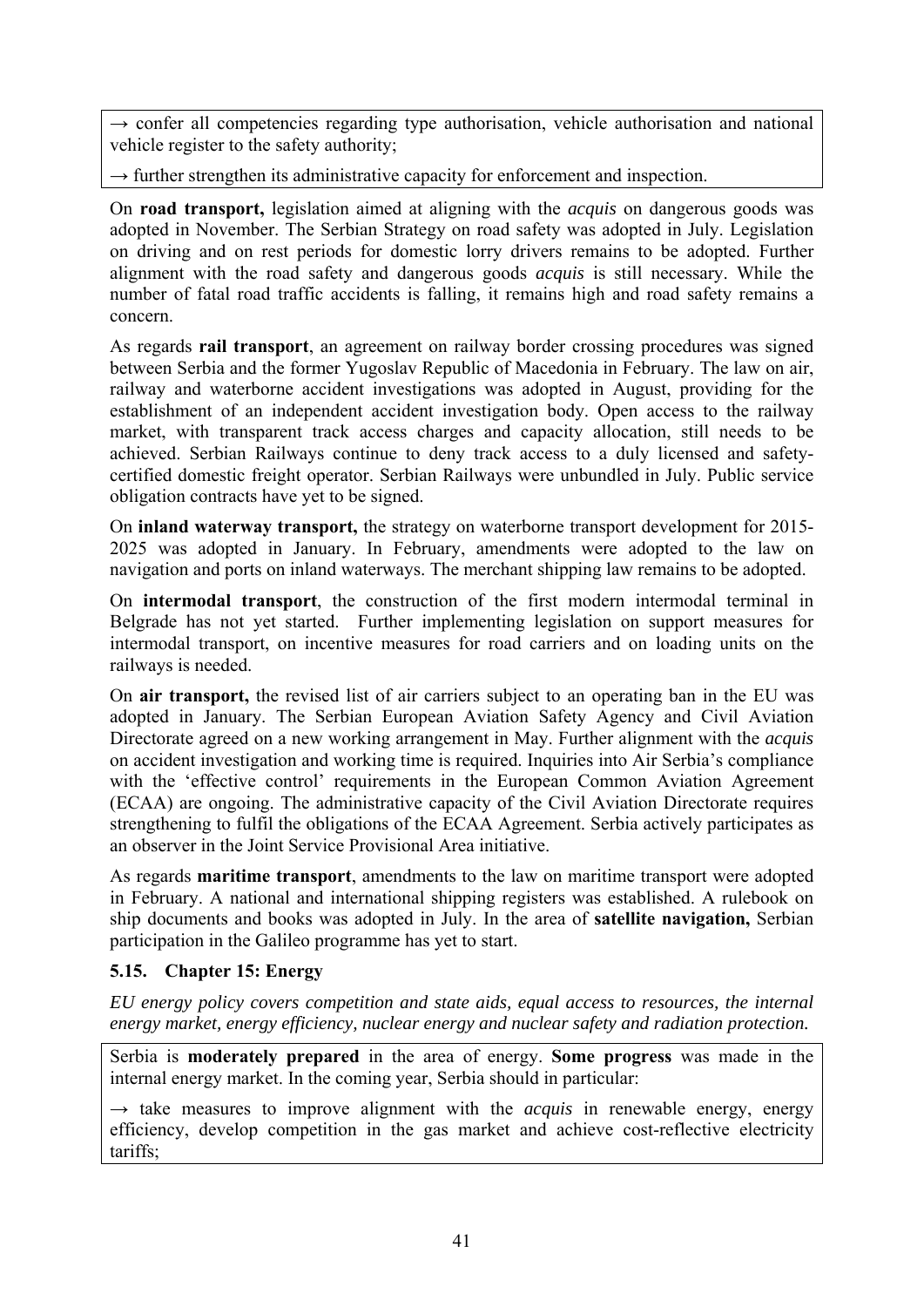$\rightarrow$  confer all competencies regarding type authorisation, vehicle authorisation and national vehicle register to the safety authority;

 $\rightarrow$  further strengthen its administrative capacity for enforcement and inspection.

On **road transport,** legislation aimed at aligning with the *acquis* on dangerous goods was adopted in November. The Serbian Strategy on road safety was adopted in July. Legislation on driving and on rest periods for domestic lorry drivers remains to be adopted. Further alignment with the road safety and dangerous goods *acquis* is still necessary. While the number of fatal road traffic accidents is falling, it remains high and road safety remains a concern.

As regards **rail transport**, an agreement on railway border crossing procedures was signed between Serbia and the former Yugoslav Republic of Macedonia in February. The law on air, railway and waterborne accident investigations was adopted in August, providing for the establishment of an independent accident investigation body. Open access to the railway market, with transparent track access charges and capacity allocation, still needs to be achieved. Serbian Railways continue to deny track access to a duly licensed and safetycertified domestic freight operator. Serbian Railways were unbundled in July. Public service obligation contracts have yet to be signed.

On **inland waterway transport,** the strategy on waterborne transport development for 2015- 2025 was adopted in January. In February, amendments were adopted to the law on navigation and ports on inland waterways. The merchant shipping law remains to be adopted.

On **intermodal transport**, the construction of the first modern intermodal terminal in Belgrade has not yet started. Further implementing legislation on support measures for intermodal transport, on incentive measures for road carriers and on loading units on the railways is needed.

On **air transport,** the revised list of air carriers subject to an operating ban in the EU was adopted in January. The Serbian European Aviation Safety Agency and Civil Aviation Directorate agreed on a new working arrangement in May. Further alignment with the *acquis*  on accident investigation and working time is required. Inquiries into Air Serbia's compliance with the 'effective control' requirements in the European Common Aviation Agreement (ECAA) are ongoing. The administrative capacity of the Civil Aviation Directorate requires strengthening to fulfil the obligations of the ECAA Agreement. Serbia actively participates as an observer in the Joint Service Provisional Area initiative.

As regards **maritime transport**, amendments to the law on maritime transport were adopted in February. A national and international shipping registers was established. A rulebook on ship documents and books was adopted in July. In the area of **satellite navigation,** Serbian participation in the Galileo programme has yet to start.

# **5.15. Chapter 15: Energy**

*EU energy policy covers competition and state aids, equal access to resources, the internal energy market, energy efficiency, nuclear energy and nuclear safety and radiation protection.* 

Serbia is **moderately prepared** in the area of energy. **Some progress** was made in the internal energy market. In the coming year, Serbia should in particular:

 $\rightarrow$  take measures to improve alignment with the *acquis* in renewable energy, energy efficiency, develop competition in the gas market and achieve cost-reflective electricity tariffs;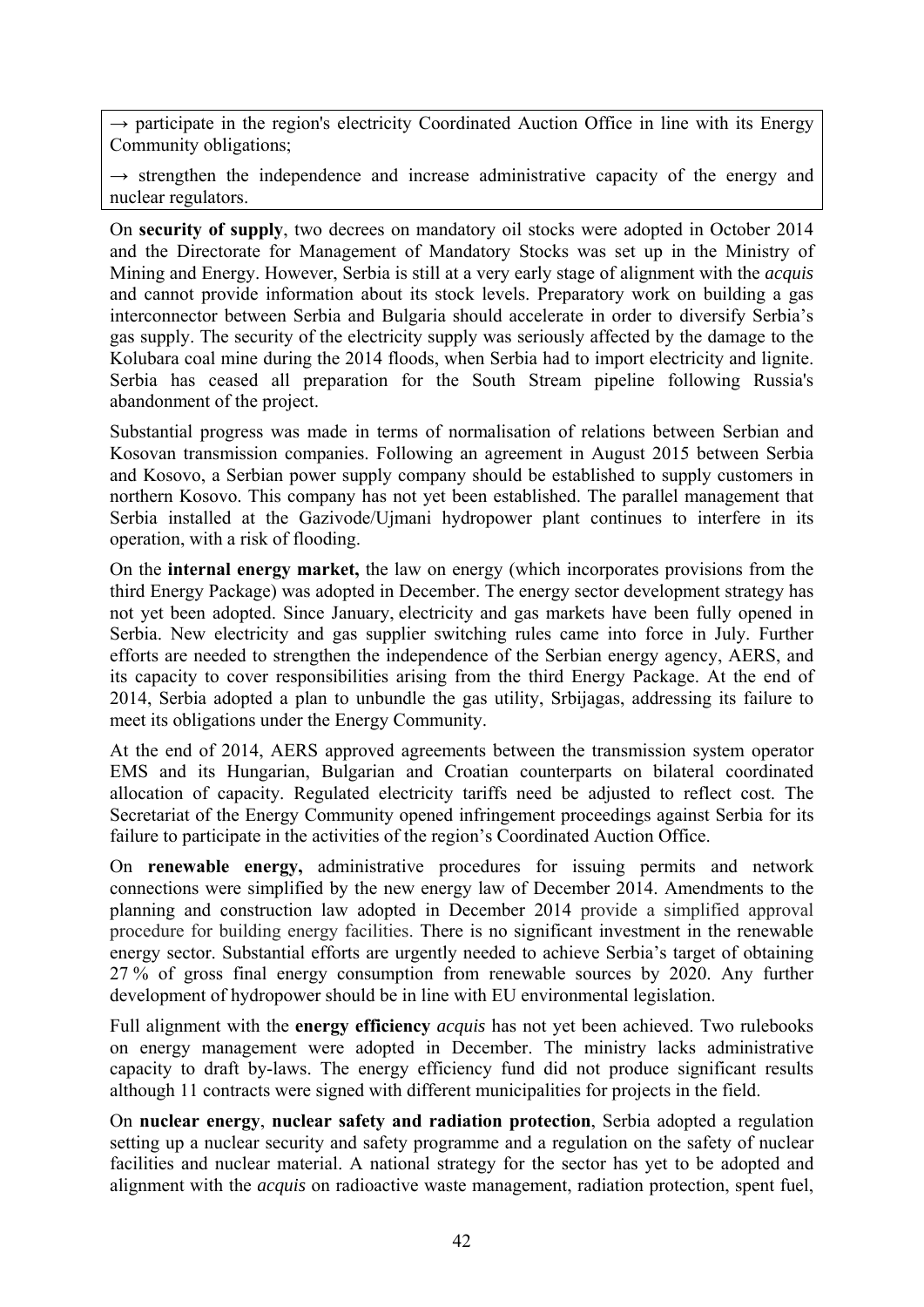$\rightarrow$  participate in the region's electricity Coordinated Auction Office in line with its Energy Community obligations;

 $\rightarrow$  strengthen the independence and increase administrative capacity of the energy and nuclear regulators.

On **security of supply**, two decrees on mandatory oil stocks were adopted in October 2014 and the Directorate for Management of Mandatory Stocks was set up in the Ministry of Mining and Energy. However, Serbia is still at a very early stage of alignment with the *acquis*  and cannot provide information about its stock levels. Preparatory work on building a gas interconnector between Serbia and Bulgaria should accelerate in order to diversify Serbia's gas supply. The security of the electricity supply was seriously affected by the damage to the Kolubara coal mine during the 2014 floods, when Serbia had to import electricity and lignite. Serbia has ceased all preparation for the South Stream pipeline following Russia's abandonment of the project.

Substantial progress was made in terms of normalisation of relations between Serbian and Kosovan transmission companies. Following an agreement in August 2015 between Serbia and Kosovo, a Serbian power supply company should be established to supply customers in northern Kosovo. This company has not yet been established. The parallel management that Serbia installed at the Gazivode/Ujmani hydropower plant continues to interfere in its operation, with a risk of flooding.

On the **internal energy market,** the law on energy (which incorporates provisions from the third Energy Package) was adopted in December. The energy sector development strategy has not yet been adopted. Since January, electricity and gas markets have been fully opened in Serbia. New electricity and gas supplier switching rules came into force in July. Further efforts are needed to strengthen the independence of the Serbian energy agency, AERS, and its capacity to cover responsibilities arising from the third Energy Package. At the end of 2014, Serbia adopted a plan to unbundle the gas utility, Srbijagas, addressing its failure to meet its obligations under the Energy Community.

At the end of 2014, AERS approved agreements between the transmission system operator EMS and its Hungarian, Bulgarian and Croatian counterparts on bilateral coordinated allocation of capacity. Regulated electricity tariffs need be adjusted to reflect cost. The Secretariat of the Energy Community opened infringement proceedings against Serbia for its failure to participate in the activities of the region's Coordinated Auction Office.

On **renewable energy,** administrative procedures for issuing permits and network connections were simplified by the new energy law of December 2014. Amendments to the planning and construction law adopted in December 2014 provide a simplified approval procedure for building energy facilities. There is no significant investment in the renewable energy sector. Substantial efforts are urgently needed to achieve Serbia's target of obtaining 27 % of gross final energy consumption from renewable sources by 2020. Any further development of hydropower should be in line with EU environmental legislation.

Full alignment with the **energy efficiency** *acquis* has not yet been achieved. Two rulebooks on energy management were adopted in December. The ministry lacks administrative capacity to draft by-laws. The energy efficiency fund did not produce significant results although 11 contracts were signed with different municipalities for projects in the field.

On **nuclear energy**, **nuclear safety and radiation protection**, Serbia adopted a regulation setting up a nuclear security and safety programme and a regulation on the safety of nuclear facilities and nuclear material. A national strategy for the sector has yet to be adopted and alignment with the *acquis* on radioactive waste management, radiation protection, spent fuel,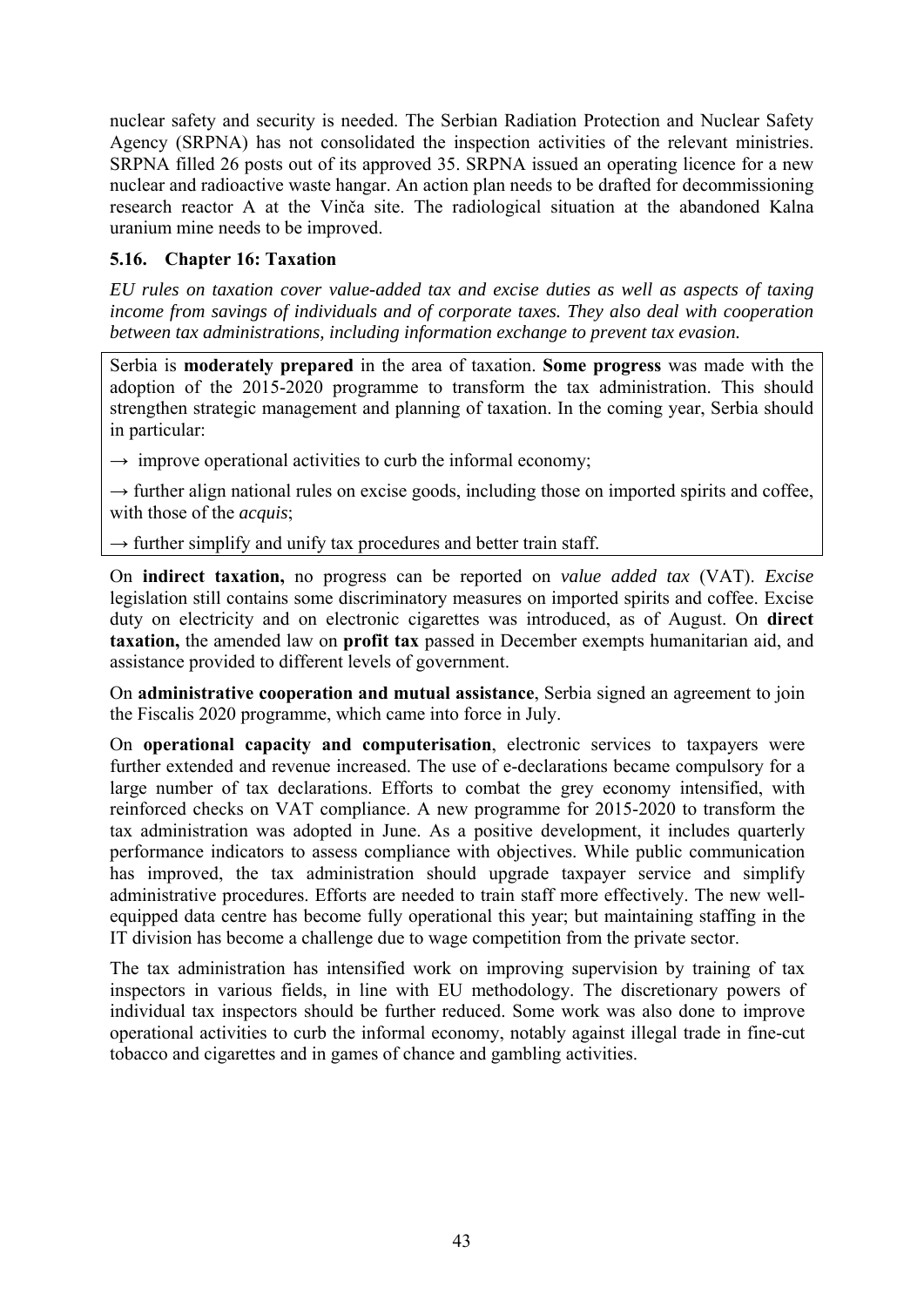nuclear safety and security is needed. The Serbian Radiation Protection and Nuclear Safety Agency (SRPNA) has not consolidated the inspection activities of the relevant ministries. SRPNA filled 26 posts out of its approved 35. SRPNA issued an operating licence for a new nuclear and radioactive waste hangar. An action plan needs to be drafted for decommissioning research reactor A at the Vinča site. The radiological situation at the abandoned Kalna uranium mine needs to be improved.

## **5.16. Chapter 16: Taxation**

*EU rules on taxation cover value-added tax and excise duties as well as aspects of taxing income from savings of individuals and of corporate taxes. They also deal with cooperation between tax administrations, including information exchange to prevent tax evasion.* 

Serbia is **moderately prepared** in the area of taxation. **Some progress** was made with the adoption of the 2015-2020 programme to transform the tax administration. This should strengthen strategic management and planning of taxation. In the coming year, Serbia should in particular:

 $\rightarrow$  improve operational activities to curb the informal economy;

 $\rightarrow$  further align national rules on excise goods, including those on imported spirits and coffee, with those of the *acquis*;

 $\rightarrow$  further simplify and unify tax procedures and better train staff.

On **indirect taxation,** no progress can be reported on *value added tax* (VAT). *Excise* legislation still contains some discriminatory measures on imported spirits and coffee. Excise duty on electricity and on electronic cigarettes was introduced, as of August. On **direct taxation,** the amended law on **profit tax** passed in December exempts humanitarian aid, and assistance provided to different levels of government.

On **administrative cooperation and mutual assistance**, Serbia signed an agreement to join the Fiscalis 2020 programme, which came into force in July.

On **operational capacity and computerisation**, electronic services to taxpayers were further extended and revenue increased. The use of e-declarations became compulsory for a large number of tax declarations. Efforts to combat the grey economy intensified, with reinforced checks on VAT compliance. A new programme for 2015-2020 to transform the tax administration was adopted in June. As a positive development, it includes quarterly performance indicators to assess compliance with objectives. While public communication has improved, the tax administration should upgrade taxpayer service and simplify administrative procedures. Efforts are needed to train staff more effectively. The new wellequipped data centre has become fully operational this year; but maintaining staffing in the IT division has become a challenge due to wage competition from the private sector.

The tax administration has intensified work on improving supervision by training of tax inspectors in various fields, in line with EU methodology. The discretionary powers of individual tax inspectors should be further reduced. Some work was also done to improve operational activities to curb the informal economy, notably against illegal trade in fine-cut tobacco and cigarettes and in games of chance and gambling activities.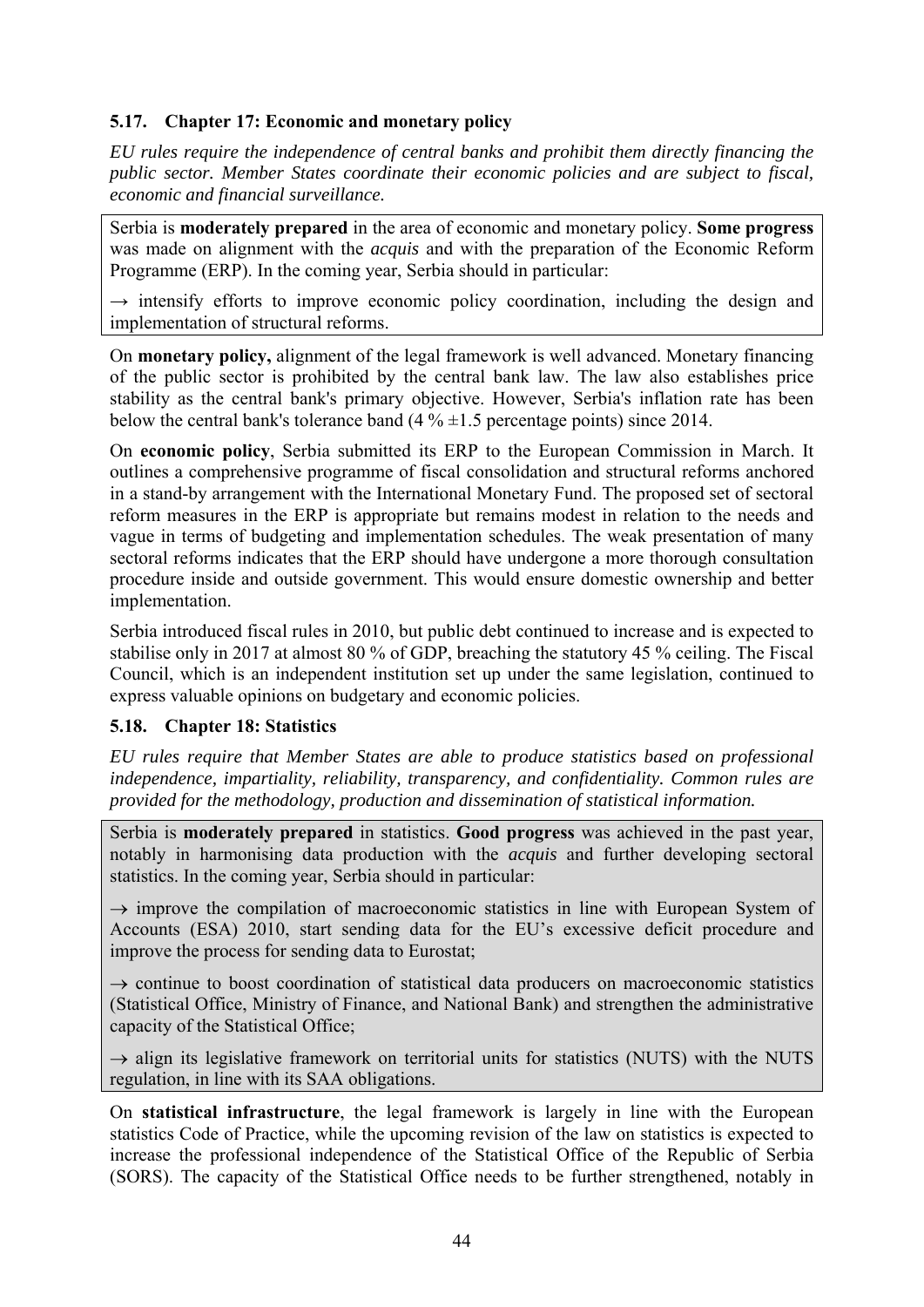## **5.17. Chapter 17: Economic and monetary policy**

*EU rules require the independence of central banks and prohibit them directly financing the public sector. Member States coordinate their economic policies and are subject to fiscal, economic and financial surveillance.* 

Serbia is **moderately prepared** in the area of economic and monetary policy. **Some progress** was made on alignment with the *acquis* and with the preparation of the Economic Reform Programme (ERP). In the coming year, Serbia should in particular:

 $\rightarrow$  intensify efforts to improve economic policy coordination, including the design and implementation of structural reforms.

On **monetary policy,** alignment of the legal framework is well advanced. Monetary financing of the public sector is prohibited by the central bank law. The law also establishes price stability as the central bank's primary objective. However, Serbia's inflation rate has been below the central bank's tolerance band  $(4\% \pm 1.5)$  percentage points) since 2014.

On **economic policy**, Serbia submitted its ERP to the European Commission in March. It outlines a comprehensive programme of fiscal consolidation and structural reforms anchored in a stand-by arrangement with the International Monetary Fund. The proposed set of sectoral reform measures in the ERP is appropriate but remains modest in relation to the needs and vague in terms of budgeting and implementation schedules. The weak presentation of many sectoral reforms indicates that the ERP should have undergone a more thorough consultation procedure inside and outside government. This would ensure domestic ownership and better implementation.

Serbia introduced fiscal rules in 2010, but public debt continued to increase and is expected to stabilise only in 2017 at almost 80 % of GDP, breaching the statutory 45 % ceiling. The Fiscal Council, which is an independent institution set up under the same legislation, continued to express valuable opinions on budgetary and economic policies.

## **5.18. Chapter 18: Statistics**

*EU rules require that Member States are able to produce statistics based on professional independence, impartiality, reliability, transparency, and confidentiality. Common rules are provided for the methodology, production and dissemination of statistical information.* 

Serbia is **moderately prepared** in statistics. **Good progress** was achieved in the past year, notably in harmonising data production with the *acquis* and further developing sectoral statistics. In the coming year, Serbia should in particular:

 $\rightarrow$  improve the compilation of macroeconomic statistics in line with European System of Accounts (ESA) 2010, start sending data for the EU's excessive deficit procedure and improve the process for sending data to Eurostat;

 $\rightarrow$  continue to boost coordination of statistical data producers on macroeconomic statistics (Statistical Office, Ministry of Finance, and National Bank) and strengthen the administrative capacity of the Statistical Office;

 $\rightarrow$  align its legislative framework on territorial units for statistics (NUTS) with the NUTS regulation, in line with its SAA obligations.

On **statistical infrastructure**, the legal framework is largely in line with the European statistics Code of Practice, while the upcoming revision of the law on statistics is expected to increase the professional independence of the Statistical Office of the Republic of Serbia (SORS). The capacity of the Statistical Office needs to be further strengthened, notably in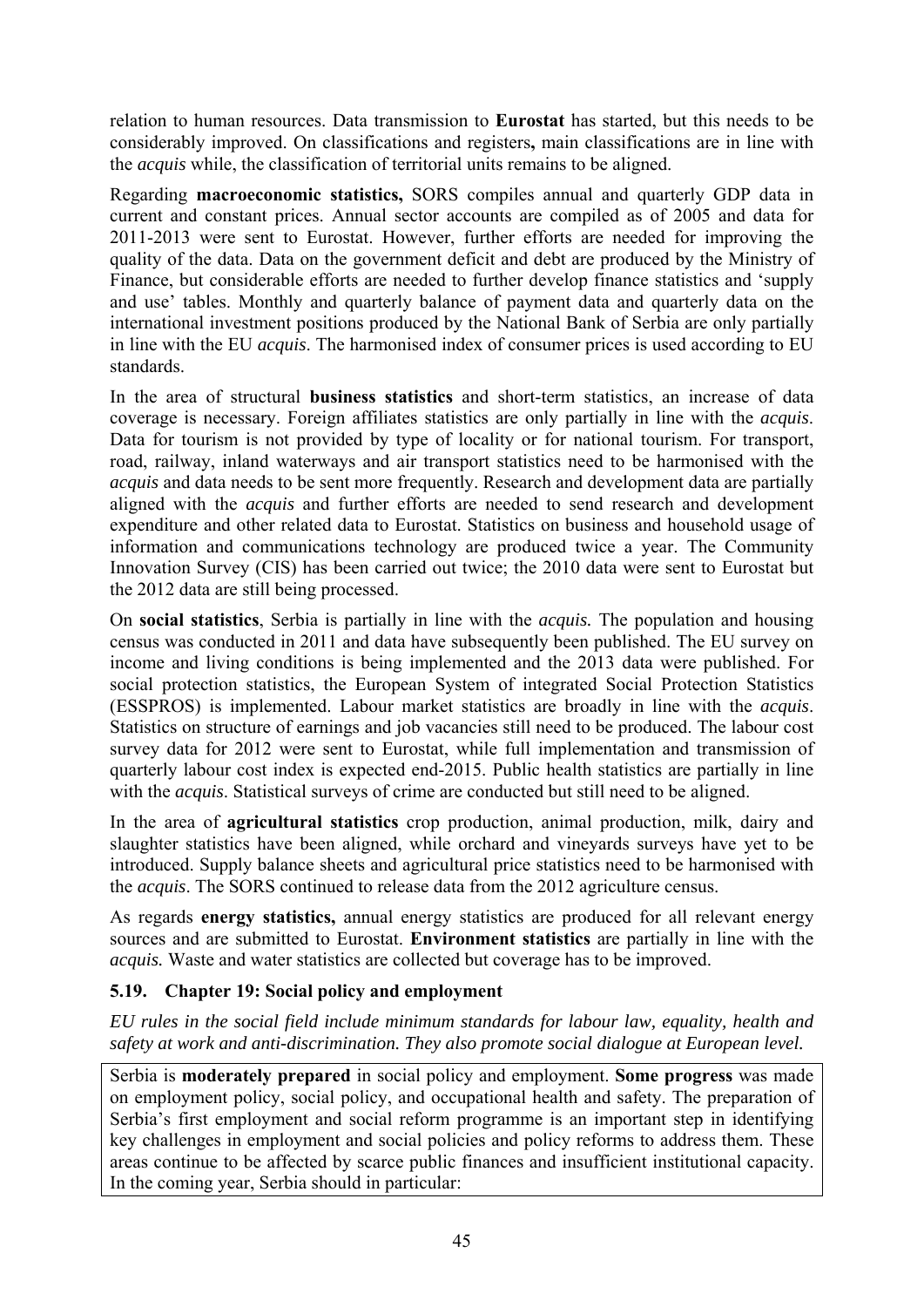relation to human resources. Data transmission to **Eurostat** has started, but this needs to be considerably improved. On classifications and registers**,** main classifications are in line with the *acquis* while, the classification of territorial units remains to be aligned.

Regarding **macroeconomic statistics,** SORS compiles annual and quarterly GDP data in current and constant prices. Annual sector accounts are compiled as of 2005 and data for 2011-2013 were sent to Eurostat. However, further efforts are needed for improving the quality of the data. Data on the government deficit and debt are produced by the Ministry of Finance, but considerable efforts are needed to further develop finance statistics and 'supply and use' tables. Monthly and quarterly balance of payment data and quarterly data on the international investment positions produced by the National Bank of Serbia are only partially in line with the EU *acquis*. The harmonised index of consumer prices is used according to EU standards.

In the area of structural **business statistics** and short-term statistics, an increase of data coverage is necessary. Foreign affiliates statistics are only partially in line with the *acquis*. Data for tourism is not provided by type of locality or for national tourism. For transport, road, railway, inland waterways and air transport statistics need to be harmonised with the *acquis* and data needs to be sent more frequently. Research and development data are partially aligned with the *acquis* and further efforts are needed to send research and development expenditure and other related data to Eurostat. Statistics on business and household usage of information and communications technology are produced twice a year. The Community Innovation Survey (CIS) has been carried out twice; the 2010 data were sent to Eurostat but the 2012 data are still being processed.

On **social statistics**, Serbia is partially in line with the *acquis.* The population and housing census was conducted in 2011 and data have subsequently been published. The EU survey on income and living conditions is being implemented and the 2013 data were published. For social protection statistics, the European System of integrated Social Protection Statistics (ESSPROS) is implemented. Labour market statistics are broadly in line with the *acquis*. Statistics on structure of earnings and job vacancies still need to be produced. The labour cost survey data for 2012 were sent to Eurostat, while full implementation and transmission of quarterly labour cost index is expected end-2015. Public health statistics are partially in line with the *acquis*. Statistical surveys of crime are conducted but still need to be aligned.

In the area of **agricultural statistics** crop production, animal production, milk, dairy and slaughter statistics have been aligned, while orchard and vineyards surveys have yet to be introduced. Supply balance sheets and agricultural price statistics need to be harmonised with the *acquis*. The SORS continued to release data from the 2012 agriculture census.

As regards **energy statistics,** annual energy statistics are produced for all relevant energy sources and are submitted to Eurostat. **Environment statistics** are partially in line with the *acquis.* Waste and water statistics are collected but coverage has to be improved.

# **5.19. Chapter 19: Social policy and employment**

*EU rules in the social field include minimum standards for labour law, equality, health and safety at work and anti-discrimination. They also promote social dialogue at European level.* 

Serbia is **moderately prepared** in social policy and employment. **Some progress** was made on employment policy, social policy, and occupational health and safety. The preparation of Serbia's first employment and social reform programme is an important step in identifying key challenges in employment and social policies and policy reforms to address them. These areas continue to be affected by scarce public finances and insufficient institutional capacity. In the coming year, Serbia should in particular: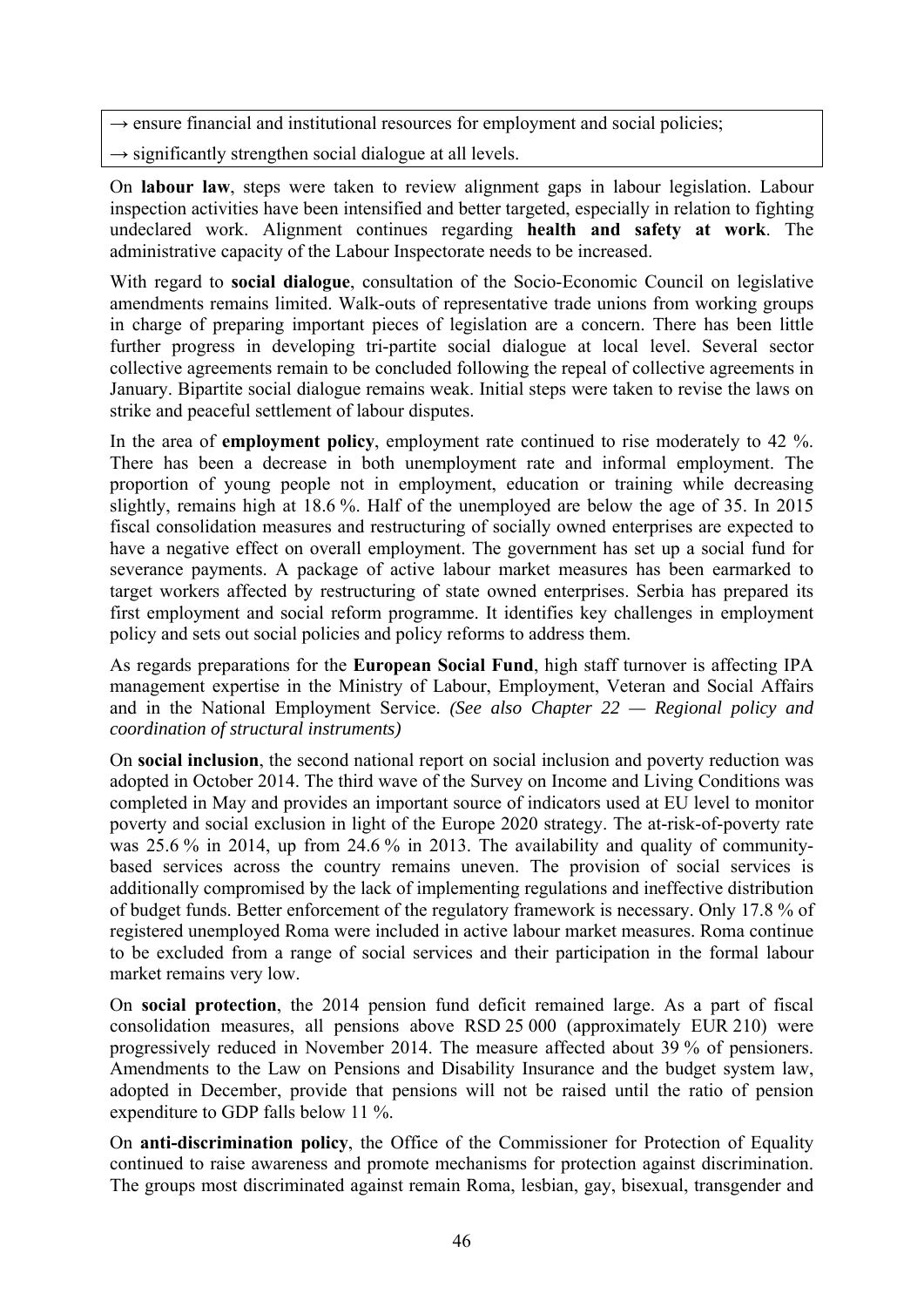- $\rightarrow$  ensure financial and institutional resources for employment and social policies;
- $\rightarrow$  significantly strengthen social dialogue at all levels.

On **labour law**, steps were taken to review alignment gaps in labour legislation. Labour inspection activities have been intensified and better targeted, especially in relation to fighting undeclared work. Alignment continues regarding **health and safety at work**. The administrative capacity of the Labour Inspectorate needs to be increased.

With regard to **social dialogue**, consultation of the Socio-Economic Council on legislative amendments remains limited. Walk-outs of representative trade unions from working groups in charge of preparing important pieces of legislation are a concern. There has been little further progress in developing tri-partite social dialogue at local level. Several sector collective agreements remain to be concluded following the repeal of collective agreements in January. Bipartite social dialogue remains weak. Initial steps were taken to revise the laws on strike and peaceful settlement of labour disputes.

In the area of **employment policy**, employment rate continued to rise moderately to 42 %. There has been a decrease in both unemployment rate and informal employment. The proportion of young people not in employment, education or training while decreasing slightly, remains high at 18.6 %. Half of the unemployed are below the age of 35. In 2015 fiscal consolidation measures and restructuring of socially owned enterprises are expected to have a negative effect on overall employment. The government has set up a social fund for severance payments. A package of active labour market measures has been earmarked to target workers affected by restructuring of state owned enterprises. Serbia has prepared its first employment and social reform programme. It identifies key challenges in employment policy and sets out social policies and policy reforms to address them.

As regards preparations for the **European Social Fund**, high staff turnover is affecting IPA management expertise in the Ministry of Labour, Employment, Veteran and Social Affairs and in the National Employment Service. *(See also Chapter 22 — Regional policy and coordination of structural instruments)*

On **social inclusion**, the second national report on social inclusion and poverty reduction was adopted in October 2014. The third wave of the Survey on Income and Living Conditions was completed in May and provides an important source of indicators used at EU level to monitor poverty and social exclusion in light of the Europe 2020 strategy. The at-risk-of-poverty rate was 25.6 % in 2014, up from 24.6 % in 2013. The availability and quality of communitybased services across the country remains uneven. The provision of social services is additionally compromised by the lack of implementing regulations and ineffective distribution of budget funds. Better enforcement of the regulatory framework is necessary. Only 17.8 % of registered unemployed Roma were included in active labour market measures. Roma continue to be excluded from a range of social services and their participation in the formal labour market remains very low.

On **social protection**, the 2014 pension fund deficit remained large. As a part of fiscal consolidation measures, all pensions above RSD 25 000 (approximately EUR 210) were progressively reduced in November 2014. The measure affected about 39 % of pensioners. Amendments to the Law on Pensions and Disability Insurance and the budget system law, adopted in December, provide that pensions will not be raised until the ratio of pension expenditure to GDP falls below 11 %.

On **anti-discrimination policy**, the Office of the Commissioner for Protection of Equality continued to raise awareness and promote mechanisms for protection against discrimination. The groups most discriminated against remain Roma, lesbian, gay, bisexual, transgender and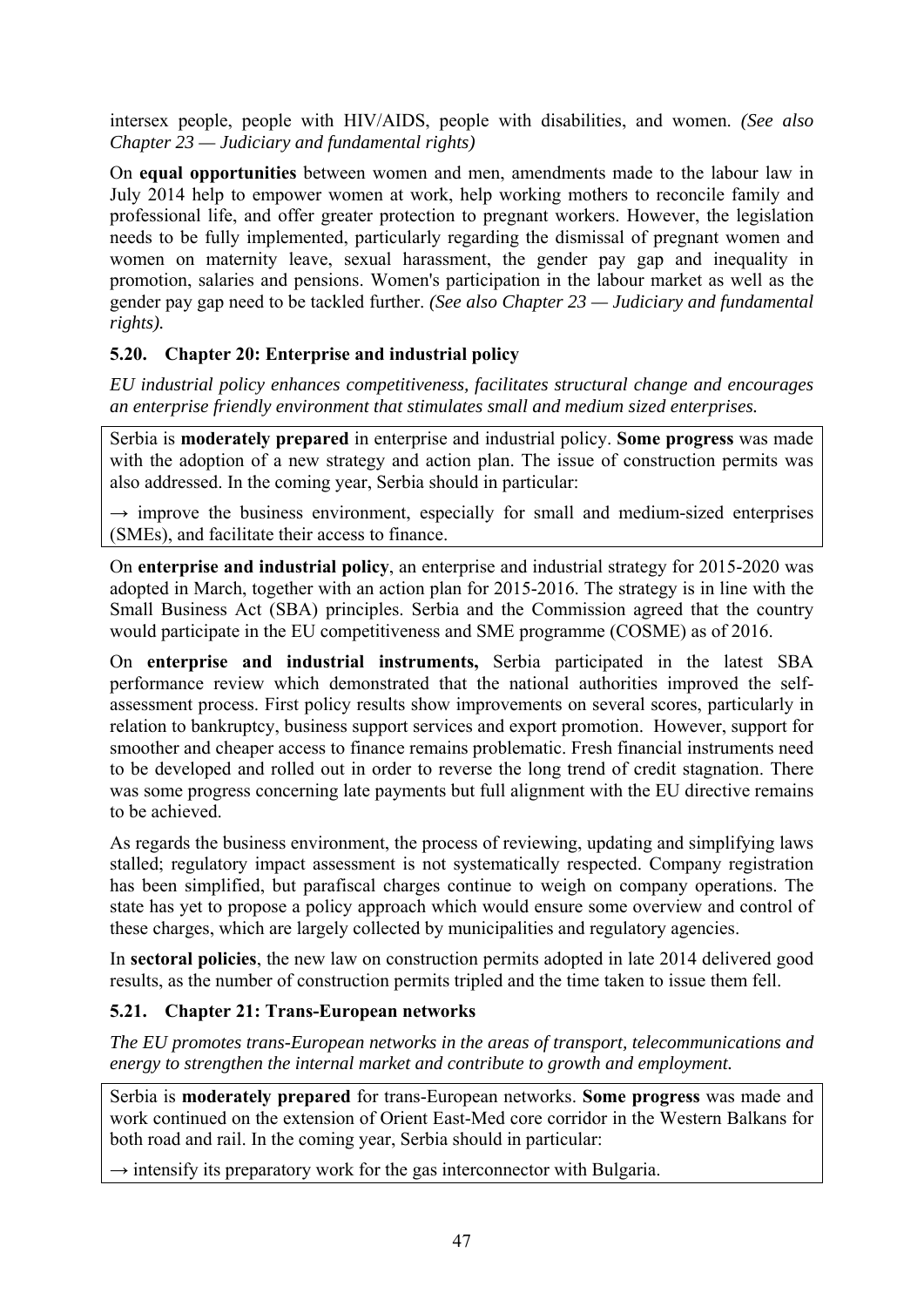intersex people, people with HIV/AIDS, people with disabilities, and women. *(See also Chapter 23 — Judiciary and fundamental rights)* 

On **equal opportunities** between women and men, amendments made to the labour law in July 2014 help to empower women at work, help working mothers to reconcile family and professional life, and offer greater protection to pregnant workers. However, the legislation needs to be fully implemented, particularly regarding the dismissal of pregnant women and women on maternity leave, sexual harassment, the gender pay gap and inequality in promotion, salaries and pensions. Women's participation in the labour market as well as the gender pay gap need to be tackled further. *(See also Chapter 23 — Judiciary and fundamental rights).* 

## **5.20. Chapter 20: Enterprise and industrial policy**

*EU industrial policy enhances competitiveness, facilitates structural change and encourages an enterprise friendly environment that stimulates small and medium sized enterprises.* 

Serbia is **moderately prepared** in enterprise and industrial policy. **Some progress** was made with the adoption of a new strategy and action plan. The issue of construction permits was also addressed. In the coming year, Serbia should in particular:

 $\rightarrow$  improve the business environment, especially for small and medium-sized enterprises (SMEs), and facilitate their access to finance.

On **enterprise and industrial policy**, an enterprise and industrial strategy for 2015-2020 was adopted in March, together with an action plan for 2015-2016. The strategy is in line with the Small Business Act (SBA) principles. Serbia and the Commission agreed that the country would participate in the EU competitiveness and SME programme (COSME) as of 2016.

On **enterprise and industrial instruments,** Serbia participated in the latest SBA performance review which demonstrated that the national authorities improved the selfassessment process. First policy results show improvements on several scores, particularly in relation to bankruptcy, business support services and export promotion. However, support for smoother and cheaper access to finance remains problematic. Fresh financial instruments need to be developed and rolled out in order to reverse the long trend of credit stagnation. There was some progress concerning late payments but full alignment with the EU directive remains to be achieved.

As regards the business environment, the process of reviewing, updating and simplifying laws stalled; regulatory impact assessment is not systematically respected. Company registration has been simplified, but parafiscal charges continue to weigh on company operations. The state has yet to propose a policy approach which would ensure some overview and control of these charges, which are largely collected by municipalities and regulatory agencies.

In **sectoral policies**, the new law on construction permits adopted in late 2014 delivered good results, as the number of construction permits tripled and the time taken to issue them fell.

# **5.21. Chapter 21: Trans-European networks**

*The EU promotes trans-European networks in the areas of transport, telecommunications and energy to strengthen the internal market and contribute to growth and employment.* 

Serbia is **moderately prepared** for trans-European networks. **Some progress** was made and work continued on the extension of Orient East-Med core corridor in the Western Balkans for both road and rail. In the coming year, Serbia should in particular:

 $\rightarrow$  intensify its preparatory work for the gas interconnector with Bulgaria.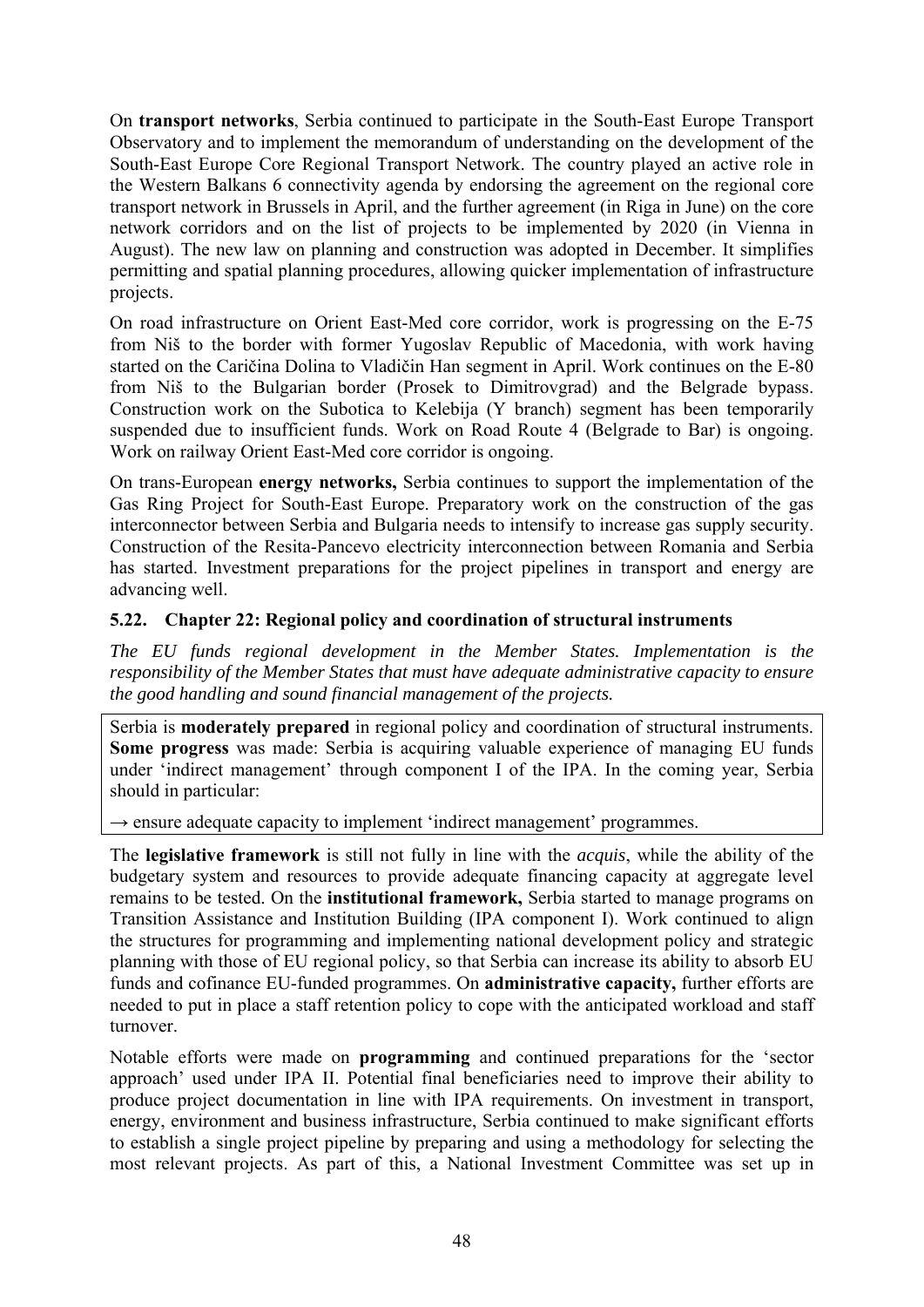On **transport networks**, Serbia continued to participate in the South-East Europe Transport Observatory and to implement the memorandum of understanding on the development of the South-East Europe Core Regional Transport Network. The country played an active role in the Western Balkans 6 connectivity agenda by endorsing the agreement on the regional core transport network in Brussels in April, and the further agreement (in Riga in June) on the core network corridors and on the list of projects to be implemented by 2020 (in Vienna in August). The new law on planning and construction was adopted in December. It simplifies permitting and spatial planning procedures, allowing quicker implementation of infrastructure projects.

On road infrastructure on Orient East-Med core corridor, work is progressing on the E-75 from Niš to the border with former Yugoslav Republic of Macedonia, with work having started on the Caričina Dolina to Vladičin Han segment in April. Work continues on the E-80 from Niš to the Bulgarian border (Prosek to Dimitrovgrad) and the Belgrade bypass. Construction work on the Subotica to Kelebija (Y branch) segment has been temporarily suspended due to insufficient funds. Work on Road Route 4 (Belgrade to Bar) is ongoing. Work on railway Orient East-Med core corridor is ongoing.

On trans-European **energy networks,** Serbia continues to support the implementation of the Gas Ring Project for South-East Europe. Preparatory work on the construction of the gas interconnector between Serbia and Bulgaria needs to intensify to increase gas supply security. Construction of the Resita-Pancevo electricity interconnection between Romania and Serbia has started. Investment preparations for the project pipelines in transport and energy are advancing well.

## **5.22. Chapter 22: Regional policy and coordination of structural instruments**

*The EU funds regional development in the Member States. Implementation is the responsibility of the Member States that must have adequate administrative capacity to ensure the good handling and sound financial management of the projects.* 

Serbia is **moderately prepared** in regional policy and coordination of structural instruments. **Some progress** was made: Serbia is acquiring valuable experience of managing EU funds under 'indirect management' through component I of the IPA. In the coming year, Serbia should in particular:

→ ensure adequate capacity to implement 'indirect management' programmes.

The **legislative framework** is still not fully in line with the *acquis*, while the ability of the budgetary system and resources to provide adequate financing capacity at aggregate level remains to be tested. On the **institutional framework,** Serbia started to manage programs on Transition Assistance and Institution Building (IPA component I). Work continued to align the structures for programming and implementing national development policy and strategic planning with those of EU regional policy, so that Serbia can increase its ability to absorb EU funds and cofinance EU-funded programmes. On **administrative capacity,** further efforts are needed to put in place a staff retention policy to cope with the anticipated workload and staff turnover.

Notable efforts were made on **programming** and continued preparations for the 'sector approach' used under IPA II. Potential final beneficiaries need to improve their ability to produce project documentation in line with IPA requirements. On investment in transport, energy, environment and business infrastructure, Serbia continued to make significant efforts to establish a single project pipeline by preparing and using a methodology for selecting the most relevant projects. As part of this, a National Investment Committee was set up in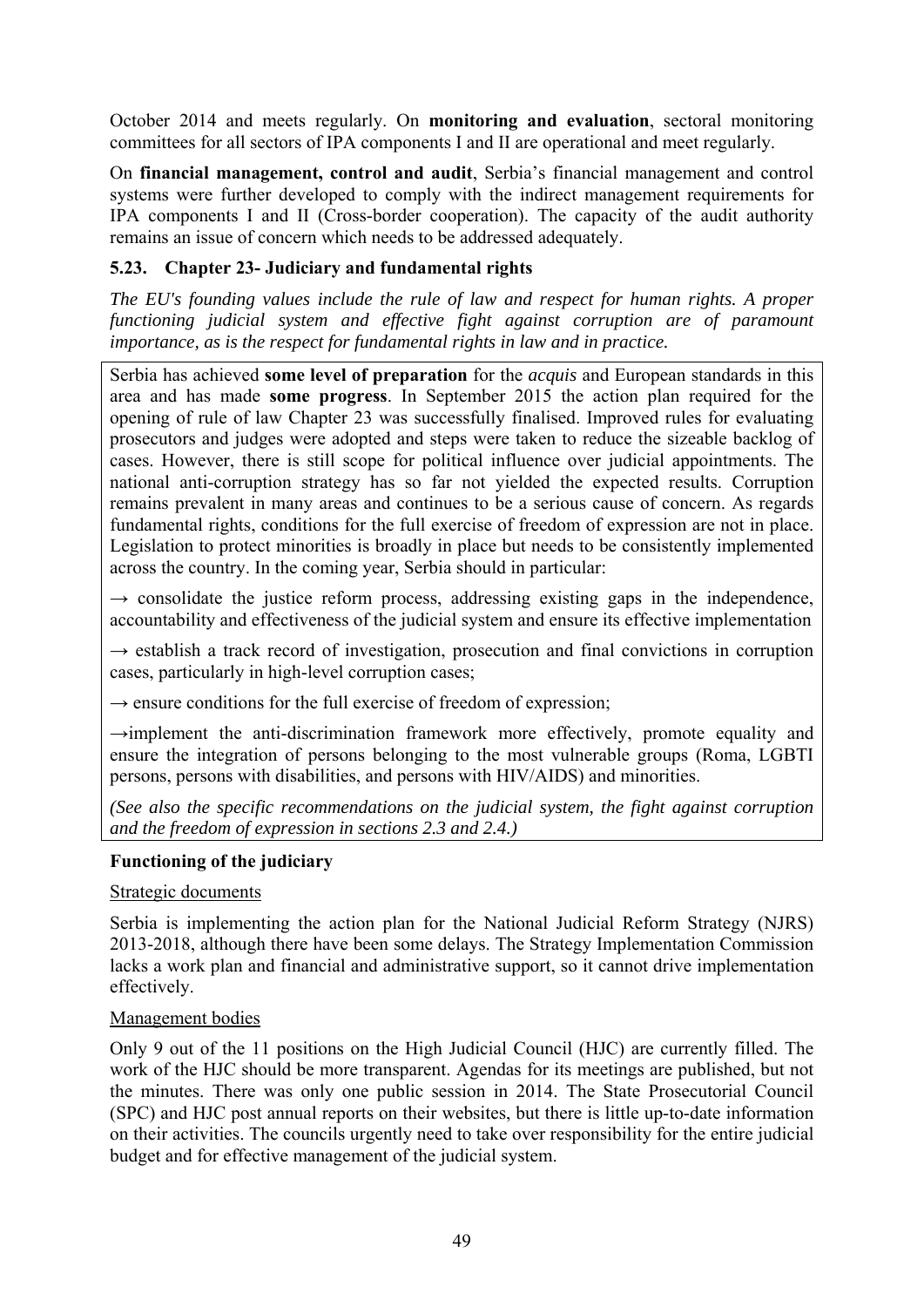October 2014 and meets regularly. On **monitoring and evaluation**, sectoral monitoring committees for all sectors of IPA components I and II are operational and meet regularly.

On **financial management, control and audit**, Serbia's financial management and control systems were further developed to comply with the indirect management requirements for IPA components I and II (Cross-border cooperation). The capacity of the audit authority remains an issue of concern which needs to be addressed adequately.

## **5.23. Chapter 23- Judiciary and fundamental rights**

*The EU's founding values include the rule of law and respect for human rights. A proper functioning judicial system and effective fight against corruption are of paramount importance, as is the respect for fundamental rights in law and in practice.* 

Serbia has achieved **some level of preparation** for the *acquis* and European standards in this area and has made **some progress**. In September 2015 the action plan required for the opening of rule of law Chapter 23 was successfully finalised. Improved rules for evaluating prosecutors and judges were adopted and steps were taken to reduce the sizeable backlog of cases. However, there is still scope for political influence over judicial appointments. The national anti-corruption strategy has so far not yielded the expected results. Corruption remains prevalent in many areas and continues to be a serious cause of concern. As regards fundamental rights, conditions for the full exercise of freedom of expression are not in place. Legislation to protect minorities is broadly in place but needs to be consistently implemented across the country. In the coming year, Serbia should in particular:

 $\rightarrow$  consolidate the justice reform process, addressing existing gaps in the independence, accountability and effectiveness of the judicial system and ensure its effective implementation

 $\rightarrow$  establish a track record of investigation, prosecution and final convictions in corruption cases, particularly in high-level corruption cases;

 $\rightarrow$  ensure conditions for the full exercise of freedom of expression;

**→**implement the anti-discrimination framework more effectively, promote equality and ensure the integration of persons belonging to the most vulnerable groups (Roma, LGBTI persons, persons with disabilities, and persons with HIV/AIDS) and minorities.

*(See also the specific recommendations on the judicial system, the fight against corruption and the freedom of expression in sections 2.3 and 2.4.)*

## **Functioning of the judiciary**

## Strategic documents

Serbia is implementing the action plan for the National Judicial Reform Strategy (NJRS) 2013-2018, although there have been some delays. The Strategy Implementation Commission lacks a work plan and financial and administrative support, so it cannot drive implementation effectively.

## Management bodies

Only 9 out of the 11 positions on the High Judicial Council (HJC) are currently filled. The work of the HJC should be more transparent. Agendas for its meetings are published, but not the minutes. There was only one public session in 2014. The State Prosecutorial Council (SPC) and HJC post annual reports on their websites, but there is little up-to-date information on their activities. The councils urgently need to take over responsibility for the entire judicial budget and for effective management of the judicial system.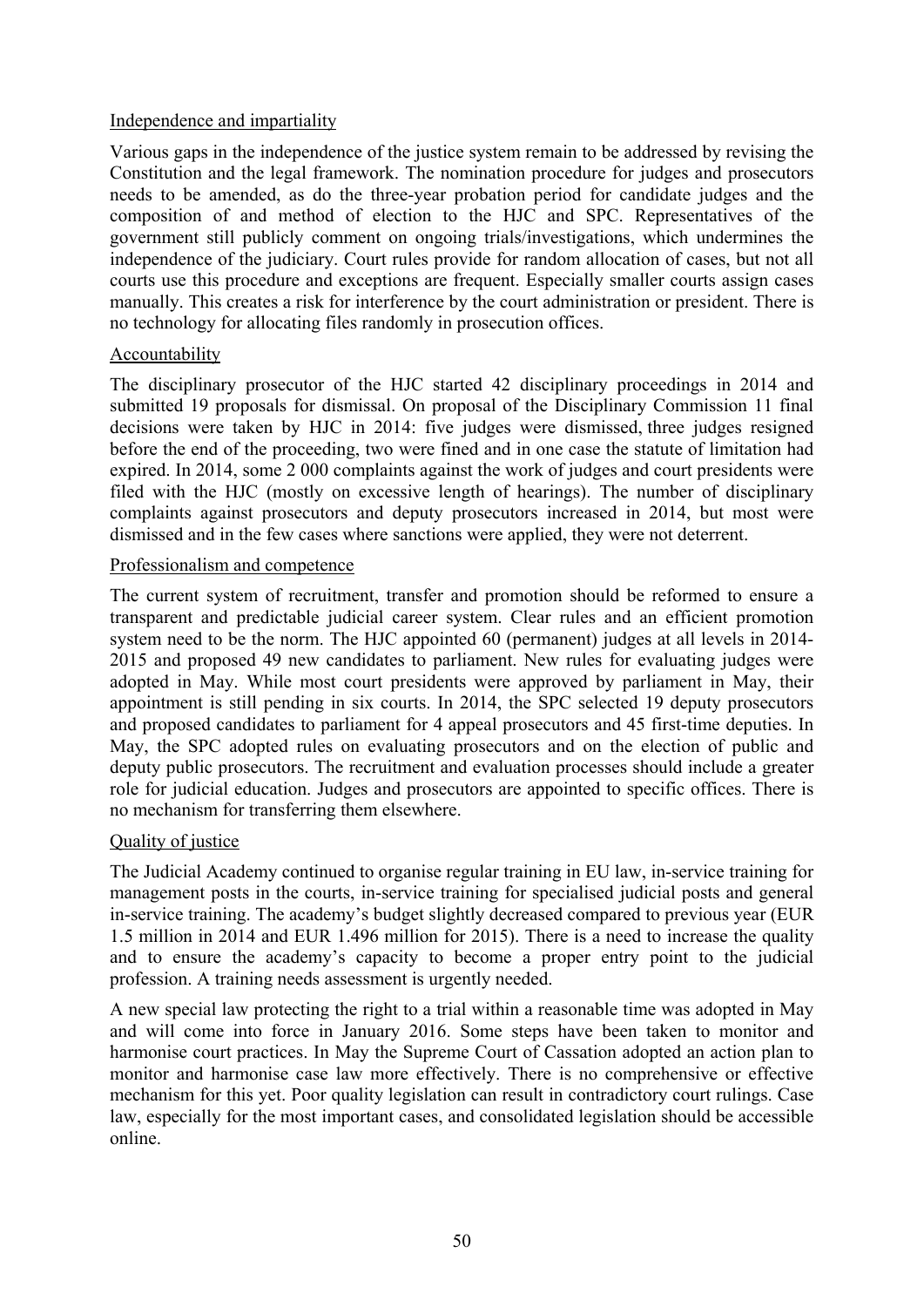### Independence and impartiality

Various gaps in the independence of the justice system remain to be addressed by revising the Constitution and the legal framework. The nomination procedure for judges and prosecutors needs to be amended, as do the three-year probation period for candidate judges and the composition of and method of election to the HJC and SPC. Representatives of the government still publicly comment on ongoing trials/investigations, which undermines the independence of the judiciary. Court rules provide for random allocation of cases, but not all courts use this procedure and exceptions are frequent. Especially smaller courts assign cases manually. This creates a risk for interference by the court administration or president. There is no technology for allocating files randomly in prosecution offices.

#### Accountability

The disciplinary prosecutor of the HJC started 42 disciplinary proceedings in 2014 and submitted 19 proposals for dismissal. On proposal of the Disciplinary Commission 11 final decisions were taken by HJC in 2014: five judges were dismissed, three judges resigned before the end of the proceeding, two were fined and in one case the statute of limitation had expired. In 2014, some 2 000 complaints against the work of judges and court presidents were filed with the HJC (mostly on excessive length of hearings). The number of disciplinary complaints against prosecutors and deputy prosecutors increased in 2014, but most were dismissed and in the few cases where sanctions were applied, they were not deterrent.

#### Professionalism and competence

The current system of recruitment, transfer and promotion should be reformed to ensure a transparent and predictable judicial career system. Clear rules and an efficient promotion system need to be the norm. The HJC appointed 60 (permanent) judges at all levels in 2014- 2015 and proposed 49 new candidates to parliament. New rules for evaluating judges were adopted in May. While most court presidents were approved by parliament in May, their appointment is still pending in six courts. In 2014, the SPC selected 19 deputy prosecutors and proposed candidates to parliament for 4 appeal prosecutors and 45 first-time deputies. In May, the SPC adopted rules on evaluating prosecutors and on the election of public and deputy public prosecutors. The recruitment and evaluation processes should include a greater role for judicial education. Judges and prosecutors are appointed to specific offices. There is no mechanism for transferring them elsewhere.

## Quality of justice

The Judicial Academy continued to organise regular training in EU law, in-service training for management posts in the courts, in-service training for specialised judicial posts and general in-service training. The academy's budget slightly decreased compared to previous year (EUR 1.5 million in 2014 and EUR 1.496 million for 2015). There is a need to increase the quality and to ensure the academy's capacity to become a proper entry point to the judicial profession. A training needs assessment is urgently needed.

A new special law protecting the right to a trial within a reasonable time was adopted in May and will come into force in January 2016. Some steps have been taken to monitor and harmonise court practices. In May the Supreme Court of Cassation adopted an action plan to monitor and harmonise case law more effectively. There is no comprehensive or effective mechanism for this yet. Poor quality legislation can result in contradictory court rulings. Case law, especially for the most important cases, and consolidated legislation should be accessible online.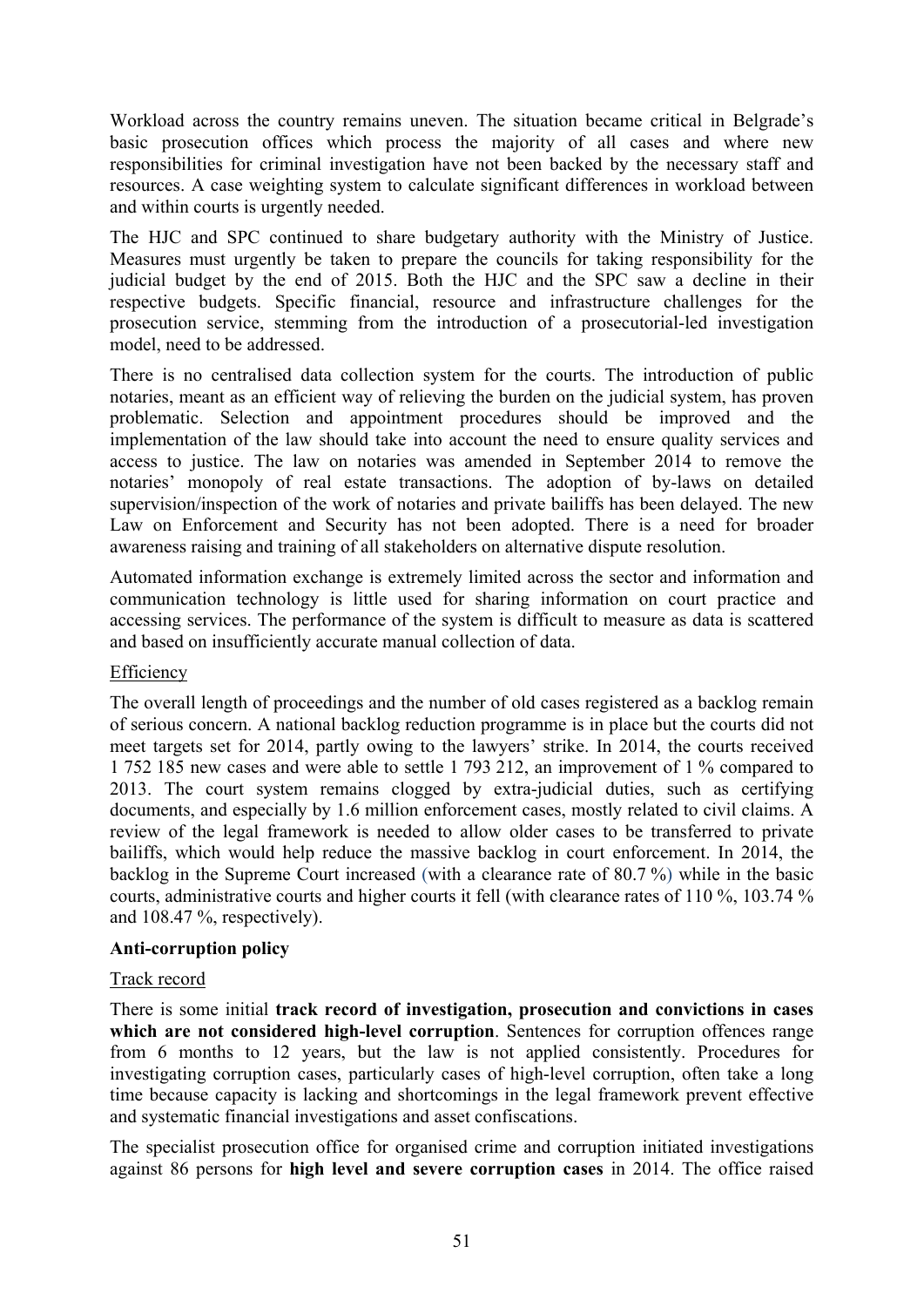Workload across the country remains uneven. The situation became critical in Belgrade's basic prosecution offices which process the majority of all cases and where new responsibilities for criminal investigation have not been backed by the necessary staff and resources. A case weighting system to calculate significant differences in workload between and within courts is urgently needed.

The HJC and SPC continued to share budgetary authority with the Ministry of Justice. Measures must urgently be taken to prepare the councils for taking responsibility for the judicial budget by the end of 2015. Both the HJC and the SPC saw a decline in their respective budgets. Specific financial, resource and infrastructure challenges for the prosecution service, stemming from the introduction of a prosecutorial-led investigation model, need to be addressed.

There is no centralised data collection system for the courts. The introduction of public notaries, meant as an efficient way of relieving the burden on the judicial system, has proven problematic. Selection and appointment procedures should be improved and the implementation of the law should take into account the need to ensure quality services and access to justice. The law on notaries was amended in September 2014 to remove the notaries' monopoly of real estate transactions. The adoption of by-laws on detailed supervision/inspection of the work of notaries and private bailiffs has been delayed. The new Law on Enforcement and Security has not been adopted. There is a need for broader awareness raising and training of all stakeholders on alternative dispute resolution.

Automated information exchange is extremely limited across the sector and information and communication technology is little used for sharing information on court practice and accessing services. The performance of the system is difficult to measure as data is scattered and based on insufficiently accurate manual collection of data.

## Efficiency

The overall length of proceedings and the number of old cases registered as a backlog remain of serious concern. A national backlog reduction programme is in place but the courts did not meet targets set for 2014, partly owing to the lawyers' strike. In 2014, the courts received 1 752 185 new cases and were able to settle 1 793 212, an improvement of 1 % compared to 2013. The court system remains clogged by extra-judicial duties, such as certifying documents, and especially by 1.6 million enforcement cases, mostly related to civil claims. A review of the legal framework is needed to allow older cases to be transferred to private bailiffs, which would help reduce the massive backlog in court enforcement. In 2014, the backlog in the Supreme Court increased (with a clearance rate of 80.7 %) while in the basic courts, administrative courts and higher courts it fell (with clearance rates of 110 %, 103.74 % and 108.47 %, respectively).

## **Anti-corruption policy**

# Track record

There is some initial **track record of investigation, prosecution and convictions in cases which are not considered high-level corruption**. Sentences for corruption offences range from 6 months to 12 years, but the law is not applied consistently. Procedures for investigating corruption cases, particularly cases of high-level corruption, often take a long time because capacity is lacking and shortcomings in the legal framework prevent effective and systematic financial investigations and asset confiscations.

The specialist prosecution office for organised crime and corruption initiated investigations against 86 persons for **high level and severe corruption cases** in 2014. The office raised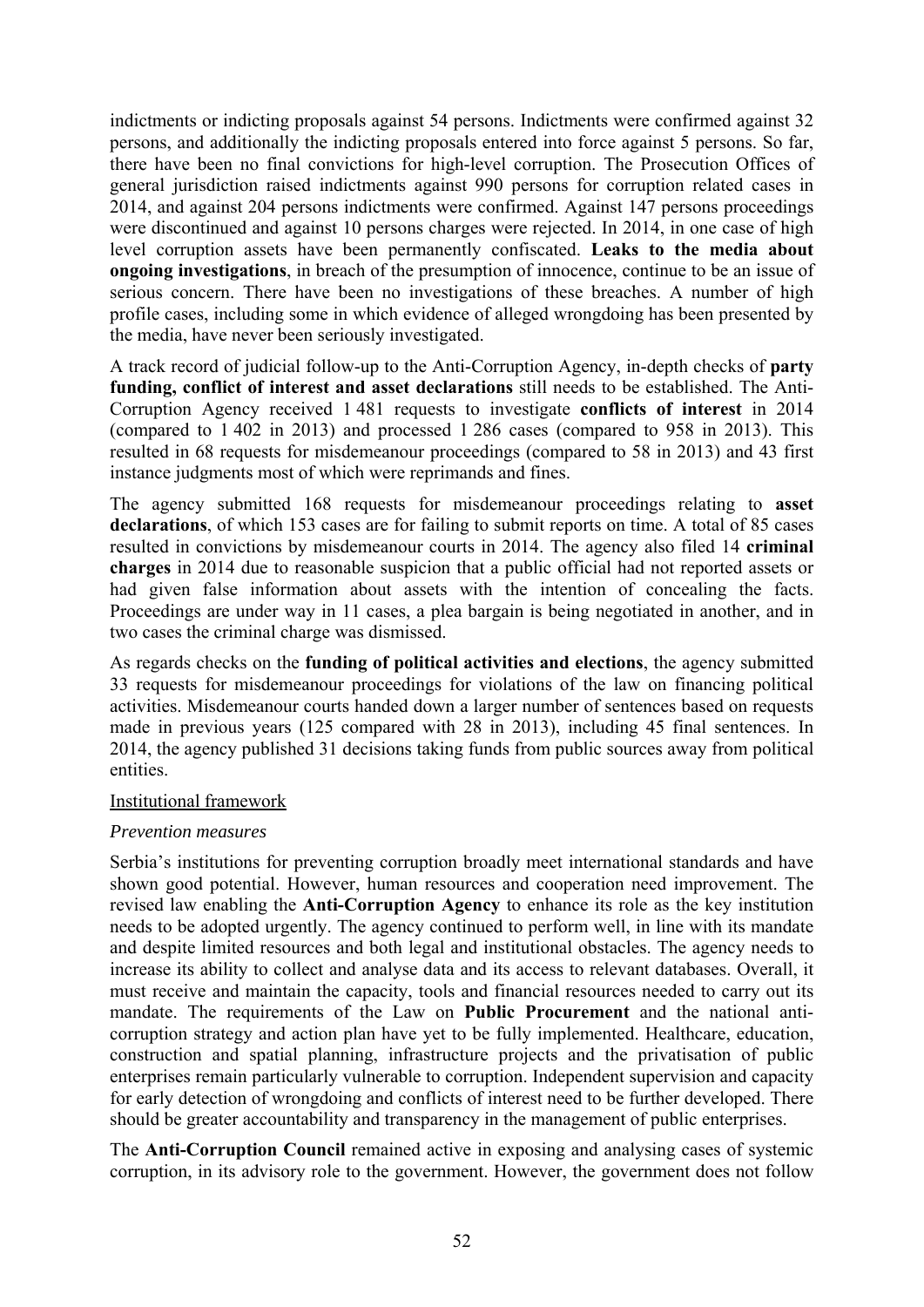indictments or indicting proposals against 54 persons. Indictments were confirmed against 32 persons, and additionally the indicting proposals entered into force against 5 persons. So far, there have been no final convictions for high-level corruption. The Prosecution Offices of general jurisdiction raised indictments against 990 persons for corruption related cases in 2014, and against 204 persons indictments were confirmed. Against 147 persons proceedings were discontinued and against 10 persons charges were rejected. In 2014, in one case of high level corruption assets have been permanently confiscated. **Leaks to the media about ongoing investigations**, in breach of the presumption of innocence, continue to be an issue of serious concern. There have been no investigations of these breaches. A number of high profile cases, including some in which evidence of alleged wrongdoing has been presented by the media, have never been seriously investigated.

A track record of judicial follow-up to the Anti-Corruption Agency, in-depth checks of **party funding, conflict of interest and asset declarations** still needs to be established. The Anti-Corruption Agency received 1 481 requests to investigate **conflicts of interest** in 2014 (compared to 1 402 in 2013) and processed 1 286 cases (compared to 958 in 2013). This resulted in 68 requests for misdemeanour proceedings (compared to 58 in 2013) and 43 first instance judgments most of which were reprimands and fines.

The agency submitted 168 requests for misdemeanour proceedings relating to **asset declarations**, of which 153 cases are for failing to submit reports on time. A total of 85 cases resulted in convictions by misdemeanour courts in 2014. The agency also filed 14 **criminal charges** in 2014 due to reasonable suspicion that a public official had not reported assets or had given false information about assets with the intention of concealing the facts. Proceedings are under way in 11 cases, a plea bargain is being negotiated in another, and in two cases the criminal charge was dismissed.

As regards checks on the **funding of political activities and elections**, the agency submitted 33 requests for misdemeanour proceedings for violations of the law on financing political activities. Misdemeanour courts handed down a larger number of sentences based on requests made in previous years (125 compared with 28 in 2013), including 45 final sentences. In 2014, the agency published 31 decisions taking funds from public sources away from political entities.

#### Institutional framework

## *Prevention measures*

Serbia's institutions for preventing corruption broadly meet international standards and have shown good potential. However, human resources and cooperation need improvement. The revised law enabling the **Anti-Corruption Agency** to enhance its role as the key institution needs to be adopted urgently. The agency continued to perform well, in line with its mandate and despite limited resources and both legal and institutional obstacles. The agency needs to increase its ability to collect and analyse data and its access to relevant databases. Overall, it must receive and maintain the capacity, tools and financial resources needed to carry out its mandate. The requirements of the Law on **Public Procurement** and the national anticorruption strategy and action plan have yet to be fully implemented. Healthcare, education, construction and spatial planning, infrastructure projects and the privatisation of public enterprises remain particularly vulnerable to corruption. Independent supervision and capacity for early detection of wrongdoing and conflicts of interest need to be further developed. There should be greater accountability and transparency in the management of public enterprises.

The **Anti-Corruption Council** remained active in exposing and analysing cases of systemic corruption, in its advisory role to the government. However, the government does not follow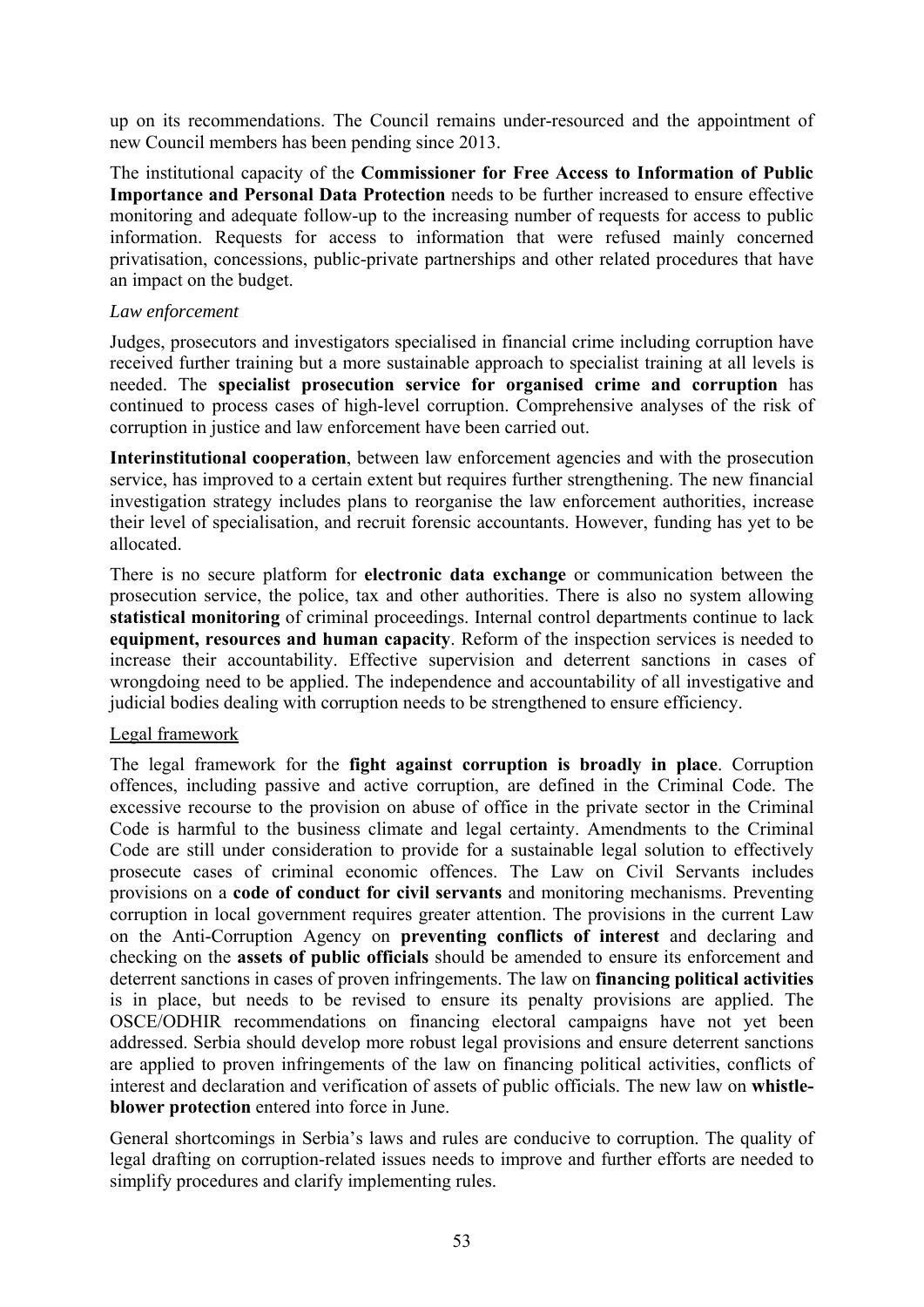up on its recommendations. The Council remains under-resourced and the appointment of new Council members has been pending since 2013.

The institutional capacity of the **Commissioner for Free Access to Information of Public Importance and Personal Data Protection** needs to be further increased to ensure effective monitoring and adequate follow-up to the increasing number of requests for access to public information. Requests for access to information that were refused mainly concerned privatisation, concessions, public-private partnerships and other related procedures that have an impact on the budget.

#### *Law enforcement*

Judges, prosecutors and investigators specialised in financial crime including corruption have received further training but a more sustainable approach to specialist training at all levels is needed. The **specialist prosecution service for organised crime and corruption** has continued to process cases of high-level corruption. Comprehensive analyses of the risk of corruption in justice and law enforcement have been carried out.

**Interinstitutional cooperation**, between law enforcement agencies and with the prosecution service, has improved to a certain extent but requires further strengthening. The new financial investigation strategy includes plans to reorganise the law enforcement authorities, increase their level of specialisation, and recruit forensic accountants. However, funding has yet to be allocated.

There is no secure platform for **electronic data exchange** or communication between the prosecution service, the police, tax and other authorities. There is also no system allowing **statistical monitoring** of criminal proceedings. Internal control departments continue to lack **equipment, resources and human capacity**. Reform of the inspection services is needed to increase their accountability. Effective supervision and deterrent sanctions in cases of wrongdoing need to be applied. The independence and accountability of all investigative and judicial bodies dealing with corruption needs to be strengthened to ensure efficiency.

## Legal framework

The legal framework for the **fight against corruption is broadly in place**. Corruption offences, including passive and active corruption, are defined in the Criminal Code. The excessive recourse to the provision on abuse of office in the private sector in the Criminal Code is harmful to the business climate and legal certainty. Amendments to the Criminal Code are still under consideration to provide for a sustainable legal solution to effectively prosecute cases of criminal economic offences. The Law on Civil Servants includes provisions on a **code of conduct for civil servants** and monitoring mechanisms. Preventing corruption in local government requires greater attention. The provisions in the current Law on the Anti-Corruption Agency on **preventing conflicts of interest** and declaring and checking on the **assets of public officials** should be amended to ensure its enforcement and deterrent sanctions in cases of proven infringements. The law on **financing political activities** is in place, but needs to be revised to ensure its penalty provisions are applied. The OSCE/ODHIR recommendations on financing electoral campaigns have not yet been addressed. Serbia should develop more robust legal provisions and ensure deterrent sanctions are applied to proven infringements of the law on financing political activities, conflicts of interest and declaration and verification of assets of public officials. The new law on **whistleblower protection** entered into force in June.

General shortcomings in Serbia's laws and rules are conducive to corruption. The quality of legal drafting on corruption-related issues needs to improve and further efforts are needed to simplify procedures and clarify implementing rules.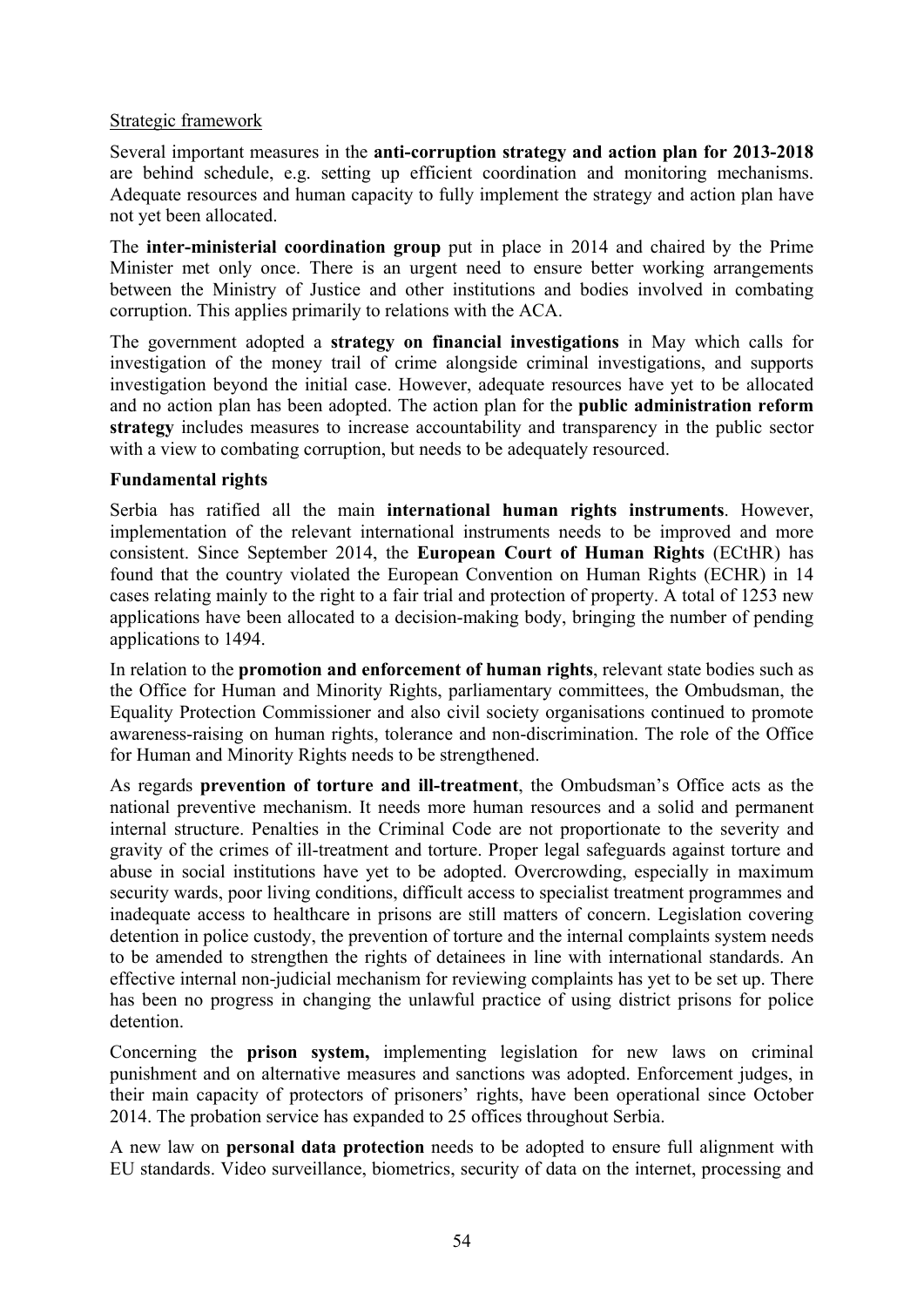### Strategic framework

Several important measures in the **anti-corruption strategy and action plan for 2013-2018** are behind schedule, e.g. setting up efficient coordination and monitoring mechanisms. Adequate resources and human capacity to fully implement the strategy and action plan have not yet been allocated.

The **inter-ministerial coordination group** put in place in 2014 and chaired by the Prime Minister met only once. There is an urgent need to ensure better working arrangements between the Ministry of Justice and other institutions and bodies involved in combating corruption. This applies primarily to relations with the ACA.

The government adopted a **strategy on financial investigations** in May which calls for investigation of the money trail of crime alongside criminal investigations, and supports investigation beyond the initial case. However, adequate resources have yet to be allocated and no action plan has been adopted. The action plan for the **public administration reform strategy** includes measures to increase accountability and transparency in the public sector with a view to combating corruption, but needs to be adequately resourced.

#### **Fundamental rights**

Serbia has ratified all the main **international human rights instruments**. However, implementation of the relevant international instruments needs to be improved and more consistent. Since September 2014, the **European Court of Human Rights** (ECtHR) has found that the country violated the European Convention on Human Rights (ECHR) in 14 cases relating mainly to the right to a fair trial and protection of property. A total of 1253 new applications have been allocated to a decision-making body, bringing the number of pending applications to 1494.

In relation to the **promotion and enforcement of human rights**, relevant state bodies such as the Office for Human and Minority Rights, parliamentary committees, the Ombudsman, the Equality Protection Commissioner and also civil society organisations continued to promote awareness-raising on human rights, tolerance and non-discrimination. The role of the Office for Human and Minority Rights needs to be strengthened.

As regards **prevention of torture and ill-treatment**, the Ombudsman's Office acts as the national preventive mechanism. It needs more human resources and a solid and permanent internal structure. Penalties in the Criminal Code are not proportionate to the severity and gravity of the crimes of ill-treatment and torture. Proper legal safeguards against torture and abuse in social institutions have yet to be adopted. Overcrowding, especially in maximum security wards, poor living conditions, difficult access to specialist treatment programmes and inadequate access to healthcare in prisons are still matters of concern. Legislation covering detention in police custody, the prevention of torture and the internal complaints system needs to be amended to strengthen the rights of detainees in line with international standards. An effective internal non-judicial mechanism for reviewing complaints has yet to be set up. There has been no progress in changing the unlawful practice of using district prisons for police detention.

Concerning the **prison system,** implementing legislation for new laws on criminal punishment and on alternative measures and sanctions was adopted. Enforcement judges, in their main capacity of protectors of prisoners' rights, have been operational since October 2014. The probation service has expanded to 25 offices throughout Serbia.

A new law on **personal data protection** needs to be adopted to ensure full alignment with EU standards. Video surveillance, biometrics, security of data on the internet, processing and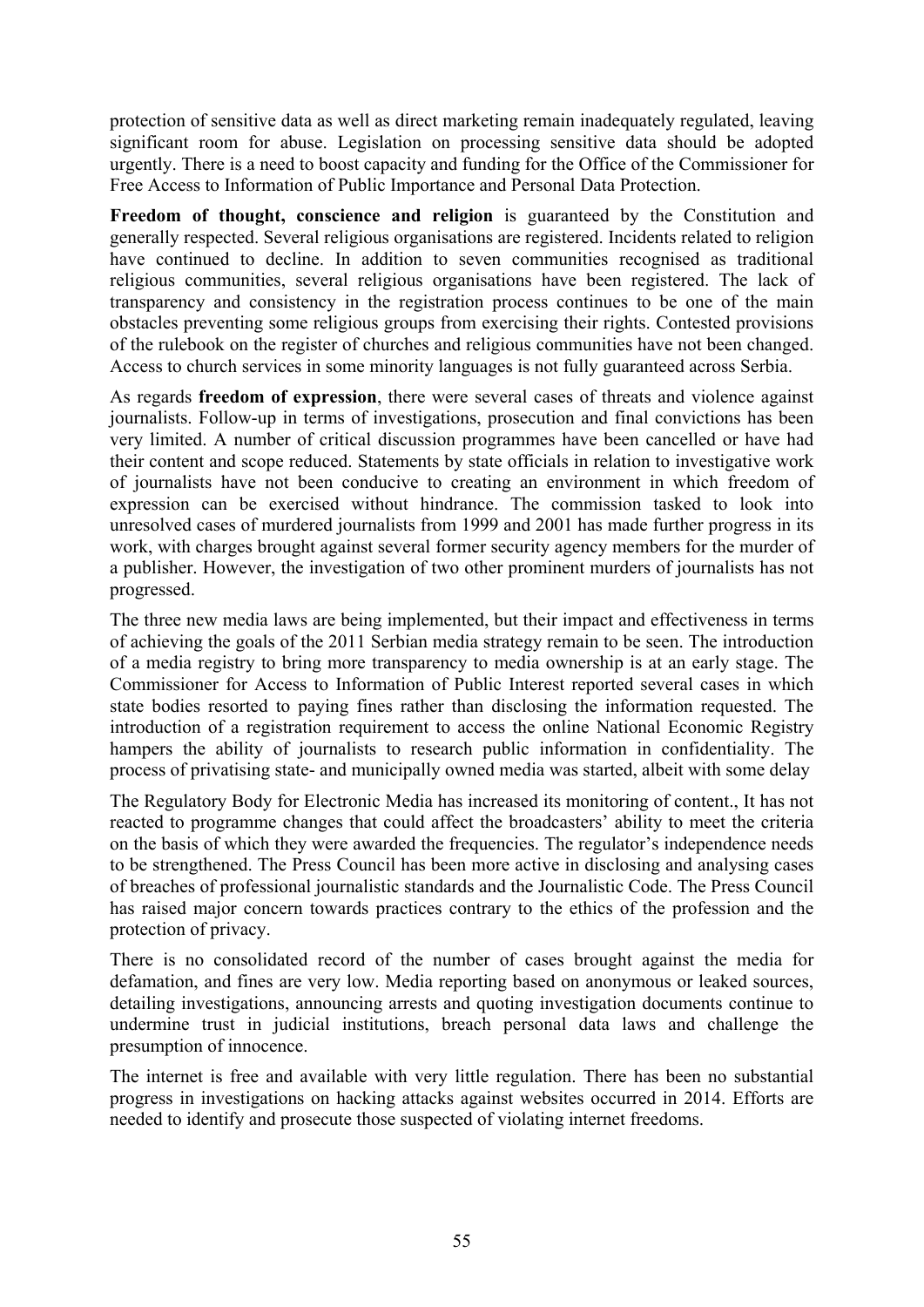protection of sensitive data as well as direct marketing remain inadequately regulated, leaving significant room for abuse. Legislation on processing sensitive data should be adopted urgently. There is a need to boost capacity and funding for the Office of the Commissioner for Free Access to Information of Public Importance and Personal Data Protection.

**Freedom of thought, conscience and religion** is guaranteed by the Constitution and generally respected. Several religious organisations are registered. Incidents related to religion have continued to decline. In addition to seven communities recognised as traditional religious communities, several religious organisations have been registered. The lack of transparency and consistency in the registration process continues to be one of the main obstacles preventing some religious groups from exercising their rights. Contested provisions of the rulebook on the register of churches and religious communities have not been changed. Access to church services in some minority languages is not fully guaranteed across Serbia.

As regards **freedom of expression**, there were several cases of threats and violence against journalists. Follow-up in terms of investigations, prosecution and final convictions has been very limited. A number of critical discussion programmes have been cancelled or have had their content and scope reduced. Statements by state officials in relation to investigative work of journalists have not been conducive to creating an environment in which freedom of expression can be exercised without hindrance. The commission tasked to look into unresolved cases of murdered journalists from 1999 and 2001 has made further progress in its work, with charges brought against several former security agency members for the murder of a publisher. However, the investigation of two other prominent murders of journalists has not progressed.

The three new media laws are being implemented, but their impact and effectiveness in terms of achieving the goals of the 2011 Serbian media strategy remain to be seen. The introduction of a media registry to bring more transparency to media ownership is at an early stage. The Commissioner for Access to Information of Public Interest reported several cases in which state bodies resorted to paying fines rather than disclosing the information requested. The introduction of a registration requirement to access the online National Economic Registry hampers the ability of journalists to research public information in confidentiality. The process of privatising state- and municipally owned media was started, albeit with some delay

The Regulatory Body for Electronic Media has increased its monitoring of content., It has not reacted to programme changes that could affect the broadcasters' ability to meet the criteria on the basis of which they were awarded the frequencies. The regulator's independence needs to be strengthened. The Press Council has been more active in disclosing and analysing cases of breaches of professional journalistic standards and the Journalistic Code. The Press Council has raised major concern towards practices contrary to the ethics of the profession and the protection of privacy.

There is no consolidated record of the number of cases brought against the media for defamation, and fines are very low. Media reporting based on anonymous or leaked sources, detailing investigations, announcing arrests and quoting investigation documents continue to undermine trust in judicial institutions, breach personal data laws and challenge the presumption of innocence.

The internet is free and available with very little regulation. There has been no substantial progress in investigations on hacking attacks against websites occurred in 2014. Efforts are needed to identify and prosecute those suspected of violating internet freedoms.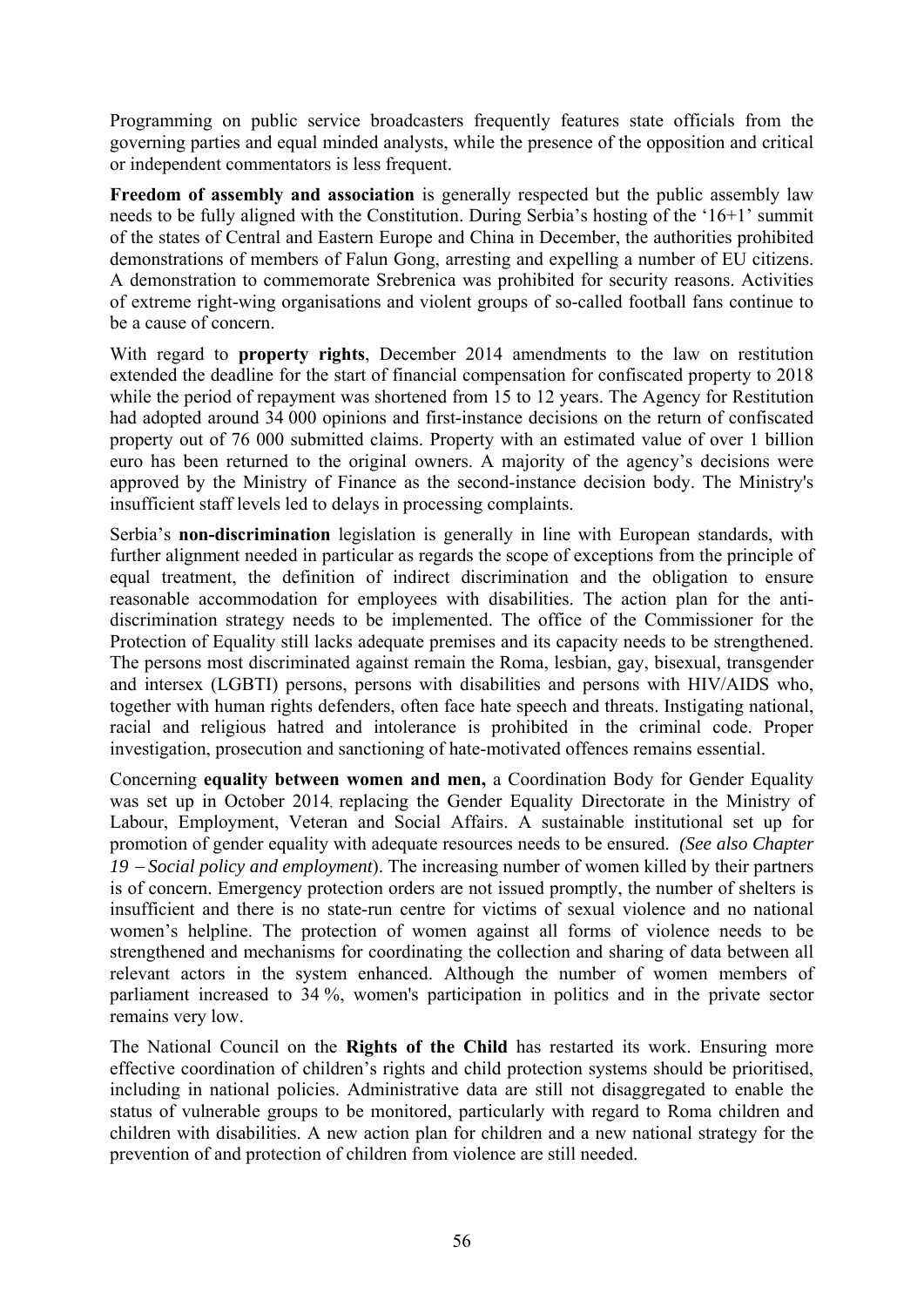Programming on public service broadcasters frequently features state officials from the governing parties and equal minded analysts, while the presence of the opposition and critical or independent commentators is less frequent.

**Freedom of assembly and association** is generally respected but the public assembly law needs to be fully aligned with the Constitution. During Serbia's hosting of the '16+1' summit of the states of Central and Eastern Europe and China in December, the authorities prohibited demonstrations of members of Falun Gong, arresting and expelling a number of EU citizens. A demonstration to commemorate Srebrenica was prohibited for security reasons. Activities of extreme right-wing organisations and violent groups of so-called football fans continue to be a cause of concern.

With regard to **property rights**, December 2014 amendments to the law on restitution extended the deadline for the start of financial compensation for confiscated property to 2018 while the period of repayment was shortened from 15 to 12 years. The Agency for Restitution had adopted around 34 000 opinions and first-instance decisions on the return of confiscated property out of 76 000 submitted claims. Property with an estimated value of over 1 billion euro has been returned to the original owners. A majority of the agency's decisions were approved by the Ministry of Finance as the second-instance decision body. The Ministry's insufficient staff levels led to delays in processing complaints.

Serbia's **non-discrimination** legislation is generally in line with European standards, with further alignment needed in particular as regards the scope of exceptions from the principle of equal treatment, the definition of indirect discrimination and the obligation to ensure reasonable accommodation for employees with disabilities. The action plan for the antidiscrimination strategy needs to be implemented. The office of the Commissioner for the Protection of Equality still lacks adequate premises and its capacity needs to be strengthened. The persons most discriminated against remain the Roma, lesbian, gay, bisexual, transgender and intersex (LGBTI) persons, persons with disabilities and persons with HIV/AIDS who, together with human rights defenders, often face hate speech and threats. Instigating national, racial and religious hatred and intolerance is prohibited in the criminal code. Proper investigation, prosecution and sanctioning of hate-motivated offences remains essential.

Concerning **equality between women and men,** a Coordination Body for Gender Equality was set up in October 2014, replacing the Gender Equality Directorate in the Ministry of Labour, Employment, Veteran and Social Affairs. A sustainable institutional set up for promotion of gender equality with adequate resources needs to be ensured. *(See also Chapter 19* − *Social policy and employment*). The increasing number of women killed by their partners is of concern. Emergency protection orders are not issued promptly, the number of shelters is insufficient and there is no state-run centre for victims of sexual violence and no national women's helpline. The protection of women against all forms of violence needs to be strengthened and mechanisms for coordinating the collection and sharing of data between all relevant actors in the system enhanced. Although the number of women members of parliament increased to 34 %, women's participation in politics and in the private sector remains very low.

The National Council on the **Rights of the Child** has restarted its work. Ensuring more effective coordination of children's rights and child protection systems should be prioritised, including in national policies. Administrative data are still not disaggregated to enable the status of vulnerable groups to be monitored, particularly with regard to Roma children and children with disabilities. A new action plan for children and a new national strategy for the prevention of and protection of children from violence are still needed.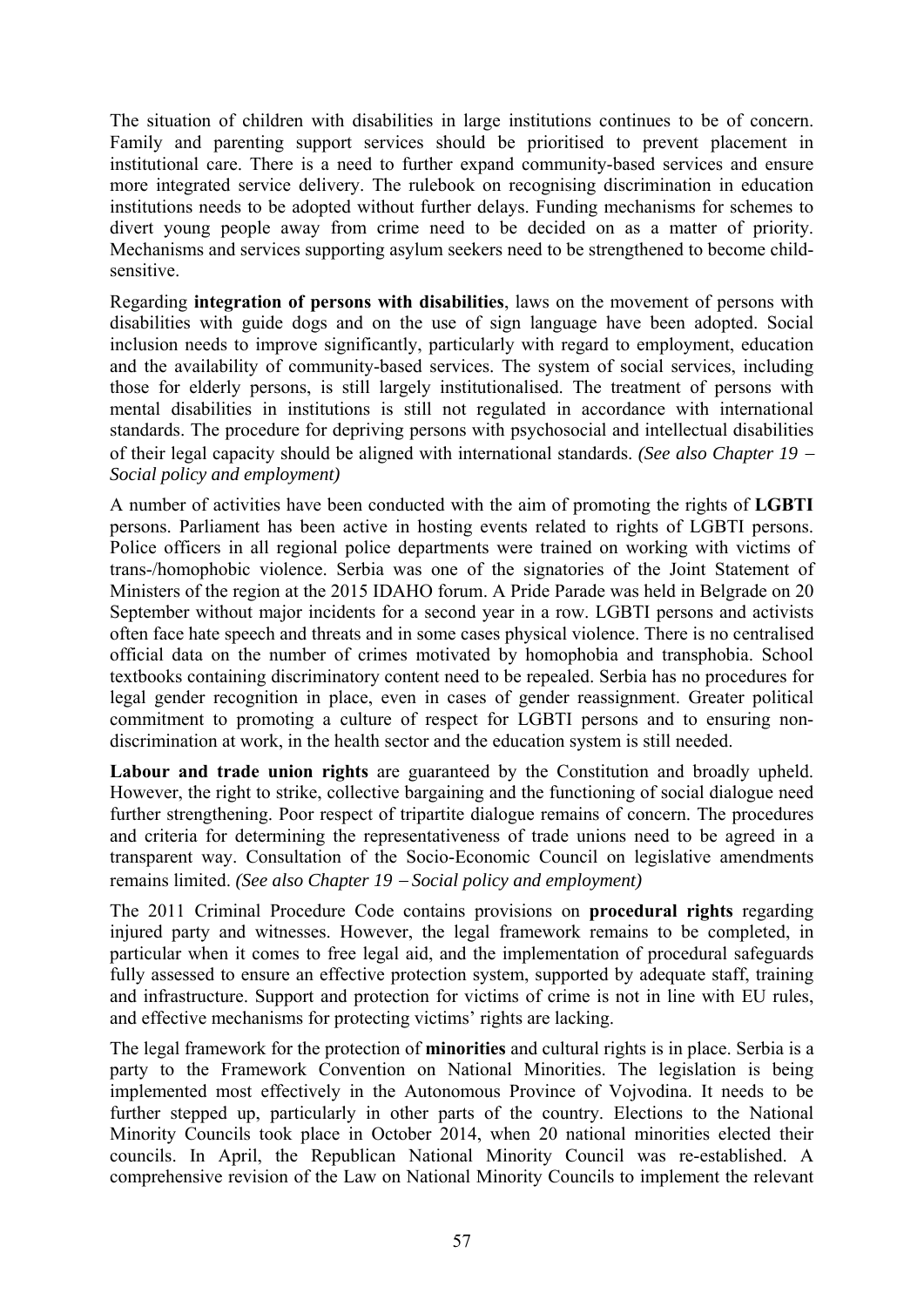The situation of children with disabilities in large institutions continues to be of concern. Family and parenting support services should be prioritised to prevent placement in institutional care. There is a need to further expand community-based services and ensure more integrated service delivery. The rulebook on recognising discrimination in education institutions needs to be adopted without further delays. Funding mechanisms for schemes to divert young people away from crime need to be decided on as a matter of priority. Mechanisms and services supporting asylum seekers need to be strengthened to become childsensitive.

Regarding **integration of persons with disabilities**, laws on the movement of persons with disabilities with guide dogs and on the use of sign language have been adopted. Social inclusion needs to improve significantly, particularly with regard to employment, education and the availability of community-based services. The system of social services, including those for elderly persons, is still largely institutionalised. The treatment of persons with mental disabilities in institutions is still not regulated in accordance with international standards. The procedure for depriving persons with psychosocial and intellectual disabilities of their legal capacity should be aligned with international standards. *(See also Chapter 19* <sup>−</sup> *Social policy and employment)*

A number of activities have been conducted with the aim of promoting the rights of **LGBTI** persons. Parliament has been active in hosting events related to rights of LGBTI persons. Police officers in all regional police departments were trained on working with victims of trans-/homophobic violence. Serbia was one of the signatories of the Joint Statement of Ministers of the region at the 2015 IDAHO forum. A Pride Parade was held in Belgrade on 20 September without major incidents for a second year in a row. LGBTI persons and activists often face hate speech and threats and in some cases physical violence. There is no centralised official data on the number of crimes motivated by homophobia and transphobia. School textbooks containing discriminatory content need to be repealed. Serbia has no procedures for legal gender recognition in place, even in cases of gender reassignment. Greater political commitment to promoting a culture of respect for LGBTI persons and to ensuring nondiscrimination at work, in the health sector and the education system is still needed.

**Labour and trade union rights** are guaranteed by the Constitution and broadly upheld. However, the right to strike, collective bargaining and the functioning of social dialogue need further strengthening. Poor respect of tripartite dialogue remains of concern. The procedures and criteria for determining the representativeness of trade unions need to be agreed in a transparent way. Consultation of the Socio-Economic Council on legislative amendments remains limited. *(See also Chapter 19* − *Social policy and employment)*

The 2011 Criminal Procedure Code contains provisions on **procedural rights** regarding injured party and witnesses. However, the legal framework remains to be completed, in particular when it comes to free legal aid, and the implementation of procedural safeguards fully assessed to ensure an effective protection system, supported by adequate staff, training and infrastructure. Support and protection for victims of crime is not in line with EU rules, and effective mechanisms for protecting victims' rights are lacking.

The legal framework for the protection of **minorities** and cultural rights is in place. Serbia is a party to the Framework Convention on National Minorities. The legislation is being implemented most effectively in the Autonomous Province of Vojvodina. It needs to be further stepped up, particularly in other parts of the country. Elections to the National Minority Councils took place in October 2014, when 20 national minorities elected their councils. In April, the Republican National Minority Council was re-established. A comprehensive revision of the Law on National Minority Councils to implement the relevant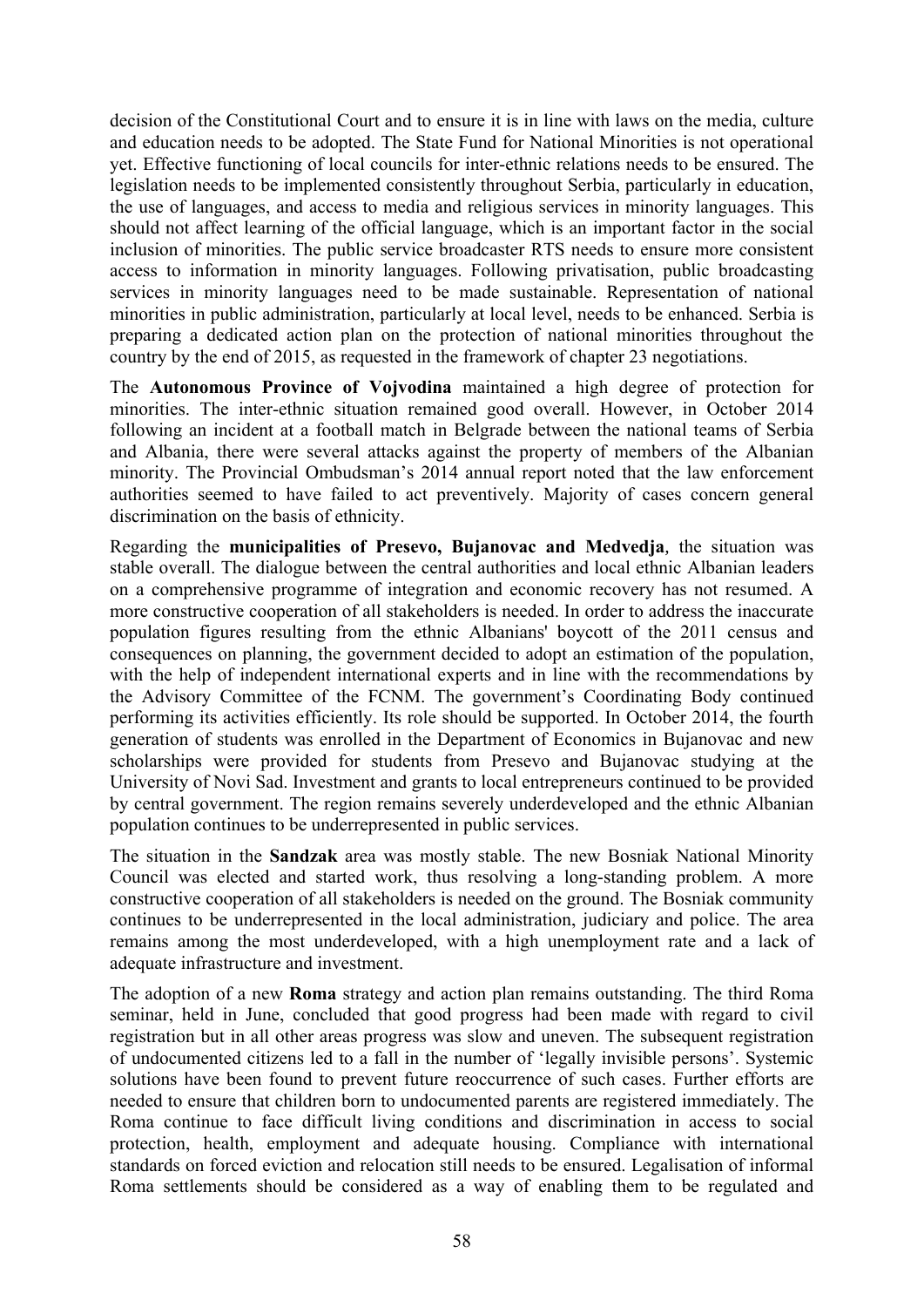decision of the Constitutional Court and to ensure it is in line with laws on the media, culture and education needs to be adopted. The State Fund for National Minorities is not operational yet. Effective functioning of local councils for inter-ethnic relations needs to be ensured. The legislation needs to be implemented consistently throughout Serbia, particularly in education, the use of languages, and access to media and religious services in minority languages. This should not affect learning of the official language, which is an important factor in the social inclusion of minorities. The public service broadcaster RTS needs to ensure more consistent access to information in minority languages. Following privatisation, public broadcasting services in minority languages need to be made sustainable. Representation of national minorities in public administration, particularly at local level, needs to be enhanced. Serbia is preparing a dedicated action plan on the protection of national minorities throughout the country by the end of 2015, as requested in the framework of chapter 23 negotiations.

The **Autonomous Province of Vojvodina** maintained a high degree of protection for minorities. The inter-ethnic situation remained good overall. However, in October 2014 following an incident at a football match in Belgrade between the national teams of Serbia and Albania, there were several attacks against the property of members of the Albanian minority. The Provincial Ombudsman's 2014 annual report noted that the law enforcement authorities seemed to have failed to act preventively. Majority of cases concern general discrimination on the basis of ethnicity.

Regarding the **municipalities of Presevo, Bujanovac and Medvedja***,* the situation was stable overall. The dialogue between the central authorities and local ethnic Albanian leaders on a comprehensive programme of integration and economic recovery has not resumed. A more constructive cooperation of all stakeholders is needed. In order to address the inaccurate population figures resulting from the ethnic Albanians' boycott of the 2011 census and consequences on planning, the government decided to adopt an estimation of the population, with the help of independent international experts and in line with the recommendations by the Advisory Committee of the FCNM. The government's Coordinating Body continued performing its activities efficiently. Its role should be supported. In October 2014, the fourth generation of students was enrolled in the Department of Economics in Bujanovac and new scholarships were provided for students from Presevo and Bujanovac studying at the University of Novi Sad. Investment and grants to local entrepreneurs continued to be provided by central government. The region remains severely underdeveloped and the ethnic Albanian population continues to be underrepresented in public services.

The situation in the **Sandzak** area was mostly stable. The new Bosniak National Minority Council was elected and started work, thus resolving a long-standing problem. A more constructive cooperation of all stakeholders is needed on the ground. The Bosniak community continues to be underrepresented in the local administration, judiciary and police. The area remains among the most underdeveloped, with a high unemployment rate and a lack of adequate infrastructure and investment.

The adoption of a new **Roma** strategy and action plan remains outstanding. The third Roma seminar, held in June, concluded that good progress had been made with regard to civil registration but in all other areas progress was slow and uneven. The subsequent registration of undocumented citizens led to a fall in the number of 'legally invisible persons'. Systemic solutions have been found to prevent future reoccurrence of such cases. Further efforts are needed to ensure that children born to undocumented parents are registered immediately. The Roma continue to face difficult living conditions and discrimination in access to social protection, health, employment and adequate housing. Compliance with international standards on forced eviction and relocation still needs to be ensured. Legalisation of informal Roma settlements should be considered as a way of enabling them to be regulated and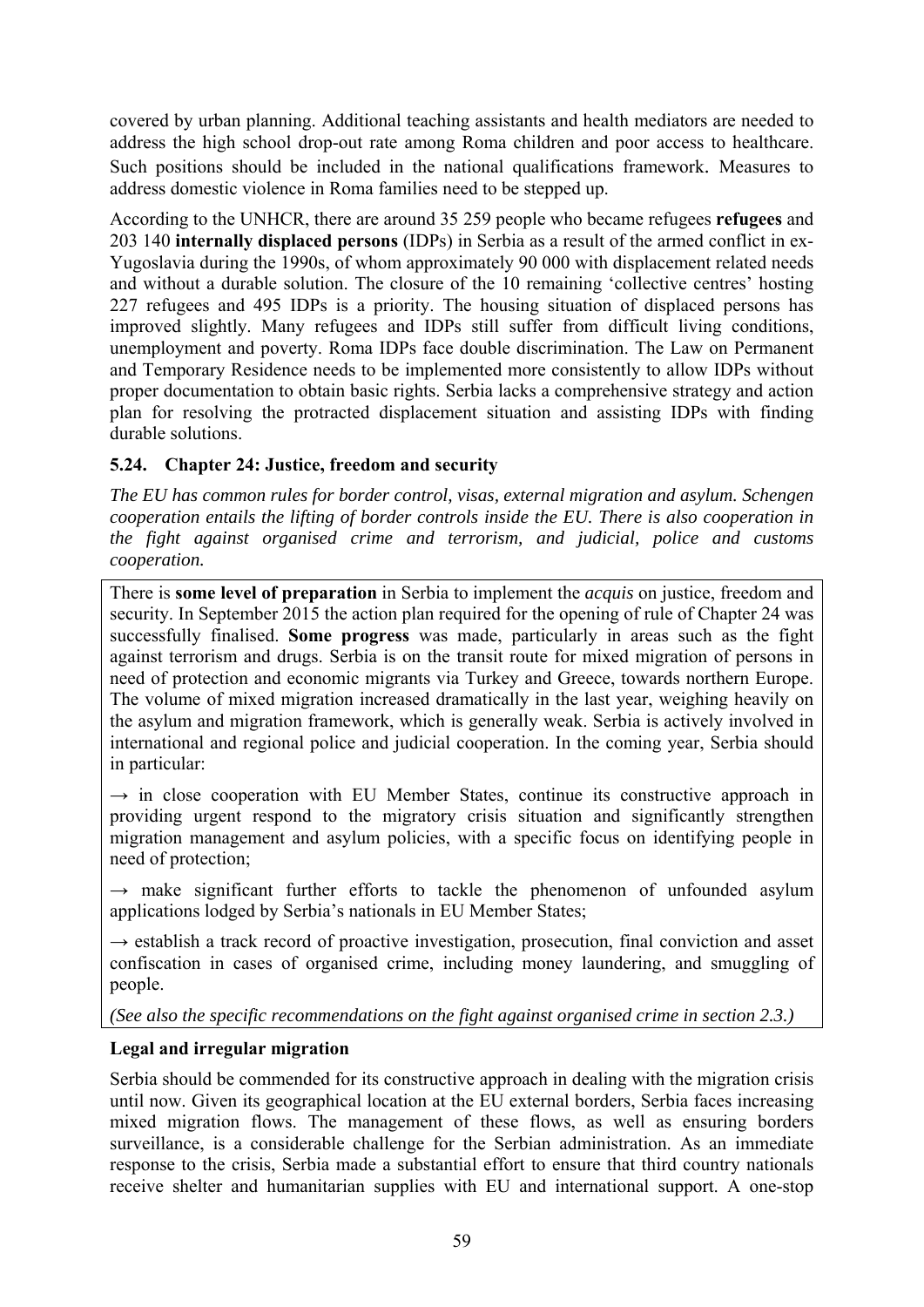covered by urban planning. Additional teaching assistants and health mediators are needed to address the high school drop-out rate among Roma children and poor access to healthcare. Such positions should be included in the national qualifications framework. Measures to address domestic violence in Roma families need to be stepped up.

According to the UNHCR, there are around 35 259 people who became refugees **refugees** and 203 140 **internally displaced persons** (IDPs) in Serbia as a result of the armed conflict in ex-Yugoslavia during the 1990s, of whom approximately 90 000 with displacement related needs and without a durable solution. The closure of the 10 remaining 'collective centres' hosting 227 refugees and 495 IDPs is a priority. The housing situation of displaced persons has improved slightly. Many refugees and IDPs still suffer from difficult living conditions, unemployment and poverty. Roma IDPs face double discrimination. The Law on Permanent and Temporary Residence needs to be implemented more consistently to allow IDPs without proper documentation to obtain basic rights. Serbia lacks a comprehensive strategy and action plan for resolving the protracted displacement situation and assisting IDPs with finding durable solutions.

# **5.24. Chapter 24: Justice, freedom and security**

*The EU has common rules for border control, visas, external migration and asylum. Schengen cooperation entails the lifting of border controls inside the EU. There is also cooperation in the fight against organised crime and terrorism, and judicial, police and customs cooperation.* 

There is **some level of preparation** in Serbia to implement the *acquis* on justice, freedom and security. In September 2015 the action plan required for the opening of rule of Chapter 24 was successfully finalised. **Some progress** was made, particularly in areas such as the fight against terrorism and drugs. Serbia is on the transit route for mixed migration of persons in need of protection and economic migrants via Turkey and Greece, towards northern Europe. The volume of mixed migration increased dramatically in the last year, weighing heavily on the asylum and migration framework, which is generally weak. Serbia is actively involved in international and regional police and judicial cooperation. In the coming year, Serbia should in particular:

 $\rightarrow$  in close cooperation with EU Member States, continue its constructive approach in providing urgent respond to the migratory crisis situation and significantly strengthen migration management and asylum policies, with a specific focus on identifying people in need of protection;

**→** make significant further efforts to tackle the phenomenon of unfounded asylum applications lodged by Serbia's nationals in EU Member States;

 $\rightarrow$  establish a track record of proactive investigation, prosecution, final conviction and asset confiscation in cases of organised crime, including money laundering, and smuggling of people.

*(See also the specific recommendations on the fight against organised crime in section 2.3.)*

# **Legal and irregular migration**

Serbia should be commended for its constructive approach in dealing with the migration crisis until now. Given its geographical location at the EU external borders, Serbia faces increasing mixed migration flows. The management of these flows, as well as ensuring borders surveillance, is a considerable challenge for the Serbian administration. As an immediate response to the crisis, Serbia made a substantial effort to ensure that third country nationals receive shelter and humanitarian supplies with EU and international support. A one-stop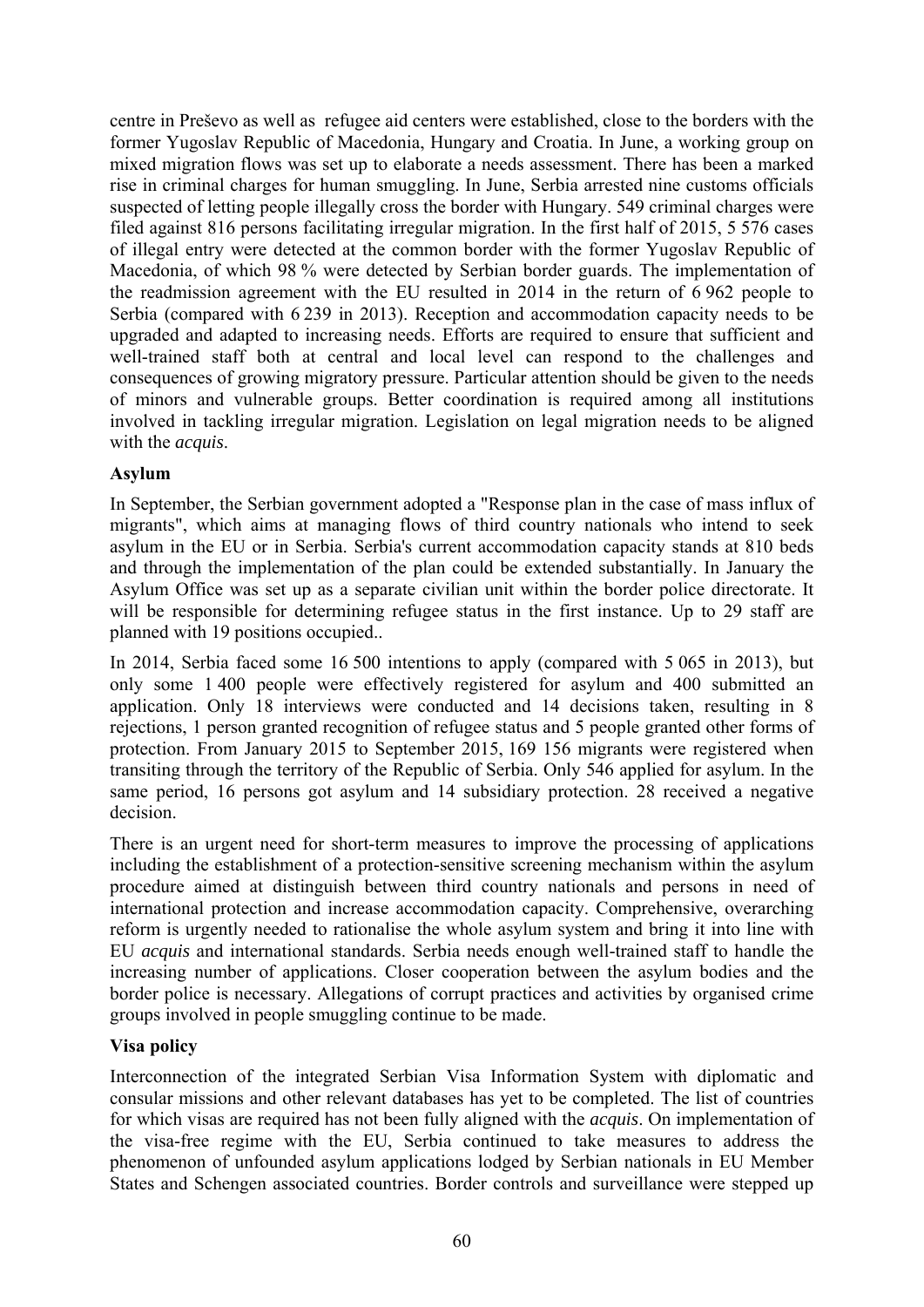centre in Preševo as well as refugee aid centers were established, close to the borders with the former Yugoslav Republic of Macedonia, Hungary and Croatia. In June, a working group on mixed migration flows was set up to elaborate a needs assessment. There has been a marked rise in criminal charges for human smuggling. In June, Serbia arrested nine customs officials suspected of letting people illegally cross the border with Hungary. 549 criminal charges were filed against 816 persons facilitating irregular migration. In the first half of 2015, 5 576 cases of illegal entry were detected at the common border with the former Yugoslav Republic of Macedonia, of which 98 % were detected by Serbian border guards. The implementation of the readmission agreement with the EU resulted in 2014 in the return of 6 962 people to Serbia (compared with 6 239 in 2013). Reception and accommodation capacity needs to be upgraded and adapted to increasing needs. Efforts are required to ensure that sufficient and well-trained staff both at central and local level can respond to the challenges and consequences of growing migratory pressure. Particular attention should be given to the needs of minors and vulnerable groups. Better coordination is required among all institutions involved in tackling irregular migration. Legislation on legal migration needs to be aligned with the *acquis*.

## **Asylum**

In September, the Serbian government adopted a "Response plan in the case of mass influx of migrants", which aims at managing flows of third country nationals who intend to seek asylum in the EU or in Serbia. Serbia's current accommodation capacity stands at 810 beds and through the implementation of the plan could be extended substantially. In January the Asylum Office was set up as a separate civilian unit within the border police directorate. It will be responsible for determining refugee status in the first instance. Up to 29 staff are planned with 19 positions occupied..

In 2014, Serbia faced some 16 500 intentions to apply (compared with 5 065 in 2013), but only some 1 400 people were effectively registered for asylum and 400 submitted an application. Only 18 interviews were conducted and 14 decisions taken, resulting in 8 rejections, 1 person granted recognition of refugee status and 5 people granted other forms of protection. From January 2015 to September 2015, 169 156 migrants were registered when transiting through the territory of the Republic of Serbia. Only 546 applied for asylum. In the same period, 16 persons got asylum and 14 subsidiary protection. 28 received a negative decision.

There is an urgent need for short-term measures to improve the processing of applications including the establishment of a protection-sensitive screening mechanism within the asylum procedure aimed at distinguish between third country nationals and persons in need of international protection and increase accommodation capacity. Comprehensive, overarching reform is urgently needed to rationalise the whole asylum system and bring it into line with EU *acquis* and international standards. Serbia needs enough well-trained staff to handle the increasing number of applications. Closer cooperation between the asylum bodies and the border police is necessary. Allegations of corrupt practices and activities by organised crime groups involved in people smuggling continue to be made.

# **Visa policy**

Interconnection of the integrated Serbian Visa Information System with diplomatic and consular missions and other relevant databases has yet to be completed. The list of countries for which visas are required has not been fully aligned with the *acquis*. On implementation of the visa-free regime with the EU, Serbia continued to take measures to address the phenomenon of unfounded asylum applications lodged by Serbian nationals in EU Member States and Schengen associated countries. Border controls and surveillance were stepped up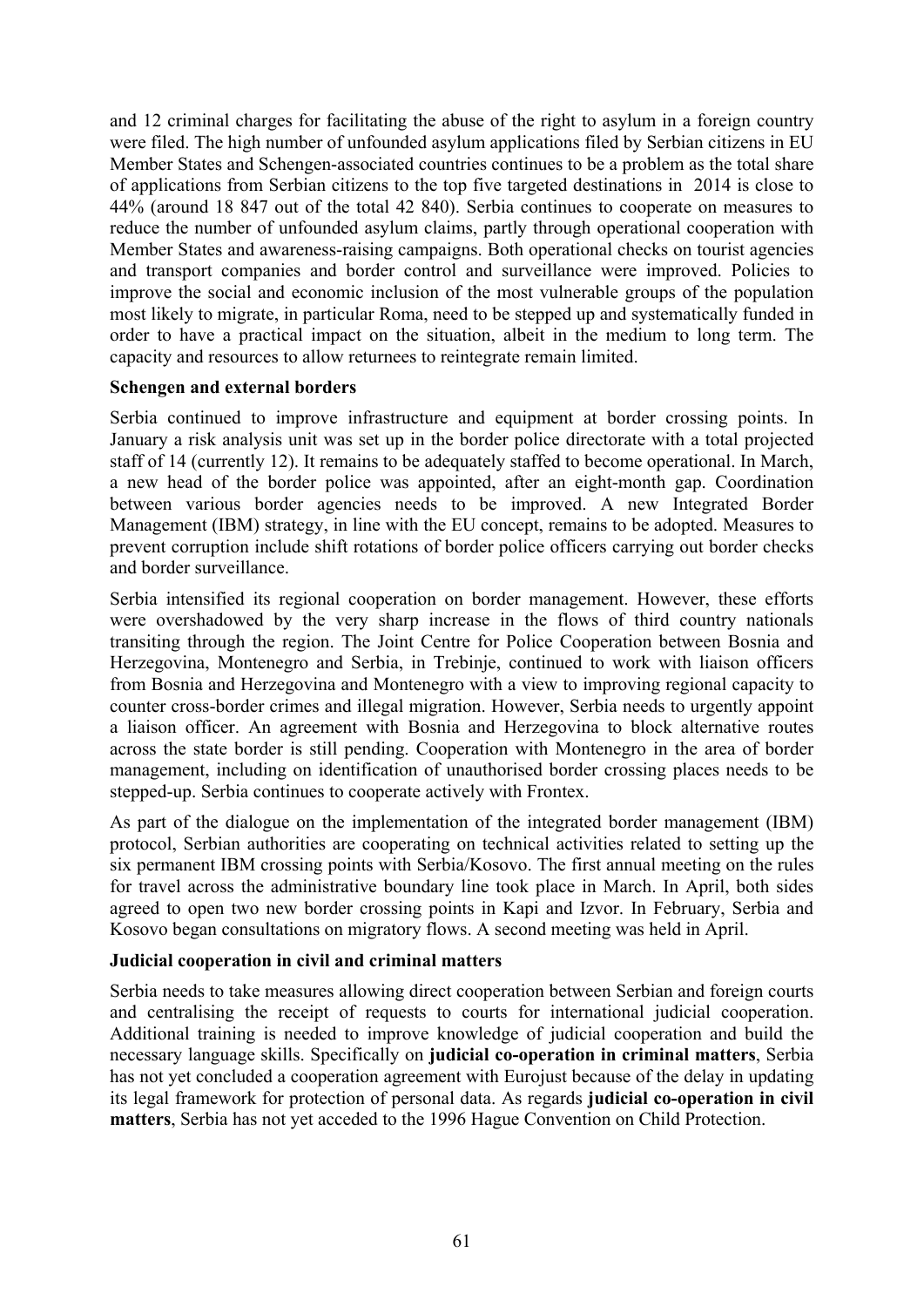and 12 criminal charges for facilitating the abuse of the right to asylum in a foreign country were filed. The high number of unfounded asylum applications filed by Serbian citizens in EU Member States and Schengen-associated countries continues to be a problem as the total share of applications from Serbian citizens to the top five targeted destinations in 2014 is close to 44% (around 18 847 out of the total 42 840). Serbia continues to cooperate on measures to reduce the number of unfounded asylum claims, partly through operational cooperation with Member States and awareness-raising campaigns. Both operational checks on tourist agencies and transport companies and border control and surveillance were improved. Policies to improve the social and economic inclusion of the most vulnerable groups of the population most likely to migrate, in particular Roma, need to be stepped up and systematically funded in order to have a practical impact on the situation, albeit in the medium to long term. The capacity and resources to allow returnees to reintegrate remain limited.

#### **Schengen and external borders**

Serbia continued to improve infrastructure and equipment at border crossing points. In January a risk analysis unit was set up in the border police directorate with a total projected staff of 14 (currently 12). It remains to be adequately staffed to become operational. In March, a new head of the border police was appointed, after an eight-month gap. Coordination between various border agencies needs to be improved. A new Integrated Border Management (IBM) strategy, in line with the EU concept, remains to be adopted. Measures to prevent corruption include shift rotations of border police officers carrying out border checks and border surveillance.

Serbia intensified its regional cooperation on border management. However, these efforts were overshadowed by the very sharp increase in the flows of third country nationals transiting through the region. The Joint Centre for Police Cooperation between Bosnia and Herzegovina, Montenegro and Serbia, in Trebinje, continued to work with liaison officers from Bosnia and Herzegovina and Montenegro with a view to improving regional capacity to counter cross-border crimes and illegal migration. However, Serbia needs to urgently appoint a liaison officer. An agreement with Bosnia and Herzegovina to block alternative routes across the state border is still pending. Cooperation with Montenegro in the area of border management, including on identification of unauthorised border crossing places needs to be stepped-up. Serbia continues to cooperate actively with Frontex.

As part of the dialogue on the implementation of the integrated border management (IBM) protocol, Serbian authorities are cooperating on technical activities related to setting up the six permanent IBM crossing points with Serbia/Kosovo. The first annual meeting on the rules for travel across the administrative boundary line took place in March. In April, both sides agreed to open two new border crossing points in Kapi and Izvor. In February, Serbia and Kosovo began consultations on migratory flows. A second meeting was held in April.

#### **Judicial cooperation in civil and criminal matters**

Serbia needs to take measures allowing direct cooperation between Serbian and foreign courts and centralising the receipt of requests to courts for international judicial cooperation. Additional training is needed to improve knowledge of judicial cooperation and build the necessary language skills. Specifically on **judicial co-operation in criminal matters**, Serbia has not yet concluded a cooperation agreement with Eurojust because of the delay in updating its legal framework for protection of personal data. As regards **judicial co-operation in civil matters**, Serbia has not yet acceded to the 1996 Hague Convention on Child Protection.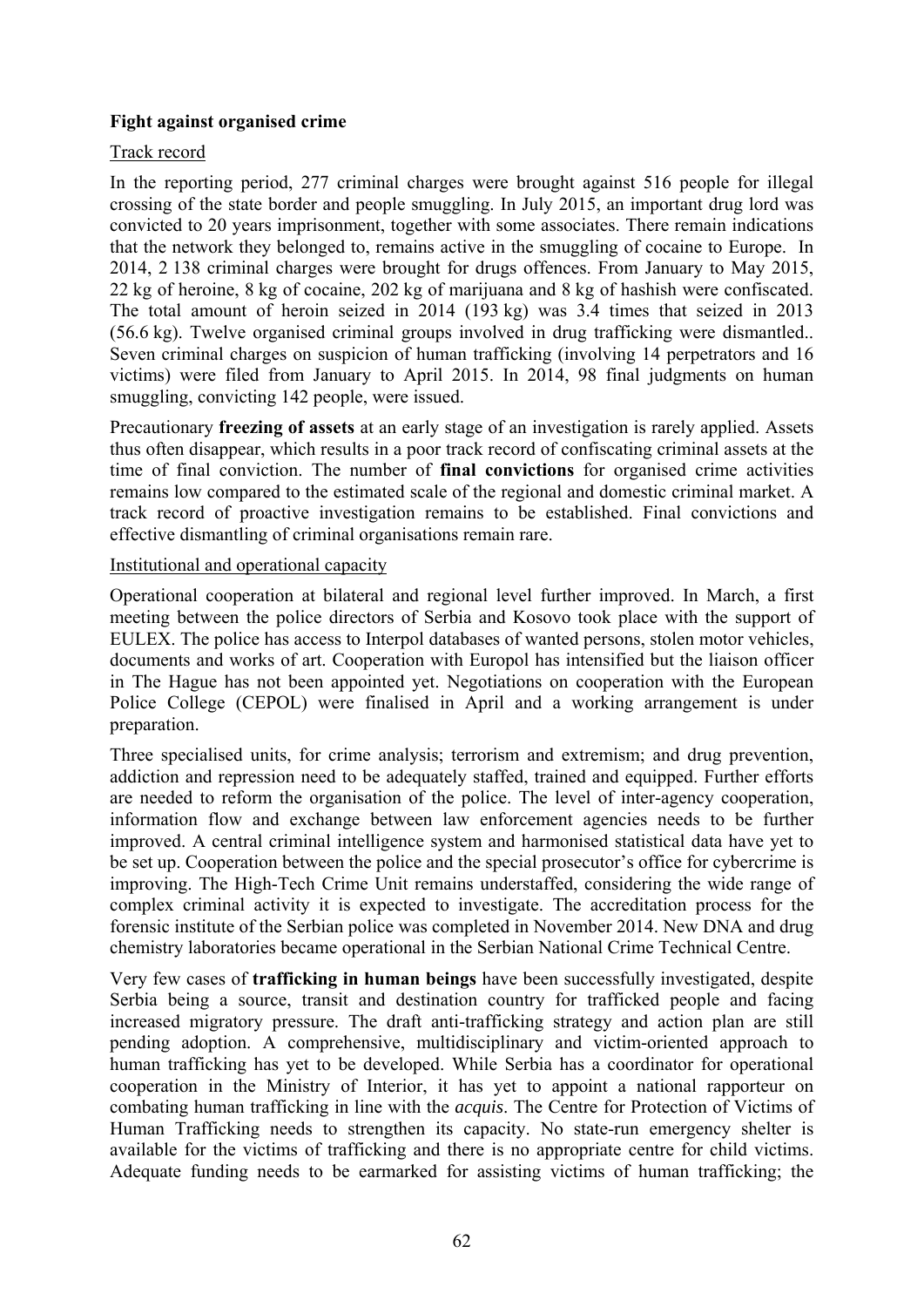## **Fight against organised crime**

## Track record

In the reporting period, 277 criminal charges were brought against 516 people for illegal crossing of the state border and people smuggling. In July 2015, an important drug lord was convicted to 20 years imprisonment, together with some associates. There remain indications that the network they belonged to, remains active in the smuggling of cocaine to Europe. In 2014, 2 138 criminal charges were brought for drugs offences. From January to May 2015, 22 kg of heroine, 8 kg of cocaine, 202 kg of marijuana and 8 kg of hashish were confiscated. The total amount of heroin seized in 2014 (193 kg) was 3.4 times that seized in 2013 (56.6 kg). Twelve organised criminal groups involved in drug trafficking were dismantled.. Seven criminal charges on suspicion of human trafficking (involving 14 perpetrators and 16 victims) were filed from January to April 2015. In 2014, 98 final judgments on human smuggling, convicting 142 people, were issued.

Precautionary **freezing of assets** at an early stage of an investigation is rarely applied. Assets thus often disappear, which results in a poor track record of confiscating criminal assets at the time of final conviction. The number of **final convictions** for organised crime activities remains low compared to the estimated scale of the regional and domestic criminal market. A track record of proactive investigation remains to be established. Final convictions and effective dismantling of criminal organisations remain rare.

#### Institutional and operational capacity

Operational cooperation at bilateral and regional level further improved. In March, a first meeting between the police directors of Serbia and Kosovo took place with the support of EULEX. The police has access to Interpol databases of wanted persons, stolen motor vehicles, documents and works of art. Cooperation with Europol has intensified but the liaison officer in The Hague has not been appointed yet. Negotiations on cooperation with the European Police College (CEPOL) were finalised in April and a working arrangement is under preparation.

Three specialised units, for crime analysis; terrorism and extremism; and drug prevention, addiction and repression need to be adequately staffed, trained and equipped. Further efforts are needed to reform the organisation of the police. The level of inter-agency cooperation, information flow and exchange between law enforcement agencies needs to be further improved. A central criminal intelligence system and harmonised statistical data have yet to be set up. Cooperation between the police and the special prosecutor's office for cybercrime is improving. The High-Tech Crime Unit remains understaffed, considering the wide range of complex criminal activity it is expected to investigate. The accreditation process for the forensic institute of the Serbian police was completed in November 2014. New DNA and drug chemistry laboratories became operational in the Serbian National Crime Technical Centre.

Very few cases of **trafficking in human beings** have been successfully investigated, despite Serbia being a source, transit and destination country for trafficked people and facing increased migratory pressure. The draft anti-trafficking strategy and action plan are still pending adoption. A comprehensive, multidisciplinary and victim-oriented approach to human trafficking has yet to be developed. While Serbia has a coordinator for operational cooperation in the Ministry of Interior, it has yet to appoint a national rapporteur on combating human trafficking in line with the *acquis*. The Centre for Protection of Victims of Human Trafficking needs to strengthen its capacity. No state-run emergency shelter is available for the victims of trafficking and there is no appropriate centre for child victims. Adequate funding needs to be earmarked for assisting victims of human trafficking; the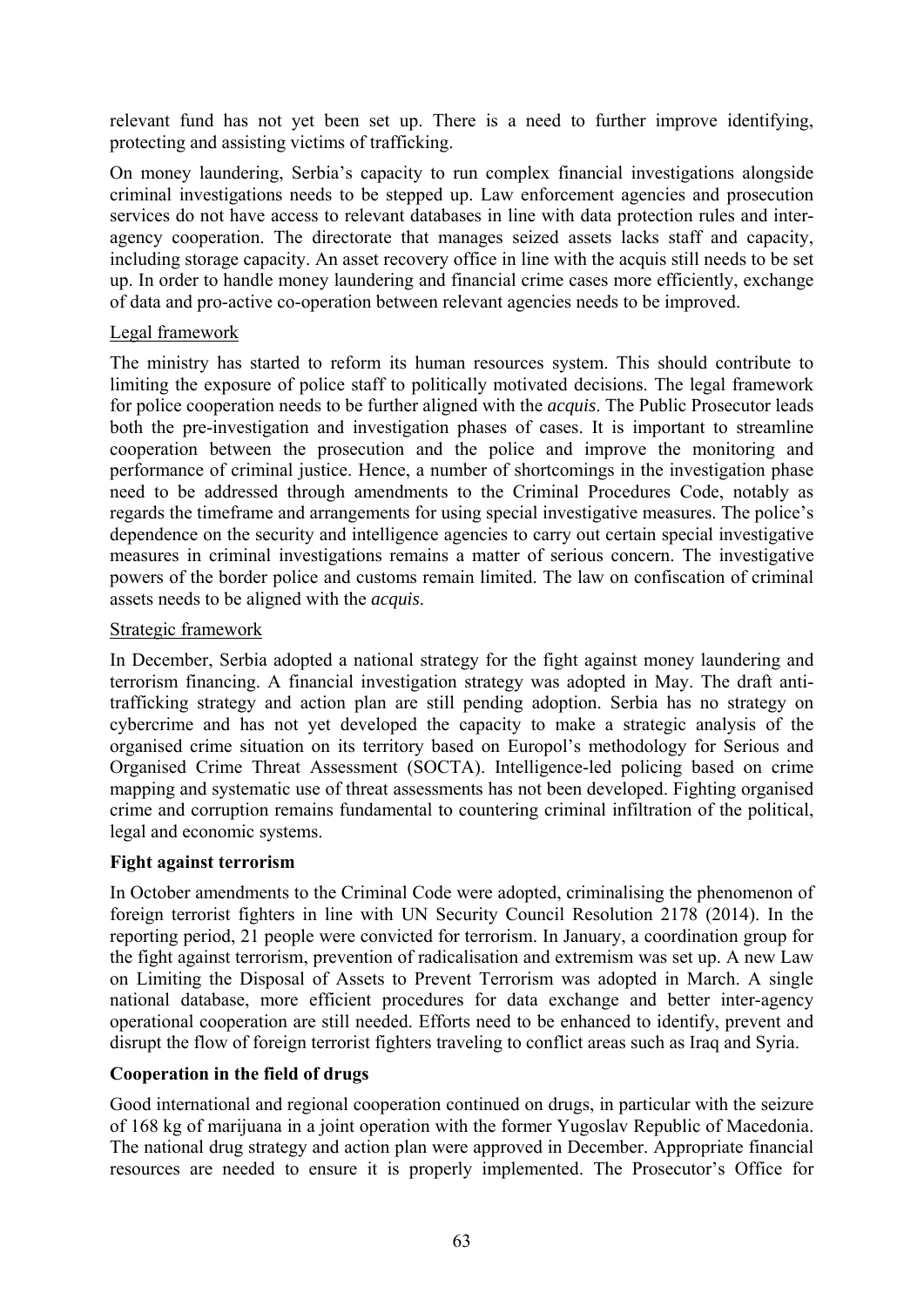relevant fund has not yet been set up. There is a need to further improve identifying, protecting and assisting victims of trafficking.

On money laundering, Serbia's capacity to run complex financial investigations alongside criminal investigations needs to be stepped up. Law enforcement agencies and prosecution services do not have access to relevant databases in line with data protection rules and interagency cooperation. The directorate that manages seized assets lacks staff and capacity, including storage capacity. An asset recovery office in line with the acquis still needs to be set up. In order to handle money laundering and financial crime cases more efficiently, exchange of data and pro-active co-operation between relevant agencies needs to be improved.

## Legal framework

The ministry has started to reform its human resources system. This should contribute to limiting the exposure of police staff to politically motivated decisions. The legal framework for police cooperation needs to be further aligned with the *acquis*. The Public Prosecutor leads both the pre-investigation and investigation phases of cases. It is important to streamline cooperation between the prosecution and the police and improve the monitoring and performance of criminal justice. Hence, a number of shortcomings in the investigation phase need to be addressed through amendments to the Criminal Procedures Code, notably as regards the timeframe and arrangements for using special investigative measures. The police's dependence on the security and intelligence agencies to carry out certain special investigative measures in criminal investigations remains a matter of serious concern. The investigative powers of the border police and customs remain limited. The law on confiscation of criminal assets needs to be aligned with the *acquis*.

#### Strategic framework

In December, Serbia adopted a national strategy for the fight against money laundering and terrorism financing. A financial investigation strategy was adopted in May. The draft antitrafficking strategy and action plan are still pending adoption. Serbia has no strategy on cybercrime and has not yet developed the capacity to make a strategic analysis of the organised crime situation on its territory based on Europol's methodology for Serious and Organised Crime Threat Assessment (SOCTA). Intelligence-led policing based on crime mapping and systematic use of threat assessments has not been developed. Fighting organised crime and corruption remains fundamental to countering criminal infiltration of the political, legal and economic systems.

#### **Fight against terrorism**

In October amendments to the Criminal Code were adopted, criminalising the phenomenon of foreign terrorist fighters in line with UN Security Council Resolution 2178 (2014). In the reporting period, 21 people were convicted for terrorism. In January, a coordination group for the fight against terrorism, prevention of radicalisation and extremism was set up. A new Law on Limiting the Disposal of Assets to Prevent Terrorism was adopted in March. A single national database, more efficient procedures for data exchange and better inter-agency operational cooperation are still needed. Efforts need to be enhanced to identify, prevent and disrupt the flow of foreign terrorist fighters traveling to conflict areas such as Iraq and Syria.

## **Cooperation in the field of drugs**

Good international and regional cooperation continued on drugs, in particular with the seizure of 168 kg of marijuana in a joint operation with the former Yugoslav Republic of Macedonia. The national drug strategy and action plan were approved in December. Appropriate financial resources are needed to ensure it is properly implemented. The Prosecutor's Office for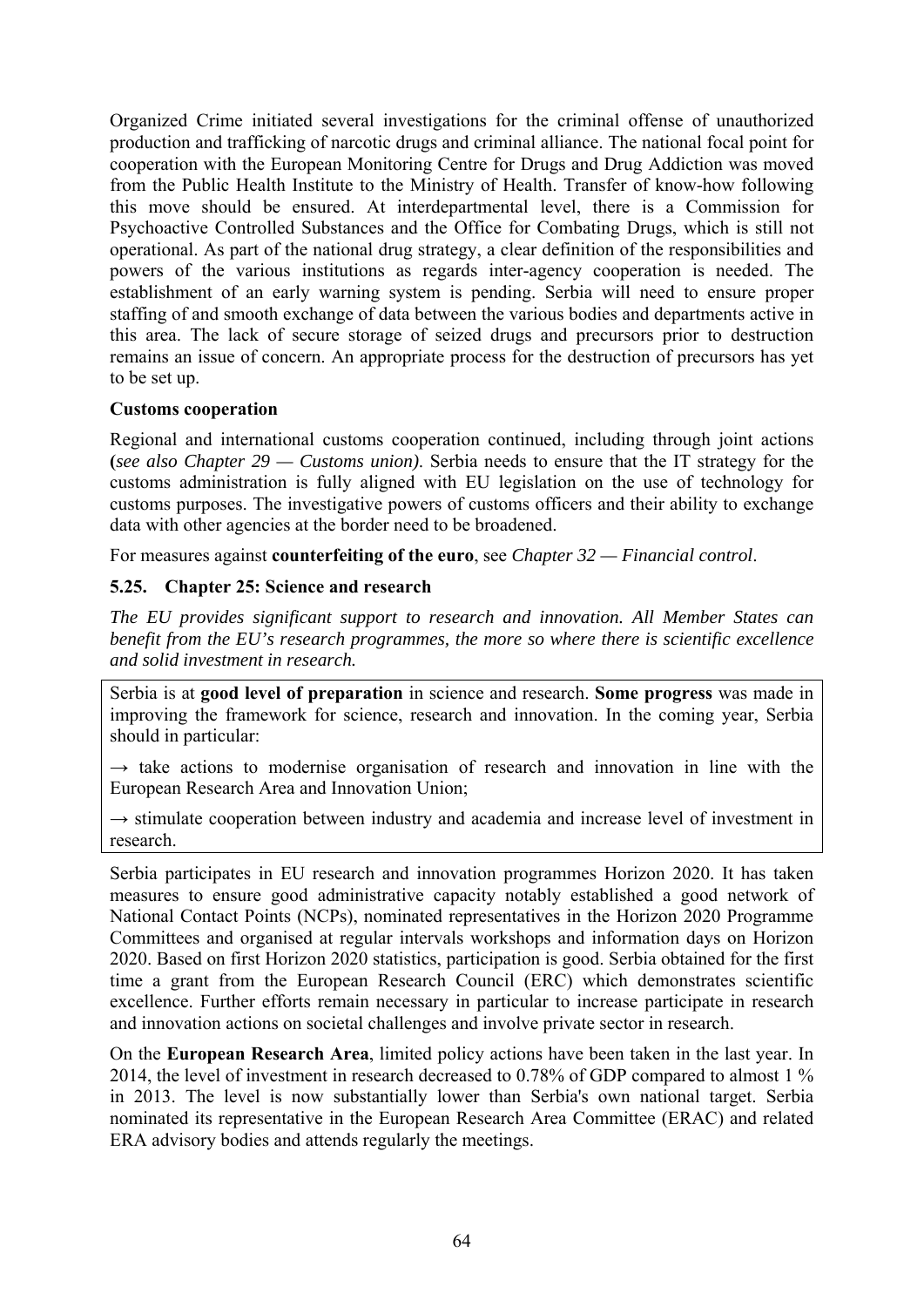Organized Crime initiated several investigations for the criminal offense of unauthorized production and trafficking of narcotic drugs and criminal alliance. The national focal point for cooperation with the European Monitoring Centre for Drugs and Drug Addiction was moved from the Public Health Institute to the Ministry of Health. Transfer of know-how following this move should be ensured. At interdepartmental level, there is a Commission for Psychoactive Controlled Substances and the Office for Combating Drugs, which is still not operational. As part of the national drug strategy, a clear definition of the responsibilities and powers of the various institutions as regards inter-agency cooperation is needed. The establishment of an early warning system is pending. Serbia will need to ensure proper staffing of and smooth exchange of data between the various bodies and departments active in this area. The lack of secure storage of seized drugs and precursors prior to destruction remains an issue of concern. An appropriate process for the destruction of precursors has yet to be set up.

#### **Customs cooperation**

Regional and international customs cooperation continued, including through joint actions **(***see also Chapter 29 — Customs union)*. Serbia needs to ensure that the IT strategy for the customs administration is fully aligned with EU legislation on the use of technology for customs purposes. The investigative powers of customs officers and their ability to exchange data with other agencies at the border need to be broadened.

For measures against **counterfeiting of the euro**, see *Chapter 32 — Financial control*.

## **5.25. Chapter 25: Science and research**

*The EU provides significant support to research and innovation. All Member States can benefit from the EU's research programmes, the more so where there is scientific excellence and solid investment in research.* 

Serbia is at **good level of preparation** in science and research. **Some progress** was made in improving the framework for science, research and innovation. In the coming year, Serbia should in particular:

 $\rightarrow$  take actions to modernise organisation of research and innovation in line with the European Research Area and Innovation Union;

 $\rightarrow$  stimulate cooperation between industry and academia and increase level of investment in research.

Serbia participates in EU research and innovation programmes Horizon 2020. It has taken measures to ensure good administrative capacity notably established a good network of National Contact Points (NCPs), nominated representatives in the Horizon 2020 Programme Committees and organised at regular intervals workshops and information days on Horizon 2020. Based on first Horizon 2020 statistics, participation is good. Serbia obtained for the first time a grant from the European Research Council (ERC) which demonstrates scientific excellence. Further efforts remain necessary in particular to increase participate in research and innovation actions on societal challenges and involve private sector in research.

On the **European Research Area**, limited policy actions have been taken in the last year. In 2014, the level of investment in research decreased to 0.78% of GDP compared to almost 1 % in 2013. The level is now substantially lower than Serbia's own national target. Serbia nominated its representative in the European Research Area Committee (ERAC) and related ERA advisory bodies and attends regularly the meetings.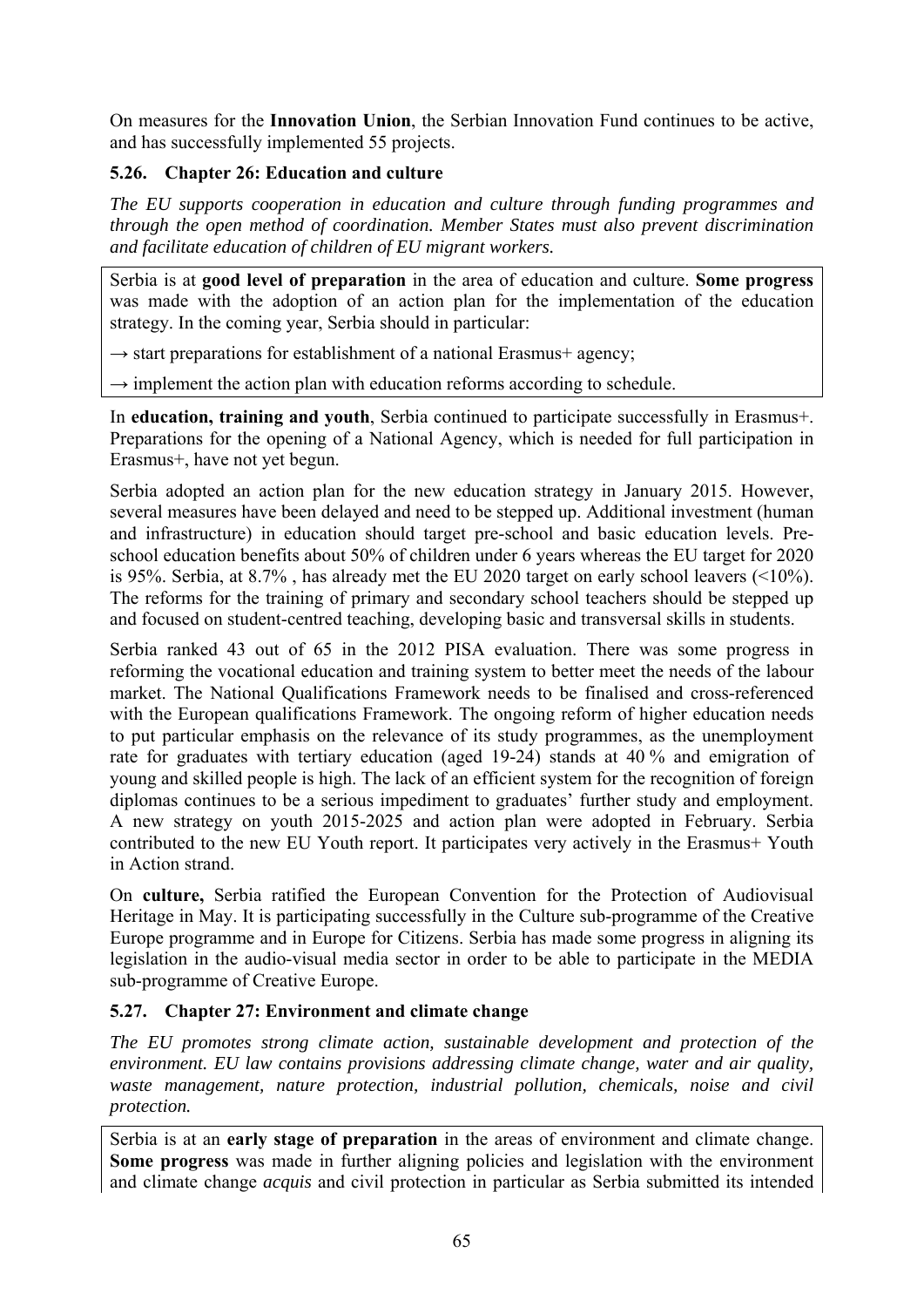On measures for the **Innovation Union**, the Serbian Innovation Fund continues to be active, and has successfully implemented 55 projects.

# **5.26. Chapter 26: Education and culture**

*The EU supports cooperation in education and culture through funding programmes and through the open method of coordination. Member States must also prevent discrimination and facilitate education of children of EU migrant workers.* 

Serbia is at **good level of preparation** in the area of education and culture. **Some progress** was made with the adoption of an action plan for the implementation of the education strategy. In the coming year, Serbia should in particular:

 $\rightarrow$  start preparations for establishment of a national Erasmus+ agency;

 $\rightarrow$  implement the action plan with education reforms according to schedule.

In **education, training and youth**, Serbia continued to participate successfully in Erasmus+. Preparations for the opening of a National Agency, which is needed for full participation in Erasmus+, have not yet begun.

Serbia adopted an action plan for the new education strategy in January 2015. However, several measures have been delayed and need to be stepped up. Additional investment (human and infrastructure) in education should target pre-school and basic education levels. Preschool education benefits about 50% of children under 6 years whereas the EU target for 2020 is 95%. Serbia, at 8.7% , has already met the EU 2020 target on early school leavers (<10%). The reforms for the training of primary and secondary school teachers should be stepped up and focused on student-centred teaching, developing basic and transversal skills in students.

Serbia ranked 43 out of 65 in the 2012 PISA evaluation. There was some progress in reforming the vocational education and training system to better meet the needs of the labour market. The National Qualifications Framework needs to be finalised and cross-referenced with the European qualifications Framework. The ongoing reform of higher education needs to put particular emphasis on the relevance of its study programmes, as the unemployment rate for graduates with tertiary education (aged 19-24) stands at 40 % and emigration of young and skilled people is high. The lack of an efficient system for the recognition of foreign diplomas continues to be a serious impediment to graduates' further study and employment. A new strategy on youth 2015-2025 and action plan were adopted in February. Serbia contributed to the new EU Youth report. It participates very actively in the Erasmus+ Youth in Action strand.

On **culture,** Serbia ratified the European Convention for the Protection of Audiovisual Heritage in May. It is participating successfully in the Culture sub-programme of the Creative Europe programme and in Europe for Citizens. Serbia has made some progress in aligning its legislation in the audio-visual media sector in order to be able to participate in the MEDIA sub-programme of Creative Europe.

# **5.27. Chapter 27: Environment and climate change**

*The EU promotes strong climate action, sustainable development and protection of the environment. EU law contains provisions addressing climate change, water and air quality, waste management, nature protection, industrial pollution, chemicals, noise and civil protection.* 

Serbia is at an **early stage of preparation** in the areas of environment and climate change. **Some progress** was made in further aligning policies and legislation with the environment and climate change *acquis* and civil protection in particular as Serbia submitted its intended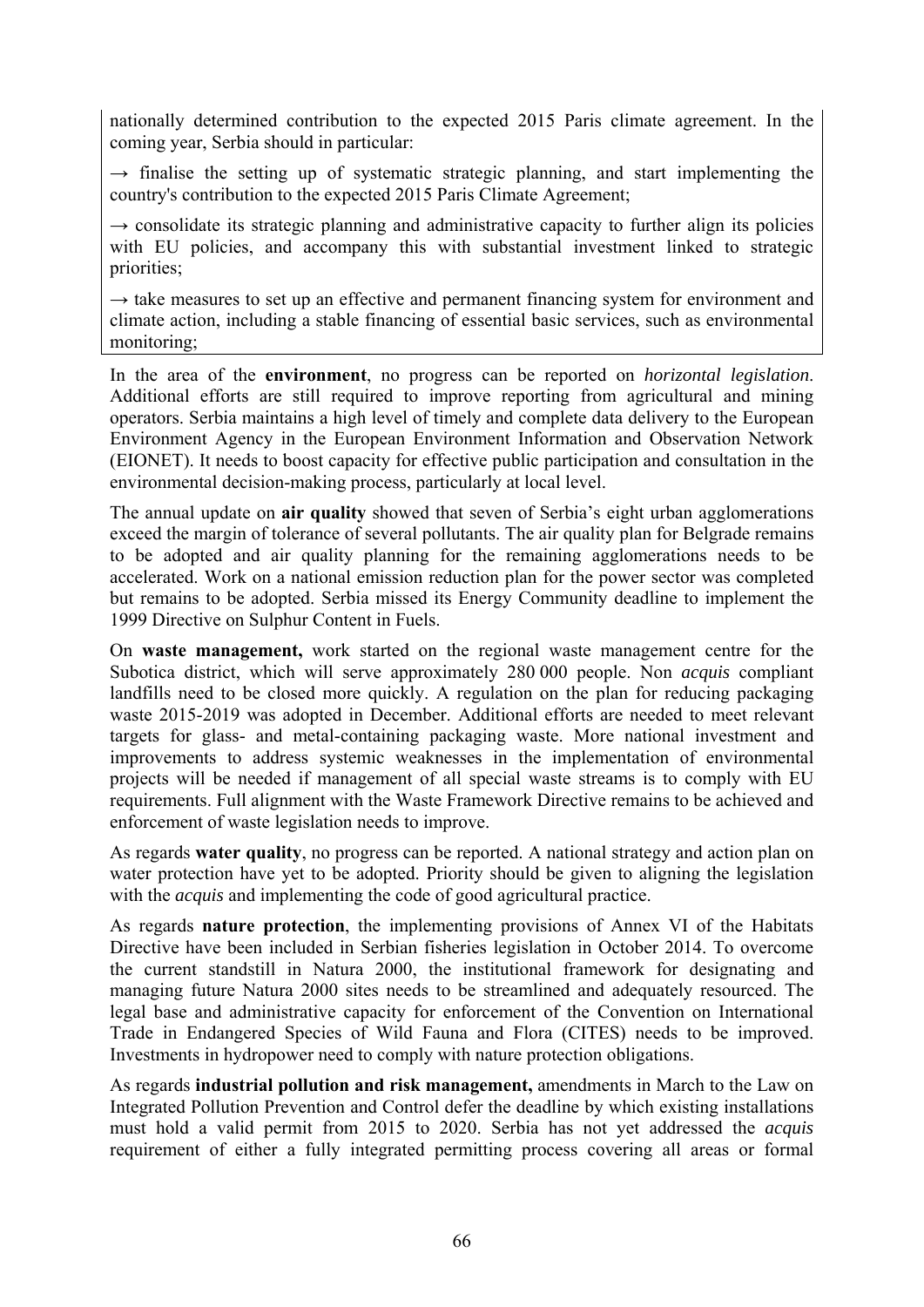nationally determined contribution to the expected 2015 Paris climate agreement. In the coming year, Serbia should in particular:

 $\rightarrow$  finalise the setting up of systematic strategic planning, and start implementing the country's contribution to the expected 2015 Paris Climate Agreement;

 $\rightarrow$  consolidate its strategic planning and administrative capacity to further align its policies with EU policies, and accompany this with substantial investment linked to strategic priorities;

 $\rightarrow$  take measures to set up an effective and permanent financing system for environment and climate action, including a stable financing of essential basic services, such as environmental monitoring;

In the area of the **environment**, no progress can be reported on *horizontal legislation*. Additional efforts are still required to improve reporting from agricultural and mining operators. Serbia maintains a high level of timely and complete data delivery to the European Environment Agency in the European Environment Information and Observation Network (EIONET). It needs to boost capacity for effective public participation and consultation in the environmental decision-making process, particularly at local level.

The annual update on **air quality** showed that seven of Serbia's eight urban agglomerations exceed the margin of tolerance of several pollutants. The air quality plan for Belgrade remains to be adopted and air quality planning for the remaining agglomerations needs to be accelerated. Work on a national emission reduction plan for the power sector was completed but remains to be adopted. Serbia missed its Energy Community deadline to implement the 1999 Directive on Sulphur Content in Fuels.

On **waste management,** work started on the regional waste management centre for the Subotica district, which will serve approximately 280 000 people. Non *acquis* compliant landfills need to be closed more quickly. A regulation on the plan for reducing packaging waste 2015-2019 was adopted in December. Additional efforts are needed to meet relevant targets for glass- and metal-containing packaging waste. More national investment and improvements to address systemic weaknesses in the implementation of environmental projects will be needed if management of all special waste streams is to comply with EU requirements. Full alignment with the Waste Framework Directive remains to be achieved and enforcement of waste legislation needs to improve.

As regards **water quality**, no progress can be reported. A national strategy and action plan on water protection have yet to be adopted. Priority should be given to aligning the legislation with the *acquis* and implementing the code of good agricultural practice.

As regards **nature protection**, the implementing provisions of Annex VI of the Habitats Directive have been included in Serbian fisheries legislation in October 2014. To overcome the current standstill in Natura 2000, the institutional framework for designating and managing future Natura 2000 sites needs to be streamlined and adequately resourced. The legal base and administrative capacity for enforcement of the Convention on International Trade in Endangered Species of Wild Fauna and Flora (CITES) needs to be improved. Investments in hydropower need to comply with nature protection obligations.

As regards **industrial pollution and risk management,** amendments in March to the Law on Integrated Pollution Prevention and Control defer the deadline by which existing installations must hold a valid permit from 2015 to 2020. Serbia has not yet addressed the *acquis* requirement of either a fully integrated permitting process covering all areas or formal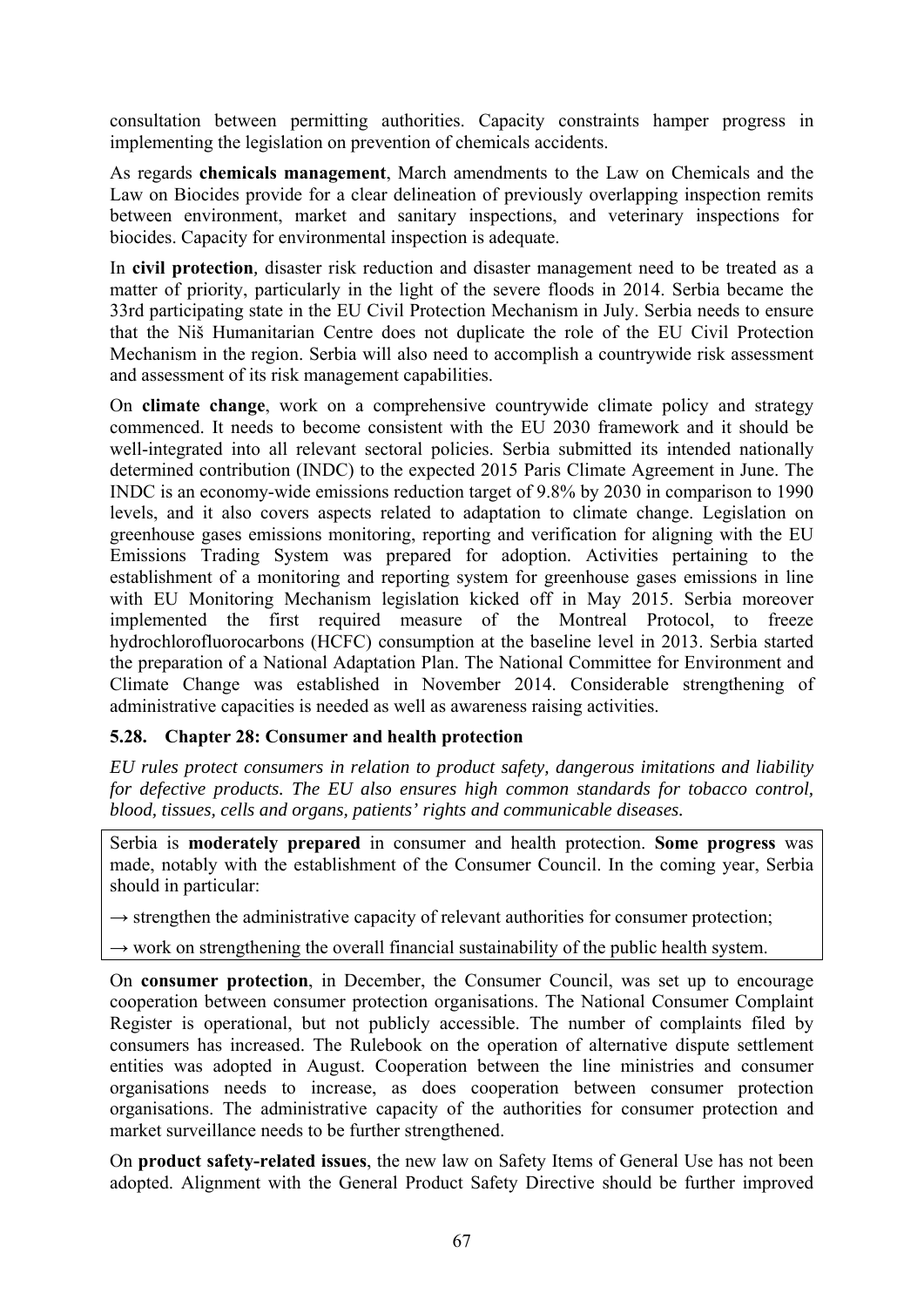consultation between permitting authorities. Capacity constraints hamper progress in implementing the legislation on prevention of chemicals accidents.

As regards **chemicals management**, March amendments to the Law on Chemicals and the Law on Biocides provide for a clear delineation of previously overlapping inspection remits between environment, market and sanitary inspections, and veterinary inspections for biocides. Capacity for environmental inspection is adequate.

In **civil protection***,* disaster risk reduction and disaster management need to be treated as a matter of priority, particularly in the light of the severe floods in 2014. Serbia became the 33rd participating state in the EU Civil Protection Mechanism in July. Serbia needs to ensure that the Niš Humanitarian Centre does not duplicate the role of the EU Civil Protection Mechanism in the region. Serbia will also need to accomplish a countrywide risk assessment and assessment of its risk management capabilities.

On **climate change**, work on a comprehensive countrywide climate policy and strategy commenced. It needs to become consistent with the EU 2030 framework and it should be well-integrated into all relevant sectoral policies. Serbia submitted its intended nationally determined contribution (INDC) to the expected 2015 Paris Climate Agreement in June. The INDC is an economy-wide emissions reduction target of 9.8% by 2030 in comparison to 1990 levels, and it also covers aspects related to adaptation to climate change. Legislation on greenhouse gases emissions monitoring, reporting and verification for aligning with the EU Emissions Trading System was prepared for adoption. Activities pertaining to the establishment of a monitoring and reporting system for greenhouse gases emissions in line with EU Monitoring Mechanism legislation kicked off in May 2015. Serbia moreover implemented the first required measure of the Montreal Protocol, to freeze hydrochlorofluorocarbons (HCFC) consumption at the baseline level in 2013. Serbia started the preparation of a National Adaptation Plan. The National Committee for Environment and Climate Change was established in November 2014. Considerable strengthening of administrative capacities is needed as well as awareness raising activities.

## **5.28. Chapter 28: Consumer and health protection**

*EU rules protect consumers in relation to product safety, dangerous imitations and liability for defective products. The EU also ensures high common standards for tobacco control, blood, tissues, cells and organs, patients' rights and communicable diseases.* 

Serbia is **moderately prepared** in consumer and health protection. **Some progress** was made, notably with the establishment of the Consumer Council. In the coming year, Serbia should in particular:

 $\rightarrow$  strengthen the administrative capacity of relevant authorities for consumer protection;

 $\rightarrow$  work on strengthening the overall financial sustainability of the public health system.

On **consumer protection**, in December, the Consumer Council, was set up to encourage cooperation between consumer protection organisations. The National Consumer Complaint Register is operational, but not publicly accessible. The number of complaints filed by consumers has increased. The Rulebook on the operation of alternative dispute settlement entities was adopted in August. Cooperation between the line ministries and consumer organisations needs to increase, as does cooperation between consumer protection organisations. The administrative capacity of the authorities for consumer protection and market surveillance needs to be further strengthened.

On **product safety-related issues**, the new law on Safety Items of General Use has not been adopted. Alignment with the General Product Safety Directive should be further improved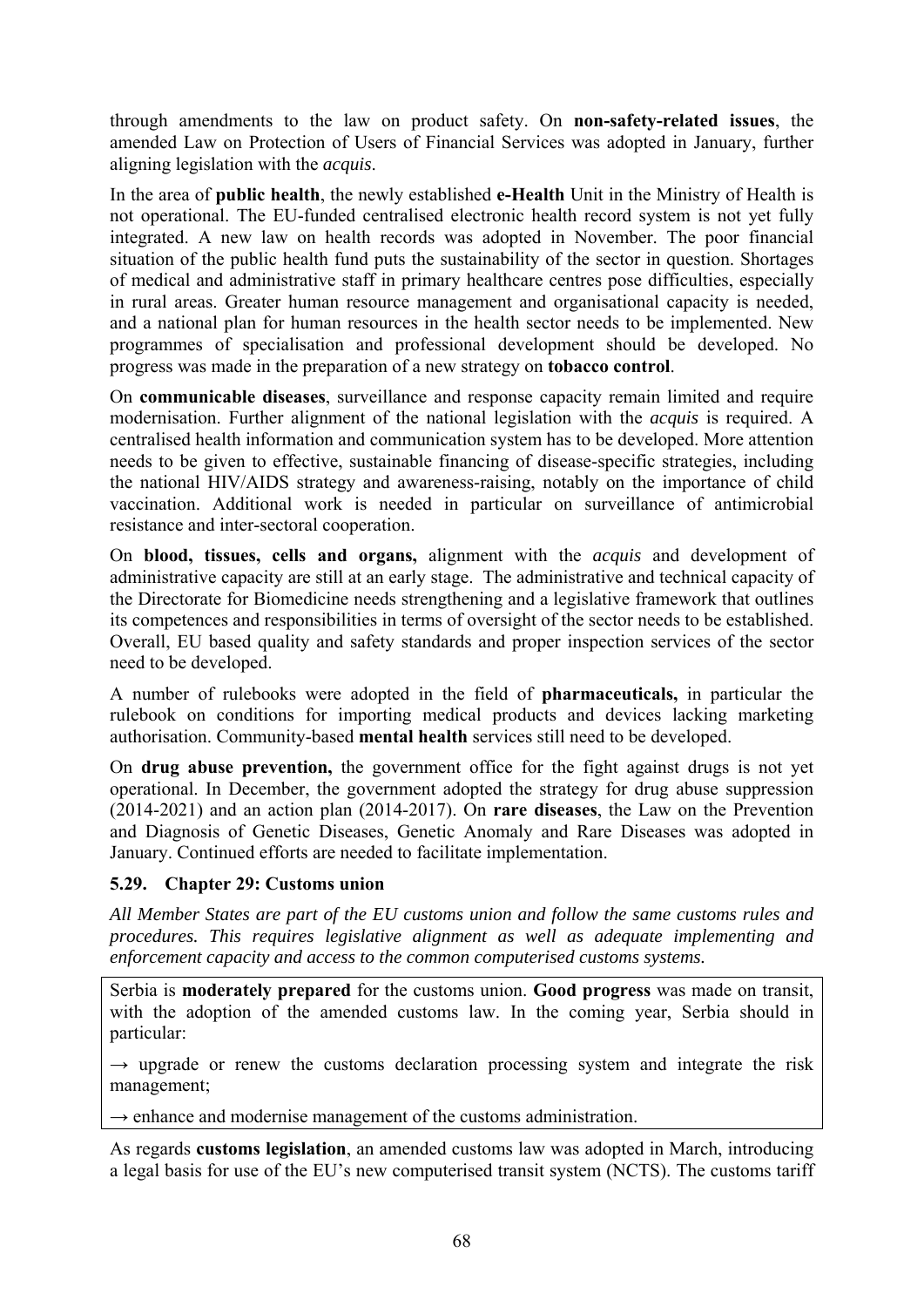through amendments to the law on product safety. On **non-safety-related issues**, the amended Law on Protection of Users of Financial Services was adopted in January, further aligning legislation with the *acquis*.

In the area of **public health**, the newly established **e-Health** Unit in the Ministry of Health is not operational. The EU-funded centralised electronic health record system is not yet fully integrated. A new law on health records was adopted in November. The poor financial situation of the public health fund puts the sustainability of the sector in question. Shortages of medical and administrative staff in primary healthcare centres pose difficulties, especially in rural areas. Greater human resource management and organisational capacity is needed, and a national plan for human resources in the health sector needs to be implemented. New programmes of specialisation and professional development should be developed. No progress was made in the preparation of a new strategy on **tobacco control**.

On **communicable diseases**, surveillance and response capacity remain limited and require modernisation. Further alignment of the national legislation with the *acquis* is required. A centralised health information and communication system has to be developed. More attention needs to be given to effective, sustainable financing of disease-specific strategies, including the national HIV/AIDS strategy and awareness-raising, notably on the importance of child vaccination. Additional work is needed in particular on surveillance of antimicrobial resistance and inter-sectoral cooperation.

On **blood, tissues, cells and organs,** alignment with the *acquis* and development of administrative capacity are still at an early stage. The administrative and technical capacity of the Directorate for Biomedicine needs strengthening and a legislative framework that outlines its competences and responsibilities in terms of oversight of the sector needs to be established. Overall, EU based quality and safety standards and proper inspection services of the sector need to be developed.

A number of rulebooks were adopted in the field of **pharmaceuticals,** in particular the rulebook on conditions for importing medical products and devices lacking marketing authorisation. Community-based **mental health** services still need to be developed.

On **drug abuse prevention,** the government office for the fight against drugs is not yet operational. In December, the government adopted the strategy for drug abuse suppression (2014-2021) and an action plan (2014-2017). On **rare diseases**, the Law on the Prevention and Diagnosis of Genetic Diseases, Genetic Anomaly and Rare Diseases was adopted in January. Continued efforts are needed to facilitate implementation.

## **5.29. Chapter 29: Customs union**

*All Member States are part of the EU customs union and follow the same customs rules and procedures. This requires legislative alignment as well as adequate implementing and enforcement capacity and access to the common computerised customs systems.* 

Serbia is **moderately prepared** for the customs union. **Good progress** was made on transit, with the adoption of the amended customs law. In the coming year, Serbia should in particular:

 $\rightarrow$  upgrade or renew the customs declaration processing system and integrate the risk management;

 $\rightarrow$  enhance and modernise management of the customs administration.

As regards **customs legislation**, an amended customs law was adopted in March, introducing a legal basis for use of the EU's new computerised transit system (NCTS). The customs tariff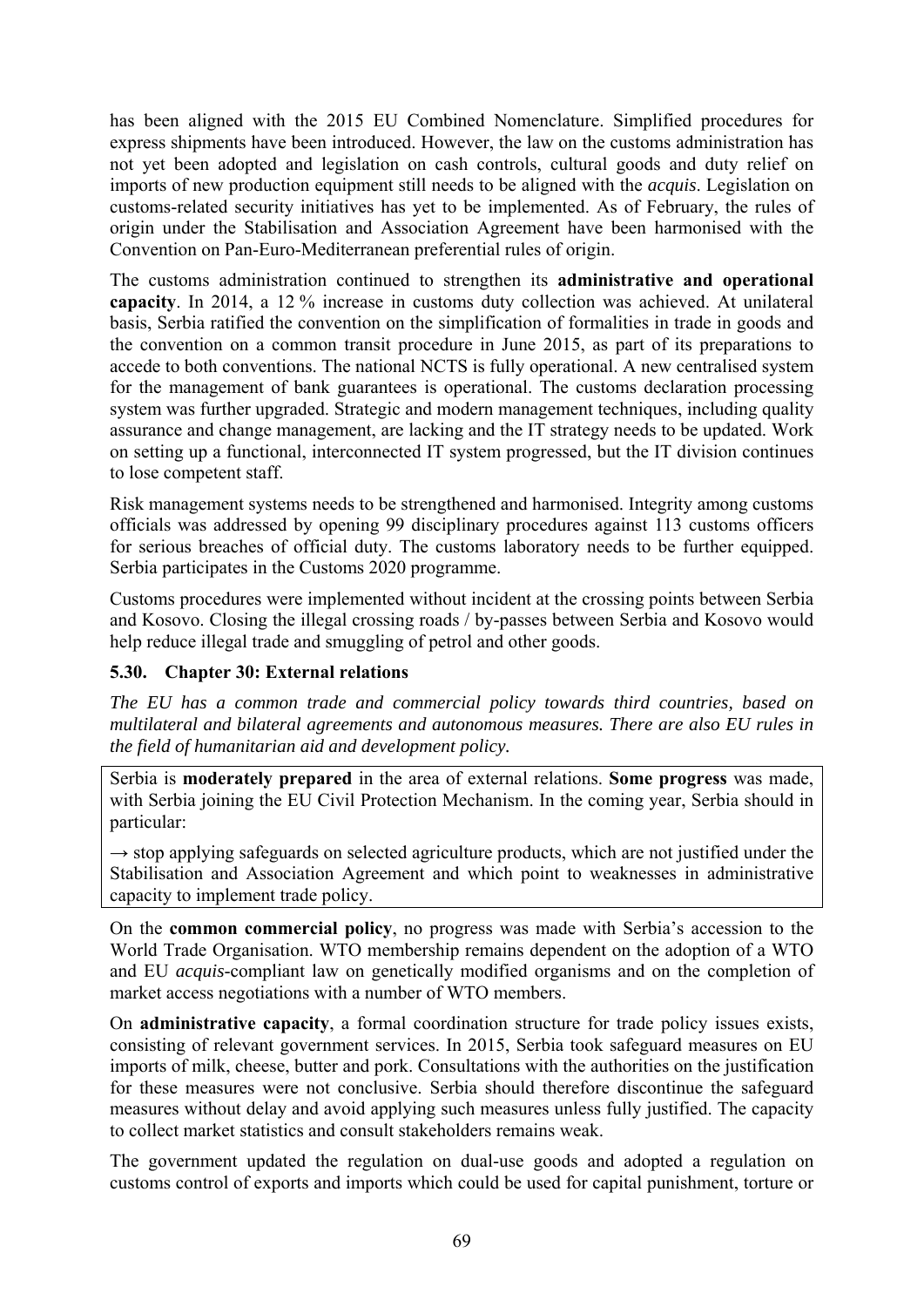has been aligned with the 2015 EU Combined Nomenclature. Simplified procedures for express shipments have been introduced. However, the law on the customs administration has not yet been adopted and legislation on cash controls, cultural goods and duty relief on imports of new production equipment still needs to be aligned with the *acquis*. Legislation on customs-related security initiatives has yet to be implemented. As of February, the rules of origin under the Stabilisation and Association Agreement have been harmonised with the Convention on Pan-Euro-Mediterranean preferential rules of origin.

The customs administration continued to strengthen its **administrative and operational capacity**. In 2014, a 12 % increase in customs duty collection was achieved. At unilateral basis, Serbia ratified the convention on the simplification of formalities in trade in goods and the convention on a common transit procedure in June 2015, as part of its preparations to accede to both conventions. The national NCTS is fully operational. A new centralised system for the management of bank guarantees is operational. The customs declaration processing system was further upgraded. Strategic and modern management techniques, including quality assurance and change management, are lacking and the IT strategy needs to be updated. Work on setting up a functional, interconnected IT system progressed, but the IT division continues to lose competent staff.

Risk management systems needs to be strengthened and harmonised. Integrity among customs officials was addressed by opening 99 disciplinary procedures against 113 customs officers for serious breaches of official duty. The customs laboratory needs to be further equipped. Serbia participates in the Customs 2020 programme.

Customs procedures were implemented without incident at the crossing points between Serbia and Kosovo. Closing the illegal crossing roads / by-passes between Serbia and Kosovo would help reduce illegal trade and smuggling of petrol and other goods.

# **5.30. Chapter 30: External relations**

*The EU has a common trade and commercial policy towards third countries, based on multilateral and bilateral agreements and autonomous measures. There are also EU rules in the field of humanitarian aid and development policy.* 

Serbia is **moderately prepared** in the area of external relations. **Some progress** was made, with Serbia joining the EU Civil Protection Mechanism. In the coming year, Serbia should in particular:

 $\rightarrow$  stop applying safeguards on selected agriculture products, which are not justified under the Stabilisation and Association Agreement and which point to weaknesses in administrative capacity to implement trade policy.

On the **common commercial policy**, no progress was made with Serbia's accession to the World Trade Organisation. WTO membership remains dependent on the adoption of a WTO and EU *acquis*-compliant law on genetically modified organisms and on the completion of market access negotiations with a number of WTO members.

On **administrative capacity**, a formal coordination structure for trade policy issues exists, consisting of relevant government services. In 2015, Serbia took safeguard measures on EU imports of milk, cheese, butter and pork. Consultations with the authorities on the justification for these measures were not conclusive. Serbia should therefore discontinue the safeguard measures without delay and avoid applying such measures unless fully justified. The capacity to collect market statistics and consult stakeholders remains weak.

The government updated the regulation on dual-use goods and adopted a regulation on customs control of exports and imports which could be used for capital punishment, torture or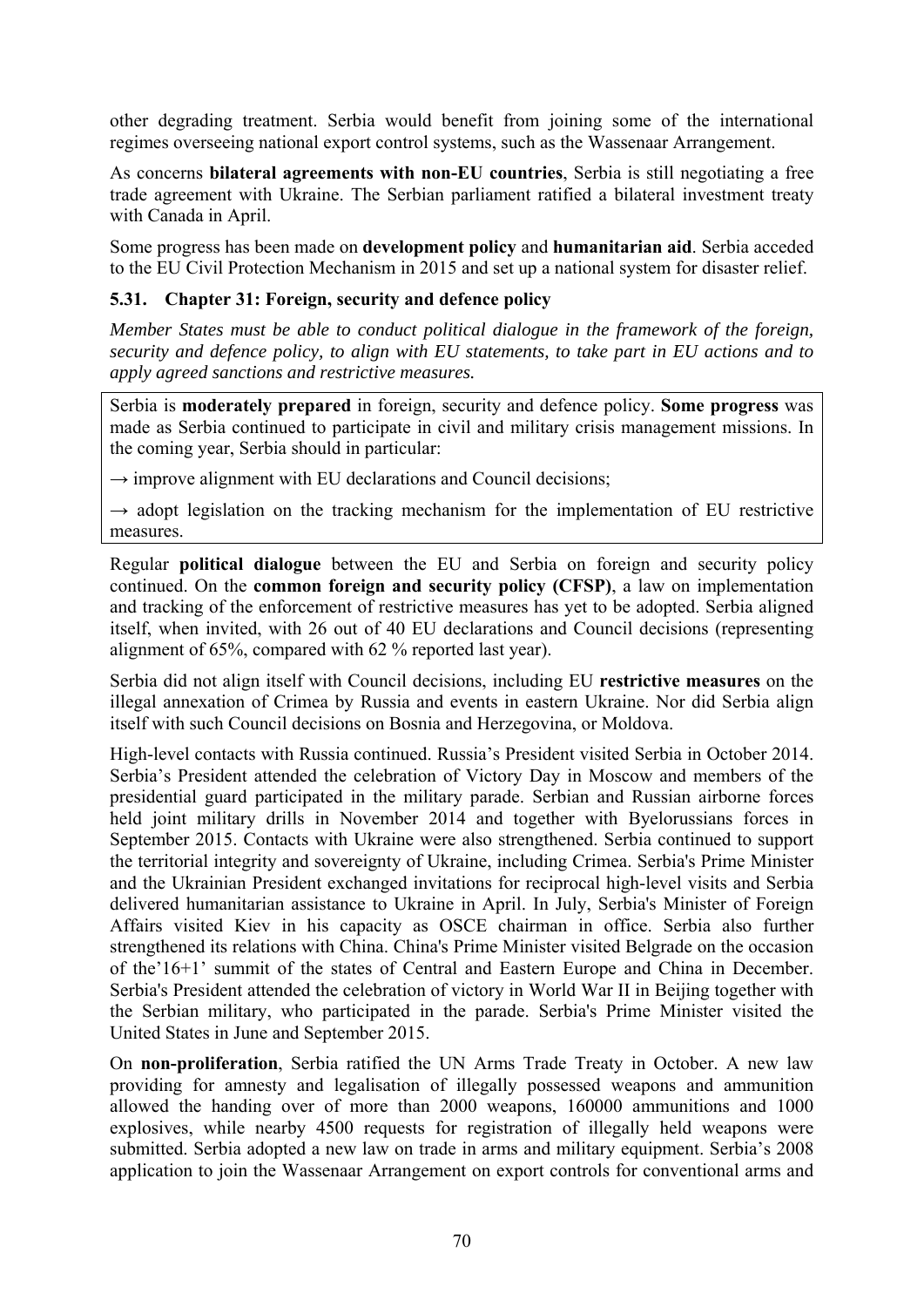other degrading treatment. Serbia would benefit from joining some of the international regimes overseeing national export control systems, such as the Wassenaar Arrangement.

As concerns **bilateral agreements with non-EU countries**, Serbia is still negotiating a free trade agreement with Ukraine. The Serbian parliament ratified a bilateral investment treaty with Canada in April.

Some progress has been made on **development policy** and **humanitarian aid**. Serbia acceded to the EU Civil Protection Mechanism in 2015 and set up a national system for disaster relief.

## **5.31. Chapter 31: Foreign, security and defence policy**

*Member States must be able to conduct political dialogue in the framework of the foreign, security and defence policy, to align with EU statements, to take part in EU actions and to apply agreed sanctions and restrictive measures.* 

Serbia is **moderately prepared** in foreign, security and defence policy. **Some progress** was made as Serbia continued to participate in civil and military crisis management missions. In the coming year, Serbia should in particular:

 $\rightarrow$  improve alignment with EU declarations and Council decisions;

 $\rightarrow$  adopt legislation on the tracking mechanism for the implementation of EU restrictive measures.

Regular **political dialogue** between the EU and Serbia on foreign and security policy continued. On the **common foreign and security policy (CFSP)**, a law on implementation and tracking of the enforcement of restrictive measures has yet to be adopted. Serbia aligned itself, when invited, with 26 out of 40 EU declarations and Council decisions (representing alignment of 65%, compared with 62 % reported last year).

Serbia did not align itself with Council decisions, including EU **restrictive measures** on the illegal annexation of Crimea by Russia and events in eastern Ukraine. Nor did Serbia align itself with such Council decisions on Bosnia and Herzegovina, or Moldova.

High-level contacts with Russia continued. Russia's President visited Serbia in October 2014. Serbia's President attended the celebration of Victory Day in Moscow and members of the presidential guard participated in the military parade. Serbian and Russian airborne forces held joint military drills in November 2014 and together with Byelorussians forces in September 2015. Contacts with Ukraine were also strengthened. Serbia continued to support the territorial integrity and sovereignty of Ukraine, including Crimea. Serbia's Prime Minister and the Ukrainian President exchanged invitations for reciprocal high-level visits and Serbia delivered humanitarian assistance to Ukraine in April. In July, Serbia's Minister of Foreign Affairs visited Kiev in his capacity as OSCE chairman in office. Serbia also further strengthened its relations with China. China's Prime Minister visited Belgrade on the occasion of the'16+1' summit of the states of Central and Eastern Europe and China in December. Serbia's President attended the celebration of victory in World War II in Beijing together with the Serbian military, who participated in the parade. Serbia's Prime Minister visited the United States in June and September 2015.

On **non-proliferation**, Serbia ratified the UN Arms Trade Treaty in October. A new law providing for amnesty and legalisation of illegally possessed weapons and ammunition allowed the handing over of more than 2000 weapons, 160000 ammunitions and 1000 explosives, while nearby 4500 requests for registration of illegally held weapons were submitted. Serbia adopted a new law on trade in arms and military equipment. Serbia's 2008 application to join the Wassenaar Arrangement on export controls for conventional arms and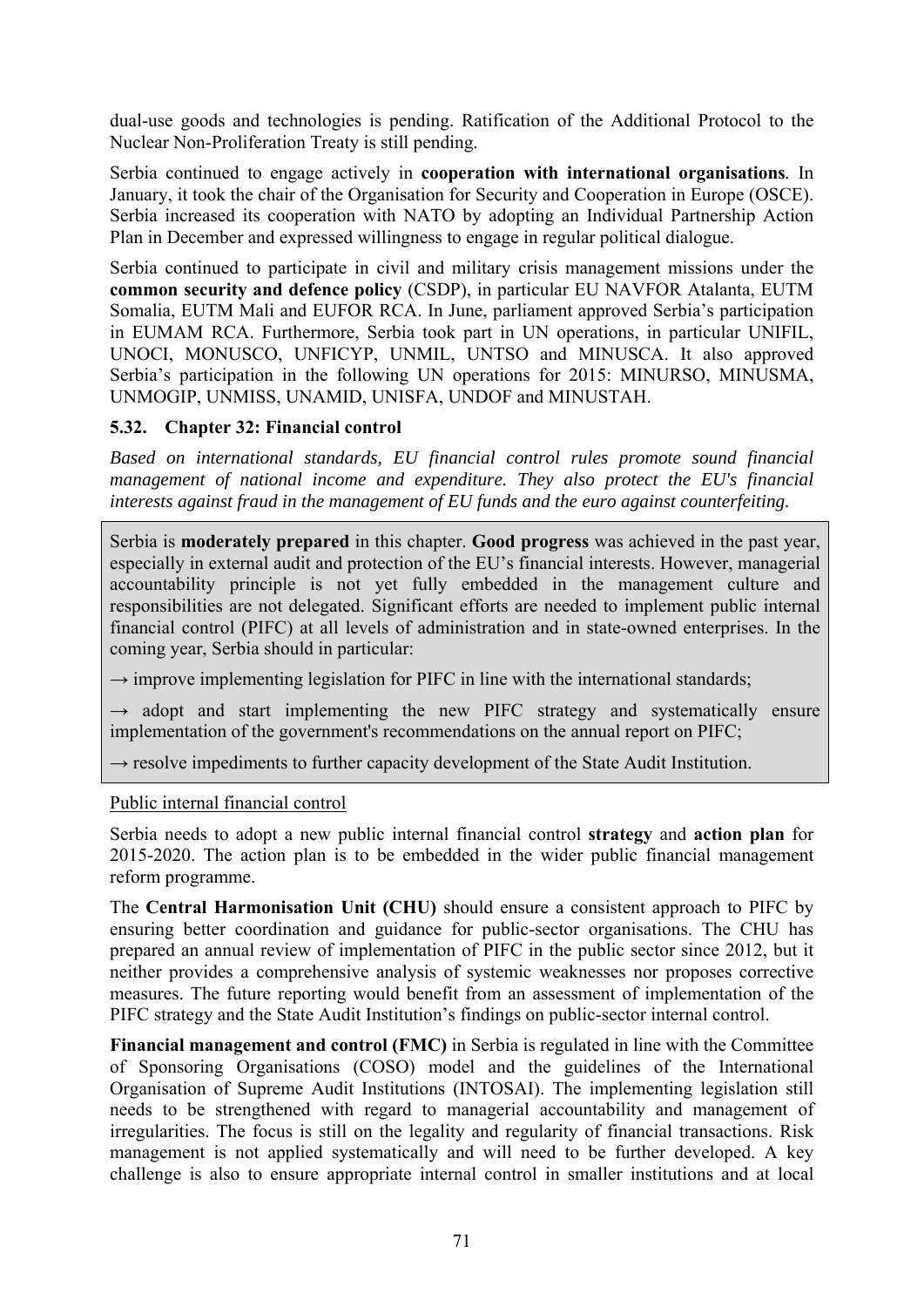dual-use goods and technologies is pending. Ratification of the Additional Protocol to the Nuclear Non-Proliferation Treaty is still pending.

Serbia continued to engage actively in **cooperation with international organisations***.* In January, it took the chair of the Organisation for Security and Cooperation in Europe (OSCE). Serbia increased its cooperation with NATO by adopting an Individual Partnership Action Plan in December and expressed willingness to engage in regular political dialogue.

Serbia continued to participate in civil and military crisis management missions under the **common security and defence policy** (CSDP), in particular EU NAVFOR Atalanta, EUTM Somalia, EUTM Mali and EUFOR RCA. In June, parliament approved Serbia's participation in EUMAM RCA. Furthermore, Serbia took part in UN operations, in particular UNIFIL, UNOCI, MONUSCO, UNFICYP, UNMIL, UNTSO and MINUSCA. It also approved Serbia's participation in the following UN operations for 2015: MINURSO, MINUSMA, UNMOGIP, UNMISS, UNAMID, UNISFA, UNDOF and MINUSTAH.

## **5.32. Chapter 32: Financial control**

*Based on international standards, EU financial control rules promote sound financial management of national income and expenditure. They also protect the EU's financial interests against fraud in the management of EU funds and the euro against counterfeiting.* 

Serbia is **moderately prepared** in this chapter. **Good progress** was achieved in the past year, especially in external audit and protection of the EU's financial interests. However, managerial accountability principle is not yet fully embedded in the management culture and responsibilities are not delegated. Significant efforts are needed to implement public internal financial control (PIFC) at all levels of administration and in state-owned enterprises. In the coming year, Serbia should in particular:

 $\rightarrow$  improve implementing legislation for PIFC in line with the international standards;

 $\rightarrow$  adopt and start implementing the new PIFC strategy and systematically ensure implementation of the government's recommendations on the annual report on PIFC;

 $\rightarrow$  resolve impediments to further capacity development of the State Audit Institution.

Public internal financial control

Serbia needs to adopt a new public internal financial control **strategy** and **action plan** for 2015-2020. The action plan is to be embedded in the wider public financial management reform programme.

The **Central Harmonisation Unit (CHU)** should ensure a consistent approach to PIFC by ensuring better coordination and guidance for public-sector organisations. The CHU has prepared an annual review of implementation of PIFC in the public sector since 2012, but it neither provides a comprehensive analysis of systemic weaknesses nor proposes corrective measures. The future reporting would benefit from an assessment of implementation of the PIFC strategy and the State Audit Institution's findings on public-sector internal control.

**Financial management and control (FMC)** in Serbia is regulated in line with the Committee of Sponsoring Organisations (COSO) model and the guidelines of the International Organisation of Supreme Audit Institutions (INTOSAI). The implementing legislation still needs to be strengthened with regard to managerial accountability and management of irregularities. The focus is still on the legality and regularity of financial transactions. Risk management is not applied systematically and will need to be further developed. A key challenge is also to ensure appropriate internal control in smaller institutions and at local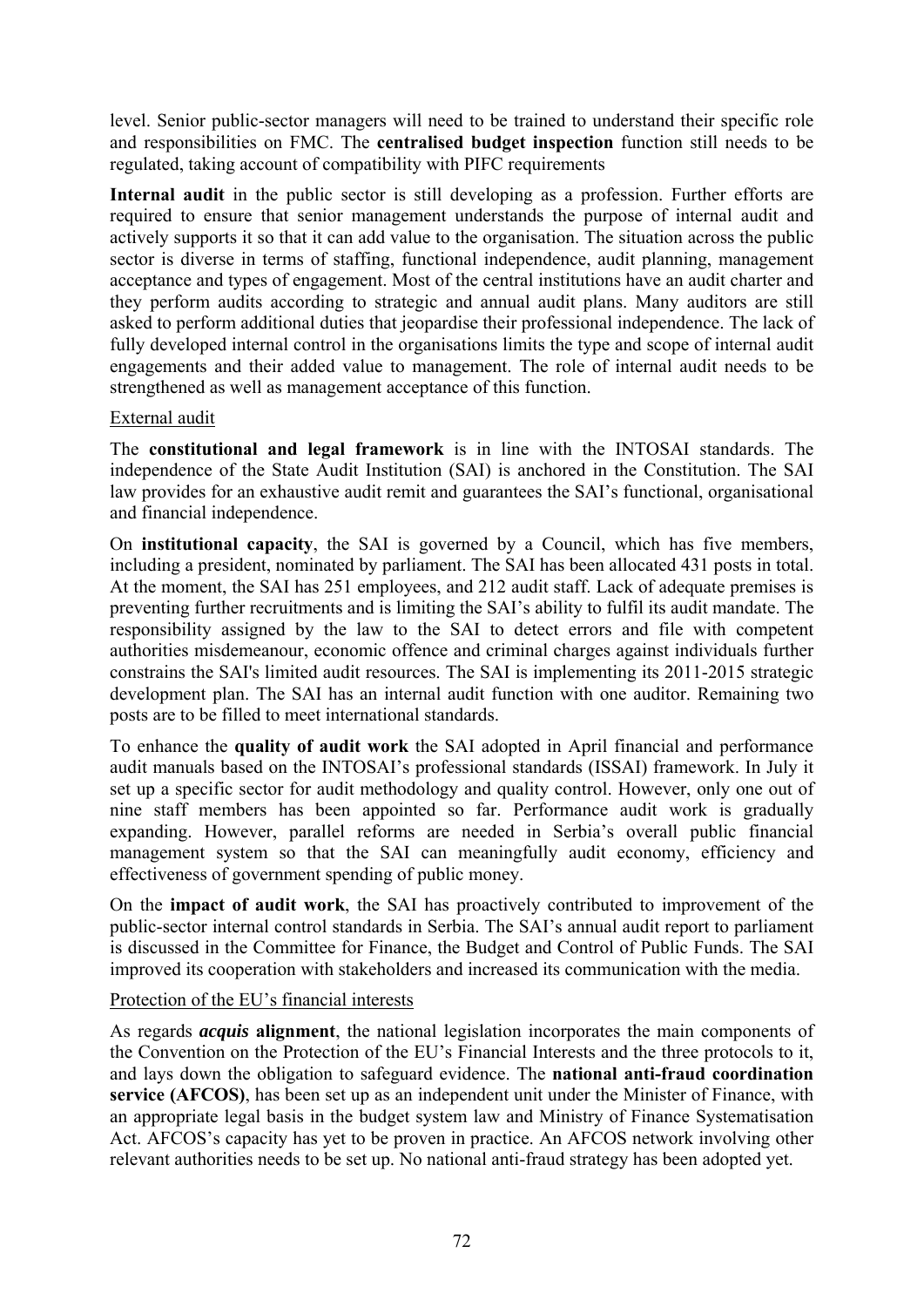level. Senior public-sector managers will need to be trained to understand their specific role and responsibilities on FMC. The **centralised budget inspection** function still needs to be regulated, taking account of compatibility with PIFC requirements

**Internal audit** in the public sector is still developing as a profession. Further efforts are required to ensure that senior management understands the purpose of internal audit and actively supports it so that it can add value to the organisation. The situation across the public sector is diverse in terms of staffing, functional independence, audit planning, management acceptance and types of engagement. Most of the central institutions have an audit charter and they perform audits according to strategic and annual audit plans. Many auditors are still asked to perform additional duties that jeopardise their professional independence. The lack of fully developed internal control in the organisations limits the type and scope of internal audit engagements and their added value to management. The role of internal audit needs to be strengthened as well as management acceptance of this function.

## External audit

The **constitutional and legal framework** is in line with the INTOSAI standards. The independence of the State Audit Institution (SAI) is anchored in the Constitution. The SAI law provides for an exhaustive audit remit and guarantees the SAI's functional, organisational and financial independence.

On **institutional capacity**, the SAI is governed by a Council, which has five members, including a president, nominated by parliament. The SAI has been allocated 431 posts in total. At the moment, the SAI has 251 employees, and 212 audit staff. Lack of adequate premises is preventing further recruitments and is limiting the SAI's ability to fulfil its audit mandate. The responsibility assigned by the law to the SAI to detect errors and file with competent authorities misdemeanour, economic offence and criminal charges against individuals further constrains the SAI's limited audit resources. The SAI is implementing its 2011-2015 strategic development plan. The SAI has an internal audit function with one auditor. Remaining two posts are to be filled to meet international standards.

To enhance the **quality of audit work** the SAI adopted in April financial and performance audit manuals based on the INTOSAI's professional standards (ISSAI) framework. In July it set up a specific sector for audit methodology and quality control. However, only one out of nine staff members has been appointed so far. Performance audit work is gradually expanding. However, parallel reforms are needed in Serbia's overall public financial management system so that the SAI can meaningfully audit economy, efficiency and effectiveness of government spending of public money.

On the **impact of audit work**, the SAI has proactively contributed to improvement of the public-sector internal control standards in Serbia. The SAI's annual audit report to parliament is discussed in the Committee for Finance, the Budget and Control of Public Funds. The SAI improved its cooperation with stakeholders and increased its communication with the media.

## Protection of the EU's financial interests

As regards *acquis* **alignment**, the national legislation incorporates the main components of the Convention on the Protection of the EU's Financial Interests and the three protocols to it, and lays down the obligation to safeguard evidence. The **national anti-fraud coordination service (AFCOS)**, has been set up as an independent unit under the Minister of Finance, with an appropriate legal basis in the budget system law and Ministry of Finance Systematisation Act. AFCOS's capacity has yet to be proven in practice. An AFCOS network involving other relevant authorities needs to be set up. No national anti-fraud strategy has been adopted yet.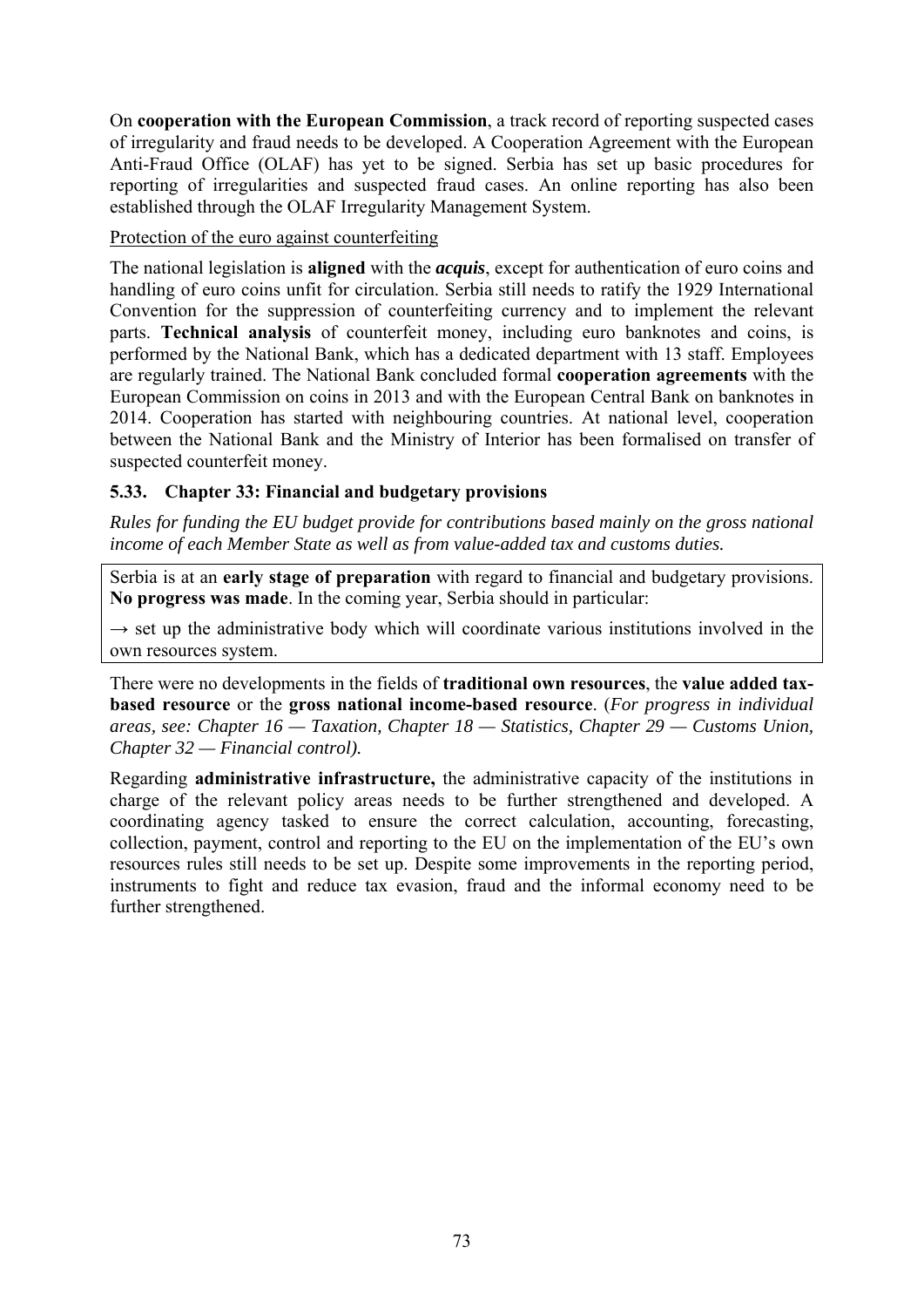On **cooperation with the European Commission**, a track record of reporting suspected cases of irregularity and fraud needs to be developed. A Cooperation Agreement with the European Anti-Fraud Office (OLAF) has yet to be signed. Serbia has set up basic procedures for reporting of irregularities and suspected fraud cases. An online reporting has also been established through the OLAF Irregularity Management System.

### Protection of the euro against counterfeiting

The national legislation is **aligned** with the *acquis*, except for authentication of euro coins and handling of euro coins unfit for circulation. Serbia still needs to ratify the 1929 International Convention for the suppression of counterfeiting currency and to implement the relevant parts. **Technical analysis** of counterfeit money, including euro banknotes and coins, is performed by the National Bank, which has a dedicated department with 13 staff. Employees are regularly trained. The National Bank concluded formal **cooperation agreements** with the European Commission on coins in 2013 and with the European Central Bank on banknotes in 2014. Cooperation has started with neighbouring countries. At national level, cooperation between the National Bank and the Ministry of Interior has been formalised on transfer of suspected counterfeit money.

## **5.33. Chapter 33: Financial and budgetary provisions**

*Rules for funding the EU budget provide for contributions based mainly on the gross national income of each Member State as well as from value-added tax and customs duties.* 

Serbia is at an **early stage of preparation** with regard to financial and budgetary provisions. **No progress was made**. In the coming year, Serbia should in particular:

 $\rightarrow$  set up the administrative body which will coordinate various institutions involved in the own resources system.

There were no developments in the fields of **traditional own resources**, the **value added taxbased resource** or the **gross national income-based resource**. (*For progress in individual areas, see: Chapter 16 — Taxation, Chapter 18 — Statistics, Chapter 29 — Customs Union, Chapter 32 — Financial control).*

Regarding **administrative infrastructure,** the administrative capacity of the institutions in charge of the relevant policy areas needs to be further strengthened and developed. A coordinating agency tasked to ensure the correct calculation, accounting, forecasting, collection, payment, control and reporting to the EU on the implementation of the EU's own resources rules still needs to be set up. Despite some improvements in the reporting period, instruments to fight and reduce tax evasion, fraud and the informal economy need to be further strengthened.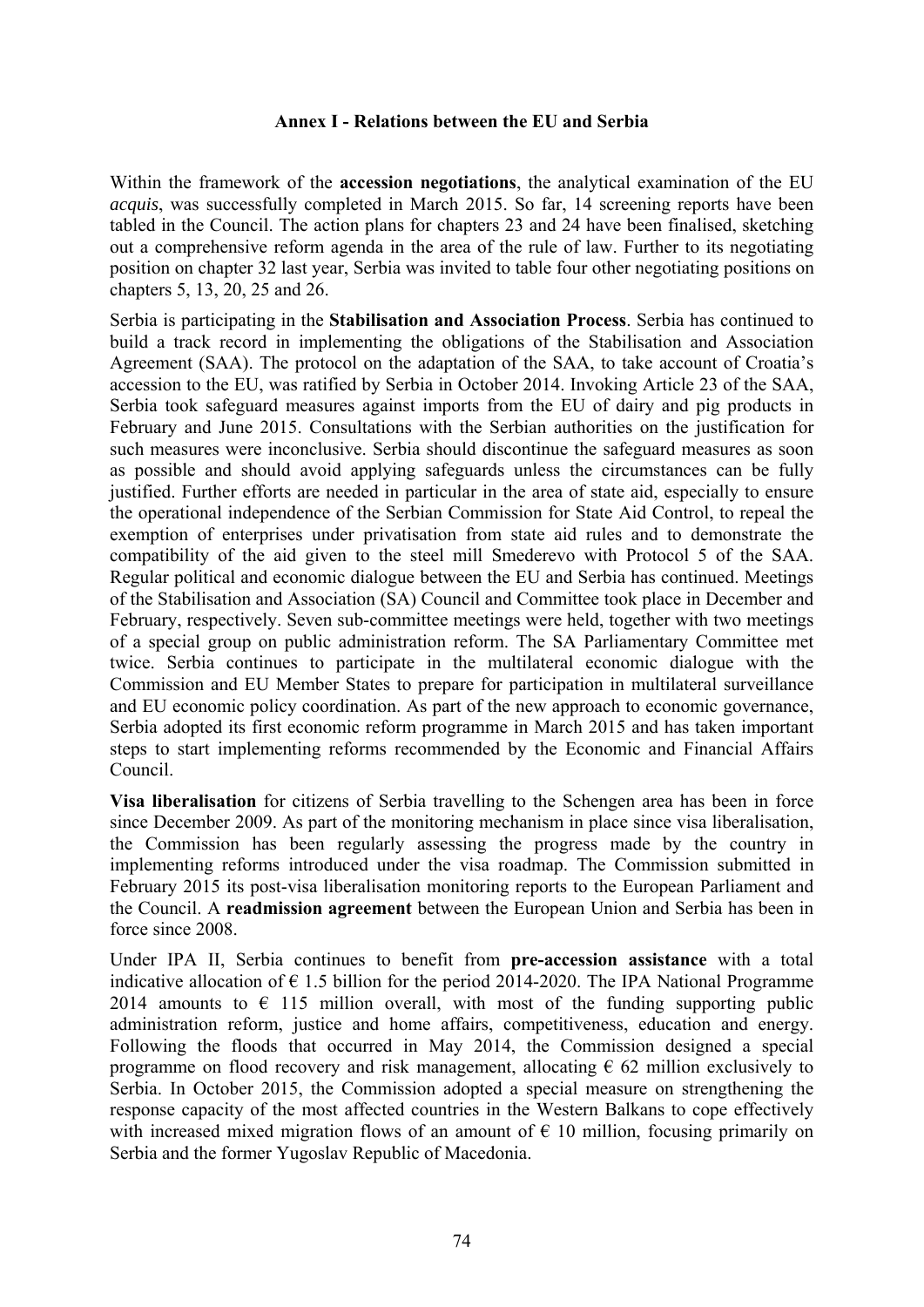### **Annex I - Relations between the EU and Serbia**

Within the framework of the **accession negotiations**, the analytical examination of the EU *acquis*, was successfully completed in March 2015. So far, 14 screening reports have been tabled in the Council. The action plans for chapters 23 and 24 have been finalised, sketching out a comprehensive reform agenda in the area of the rule of law. Further to its negotiating position on chapter 32 last year, Serbia was invited to table four other negotiating positions on chapters 5, 13, 20, 25 and 26.

Serbia is participating in the **Stabilisation and Association Process**. Serbia has continued to build a track record in implementing the obligations of the Stabilisation and Association Agreement (SAA). The protocol on the adaptation of the SAA, to take account of Croatia's accession to the EU, was ratified by Serbia in October 2014. Invoking Article 23 of the SAA, Serbia took safeguard measures against imports from the EU of dairy and pig products in February and June 2015. Consultations with the Serbian authorities on the justification for such measures were inconclusive. Serbia should discontinue the safeguard measures as soon as possible and should avoid applying safeguards unless the circumstances can be fully justified. Further efforts are needed in particular in the area of state aid, especially to ensure the operational independence of the Serbian Commission for State Aid Control, to repeal the exemption of enterprises under privatisation from state aid rules and to demonstrate the compatibility of the aid given to the steel mill Smederevo with Protocol 5 of the SAA. Regular political and economic dialogue between the EU and Serbia has continued. Meetings of the Stabilisation and Association (SA) Council and Committee took place in December and February, respectively. Seven sub-committee meetings were held, together with two meetings of a special group on public administration reform. The SA Parliamentary Committee met twice. Serbia continues to participate in the multilateral economic dialogue with the Commission and EU Member States to prepare for participation in multilateral surveillance and EU economic policy coordination. As part of the new approach to economic governance, Serbia adopted its first economic reform programme in March 2015 and has taken important steps to start implementing reforms recommended by the Economic and Financial Affairs Council.

**Visa liberalisation** for citizens of Serbia travelling to the Schengen area has been in force since December 2009. As part of the monitoring mechanism in place since visa liberalisation, the Commission has been regularly assessing the progress made by the country in implementing reforms introduced under the visa roadmap. The Commission submitted in February 2015 its post-visa liberalisation monitoring reports to the European Parliament and the Council. A **readmission agreement** between the European Union and Serbia has been in force since 2008.

Under IPA II, Serbia continues to benefit from **pre-accession assistance** with a total indicative allocation of  $\epsilon$  1.5 billion for the period 2014-2020. The IPA National Programme 2014 amounts to  $\epsilon$  115 million overall, with most of the funding supporting public administration reform, justice and home affairs, competitiveness, education and energy. Following the floods that occurred in May 2014, the Commission designed a special programme on flood recovery and risk management, allocating  $\epsilon$  62 million exclusively to Serbia. In October 2015, the Commission adopted a special measure on strengthening the response capacity of the most affected countries in the Western Balkans to cope effectively with increased mixed migration flows of an amount of  $\epsilon$  10 million, focusing primarily on Serbia and the former Yugoslav Republic of Macedonia.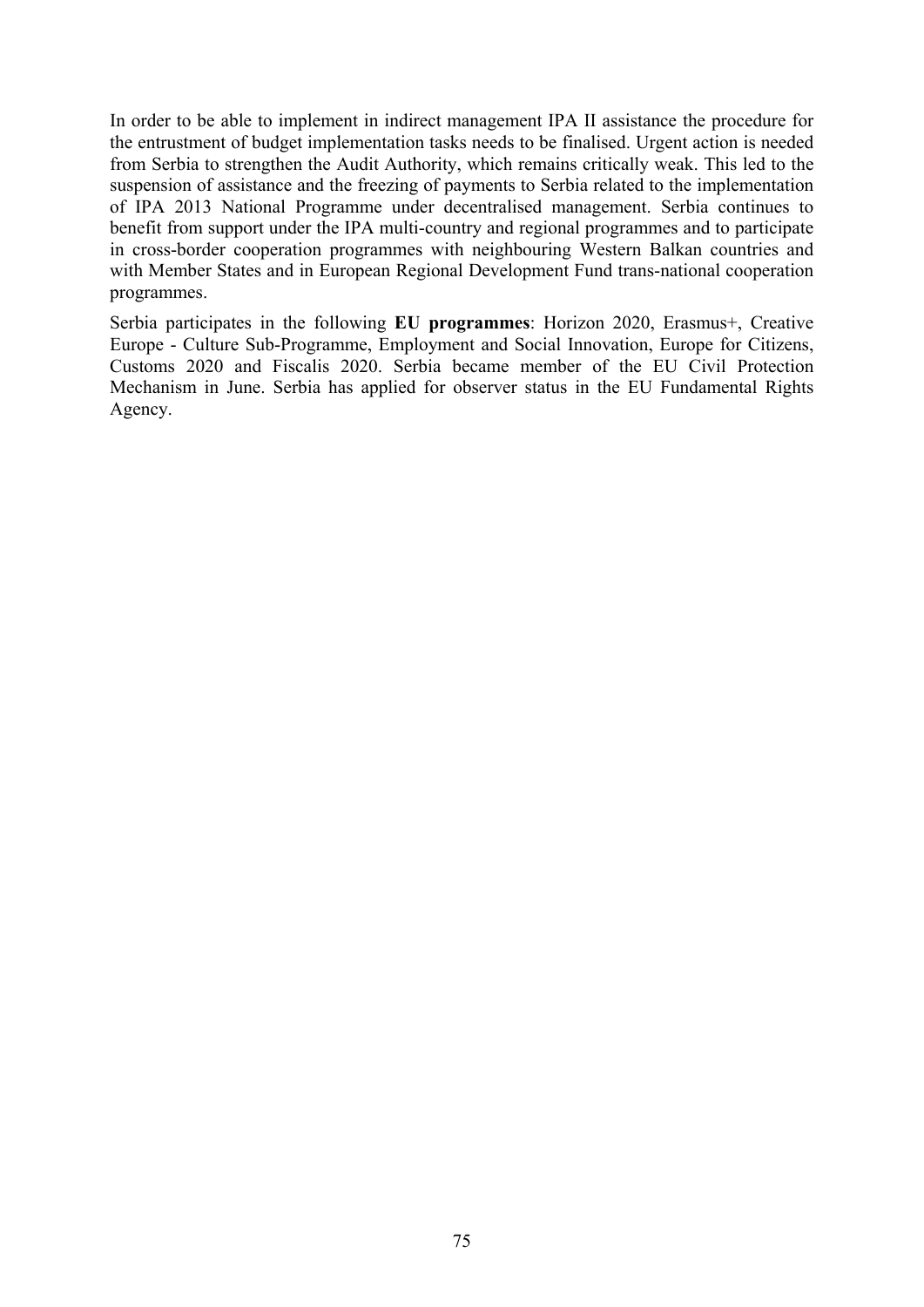In order to be able to implement in indirect management IPA II assistance the procedure for the entrustment of budget implementation tasks needs to be finalised. Urgent action is needed from Serbia to strengthen the Audit Authority, which remains critically weak. This led to the suspension of assistance and the freezing of payments to Serbia related to the implementation of IPA 2013 National Programme under decentralised management. Serbia continues to benefit from support under the IPA multi-country and regional programmes and to participate in cross-border cooperation programmes with neighbouring Western Balkan countries and with Member States and in European Regional Development Fund trans-national cooperation programmes.

Serbia participates in the following **EU programmes**: Horizon 2020, Erasmus+, Creative Europe - Culture Sub-Programme, Employment and Social Innovation, Europe for Citizens, Customs 2020 and Fiscalis 2020. Serbia became member of the EU Civil Protection Mechanism in June. Serbia has applied for observer status in the EU Fundamental Rights Agency.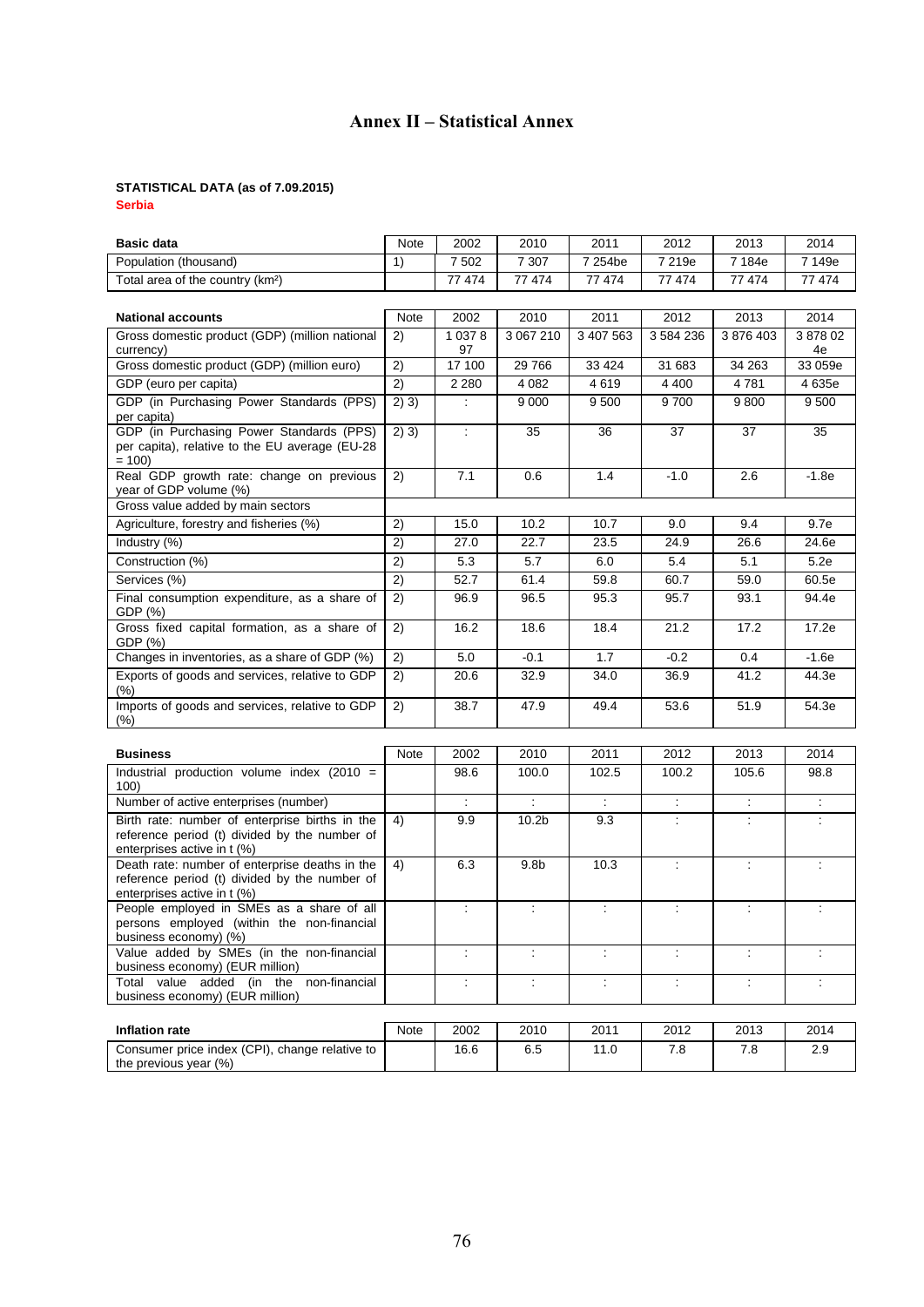# **Annex II – Statistical Annex**

#### **STATISTICAL DATA (as of 7.09.2015)**

**Serbia** 

| <b>Basic data</b>                                                                                                              | Note  | 2002                 | 2010                 | 2011           | 2012      | 2013          | 2014                 |
|--------------------------------------------------------------------------------------------------------------------------------|-------|----------------------|----------------------|----------------|-----------|---------------|----------------------|
| Population (thousand)                                                                                                          | 1)    | 7 5 0 2              | 7 3 0 7              | 7 254be        | 7 219e    | 7 184e        | 7 149e               |
| Total area of the country (km <sup>2</sup> )                                                                                   |       | 77 474               | 77 474               | 77 474         | 77 474    | 77 474        | 77 474               |
|                                                                                                                                |       |                      |                      |                |           |               |                      |
| <b>National accounts</b>                                                                                                       | Note  | 2002                 | 2010                 | 2011           | 2012      | 2013          | 2014                 |
| Gross domestic product (GDP) (million national                                                                                 | 2)    | 1 0 3 7 8            | 3 067 210            | 3 407 563      | 3 584 236 | 3 876 403     | 387802               |
| currency)<br>Gross domestic product (GDP) (million euro)                                                                       | 2)    | 97<br>17 100         | 29 766               | 33 4 24        | 31 683    | 34 263        | 4e<br>33 059e        |
| GDP (euro per capita)                                                                                                          | 2)    | 2 2 8 0              | 4 0 8 2              | 4619           | 4 4 0 0   | 4781          | 4635e                |
| GDP (in Purchasing Power Standards (PPS)<br>per capita)                                                                        | 2) 3) |                      | 9 0 0 0              | 9500           | 9700      | 9800          | 9500                 |
| GDP (in Purchasing Power Standards (PPS)<br>per capita), relative to the EU average (EU-28<br>$= 100$                          | 2) 3) | ÷                    | 35                   | 36             | 37        | 37            | 35                   |
| Real GDP growth rate: change on previous<br>year of GDP volume (%)                                                             | 2)    | 7.1                  | 0.6                  | 1.4            | $-1.0$    | 2.6           | $-1.8e$              |
| Gross value added by main sectors                                                                                              |       |                      |                      |                |           |               |                      |
| Agriculture, forestry and fisheries (%)                                                                                        | 2)    | 15.0                 | 10.2                 | 10.7           | 9.0       | 9.4           | 9.7e                 |
| Industry (%)                                                                                                                   | 2)    | 27.0                 | 22.7                 | 23.5           | 24.9      | 26.6          | 24.6e                |
| Construction (%)                                                                                                               | 2)    | 5.3                  | 5.7                  | 6.0            | 5.4       | 5.1           | 5.2e                 |
| Services (%)                                                                                                                   | 2)    | 52.7                 | 61.4                 | 59.8           | 60.7      | 59.0          | 60.5e                |
| Final consumption expenditure, as a share of<br>GDP (%)                                                                        | 2)    | 96.9                 | 96.5                 | 95.3           | 95.7      | 93.1          | 94.4e                |
| Gross fixed capital formation, as a share of<br>GDP (%)                                                                        | 2)    | 16.2                 | 18.6                 | 18.4           | 21.2      | 17.2          | 17.2e                |
| Changes in inventories, as a share of GDP (%)                                                                                  | 2)    | 5.0                  | $-0.1$               | 1.7            | $-0.2$    | 0.4           | $-1.6e$              |
| Exports of goods and services, relative to GDP<br>$(\% )$                                                                      | 2)    | 20.6                 | 32.9                 | 34.0           | 36.9      | 41.2          | 44.3e                |
| Imports of goods and services, relative to GDP<br>$(\% )$                                                                      | 2)    | 38.7                 | 47.9                 | 49.4           | 53.6      | 51.9          | 54.3e                |
|                                                                                                                                |       |                      |                      |                |           |               |                      |
| <b>Business</b>                                                                                                                | Note  | 2002                 | 2010                 | 2011           | 2012      | 2013          | 2014                 |
| Industrial production volume index (2010 =<br>100)                                                                             |       | 98.6                 | 100.0                | 102.5          | 100.2     | 105.6         | 98.8                 |
| Number of active enterprises (number)                                                                                          |       |                      | $\ddot{\cdot}$       |                | ÷         | t,            |                      |
| Birth rate: number of enterprise births in the<br>reference period (t) divided by the number of<br>enterprises active in t (%) | 4)    | 9.9                  | 10.2 <sub>b</sub>    | 9.3            |           |               |                      |
| Death rate: number of enterprise deaths in the<br>reference period (t) divided by the number of<br>enterprises active in t (%) | 4)    | 6.3                  | 9.8 <sub>b</sub>     | 10.3           | ÷         | ÷             | $\ddot{\phantom{a}}$ |
| People employed in SMEs as a share of all<br>persons employed (within the non-financial<br>business economy) (%)               |       | $\ddot{\phantom{a}}$ | $\ddot{\cdot}$       | ÷              | ÷         | Ì.            |                      |
| Value added by SMEs (in the non-financial<br>business economy) (EUR million)                                                   |       | ÷                    | $\ddot{\cdot}$       | $\mathbb{Z}^+$ | ÷         | ÷             | ÷                    |
| Total value added (in the<br>non-financial<br>business economy) (EUR million)                                                  |       | ÷                    | $\ddot{\phantom{a}}$ | $\mathcal{L}$  | ÷         | $\mathcal{I}$ | ÷                    |
|                                                                                                                                |       |                      |                      |                |           |               |                      |
| Inflation rate                                                                                                                 | Note  | 2002                 | 2010                 | 2011           | 2012      | 2013          | 2014                 |
| Consumer price index (CPI), change relative to<br>the previous year (%)                                                        |       | 16.6                 | 6.5                  | 11.0           | 7.8       | 7.8           | 2.9                  |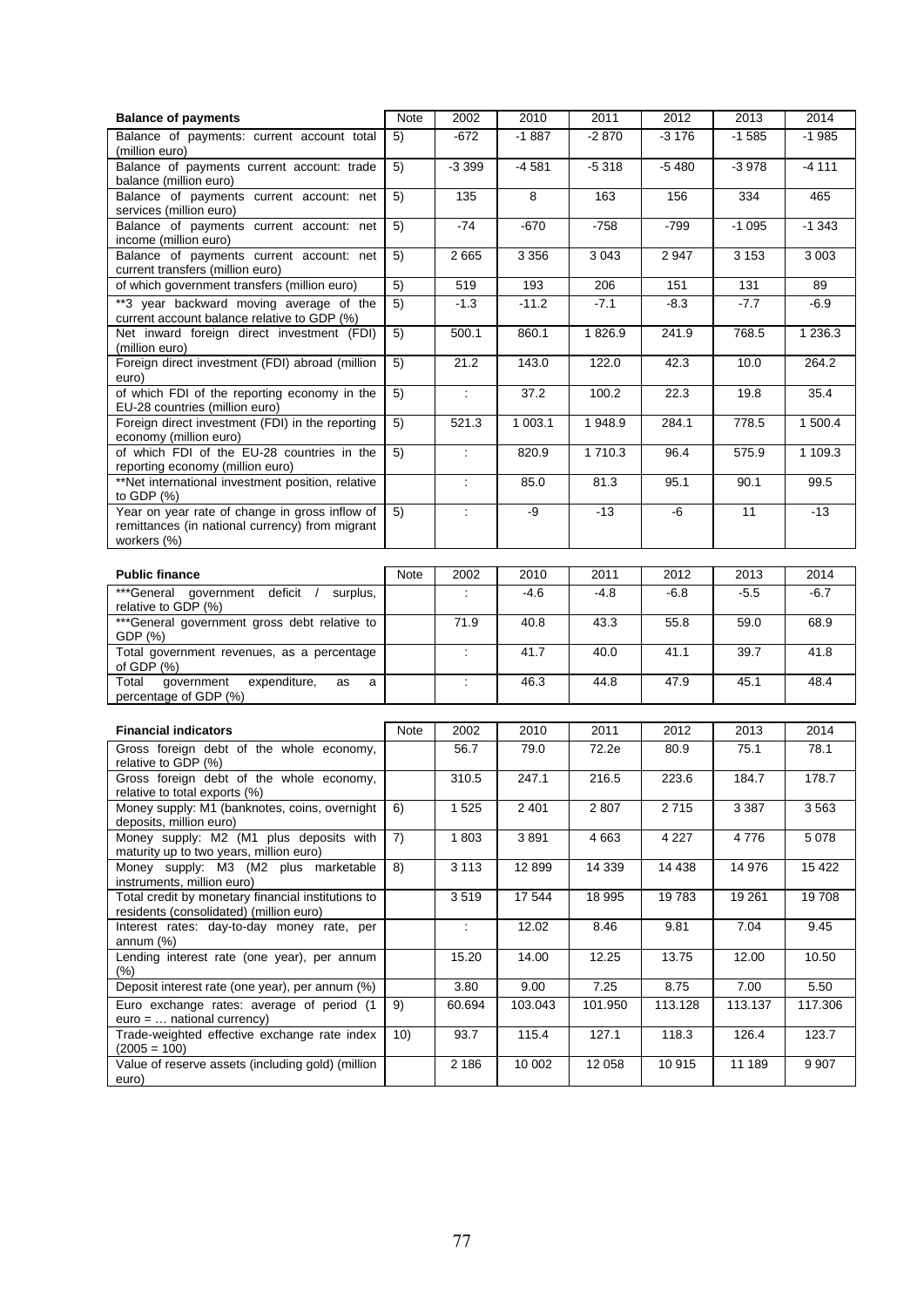| <b>Balance of payments</b>                                                                                       | Note | 2002                             | 2010         | 2011               | 2012         | 2013         | 2014         |
|------------------------------------------------------------------------------------------------------------------|------|----------------------------------|--------------|--------------------|--------------|--------------|--------------|
| Balance of payments: current account total<br>(million euro)                                                     | 5)   | $-672$                           | $-1887$      | $-2870$            | $-3176$      | $-1585$      | $-1985$      |
| Balance of payments current account: trade<br>balance (million euro)                                             | 5)   | $-3399$                          | $-4581$      | $-5318$            | $-5480$      | $-3978$      | $-4111$      |
| Balance of payments current account: net<br>services (million euro)                                              | 5)   | 135                              | 8            | 163                | 156          | 334          | 465          |
| Balance of payments current account: net<br>income (million euro)                                                | 5)   | $-74$                            | $-670$       | $-758$             | $-799$       | $-1095$      | $-1.343$     |
| Balance of payments current account: net<br>current transfers (million euro)                                     | 5)   | 2665                             | 3 3 5 6      | 3 0 4 3            | 2947         | 3 1 5 3      | 3003         |
| of which government transfers (million euro)                                                                     | 5)   | 519                              | 193          | 206                | 151          | 131          | 89           |
| **3 year backward moving average of the<br>current account balance relative to GDP (%)                           | 5)   | $-1.3$                           | $-11.2$      | $-7.1$             | $-8.3$       | $-7.7$       | -6.9         |
| Net inward foreign direct investment (FDI)<br>(million euro)                                                     | 5)   | 500.1                            | 860.1        | 1826.9             | 241.9        | 768.5        | 1 2 3 6 . 3  |
| Foreign direct investment (FDI) abroad (million<br>euro)                                                         | 5)   | 21.2                             | 143.0        | 122.0              | 42.3         | 10.0         | 264.2        |
| of which FDI of the reporting economy in the<br>EU-28 countries (million euro)                                   | 5)   | ÷                                | 37.2         | 100.2              | 22.3         | 19.8         | 35.4         |
| Foreign direct investment (FDI) in the reporting<br>economy (million euro)                                       | 5)   | 521.3                            | 1 003.1      | 1948.9             | 284.1        | 778.5        | 1 500.4      |
| of which FDI of the EU-28 countries in the<br>reporting economy (million euro)                                   | 5)   | ÷                                | 820.9        | 1710.3             | 96.4         | 575.9        | 1 109.3      |
| **Net international investment position, relative<br>to GDP $(%)$                                                |      | ÷                                | 85.0         | 81.3               | 95.1         | 90.1         | 99.5         |
| Year on year rate of change in gross inflow of<br>remittances (in national currency) from migrant<br>workers (%) | 5)   | ÷                                | -9           | $-13$              | -6           | 11           | $-13$        |
|                                                                                                                  |      |                                  |              |                    |              |              |              |
| <b>Public finance</b>                                                                                            | Note | 2002                             | 2010         | 2011               | 2012         | 2013         | 2014         |
| ***General government deficit /<br>surplus,<br>relative to GDP (%)                                               |      | ÷                                | -4.6         | $-4.8$             | $-6.8$       | $-5.5$       | $-6.7$       |
| ***General government gross debt relative to<br>GDP (%)                                                          |      | 71.9                             | 40.8<br>41.7 | 43.3<br>40.0       | 55.8<br>41.1 | 59.0<br>39.7 | 68.9<br>41.8 |
| Total government revenues, as a percentage<br>of GDP $(%)$                                                       |      | ÷<br>$\mathcal{I}^{\mathcal{I}}$ | 46.3         | 44.8               | 47.9         | 45.1         | 48.4         |
| government<br>expenditure,<br>Total<br>as<br>a<br>percentage of GDP (%)                                          |      |                                  |              |                    |              |              |              |
| <b>Financial indicators</b>                                                                                      | Note | 2002                             | 2010         | 2011               | 2012         | 2013         | 2014         |
| Gross foreign debt of the whole economy,                                                                         |      | 56.7                             | 79.0         | 72.2e              | 80.9         | 75.1         | 78.1         |
| relative to GDP (%)                                                                                              |      |                                  |              |                    |              |              |              |
| Gross foreign debt of the whole economy,<br>relative to total exports (%)                                        |      | 310.5                            | 247.1        | $\overline{216.5}$ | 223.6        | 184.7        | 178.7        |
| Money supply: M1 (banknotes, coins, overnight<br>deposits, million euro)                                         | 6)   | 1525                             | 2 4 0 1      | 2 807              | 2715         | 3 3 8 7      | 3 5 6 3      |
| Money supply: M2 (M1 plus deposits with<br>maturity up to two years, million euro)                               | 7)   | 1803                             | 3891         | 4663               | 4 2 2 7      | 4776         | 5 0 78       |
| Money supply: M3 (M2 plus marketable<br>instruments, million euro)                                               | 8)   | 3 1 1 3                          | 12 8 9 9     | 14 3 39            | 14 4 38      | 14 976       | 15 4 22      |
| Total credit by monetary financial institutions to<br>residents (consolidated) (million euro)                    |      | 3519                             | 17 544       | 18 995             | 19783        | 19 261       | 19708        |
| Interest rates: day-to-day money rate, per<br>annum $(\%)$                                                       |      |                                  | 12.02        | 8.46               | 9.81         | 7.04         | 9.45         |
| Lending interest rate (one year), per annum<br>$(\%)$                                                            |      | 15.20                            | 14.00        | 12.25              | 13.75        | 12.00        | 10.50        |
| Deposit interest rate (one year), per annum (%)                                                                  |      | 3.80                             | 9.00         | 7.25               | 8.75         | 7.00         | 5.50         |
| Euro exchange rates: average of period (1<br>$euro = $ national currency)                                        | 9)   | 60.694                           | 103.043      | 101.950            | 113.128      | 113.137      | 117.306      |
| Trade-weighted effective exchange rate index<br>$(2005 = 100)$                                                   | 10)  | 93.7                             | 115.4        | 127.1              | 118.3        | 126.4        | 123.7        |
| Value of reserve assets (including gold) (million<br>euro)                                                       |      | 2 186                            | 10 002       | 12 058             | 10915        | 11 189       | 9 9 0 7      |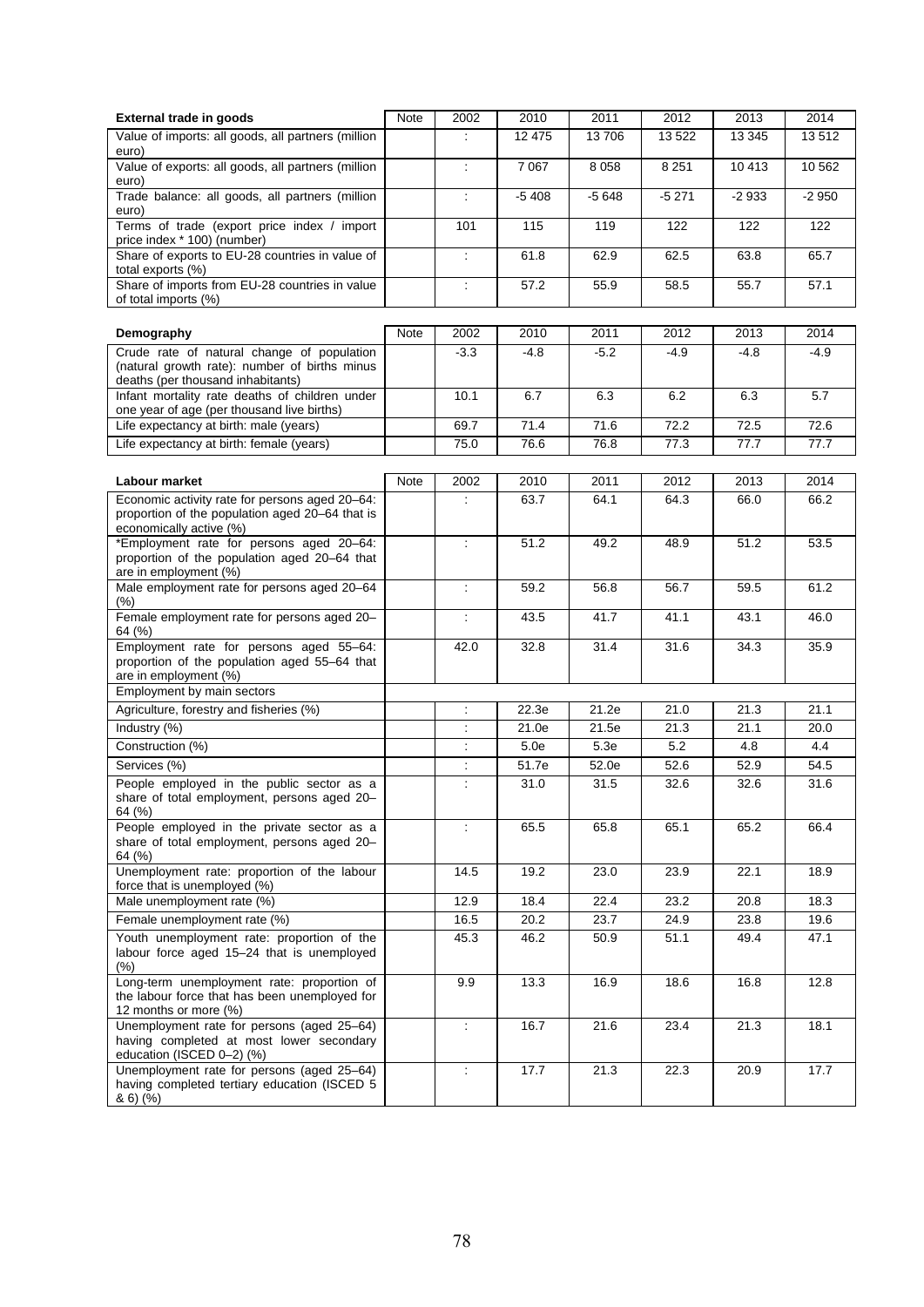| <b>External trade in goods</b>                                                                                                   | Note | 2002                     | 2010    | 2011    | 2012    | 2013    | 2014    |
|----------------------------------------------------------------------------------------------------------------------------------|------|--------------------------|---------|---------|---------|---------|---------|
| Value of imports: all goods, all partners (million<br>euro)                                                                      |      |                          | 12 475  | 13706   | 13522   | 13 3 45 | 13512   |
| Value of exports: all goods, all partners (million<br>euro)                                                                      |      | ÷                        | 7 0 6 7 | 8 0 5 8 | 8 2 5 1 | 10 413  | 10 562  |
| Trade balance: all goods, all partners (million<br>euro)                                                                         |      | ÷                        | $-5408$ | $-5648$ | $-5271$ | $-2933$ | $-2950$ |
| Terms of trade (export price index / import<br>price index * 100) (number)                                                       |      | 101                      | 115     | 119     | 122     | 122     | 122     |
| Share of exports to EU-28 countries in value of<br>total exports (%)                                                             |      | ÷                        | 61.8    | 62.9    | 62.5    | 63.8    | 65.7    |
| Share of imports from EU-28 countries in value<br>of total imports (%)                                                           |      | ÷                        | 57.2    | 55.9    | 58.5    | 55.7    | 57.1    |
| Demography                                                                                                                       | Note | 2002                     | 2010    | 2011    | 2012    | 2013    | 2014    |
| Crude rate of natural change of population<br>(natural growth rate): number of births minus<br>deaths (per thousand inhabitants) |      | $-3.3$                   | $-4.8$  | $-5.2$  | $-4.9$  | $-4.8$  | $-4.9$  |
| Infant mortality rate deaths of children under<br>one year of age (per thousand live births)                                     |      | 10.1                     | 6.7     | 6.3     | 6.2     | 6.3     | 5.7     |
| Life expectancy at birth: male (years)                                                                                           |      | 69.7                     | 71.4    | 71.6    | 72.2    | 72.5    | 72.6    |
| Life expectancy at birth: female (years)                                                                                         |      | 75.0                     | 76.6    | 76.8    | 77.3    | 77.7    | 77.7    |
|                                                                                                                                  |      |                          |         |         |         |         |         |
| Labour market                                                                                                                    | Note | 2002                     | 2010    | 2011    | 2012    | 2013    | 2014    |
| Economic activity rate for persons aged 20-64:<br>proportion of the population aged 20–64 that is<br>economically active (%)     |      | ÷                        | 63.7    | 64.1    | 64.3    | 66.0    | 66.2    |
| *Employment rate for persons aged 20-64:<br>proportion of the population aged 20-64 that<br>are in employment (%)                |      | ÷                        | 51.2    | 49.2    | 48.9    | 51.2    | 53.5    |
| Male employment rate for persons aged 20-64<br>$(\% )$                                                                           |      | ÷                        | 59.2    | 56.8    | 56.7    | 59.5    | 61.2    |
| Female employment rate for persons aged 20-<br>64 (%)                                                                            |      | ÷                        | 43.5    | 41.7    | 41.1    | 43.1    | 46.0    |
| Employment rate for persons aged 55-64:<br>proportion of the population aged 55-64 that<br>are in employment (%)                 |      | 42.0                     | 32.8    | 31.4    | 31.6    | 34.3    | 35.9    |
| Employment by main sectors                                                                                                       |      |                          |         |         |         |         |         |
| Agriculture, forestry and fisheries (%)                                                                                          |      | $\overline{\phantom{a}}$ | 22.3e   | 21.2e   | 21.0    | 21.3    | 21.1    |
| Industry (%)                                                                                                                     |      | ÷                        | 21.0e   | 21.5e   | 21.3    | 21.1    | 20.0    |
| Construction (%)                                                                                                                 |      | ÷                        | 5.0e    | 5.3e    | 5.2     | 4.8     | 4.4     |
| Services (%)                                                                                                                     |      | $\overline{\phantom{a}}$ | 51.7e   | 52.0e   | 52.6    | 52.9    | 54.5    |
| People employed in the public sector as a<br>share of total employment, persons aged 20-<br>64 (%)                               |      | ÷                        | 31.0    | 31.5    | 32.6    | 32.6    | 31.6    |
| People employed in the private sector as a<br>share of total employment, persons aged 20-<br>64 (%)                              |      | ÷                        | 65.5    | 65.8    | 65.1    | 65.2    | 66.4    |
| Unemployment rate: proportion of the labour<br>force that is unemployed (%)                                                      |      | 14.5                     | 19.2    | 23.0    | 23.9    | 22.1    | 18.9    |
| Male unemployment rate (%)                                                                                                       |      | 12.9                     | 18.4    | 22.4    | 23.2    | 20.8    | 18.3    |
| Female unemployment rate (%)                                                                                                     |      | 16.5                     | 20.2    | 23.7    | 24.9    | 23.8    | 19.6    |
| Youth unemployment rate: proportion of the<br>labour force aged 15-24 that is unemployed<br>(% )                                 |      | 45.3                     | 46.2    | 50.9    | 51.1    | 49.4    | 47.1    |
| Long-term unemployment rate: proportion of<br>the labour force that has been unemployed for<br>12 months or more (%)             |      | 9.9                      | 13.3    | 16.9    | 18.6    | 16.8    | 12.8    |
| Unemployment rate for persons (aged 25-64)<br>having completed at most lower secondary<br>education (ISCED 0-2) (%)              |      | ÷                        | 16.7    | 21.6    | 23.4    | 21.3    | 18.1    |
| Unemployment rate for persons (aged 25-64)<br>having completed tertiary education (ISCED 5<br>86)(%                              |      | $\mathcal{L}$            | 17.7    | 21.3    | 22.3    | 20.9    | 17.7    |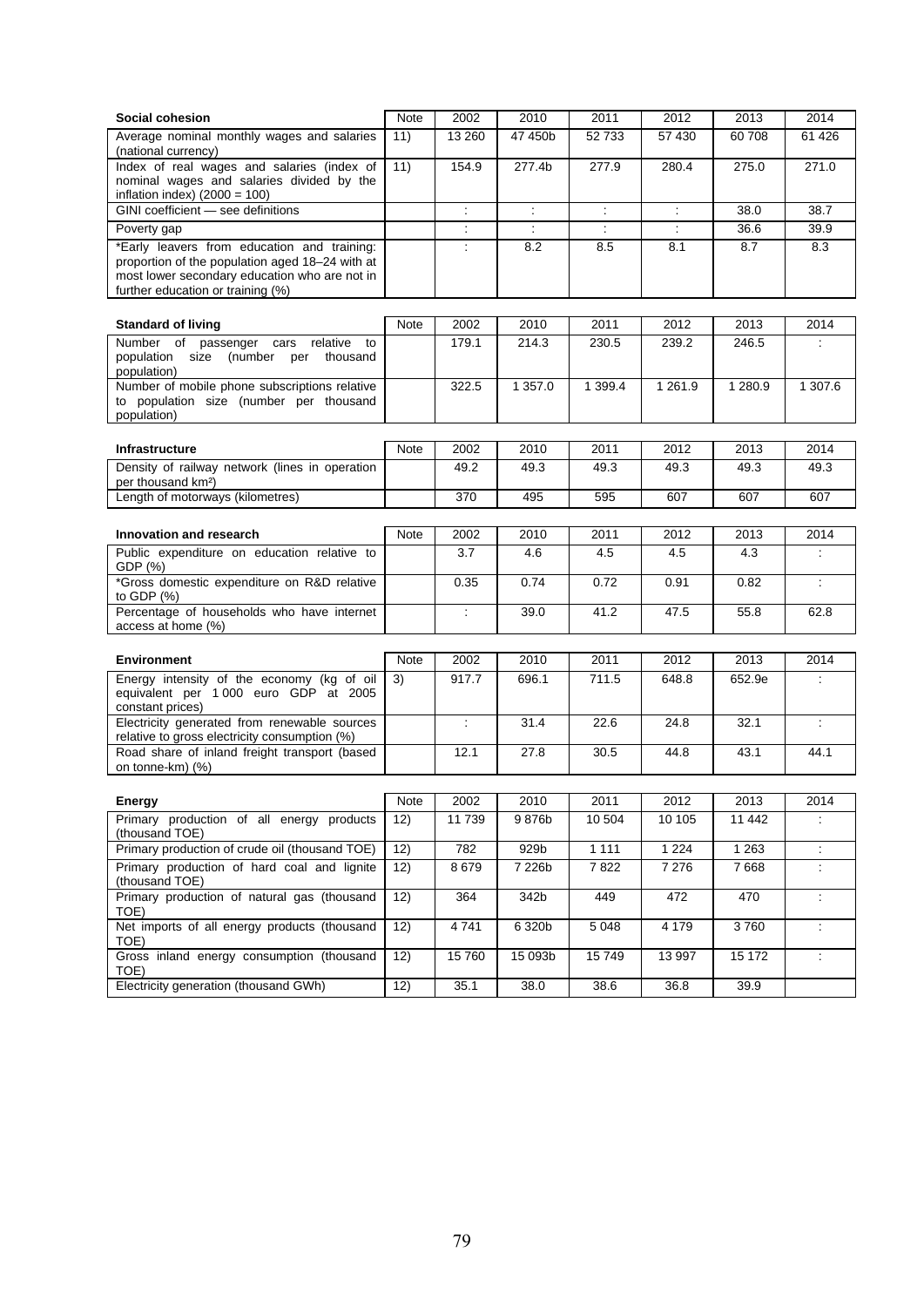| Social cohesion                                                                                                                                                                      | Note | 2002   | 2010    | 2011    | 2012                 | 2013      | 2014    |
|--------------------------------------------------------------------------------------------------------------------------------------------------------------------------------------|------|--------|---------|---------|----------------------|-----------|---------|
| Average nominal monthly wages and salaries<br>(national currency)                                                                                                                    | 11)  | 13 260 | 47 450b | 52 733  | 57 430               | 60 708    | 61 4 26 |
| Index of real wages and salaries (index of<br>nominal wages and salaries divided by the<br>inflation index) $(2000 = 100)$                                                           | 11)  | 154.9  | 277.4b  | 277.9   | 280.4                | 275.0     | 271.0   |
| GINI coefficient - see definitions                                                                                                                                                   |      |        |         | ÷       | $\ddot{\cdot}$       | 38.0      | 38.7    |
| Poverty gap                                                                                                                                                                          |      | ÷      |         | ÷       | $\ddot{\phantom{a}}$ | 36.6      | 39.9    |
| *Early leavers from education and training:<br>proportion of the population aged 18-24 with at<br>most lower secondary education who are not in<br>further education or training (%) |      |        | 8.2     | 8.5     | 8.1                  | 8.7       | 8.3     |
| <b>Standard of living</b>                                                                                                                                                            | Note | 2002   | 2010    | 2011    | 2012                 | 2013      | 2014    |
| Number<br>of<br>passenger<br>relative<br>cars<br>to<br>population<br>size (number per<br>thousand<br>population)                                                                     |      | 179.1  | 214.3   | 230.5   | 239.2                | 246.5     |         |
| Number of mobile phone subscriptions relative<br>to population size (number per thousand<br>population)                                                                              |      | 322.5  | 1 357.0 | 1 399.4 | 1 2 6 1 .9           | 1 2 8 0.9 | 1 307.6 |
| <b>Infrastructure</b>                                                                                                                                                                | Note | 2002   | 2010    | 2011    | 2012                 | 2013      | 2014    |
| Density of railway network (lines in operation<br>per thousand km <sup>2</sup> )                                                                                                     |      | 49.2   | 49.3    | 49.3    | 49.3                 | 49.3      | 49.3    |
| Length of motorways (kilometres)                                                                                                                                                     |      | 370    | 495     | 595     | 607                  | 607       | 607     |
|                                                                                                                                                                                      |      |        |         |         |                      |           |         |
| Innovation and research                                                                                                                                                              | Note | 2002   | 2010    | 2011    | 2012                 | 2013      | 2014    |
| Public expenditure on education relative to<br>GDP (%)                                                                                                                               |      | 3.7    | 4.6     | 4.5     | 4.5                  | 4.3       | ÷       |
| *Gross domestic expenditure on R&D relative<br>to GDP $(%)$                                                                                                                          |      | 0.35   | 0.74    | 0.72    | 0.91                 | 0.82      | ÷       |
| Percentage of households who have internet<br>access at home (%)                                                                                                                     |      | ÷      | 39.0    | 41.2    | 47.5                 | 55.8      | 62.8    |
|                                                                                                                                                                                      |      |        |         |         |                      |           |         |
| <b>Environment</b>                                                                                                                                                                   | Note | 2002   | 2010    | 2011    | 2012                 | 2013      | 2014    |
| Energy intensity of the economy (kg of oil<br>equivalent per 1 000 euro GDP at 2005<br>constant prices)                                                                              | 3)   | 917.7  | 696.1   | 711.5   | 648.8                | 652.9e    | ÷       |
| Electricity generated from renewable sources<br>relative to gross electricity consumption (%)                                                                                        |      | ÷      | 31.4    | 22.6    | 24.8                 | 32.1      | ÷       |
| Road share of inland freight transport (based<br>on tonne-km) (%)                                                                                                                    |      | 12.1   | 27.8    | 30.5    | 44.8                 | 43.1      | 44.1    |
| Energy                                                                                                                                                                               | Note | 2002   | 2010    | 2011    | 2012                 | 2013      | 2014    |
| Primary production of all energy products<br>(thousand TOE)                                                                                                                          | 12)  | 11739  | 9876b   | 10 504  | 10 10 5              | 11 442    | ÷       |
| Primary production of crude oil (thousand TOE)                                                                                                                                       | 12)  | 782    | 929b    | 1 1 1 1 | 1 2 2 4              | 1 2 6 3   | ÷.      |
| Primary production of hard coal and lignite<br>(thousand TOE)                                                                                                                        | 12)  | 8679   | 7 226b  | 7822    | 7 2 7 6              | 7668      | ÷       |
| Primary production of natural gas (thousand<br>TOE)                                                                                                                                  | 12)  | 364    | 342b    | 449     | 472                  | 470       | ÷       |
| Net imports of all energy products (thousand<br>TOE)                                                                                                                                 | 12)  | 4741   | 6 320b  | 5 0 4 8 | 4 1 7 9              | 3760      | ÷       |
| Gross inland energy consumption (thousand<br>TOE)                                                                                                                                    | 12)  | 15760  | 15 093b | 15749   | 13 997               | 15 172    | ÷       |
| Electricity generation (thousand GWh)                                                                                                                                                | 12)  | 35.1   | 38.0    | 38.6    | 36.8                 | 39.9      |         |